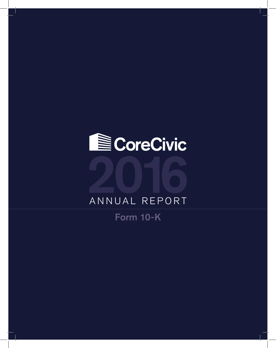

# ANNUAL REPORT ANNUAL REPORT

# Form 10-K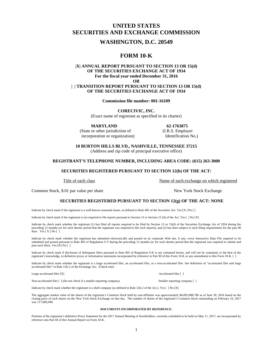# **UNITED STATES SECURITIES AND EXCHANGE COMMISSION**

#### **WASHINGTON, D.C. 20549**

#### **FORM 10-K**

#### **|X| ANNUAL REPORT PURSUANT TO SECTION 13 OR 15(d) OF THE SECURITIES EXCHANGE ACT OF 1934 For the fiscal year ended December 31, 2016 OR | | TRANSITION REPORT PURSUANT TO SECTION 13 OR 15(d) OF THE SECURITIES EXCHANGE ACT OF 1934**

**Commission file number: 001-16109** 

**CORECIVIC, INC.** (Exact name of registrant as specified in its charter)

 **MARYLAND 62-1763875**

(State or other jurisdiction of (I.R.S. Employer incorporation or organization) Identification No.

**10 BURTON HILLS BLVD., NASHVILLE, TENNESSEE 37215** (Address and zip code of principal executive office)

#### **REGISTRANT'S TELEPHONE NUMBER, INCLUDING AREA CODE: (615) 263-3000**

#### **SECURITIES REGISTERED PURSUANT TO SECTION 12(b) OF THE ACT:**

Title of each class Name of each exchange on which registered

Common Stock, \$.01 par value per share New York Stock Exchange

#### **SECURITIES REGISTERED PURSUANT TO SECTION 12(g) OF THE ACT: NONE**

Indicate by check mark if the registrant is a well-known seasoned issuer, as defined in Rule 405 of the Securities Act. Yes [X ] No [ ]

Indicate by check mark if the registrant is not required to file reports pursuant to Section 13 or Section 15 (d) of the Act. Yes [ ] No [X]

Indicate by check mark whether the registrant (1) has filed all reports required to be filed by Section 13 or 15(d) of the Securities Exchange Act of 1934 during the preceding 12 months (or for such shorter period that the registrant was required to file such reports), and (2) has been subject to such filing requirements for the past 90 days. Yes [ X ] No [ ]

Indicate by check mark whether the registrant has submitted electronically and posted on its corporate Web site, if any, every Interactive Data File required to be submitted and posted pursuant to Rule 405 of Regulation S-T during the preceding 12 months (or for such shorter period that the registrant was required to submit and post such files). Yes [X] No [ ]

Indicate by check mark if disclosure of delinquent filers pursuant to Item 405 of Regulation S-K is not contained herein, and will not be contained, to the best of the registrant's knowledge, in definitive proxy or information statements incorporated by reference in Part III of this Form 10-K or any amendment to this Form 10-K. [ ]

Indicate by check mark whether the registrant is a large accelerated filer, an accelerated filer, or a non-accelerated filer. See definition of "accelerated filer and large accelerated filer" in Rule 12b-2 of the Exchange Act. (Check one):

Large accelerated filer [X] Accelerated filer [ ]

Non-accelerated filer [ ] (Do not check if a smaller reporting company) Smaller reporting company [ ]

Indicate by check mark whether the registrant is a shell company (as defined in Rule 12b-2 of the Act.). Yes [ ] No [X]

The aggregate market value of the shares of the registrant's Common Stock held by non-affiliates was approximately \$4,092,088,786 as of June 30, 2016 based on the closing price of such shares on the New York Stock Exchange on that day. The number of shares of the registrant's Common Stock outstanding on February 16, 2017 was 117,666,948

#### **DOCUMENTS INCORPORATED BY REFERENCE:**

Portions of the registrant's definitive Proxy Statement for the 2017 Annual Meeting of Stockholders, currently scheduled to be held on May 11, 2017, are incorporated by reference into Part III of this Annual Report on Form 10-K.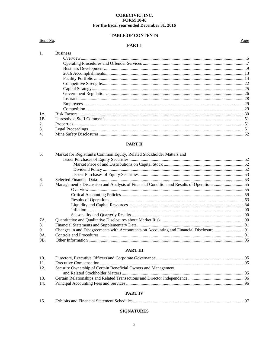#### CORECIVIC, INC. FORM  $10$ -K For the fiscal year ended December 31, 2016

# **TABLE OF CONTENTS**

# Item No.

#### **PART I**

| $\mathbf{1}$ .   | <b>Business</b> |  |
|------------------|-----------------|--|
|                  |                 |  |
|                  |                 |  |
|                  |                 |  |
|                  |                 |  |
|                  |                 |  |
|                  |                 |  |
|                  |                 |  |
|                  |                 |  |
|                  |                 |  |
|                  |                 |  |
|                  |                 |  |
| 1A.              |                 |  |
| 1B.              |                 |  |
| 2.               |                 |  |
| 3.               |                 |  |
| $\overline{4}$ . |                 |  |
|                  |                 |  |

#### **PART II**

| .5. | Market for Registrant's Common Equity, Related Stockholder Matters and                  |  |
|-----|-----------------------------------------------------------------------------------------|--|
|     |                                                                                         |  |
|     |                                                                                         |  |
|     |                                                                                         |  |
|     |                                                                                         |  |
| 6.  |                                                                                         |  |
| 7.  | Management's Discussion and Analysis of Financial Condition and Results of Operations55 |  |
|     |                                                                                         |  |
|     |                                                                                         |  |
|     |                                                                                         |  |
|     |                                                                                         |  |
|     |                                                                                         |  |
|     |                                                                                         |  |
| 7A. |                                                                                         |  |
| 8.  |                                                                                         |  |
| 9.  |                                                                                         |  |
| 9A. |                                                                                         |  |
| 9B. |                                                                                         |  |
|     |                                                                                         |  |

#### **PART III**

| 10. |                                                                |  |
|-----|----------------------------------------------------------------|--|
| 11. |                                                                |  |
| 12. | Security Ownership of Certain Beneficial Owners and Management |  |
|     |                                                                |  |
| 13. |                                                                |  |
| 14. |                                                                |  |

#### **PARTIV**

| 15. |  |  |  |
|-----|--|--|--|
|-----|--|--|--|

#### **SIGNATURES**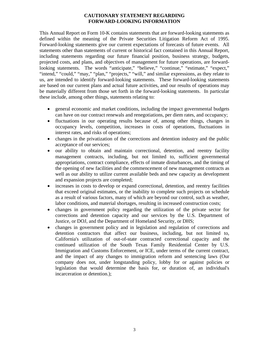#### **CAUTIONARY STATEMENT REGARDING FORWARD-LOOKING INFORMATION**

This Annual Report on Form 10-K contains statements that are forward-looking statements as defined within the meaning of the Private Securities Litigation Reform Act of 1995. Forward-looking statements give our current expectations of forecasts of future events. All statements other than statements of current or historical fact contained in this Annual Report, including statements regarding our future financial position, business strategy, budgets, projected costs, and plans, and objectives of management for future operations, are forwardlooking statements. The words "anticipate," "believe," "continue," "estimate," "expect," "intend," "could," "may," "plan," "projects," "will," and similar expressions, as they relate to us, are intended to identify forward-looking statements. These forward-looking statements are based on our current plans and actual future activities, and our results of operations may be materially different from those set forth in the forward-looking statements. In particular these include, among other things, statements relating to:

- general economic and market conditions, including the impact governmental budgets can have on our contract renewals and renegotiations, per diem rates, and occupancy;
- fluctuations in our operating results because of, among other things, changes in occupancy levels, competition, increases in costs of operations, fluctuations in interest rates, and risks of operations;
- changes in the privatization of the corrections and detention industry and the public acceptance of our services;
- our ability to obtain and maintain correctional, detention, and reentry facility management contracts, including, but not limited to, sufficient governmental appropriations, contract compliance, effects of inmate disturbances, and the timing of the opening of new facilities and the commencement of new management contracts as well as our ability to utilize current available beds and new capacity as development and expansion projects are completed;
- increases in costs to develop or expand correctional, detention, and reentry facilities that exceed original estimates, or the inability to complete such projects on schedule as a result of various factors, many of which are beyond our control, such as weather, labor conditions, and material shortages, resulting in increased construction costs;
- changes in government policy regarding the utilization of the private sector for corrections and detention capacity and our services by the U.S. Department of Justice, or DOJ, and the Department of Homeland Security, or DHS;
- changes in government policy and in legislation and regulation of corrections and detention contractors that affect our business, including, but not limited to, California's utilization of out-of-state contracted correctional capacity and the continued utilization of the South Texas Family Residential Center by U.S. Immigration and Customs Enforcement, or ICE, under terms of the current contract, and the impact of any changes to immigration reform and sentencing laws (Our company does not, under longstanding policy, lobby for or against policies or legislation that would determine the basis for, or duration of, an individual's incarceration or detention.);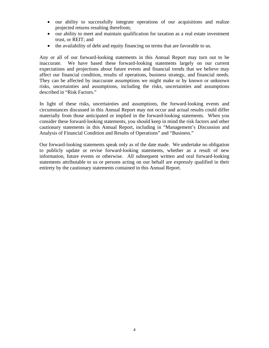- our ability to successfully integrate operations of our acquisitions and realize projected returns resulting therefrom;
- our ability to meet and maintain qualification for taxation as a real estate investment trust, or REIT; and
- the availability of debt and equity financing on terms that are favorable to us.

Any or all of our forward-looking statements in this Annual Report may turn out to be inaccurate. We have based these forward-looking statements largely on our current expectations and projections about future events and financial trends that we believe may affect our financial condition, results of operations, business strategy, and financial needs. They can be affected by inaccurate assumptions we might make or by known or unknown risks, uncertainties and assumptions, including the risks, uncertainties and assumptions described in "Risk Factors."

In light of these risks, uncertainties and assumptions, the forward-looking events and circumstances discussed in this Annual Report may not occur and actual results could differ materially from those anticipated or implied in the forward-looking statements. When you consider these forward-looking statements, you should keep in mind the risk factors and other cautionary statements in this Annual Report, including in "Management's Discussion and Analysis of Financial Condition and Results of Operations" and "Business."

Our forward-looking statements speak only as of the date made. We undertake no obligation to publicly update or revise forward-looking statements, whether as a result of new information, future events or otherwise. All subsequent written and oral forward-looking statements attributable to us or persons acting on our behalf are expressly qualified in their entirety by the cautionary statements contained in this Annual Report.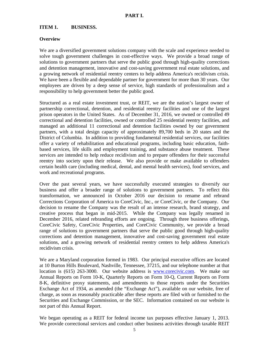#### **ITEM 1. BUSINESS.**

#### **Overview**

We are a diversified government solutions company with the scale and experience needed to solve tough government challenges in cost-effective ways. We provide a broad range of solutions to government partners that serve the public good through high-quality corrections and detention management, innovative and cost-saving government real estate solutions, and a growing network of residential reentry centers to help address America's recidivism crisis. We have been a flexible and dependable partner for government for more than 30 years. Our employees are driven by a deep sense of service, high standards of professionalism and a responsibility to help government better the public good.

Structured as a real estate investment trust, or REIT, we are the nation's largest owner of partnership correctional, detention, and residential reentry facilities and one of the largest prison operators in the United States. As of December 31, 2016, we owned or controlled 49 correctional and detention facilities, owned or controlled 25 residential reentry facilities, and managed an additional 11 correctional and detention facilities owned by our government partners, with a total design capacity of approximately 89,700 beds in 20 states and the District of Columbia. In addition to providing fundamental residential services, our facilities offer a variety of rehabilitation and educational programs, including basic education, faithbased services, life skills and employment training, and substance abuse treatment. These services are intended to help reduce recidivism and to prepare offenders for their successful reentry into society upon their release. We also provide or make available to offenders certain health care (including medical, dental, and mental health services), food services, and work and recreational programs.

Over the past several years, we have successfully executed strategies to diversify our business and offer a broader range of solutions to government partners. To reflect this transformation, we announced in October 2016 our decision to rename and rebrand Corrections Corporation of America to CoreCivic, Inc., or CoreCivic, or the Company. Our decision to rename the Company was the result of an intense research, brand strategy, and creative process that began in mid-2015. While the Company was legally renamed in December 2016, related rebranding efforts are ongoing. Through three business offerings, CoreCivic Safety, CoreCivic Properties, and CoreCivic Community, we provide a broad range of solutions to government partners that serve the public good through high-quality corrections and detention management, innovative and cost-saving government real estate solutions, and a growing network of residential reentry centers to help address America's recidivism crisis.

We are a Maryland corporation formed in 1983. Our principal executive offices are located at 10 Burton Hills Boulevard, Nashville, Tennessee, 37215, and our telephone number at that location is (615) 263-3000. Our website address is www.corecivic.com. We make our Annual Reports on Form 10-K, Quarterly Reports on Form 10-Q, Current Reports on Form 8-K, definitive proxy statements, and amendments to those reports under the Securities Exchange Act of 1934, as amended (the "Exchange Act"), available on our website, free of charge, as soon as reasonably practicable after these reports are filed with or furnished to the Securities and Exchange Commission, or the SEC. Information contained on our website is not part of this Annual Report.

We began operating as a REIT for federal income tax purposes effective January 1, 2013. We provide correctional services and conduct other business activities through taxable REIT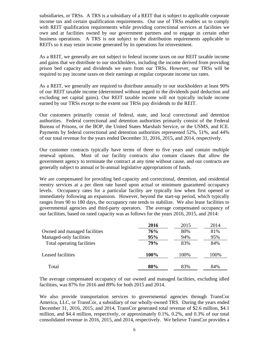subsidiaries, or TRSs. A TRS is a subsidiary of a REIT that is subject to applicable corporate income tax and certain qualification requirements. Our use of TRSs enables us to comply with REIT qualification requirements while providing correctional services at facilities we own and at facilities owned by our government partners and to engage in certain other business operations. A TRS is not subject to the distribution requirements applicable to REITs so it may retain income generated by its operations for reinvestment.

As a REIT, we generally are not subject to federal income taxes on our REIT taxable income and gains that we distribute to our stockholders, including the income derived from providing prison bed capacity and dividends we earn from our TRSs. However, our TRSs will be required to pay income taxes on their earnings at regular corporate income tax rates.

As a REIT, we generally are required to distribute annually to our stockholders at least 90% of our REIT taxable income (determined without regard to the dividends paid deduction and excluding net capital gains). Our REIT taxable income will not typically include income earned by our TRSs except to the extent our TRSs pay dividends to the REIT.

Our customers primarily consist of federal, state, and local correctional and detention authorities. Federal correctional and detention authorities primarily consist of the Federal Bureau of Prisons, or the BOP, the United States Marshals Service, or the USMS, and ICE. Payments by federal correctional and detention authorities represented 52%, 51%, and 44% of our total revenue for the years ended December 31, 2016, 2015, and 2014, respectively.

Our customer contracts typically have terms of three to five years and contain multiple renewal options. Most of our facility contracts also contain clauses that allow the government agency to terminate the contract at any time without cause, and our contracts are generally subject to annual or bi-annual legislative appropriations of funds.

We are compensated for providing bed capacity and correctional, detention, and residential reentry services at a per diem rate based upon actual or minimum guaranteed occupancy levels. Occupancy rates for a particular facility are typically low when first opened or immediately following an expansion. However, beyond the start-up period, which typically ranges from 90 to 180 days, the occupancy rate tends to stabilize. We also lease facilities to governmental agencies and third-party operators. The average compensated occupancy of our facilities, based on rated capacity was as follows for the years 2016, 2015, and 2014:

|                              | 2016 | 2015 | 2014 |
|------------------------------|------|------|------|
| Owned and managed facilities | 76%  | 80%  | 81%  |
| Managed-only facilities      | 95%  | 94%  | 95%  |
| Total operating facilities   | 79%  | 83%  | 84%  |
| Leased facilities            | 100% | 100% | 100% |
| Total                        | 80%  | 83%  | 84%  |

The average compensated occupancy of our owned and managed facilities, excluding idled facilities, was 87% for 2016 and 89% for both 2015 and 2014.

We also provide transportation services to governmental agencies through TransCor America, LLC, or TransCor, a subsidiary of our wholly-owned TRS. During the years ended December 31, 2016, 2015, and 2014, TransCor generated total revenue of \$2.6 million, \$4.1 million, and \$4.4 million, respectively, or approximately 0.1%, 0.2%, and 0.3% of our total consolidated revenue in 2016, 2015, and 2014, respectively. We believe TransCor provides a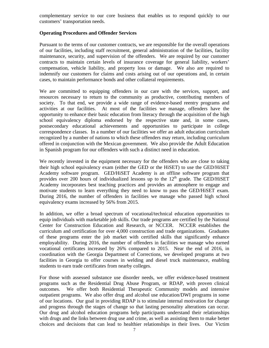complementary service to our core business that enables us to respond quickly to our customers' transportation needs.

#### **Operating Procedures and Offender Services**

Pursuant to the terms of our customer contracts, we are responsible for the overall operations of our facilities, including staff recruitment, general administration of the facilities, facility maintenance, security, and supervision of the offenders. We are required by our customer contracts to maintain certain levels of insurance coverage for general liability, workers' compensation, vehicle liability, and property loss or damage. We also are required to indemnify our customers for claims and costs arising out of our operations and, in certain cases, to maintain performance bonds and other collateral requirements.

We are committed to equipping offenders in our care with the services, support, and resources necessary to return to the community as productive, contributing members of society. To that end, we provide a wide range of evidence-based reentry programs and activities at our facilities. At most of the facilities we manage, offenders have the opportunity to enhance their basic education from literacy through the acquisition of the high school equivalency diploma endorsed by the respective state and, in some cases, postsecondary educational achievements and opportunities to participate in college correspondence classes. In a number of our facilities we offer an adult education curriculum recognized by a number of nations to which these offenders may return, including curriculum offered in conjunction with the Mexican government. We also provide the Adult Education in Spanish program for our offenders with such a distinct need in education.

We recently invested in the equipment necessary for the offenders who are close to taking their high school equivalency exam (either the GED or the HiSET) to use the GED/HiSET Academy software program. GED/HiSET Academy is an offline software program that provides over 200 hours of individualized lessons up to the  $12<sup>th</sup>$  grade. The GED/HiSET Academy incorporates best teaching practices and provides an atmosphere to engage and motivate students to learn everything they need to know to pass the GED/HiSET exam. During 2016, the number of offenders in facilities we manage who passed high school equivalency exams increased by 56% from 2015.

In addition, we offer a broad spectrum of vocational/technical education opportunities to equip individuals with marketable job skills. Our trade programs are certified by the National Center for Construction Education and Research, or NCCER. NCCER establishes the curriculum and certification for over 4,000 construction and trade organizations. Graduates of these programs enter the job market with certified skills that significantly enhance employability. During 2016, the number of offenders in facilities we manage who earned vocational certificates increased by 26% compared to 2015. Near the end of 2016, in coordination with the Georgia Department of Corrections, we developed programs at two facilities in Georgia to offer courses in welding and diesel truck maintenance, enabling students to earn trade certificates from nearby colleges.

For those with assessed substance use disorder needs, we offer evidence-based treatment programs such as the Residential Drug Abuse Program, or RDAP, with proven clinical outcomes. We offer both Residential Therapeutic Community models and intensive outpatient programs. We also offer drug and alcohol use education/DWI programs in some of our locations. Our goal in providing RDAP is to stimulate internal motivation for change and progress through the stages of change so that lasting personality alterations can occur. Our drug and alcohol education programs help participants understand their relationships with drugs and the links between drug use and crime, as well as assisting them to make better choices and decisions that can lead to healthier relationships in their lives. Our Victim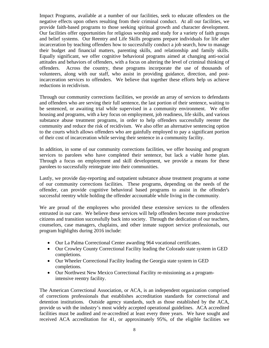Impact Programs, available at a number of our facilities, seek to educate offenders on the negative effects upon others resulting from their criminal conduct. At all our facilities, we provide faith-based programs to those seeking spiritual growth and character development. Our facilities offer opportunities for religious worship and study for a variety of faith groups and belief systems. Our Reentry and Life Skills programs prepare individuals for life after incarceration by teaching offenders how to successfully conduct a job search, how to manage their budget and financial matters, parenting skills, and relationship and family skills. Equally significant, we offer cognitive behavioral programs aimed at changing anti-social attitudes and behaviors of offenders, with a focus on altering the level of criminal thinking of offenders. Across the country, these programs incorporate the use of thousands of volunteers, along with our staff, who assist in providing guidance, direction, and postincarceration services to offenders. We believe that together these efforts help us achieve reductions in recidivism.

Through our community corrections facilities, we provide an array of services to defendants and offenders who are serving their full sentence, the last portion of their sentence, waiting to be sentenced, or awaiting trial while supervised in a community environment. We offer housing and programs, with a key focus on employment, job readiness, life skills, and various substance abuse treatment programs, in order to help offenders successfully reenter the community and reduce the risk of recidivism. We also offer an alternative sentencing option to the courts which allows offenders who are gainfully employed to pay a significant portion of their cost of incarceration while serving their sentence in a community facility.

In addition, in some of our community corrections facilities, we offer housing and program services to parolees who have completed their sentence, but lack a viable home plan. Through a focus on employment and skill development, we provide a means for these parolees to successfully reintegrate into their communities.

Lastly, we provide day-reporting and outpatient substance abuse treatment programs at some of our community corrections facilities. These programs, depending on the needs of the offender, can provide cognitive behavioral based programs to assist in the offender's successful reentry while holding the offender accountable while living in the community.

We are proud of the employees who provided these extensive services to the offenders entrusted in our care. We believe these services will help offenders become more productive citizens and transition successfully back into society. Through the dedication of our teachers, counselors, case managers, chaplains, and other inmate support service professionals, our program highlights during 2016 include:

- Our La Palma Correctional Center awarding 964 vocational certificates.
- Our Crowley County Correctional Facility leading the Colorado state system in GED completions.
- Our Wheeler Correctional Facility leading the Georgia state system in GED completions.
- Our Northwest New Mexico Correctional Facility re-missioning as a programintensive reentry facility.

The American Correctional Association, or ACA, is an independent organization comprised of corrections professionals that establishes accreditation standards for correctional and detention institutions. Outside agency standards, such as those established by the ACA, provide us with the industry's most widely accepted operational guidelines. ACA accredited facilities must be audited and re-accredited at least every three years. We have sought and received ACA accreditation for 41, or approximately 95%, of the eligible facilities we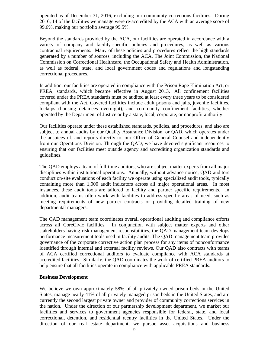operated as of December 31, 2016, excluding our community corrections facilities. During 2016, 14 of the facilities we manage were re-accredited by the ACA with an average score of 99.6%, making our portfolio average 99.5%.

Beyond the standards provided by the ACA, our facilities are operated in accordance with a variety of company and facility-specific policies and procedures, as well as various contractual requirements. Many of these policies and procedures reflect the high standards generated by a number of sources, including the ACA, The Joint Commission, the National Commission on Correctional Healthcare, the Occupational Safety and Health Administration, as well as federal, state, and local government codes and regulations and longstanding correctional procedures.

In addition, our facilities are operated in compliance with the Prison Rape Elimination Act, or PREA, standards, which became effective in August 2013. All confinement facilities covered under the PREA standards must be audited at least every three years to be considered compliant with the Act. Covered facilities include adult prisons and jails, juvenile facilities, lockups (housing detainees overnight), and community confinement facilities, whether operated by the Department of Justice or by a state, local, corporate, or nonprofit authority.

Our facilities operate under these established standards, policies, and procedures, and also are subject to annual audits by our Quality Assurance Division, or QAD, which operates under the auspices of, and reports directly to, our Office of General Counsel and independently from our Operations Division. Through the QAD, we have devoted significant resources to ensuring that our facilities meet outside agency and accrediting organization standards and guidelines.

The QAD employs a team of full-time auditors, who are subject matter experts from all major disciplines within institutional operations. Annually, without advance notice, QAD auditors conduct on-site evaluations of each facility we operate using specialized audit tools, typically containing more than 1,000 audit indicators across all major operational areas. In most instances, these audit tools are tailored to facility and partner specific requirements. In addition, audit teams often work with facilities to address specific areas of need, such as meeting requirements of new partner contracts or providing detailed training of new departmental managers.

The QAD management team coordinates overall operational auditing and compliance efforts across all CoreCivic facilities. In conjunction with subject matter experts and other stakeholders having risk management responsibilities, the QAD management team develops performance measurement tools used in facility audits. The QAD management team provides governance of the corporate corrective action plan process for any items of nonconformance identified through internal and external facility reviews. Our QAD also contracts with teams of ACA certified correctional auditors to evaluate compliance with ACA standards at accredited facilities. Similarly, the QAD coordinates the work of certified PREA auditors to help ensure that all facilities operate in compliance with applicable PREA standards.

#### **Business Development**

We believe we own approximately 58% of all privately owned prison beds in the United States, manage nearly 41% of all privately managed prison beds in the United States, and are currently the second largest private owner and provider of community corrections services in the nation. Under the direction of our partnership development department, we market our facilities and services to government agencies responsible for federal, state, and local correctional, detention, and residential reentry facilities in the United States. Under the direction of our real estate department, we pursue asset acquisitions and business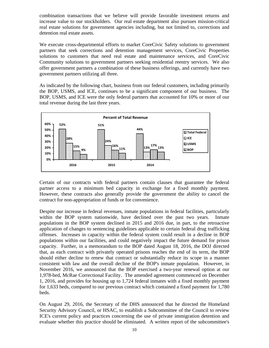combination transactions that we believe will provide favorable investment returns and increase value to our stockholders. Our real estate department also pursues mission-critical real estate solutions for government agencies including, but not limited to, corrections and detention real estate assets.

We execute cross-departmental efforts to market CoreCivic Safety solutions to government partners that seek corrections and detention management services, CoreCivic Properties solutions to customers that need real estate and maintenance services, and CoreCivic Community solutions to government partners seeking residential reentry services. We also offer government partners a combination of these business offerings, and currently have two government partners utilizing all three.

As indicated by the following chart, business from our federal customers, including primarily the BOP, USMS, and ICE, continues to be a significant component of our business. The BOP, USMS, and ICE were the only federal partners that accounted for 10% or more of our total revenue during the last three years.



Certain of our contracts with federal partners contain clauses that guarantee the federal partner access to a minimum bed capacity in exchange for a fixed monthly payment. However, these contracts also generally provide the government the ability to cancel the contract for non-appropriation of funds or for convenience.

Despite our increase in federal revenues, inmate populations in federal facilities, particularly within the BOP system nationwide, have declined over the past two years. Inmate populations in the BOP system declined in 2015 and 2016 due, in part, to the retroactive application of changes to sentencing guidelines applicable to certain federal drug trafficking offenses. Increases in capacity within the federal system could result in a decline in BOP populations within our facilities, and could negatively impact the future demand for prison capacity. Further, in a memorandum to the BOP dated August 18, 2016, the DOJ directed that, as each contract with privately operated prisons reaches the end of its term, the BOP should either decline to renew that contract or substantially reduce its scope in a manner consistent with law and the overall decline of the BOP's inmate population. However, in November 2016, we announced that the BOP exercised a two-year renewal option at our 1,978-bed, McRae Correctional Facility. The amended agreement commenced on December 1, 2016, and provides for housing up to 1,724 federal inmates with a fixed monthly payment for 1,633 beds, compared to our previous contract which contained a fixed payment for 1,780 beds.

On August 29, 2016, the Secretary of the DHS announced that he directed the Homeland Security Advisory Council, or HSAC, to establish a Subcommittee of the Council to review ICE's current policy and practices concerning the use of private immigration detention and evaluate whether this practice should be eliminated. A written report of the subcommittee's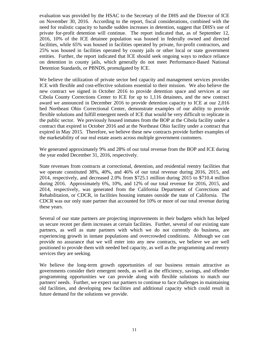evaluation was provided by the HSAC to the Secretary of the DHS and the Director of ICE on November 30, 2016. According to the report, fiscal considerations, combined with the need for realistic capacity to handle sudden increases in detention, suggest that DHS's use of private for-profit detention will continue. The report indicated that, as of September 12, 2016, 10% of the ICE detainee population was housed in federally owned and directed facilities, while 65% was housed in facilities operated by private, for-profit contractors, and 25% was housed in facilities operated by county jails or other local or state government entities. Further, the report indicated that ICE should seek ongoing ways to reduce reliance on detention in county jails, which generally do not meet Performance-Based National Detention Standards, or PBNDS, promulgated by ICE.

We believe the utilization of private sector bed capacity and management services provides ICE with flexible and cost-effective solutions essential to their mission. We also believe the new contract we signed in October 2016 to provide detention space and services at our Cibola County Corrections Center to ICE for up to 1,116 detainees, and the new contract award we announced in December 2016 to provide detention capacity to ICE at our 2,016 bed Northeast Ohio Correctional Center, demonstrate examples of our ability to provide flexible solutions and fulfill emergent needs of ICE that would be very difficult to replicate in the public sector. We previously housed inmates from the BOP at the Cibola facility under a contract that expired in October 2016 and at the Northeast Ohio facility under a contract that expired in May 2015. Therefore, we believe these new contracts provide further examples of the marketability of our real estate assets across multiple government customers.

We generated approximately 9% and 28% of our total revenue from the BOP and ICE during the year ended December 31, 2016, respectively.

State revenues from contracts at correctional, detention, and residential reentry facilities that we operate constituted 38%, 40%, and 46% of our total revenue during 2016, 2015, and 2014, respectively, and decreased 2.0% from \$725.1 million during 2015 to \$710.4 million during 2016. Approximately 6%, 10%, and 12% of our total revenue for 2016, 2015, and 2014, respectively, was generated from the California Department of Corrections and Rehabilitation, or CDCR, in facilities housing inmates outside the state of California. The CDCR was our only state partner that accounted for 10% or more of our total revenue during these years.

Several of our state partners are projecting improvements in their budgets which has helped us secure recent per diem increases at certain facilities. Further, several of our existing state partners, as well as state partners with which we do not currently do business, are experiencing growth in inmate populations and overcrowded conditions. Although we can provide no assurance that we will enter into any new contracts, we believe we are well positioned to provide them with needed bed capacity, as well as the programming and reentry services they are seeking.

We believe the long-term growth opportunities of our business remain attractive as governments consider their emergent needs, as well as the efficiency, savings, and offender programming opportunities we can provide along with flexible solutions to match our partners' needs. Further, we expect our partners to continue to face challenges in maintaining old facilities, and developing new facilities and additional capacity which could result in future demand for the solutions we provide.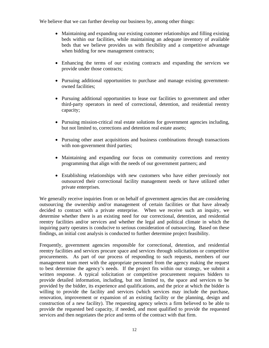We believe that we can further develop our business by, among other things:

- Maintaining and expanding our existing customer relationships and filling existing beds within our facilities, while maintaining an adequate inventory of available beds that we believe provides us with flexibility and a competitive advantage when bidding for new management contracts;
- Enhancing the terms of our existing contracts and expanding the services we provide under those contracts;
- Pursuing additional opportunities to purchase and manage existing governmentowned facilities;
- Pursuing additional opportunities to lease our facilities to government and other third-party operators in need of correctional, detention, and residential reentry capacity;
- Pursuing mission-critical real estate solutions for government agencies including, but not limited to, corrections and detention real estate assets;
- Pursuing other asset acquisitions and business combinations through transactions with non-government third parties;
- Maintaining and expanding our focus on community corrections and reentry programming that align with the needs of our government partners; and
- Establishing relationships with new customers who have either previously not outsourced their correctional facility management needs or have utilized other private enterprises.

We generally receive inquiries from or on behalf of government agencies that are considering outsourcing the ownership and/or management of certain facilities or that have already decided to contract with a private enterprise. When we receive such an inquiry, we determine whether there is an existing need for our correctional, detention, and residential reentry facilities and/or services and whether the legal and political climate in which the inquiring party operates is conducive to serious consideration of outsourcing. Based on these findings, an initial cost analysis is conducted to further determine project feasibility.

Frequently, government agencies responsible for correctional, detention, and residential reentry facilities and services procure space and services through solicitations or competitive procurements. As part of our process of responding to such requests, members of our management team meet with the appropriate personnel from the agency making the request to best determine the agency's needs. If the project fits within our strategy, we submit a written response. A typical solicitation or competitive procurement requires bidders to provide detailed information, including, but not limited to, the space and services to be provided by the bidder, its experience and qualifications, and the price at which the bidder is willing to provide the facility and services (which services may include the purchase, renovation, improvement or expansion of an existing facility or the planning, design and construction of a new facility). The requesting agency selects a firm believed to be able to provide the requested bed capacity, if needed, and most qualified to provide the requested services and then negotiates the price and terms of the contract with that firm.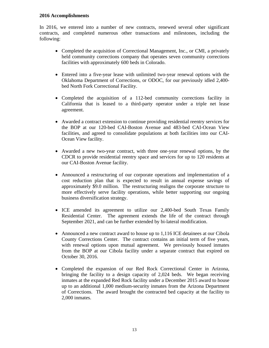#### **2016 Accomplishments**

In 2016, we entered into a number of new contracts, renewed several other significant contracts, and completed numerous other transactions and milestones, including the following:

- Completed the acquisition of Correctional Management, Inc., or CMI, a privately held community corrections company that operates seven community corrections facilities with approximately 600 beds in Colorado.
- Entered into a five-year lease with unlimited two-year renewal options with the Oklahoma Department of Corrections, or ODOC, for our previously idled 2,400 bed North Fork Correctional Facility.
- Completed the acquisition of a 112-bed community corrections facility in California that is leased to a third-party operator under a triple net lease agreement.
- Awarded a contract extension to continue providing residential reentry services for the BOP at our 120-bed CAI-Boston Avenue and 483-bed CAI-Ocean View facilities, and agreed to consolidate populations at both facilities into our CAI-Ocean View facility.
- Awarded a new two-year contract, with three one-year renewal options, by the CDCR to provide residential reentry space and services for up to 120 residents at our CAI-Boston Avenue facility.
- Announced a restructuring of our corporate operations and implementation of a cost reduction plan that is expected to result in annual expense savings of approximately \$9.0 million. The restructuring realigns the corporate structure to more effectively serve facility operations, while better supporting our ongoing business diversification strategy.
- ICE amended its agreement to utilize our 2,400-bed South Texas Family Residential Center. The agreement extends the life of the contract through September 2021, and can be further extended by bi-lateral modification.
- Announced a new contract award to house up to 1,116 ICE detainees at our Cibola County Corrections Center. The contract contains an initial term of five years, with renewal options upon mutual agreement. We previously housed inmates from the BOP at our Cibola facility under a separate contract that expired on October 30, 2016.
- Completed the expansion of our Red Rock Correctional Center in Arizona, bringing the facility to a design capacity of 2,024 beds. We began receiving inmates at the expanded Red Rock facility under a December 2015 award to house up to an additional 1,000 medium-security inmates from the Arizona Department of Corrections. The award brought the contracted bed capacity at the facility to 2,000 inmates.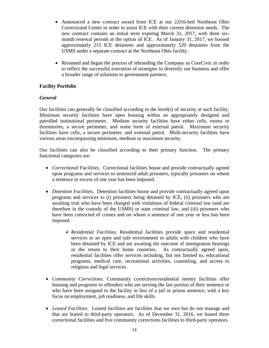- Announced a new contract award from ICE at our 2,016-bed Northeast Ohio Correctional Center in order to assist ICE with their current detention needs. The new contract contains an initial term expiring March 31, 2017, with three sixmonth renewal periods at the option of ICE. As of January 31, 2017, we housed approximately 215 ICE detainees and approximately 520 detainees from the USMS under a separate contract at the Northeast Ohio facility.
- Renamed and began the process of rebranding the Company as CoreCivic in order to reflect the successful execution of strategies to diversify our business and offer a broader range of solutions to government partners.

# **Facility Portfolio**

# *General*

Our facilities can generally be classified according to the level(s) of security at such facility. Minimum security facilities have open housing within an appropriately designed and patrolled institutional perimeter. Medium security facilities have either cells, rooms or dormitories, a secure perimeter, and some form of external patrol. Maximum security facilities have cells, a secure perimeter, and external patrol. Multi-security facilities have various areas encompassing minimum, medium or maximum security.

Our facilities can also be classified according to their primary function. The primary functional categories are:

- *Correctional Facilities*. Correctional facilities house and provide contractually agreed upon programs and services to sentenced adult prisoners, typically prisoners on whom a sentence in excess of one year has been imposed.
- *Detention Facilities*. Detention facilities house and provide contractually agreed upon programs and services to (i) prisoners being detained by ICE, (ii) prisoners who are awaiting trial who have been charged with violations of federal criminal law (and are therefore in the custody of the USMS) or state criminal law, and (iii) prisoners who have been convicted of crimes and on whom a sentence of one year or less has been imposed.
	- *Residential Facilities.* Residential facilities provide space and residential services in an open and safe environment to adults with children who have been detained by ICE and are awaiting the outcome of immigration hearings or the return to their home countries. As contractually agreed upon, residential facilities offer services including, but not limited to, educational programs, medical care, recreational activities, counseling, and access to religious and legal services.
- *Community Corrections.* Community corrections/residential reentry facilities offer housing and programs to offenders who are serving the last portion of their sentence or who have been assigned to the facility in lieu of a jail or prison sentence, with a key focus on employment, job readiness, and life skills.
- *Leased Facilities*. Leased facilities are facilities that we own but do not manage and that are leased to third-party operators. As of December 31, 2016, we leased three correctional facilities and five community corrections facilities to third-party operators.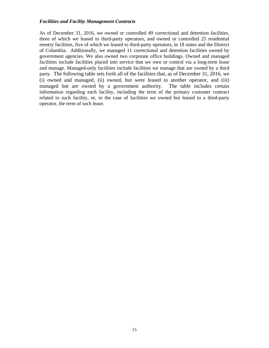#### *Facilities and Facility Management Contracts*

As of December 31, 2016, we owned or controlled 49 correctional and detention facilities, three of which we leased to third-party operators, and owned or controlled 25 residential reentry facilities, five of which we leased to third-party operators, in 18 states and the District of Columbia. Additionally, we managed 11 correctional and detention facilities owned by government agencies. We also owned two corporate office buildings. Owned and managed facilities include facilities placed into service that we own or control via a long-term lease and manage. Managed-only facilities include facilities we manage that are owned by a third party. The following table sets forth all of the facilities that, as of December 31, 2016, we (i) owned and managed, (ii) owned, but were leased to another operator, and (iii) managed but are owned by a government authority. The table includes certain information regarding each facility, including the term of the primary customer contract related to such facility, or, in the case of facilities we owned but leased to a third-party operator, the term of such lease.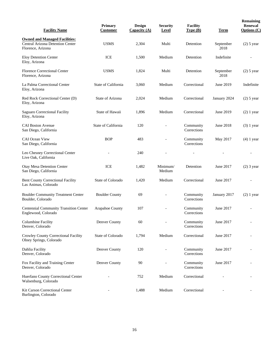| <b>Facility Name</b>                                                                          | <b>Primary</b><br><b>Customer</b> | Design<br>Capacity $(A)$ | <b>Security</b><br>Level | <b>Facility</b><br>Type(B) | <b>Term</b>       | Remaining<br>Renewal<br>Options $(C)$ |
|-----------------------------------------------------------------------------------------------|-----------------------------------|--------------------------|--------------------------|----------------------------|-------------------|---------------------------------------|
| <b>Owned and Managed Facilities:</b><br>Central Arizona Detention Center<br>Florence, Arizona | <b>USMS</b>                       | 2,304                    | Multi                    | Detention                  | September<br>2018 | $(2)$ 5 year                          |
| Eloy Detention Center<br>Eloy, Arizona                                                        | ICE                               | 1,500                    | Medium                   | Detention                  | Indefinite        |                                       |
| <b>Florence Correctional Center</b><br>Florence, Arizona                                      | <b>USMS</b>                       | 1,824                    | Multi                    | Detention                  | September<br>2018 | $(2)$ 5 year                          |
| La Palma Correctional Center<br>Eloy, Arizona                                                 | State of California               | 3,060                    | Medium                   | Correctional               | June 2019         | Indefinite                            |
| Red Rock Correctional Center (D)<br>Eloy, Arizona                                             | State of Arizona                  | 2,024                    | Medium                   | Correctional               | January 2024      | $(2)$ 5 year                          |
| Saguaro Correctional Facility<br>Eloy, Arizona                                                | State of Hawaii                   | 1,896                    | Medium                   | Correctional               | June 2019         | $(2)$ 1 year                          |
| <b>CAI Boston Avenue</b><br>San Diego, California                                             | State of California               | 120                      |                          | Community<br>Corrections   | June 2018         | $(3)$ 1 year                          |
| CAI Ocean View<br>San Diego, California                                                       | <b>BOP</b>                        | 483                      | $\overline{a}$           | Community<br>Corrections   | May 2017          | $(4)$ 1 year                          |
| Leo Chesney Correctional Center<br>Live Oak, California                                       |                                   | 240                      |                          |                            |                   |                                       |
| Otay Mesa Detention Center<br>San Diego, California                                           | ICE                               | 1,482                    | Minimum/<br>Medium       | Detention                  | June 2017         | $(2)$ 3 year                          |
| <b>Bent County Correctional Facility</b><br>Las Animas, Colorado                              | State of Colorado                 | 1,420                    | Medium                   | Correctional               | June 2017         | $\overline{\phantom{a}}$              |
| <b>Boulder Community Treatment Center</b><br>Boulder, Colorado                                | <b>Boulder County</b>             | 69                       |                          | Community<br>Corrections   | January 2017      | $(2)$ 1 year                          |
| <b>Centennial Community Transition Center</b><br>Englewood, Colorado                          | Arapahoe County                   | 107                      |                          | Community<br>Corrections   | June 2017         |                                       |
| <b>Columbine Facility</b><br>Denver, Colorado                                                 | Denver County                     | 60                       |                          | Community<br>Corrections   | June 2017         |                                       |
| Crowley County Correctional Facility<br>Olney Springs, Colorado                               | State of Colorado                 | 1,794                    | Medium                   | Correctional               | June 2017         |                                       |
| Dahlia Facility<br>Denver, Colorado                                                           | Denver County                     | 120                      |                          | Community<br>Corrections   | June 2017         |                                       |
| Fox Facility and Training Center<br>Denver, Colorado                                          | Denver County                     | 90                       |                          | Community<br>Corrections   | June 2017         |                                       |
| Huerfano County Correctional Center<br>Walsenburg, Colorado                                   |                                   | 752                      | Medium                   | Correctional               |                   |                                       |
| Kit Carson Correctional Center<br>Burlington, Colorado                                        |                                   | 1,488                    | Medium                   | Correctional               |                   |                                       |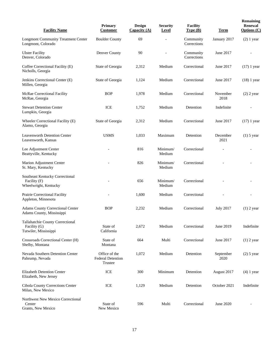| <b>Facility Name</b>                                                      | <b>Primary</b><br><b>Customer</b>                    | Design<br>Capacity $(A)$ | <b>Security</b><br>Level | <b>Facility</b><br>Type(B) | <b>Term</b>       | Remaining<br>Renewal<br>Options $(C)$ |
|---------------------------------------------------------------------------|------------------------------------------------------|--------------------------|--------------------------|----------------------------|-------------------|---------------------------------------|
| <b>Longmont Community Treatment Center</b><br>Longmont, Colorado          | <b>Boulder County</b>                                | 69                       |                          | Community<br>Corrections   | January 2017      | $(2)$ 1 year                          |
| <b>Ulster Facility</b><br>Denver, Colorado                                | Denver County                                        | 90                       |                          | Community<br>Corrections   | June 2017         |                                       |
| Coffee Correctional Facility (E)<br>Nicholls, Georgia                     | State of Georgia                                     | 2,312                    | Medium                   | Correctional               | June 2017         | $(17)$ 1 year                         |
| Jenkins Correctional Center (E)<br>Millen, Georgia                        | State of Georgia                                     | 1,124                    | Medium                   | Correctional               | June 2017         | $(18)$ 1 year                         |
| McRae Correctional Facility<br>McRae, Georgia                             | <b>BOP</b>                                           | 1,978                    | Medium                   | Correctional               | November<br>2018  | $(2)$ 2 year                          |
| <b>Stewart Detention Center</b><br>Lumpkin, Georgia                       | ICE                                                  | 1,752                    | Medium                   | Detention                  | Indefinite        |                                       |
| Wheeler Correctional Facility (E)<br>Alamo, Georgia                       | State of Georgia                                     | 2,312                    | Medium                   | Correctional               | June 2017         | $(17)$ 1 year                         |
| Leavenworth Detention Center<br>Leavenworth, Kansas                       | <b>USMS</b>                                          | 1,033                    | Maximum                  | Detention                  | December<br>2021  | $(1)$ 5 year                          |
| Lee Adjustment Center<br>Beattyville, Kentucky                            |                                                      | 816                      | Minimum/<br>Medium       | Correctional               |                   |                                       |
| Marion Adjustment Center<br>St. Mary, Kentucky                            |                                                      | 826                      | Minimum/<br>Medium       | Correctional               |                   |                                       |
| Southeast Kentucky Correctional<br>Facility (F)<br>Wheelwright, Kentucky  |                                                      | 656                      | Minimum/<br>Medium       | Correctional               |                   |                                       |
| Prairie Correctional Facility<br>Appleton, Minnesota                      |                                                      | 1,600                    | Medium                   | Correctional               |                   |                                       |
| <b>Adams County Correctional Center</b><br>Adams County, Mississippi      | <b>BOP</b>                                           | 2,232                    | Medium                   | Correctional               | <b>July 2017</b>  | $(1)$ 2 year                          |
| Tallahatchie County Correctional<br>Facility (G)<br>Tutwiler, Mississippi | State of<br>California                               | 2,672                    | Medium                   | Correctional               | June 2019         | Indefinite                            |
| Crossroads Correctional Center (H)<br>Shelby, Montana                     | State of<br>Montana                                  | 664                      | Multi                    | Correctional               | June 2017         | $(1)$ 2 year                          |
| Nevada Southern Detention Center<br>Pahrump, Nevada                       | Office of the<br><b>Federal Detention</b><br>Trustee | 1,072                    | Medium                   | Detention                  | September<br>2020 | $(2)$ 5 year                          |
| <b>Elizabeth Detention Center</b><br>Elizabeth, New Jersey                | ICE                                                  | 300                      | Minimum                  | Detention                  | August 2017       | $(4)$ 1 year                          |
| Cibola County Corrections Center<br>Milan, New Mexico                     | ICE                                                  | 1,129                    | Medium                   | Detention                  | October 2021      | Indefinite                            |
| Northwest New Mexico Correctional<br>Center<br>Grants, New Mexico         | State of<br>New Mexico                               | 596                      | Multi                    | Correctional               | June 2020         |                                       |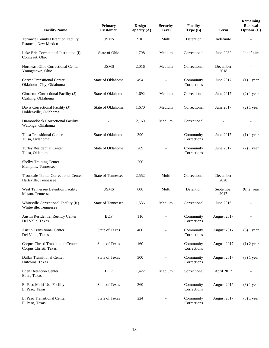| <b>Facility Name</b>                                                 | <b>Primary</b><br>Customer | <b>Design</b><br>Capacity $(A)$ | <b>Security</b><br>Level | <b>Facility</b><br>Type(B) | <b>Term</b>       | <b>Remaining</b><br>Renewal<br><b>Options</b> (C) |
|----------------------------------------------------------------------|----------------------------|---------------------------------|--------------------------|----------------------------|-------------------|---------------------------------------------------|
| <b>Torrance County Detention Facility</b><br>Estancia, New Mexico    | <b>USMS</b>                | 910                             | Multi                    | Detention                  | Indefinite        |                                                   |
| Lake Erie Correctional Institution (I)<br>Conneaut, Ohio             | State of Ohio              | 1,798                           | Medium                   | Correctional               | June 2032         | Indefinite                                        |
| Northeast Ohio Correctional Center<br>Youngstown, Ohio               | <b>USMS</b>                | 2,016                           | Medium                   | Correctional               | December<br>2018  |                                                   |
| <b>Carver Transitional Center</b><br>Oklahoma City, Oklahoma         | State of Oklahoma          | 494                             |                          | Community<br>Corrections   | June 2017         | $(1)$ 1 year                                      |
| Cimarron Correctional Facility (J)<br>Cushing, Oklahoma              | State of Oklahoma          | 1,692                           | Medium                   | Correctional               | June 2017         | $(2)$ 1 year                                      |
| Davis Correctional Facility (J)<br>Holdenville, Oklahoma             | State of Oklahoma          | 1,670                           | Medium                   | Correctional               | June 2017         | $(2)$ 1 year                                      |
| Diamondback Correctional Facility<br>Watonga, Oklahoma               |                            | 2,160                           | Medium                   | Correctional               |                   |                                                   |
| <b>Tulsa Transitional Center</b><br>Tulsa, Oklahoma                  | State of Oklahoma          | 390                             |                          | Community<br>Corrections   | June 2017         | $(1)$ 1 year                                      |
| Turley Residential Center<br>Tulsa, Oklahoma                         | State of Oklahoma          | 289                             |                          | Community<br>Corrections   | June 2017         | $(2)$ 1 year                                      |
| <b>Shelby Training Center</b><br>Memphis, Tennessee                  |                            | 200                             |                          |                            |                   |                                                   |
| <b>Trousdale Turner Correctional Center</b><br>Hartsville, Tennessee | <b>State of Tennessee</b>  | 2,552                           | Multi                    | Correctional               | December<br>2020  |                                                   |
| West Tennessee Detention Facility<br>Mason, Tennessee                | <b>USMS</b>                | 600                             | Multi                    | Detention                  | September<br>2017 | $(6)$ 2 year                                      |
| Whiteville Correctional Facility (K)<br>Whiteville, Tennessee        | <b>State of Tennessee</b>  | 1,536                           | Medium                   | Correctional               | June 2016         |                                                   |
| Austin Residential Reentry Center<br>Del Valle, Texas                | <b>BOP</b>                 | 116                             |                          | Community<br>Corrections   | August 2017       |                                                   |
| <b>Austin Transitional Center</b><br>Del Valle, Texas                | <b>State of Texas</b>      | 460                             |                          | Community<br>Corrections   | August 2017       | $(3)$ 1 year                                      |
| Corpus Christi Transitional Center<br>Corpus Christi, Texas          | <b>State of Texas</b>      | 160                             |                          | Community<br>Corrections   | August 2017       | $(1)$ 2 year                                      |
| <b>Dallas Transitional Center</b><br>Hutchins, Texas                 | <b>State of Texas</b>      | 300                             |                          | Community<br>Corrections   | August 2017       | $(3)$ 1 year                                      |
| Eden Detention Center<br>Eden, Texas                                 | <b>BOP</b>                 | 1,422                           | Medium                   | Correctional               | April 2017        |                                                   |
| El Paso Multi-Use Facility<br>El Paso, Texas                         | <b>State of Texas</b>      | 360                             |                          | Community<br>Corrections   | August 2017       | $(3)$ 1 year                                      |
| El Paso Transitional Center<br>El Paso, Texas                        | <b>State of Texas</b>      | 224                             |                          | Community<br>Corrections   | August 2017       | $(3)$ 1 year                                      |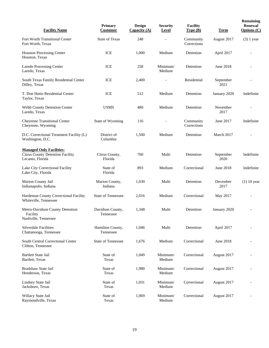| <b>Facility Name</b>                                                                    | <b>Primary</b><br><b>Customer</b> | <b>Design</b><br>Capacity $(A)$ | <b>Security</b><br>Level | <b>Facility</b><br>Type(B) | <b>Term</b>       | Remaining<br>Renewal<br>Options $(C)$ |
|-----------------------------------------------------------------------------------------|-----------------------------------|---------------------------------|--------------------------|----------------------------|-------------------|---------------------------------------|
| Fort Worth Transitional Center<br>Fort Worth, Texas                                     | <b>State of Texas</b>             | 248                             |                          | Community<br>Corrections   | August 2017       | $(3)$ 1 year                          |
| <b>Houston Processing Center</b><br>Houston, Texas                                      | ICE                               | 1,000                           | Medium                   | Detention                  | April 2017        |                                       |
| Laredo Processing Center<br>Laredo, Texas                                               | ICE                               | 258                             | Minimum/<br>Medium       | Detention                  | June 2018         |                                       |
| South Texas Family Residential Center<br>Dilley, Texas                                  | ICE                               | 2,400                           | $\overline{\phantom{a}}$ | Residential                | September<br>2021 |                                       |
| T. Don Hutto Residential Center<br>Taylor, Texas                                        | ICE                               | 512                             | Medium                   | Detention                  | January 2020      | Indefinite                            |
| Webb County Detention Center<br>Laredo, Texas                                           | <b>USMS</b>                       | 480                             | Medium                   | Detention                  | November<br>2017  |                                       |
| <b>Cheyenne Transitional Center</b><br>Cheyenne, Wyoming                                | State of Wyoming                  | 116                             |                          | Community<br>Corrections   | June 2017         | Indefinite                            |
| D.C. Correctional Treatment Facility (L)<br>Washington, D.C.                            | District of<br>Columbia           | 1,500                           | Medium                   | Detention                  | March 2017        |                                       |
| <b>Managed Only Facilities:</b><br>Citrus County Detention Facility<br>Lecanto, Florida | Citrus County,<br>Florida         | 760                             | Multi                    | Detention                  | September<br>2020 | Indefinite                            |
| Lake City Correctional Facility<br>Lake City, Florida                                   | State of<br>Florida               | 893                             | Medium                   | Correctional               | June 2018         | Indefinite                            |
| Marion County Jail<br>Indianapolis, Indiana                                             | Marion County,<br>Indiana         | 1,030                           | Multi                    | Detention                  | December<br>2017  | $(1)$ 10 year                         |
| Hardeman County Correctional Facility<br>Whiteville, Tennessee                          | <b>State of Tennessee</b>         | 2,016                           | Medium                   | Correctional               | May 2017          |                                       |
| Metro-Davidson County Detention<br>Facility<br>Nashville, Tennessee                     | Davidson County,<br>Tennessee     | 1,348                           | Multi                    | Detention                  | January 2020      |                                       |
| <b>Silverdale Facilities</b><br>Chattanooga, Tennessee                                  | Hamilton County,<br>Tennessee     | 1,046                           | Multi                    | Detention                  | April 2017        |                                       |
| South Central Correctional Center<br>Clifton, Tennessee                                 | <b>State of Tennessee</b>         | 1,676                           | Medium                   | Correctional               | June 2018         |                                       |
| <b>Bartlett State Jail</b><br>Bartlett, Texas                                           | State of<br>Texas                 | 1,049                           | Minimum/<br>Medium       | Correctional               | August 2017       |                                       |
| Bradshaw State Jail<br>Henderson, Texas                                                 | State of<br>Texas                 | 1,980                           | Minimum/<br>Medium       | Correctional               | August 2017       |                                       |
| Lindsey State Jail<br>Jacksboro, Texas                                                  | State of<br>Texas                 | 1,031                           | Minimum/<br>Medium       | Correctional               | August 2017       |                                       |
| Willacy State Jail<br>Raymondville, Texas                                               | State of<br>Texas                 | 1,069                           | Minimum/<br>Medium       | Correctional               | August 2017       |                                       |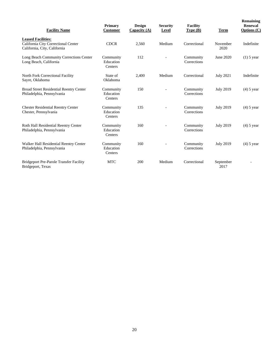| <b>Facility Name</b>                                                                             | <b>Primary</b><br><b>Customer</b> | <b>Design</b><br>Capacity $(A)$ | <b>Security</b><br>Level | <b>Facility</b><br>Type(B) | <b>Term</b>       | Remaining<br>Renewal<br>$Options (C)$ |
|--------------------------------------------------------------------------------------------------|-----------------------------------|---------------------------------|--------------------------|----------------------------|-------------------|---------------------------------------|
| <b>Leased Facilities:</b><br>California City Correctional Center<br>California, City, California | <b>CDCR</b>                       | 2,560                           | Medium                   | Correctional               | November<br>2020  | Indefinite                            |
| Long Beach Community Corrections Center<br>Long Beach, California                                | Community<br>Education<br>Centers | 112                             |                          | Community<br>Corrections   | June 2020         | $(1)$ 5 year                          |
| North Fork Correctional Facility<br>Sayre, Oklahoma                                              | State of<br>Oklahoma              | 2,400                           | Medium                   | Correctional               | <b>July 2021</b>  | Indefinite                            |
| Broad Street Residential Reentry Center<br>Philadelphia, Pennsylvania                            | Community<br>Education<br>Centers | 150                             |                          | Community<br>Corrections   | <b>July 2019</b>  | $(4)$ 5 year                          |
| <b>Chester Residential Reentry Center</b><br>Chester, Pennsylvania                               | Community<br>Education<br>Centers | 135                             |                          | Community<br>Corrections   | <b>July 2019</b>  | $(4)$ 5 year                          |
| Roth Hall Residential Reentry Center<br>Philadelphia, Pennsylvania                               | Community<br>Education<br>Centers | 160                             |                          | Community<br>Corrections   | <b>July 2019</b>  | $(4)$ 5 year                          |
| Walker Hall Residential Reentry Center<br>Philadelphia, Pennsylvania                             | Community<br>Education<br>Centers | 160                             |                          | Community<br>Corrections   | <b>July 2019</b>  | $(4)$ 5 year                          |
| <b>Bridgeport Pre-Parole Transfer Facility</b><br>Bridgeport, Texas                              | <b>MTC</b>                        | 200                             | Medium                   | Correctional               | September<br>2017 |                                       |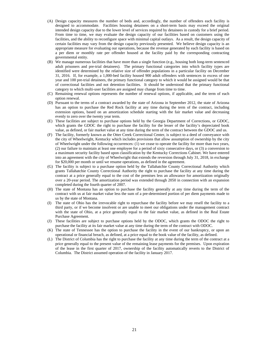- (A) Design capacity measures the number of beds and, accordingly, the number of offenders each facility is designed to accommodate. Facilities housing detainees on a short-term basis may exceed the original intended design capacity due to the lower level of services required by detainees in custody for a brief period. From time to time, we may evaluate the design capacity of our facilities based on customers using the facilities, and the ability to reconfigure space with minimal capital outlays. As a result, the design capacity of certain facilities may vary from the design capacity previously presented. We believe design capacity is an appropriate measure for evaluating our operations, because the revenue generated by each facility is based on a per diem or monthly rate per offender housed at the facility paid by the corresponding contracting governmental entity.
- (B) We manage numerous facilities that have more than a single function (e.g., housing both long-term sentenced adult prisoners and pre-trial detainees). The primary functional categories into which facility types are identified were determined by the relative size of offender populations in a particular facility on December 31, 2016. If, for example, a 1,000-bed facility housed 900 adult offenders with sentences in excess of one year and 100 pre-trial detainees, the primary functional category to which it would be assigned would be that of correctional facilities and not detention facilities. It should be understood that the primary functional category to which multi-user facilities are assigned may change from time to time.
- (C) Remaining renewal options represents the number of renewal options, if applicable, and the term of each option renewal.
- (D) Pursuant to the terms of a contract awarded by the state of Arizona in September 2012, the state of Arizona has an option to purchase the Red Rock facility at any time during the term of the contract, including extension options, based on an amortization schedule starting with the fair market value and decreasing evenly to zero over the twenty year term.
- (E) These facilities are subject to purchase options held by the Georgia Department of Corrections, or GDOC, which grants the GDOC the right to purchase the facility for the lesser of the facility's depreciated book value, as defined, or fair market value at any time during the term of the contract between the GDOC and us.
- (F) The facility, formerly known as the Otter Creek Correctional Center, is subject to a deed of conveyance with the city of Wheelwright, Kentucky which includes provisions that allow assumption of ownership by the city of Wheelwright under the following occurrences: (1) we cease to operate the facility for more than two years, (2) our failure to maintain at least one employee for a period of sixty consecutive days, or (3) a conversion to a maximum security facility based upon classification by the Kentucky Corrections Cabinet. We have entered into an agreement with the city of Wheelwright that extends the reversion through July 31, 2018, in exchange for \$20,000 per month or until we resume operations, as defined in the agreement.
- (G) The facility is subject to a purchase option held by the Tallahatchie County Correctional Authority which grants Tallahatchie County Correctional Authority the right to purchase the facility at any time during the contract at a price generally equal to the cost of the premises less an allowance for amortization originally over a 20-year period. The amortization period was extended through 2050 in connection with an expansion completed during the fourth quarter of 2007.
- (H) The state of Montana has an option to purchase the facility generally at any time during the term of the contract with us at fair market value less the sum of a pre-determined portion of per diem payments made to us by the state of Montana.
- (I) The state of Ohio has the irrevocable right to repurchase the facility before we may resell the facility to a third party, or if we become insolvent or are unable to meet our obligations under the management contract with the state of Ohio, at a price generally equal to the fair market value, as defined in the Real Estate Purchase Agreement.
- (J) These facilities are subject to purchase options held by the ODOC, which grants the ODOC the right to purchase the facility at its fair market value at any time during the term of the contract with ODOC.
- (K) The state of Tennessee has the option to purchase the facility in the event of our bankruptcy, or upon an operational or financial breach, as defined, at a price equal to the book value of the facility, as defined.
- (L) The District of Columbia has the right to purchase the facility at any time during the term of the contract at a price generally equal to the present value of the remaining lease payments for the premises. Upon expiration of the lease in the first quarter of 2017, ownership of the facility automatically reverts to the District of Columbia. The District assumed operation of the facility in January 2017.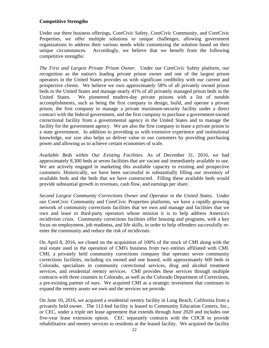#### **Competitive Strengths**

Under our three business offerings, CoreCivic Safety, CoreCivic Community, and CoreCivic Properties, we offer multiple solutions to unique challenges, allowing government organizations to address their various needs while customizing the solution based on their unique circumstances. Accordingly, we believe that we benefit from the following competitive strengths:

*The First and Largest Private Prison Owner.* Under our CoreCivic Safety platform, our recognition as the nation's leading private prison owner and one of the largest prison operators in the United States provides us with significant credibility with our current and prospective clients. We believe we own approximately 58% of all privately owned prison beds in the United States and manage nearly 41% of all privately managed prison beds in the United States. We pioneered modern-day private prisons with a list of notable accomplishments, such as being the first company to design, build, and operate a private prison, the first company to manage a private maximum-security facility under a direct contract with the federal government, and the first company to purchase a government-owned correctional facility from a governmental agency in the United States and to manage the facility for the government agency. We are also the first company to lease a private prison to a state government. In addition to providing us with extensive experience and institutional knowledge, our size also helps us deliver value to our customers by providing purchasing power and allowing us to achieve certain economies of scale.

*Available Beds within Our Existing Facilities.* As of December 31, 2016, we had approximately 8,300 beds at seven facilities that are vacant and immediately available to use. We are actively engaged in marketing this available capacity to existing and prospective customers. Historically, we have been successful in substantially filling our inventory of available beds and the beds that we have constructed. Filling these available beds would provide substantial growth in revenues, cash flow, and earnings per share.

*Second Largest Community Corrections Owner and Operator in the United States.* Under our CoreCivic Community and CoreCivic Properties platforms, we have a rapidly growing network of community corrections facilities that we own and manage and facilities that we own and lease to third-party operators whose mission it is to help address America's recidivism crisis. Community corrections facilities offer housing and programs, with a key focus on employment, job readiness, and life skills, in order to help offenders successfully reenter the community and reduce the risk of recidivism.

On April 8, 2016, we closed on the acquisition of 100% of the stock of CMI along with the real estate used in the operation of CMI's business from two entities affiliated with CMI. CMI, a privately held community corrections company that operates seven community corrections facilities, including six owned and one leased, with approximately 600 beds in Colorado, specializes in community correctional services, drug and alcohol treatment services, and residential reentry services. CMI provides these services through multiple contracts with three counties in Colorado, as well as the Colorado Department of Corrections, a pre-existing partner of ours. We acquired CMI as a strategic investment that continues to expand the reentry assets we own and the services we provide.

On June 10, 2016, we acquired a residential reentry facility in Long Beach, California from a privately held owner. The 112-bed facility is leased to Community Education Centers, Inc., or CEC, under a triple net lease agreement that extends through June 2020 and includes one five-year lease extension option. CEC separately contracts with the CDCR to provide rehabilitative and reentry services to residents at the leased facility. We acquired the facility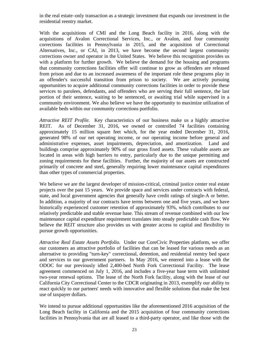in the real estate–only transaction as a strategic investment that expands our investment in the residential reentry market.

With the acquisitions of CMI and the Long Beach facility in 2016, along with the acquisitions of Avalon Correctional Services, Inc., or Avalon, and four community corrections facilities in Pennsylvania in 2015, and the acquisition of Correctional Alternatives, Inc., or CAI, in 2013, we have become the second largest community corrections owner and operator in the United States. We believe this recognition provides us with a platform for further growth. We believe the demand for the housing and programs that community corrections facilities offer will continue to grow as offenders are released from prison and due to an increased awareness of the important role these programs play in an offender's successful transition from prison to society. We are actively pursuing opportunities to acquire additional community corrections facilities in order to provide these services to parolees, defendants, and offenders who are serving their full sentence, the last portion of their sentence, waiting to be sentenced, or awaiting trial while supervised in a community environment. We also believe we have the opportunity to maximize utilization of available beds within our community corrections portfolio.

*Attractive REIT Profile.* Key characteristics of our business make us a highly attractive REIT. As of December 31, 2016, we owned or controlled 74 facilities containing approximately 15 million square feet which, for the year ended December 31, 2016, generated 98% of our net operating income, or our operating income before general and administrative expenses, asset impairments, depreciation, and amortization. Land and buildings comprise approximately 90% of our gross fixed assets. These valuable assets are located in areas with high barriers to entry, particularly due to the unique permitting and zoning requirements for these facilities. Further, the majority of our assets are constructed primarily of concrete and steel, generally requiring lower maintenance capital expenditures than other types of commercial properties.

We believe we are the largest developer of mission-critical, criminal justice center real estate projects over the past 15 years. We provide space and services under contracts with federal, state, and local government agencies that generally have credit ratings of single-A or better. In addition, a majority of our contracts have terms between one and five years, and we have historically experienced customer retention of approximately 93%, which contributes to our relatively predictable and stable revenue base. This stream of revenue combined with our low maintenance capital expenditure requirement translates into steady predictable cash flow. We believe the REIT structure also provides us with greater access to capital and flexibility to pursue growth opportunities.

*Attractive Real Estate Assets Portfolio.* Under our CoreCivic Properties platform, we offer our customers an attractive portfolio of facilities that can be leased for various needs as an alternative to providing "turn-key" correctional, detention, and residential reentry bed space and services to our government partners. In May 2016, we entered into a lease with the ODOC for our previously idled 2,400-bed North Fork Correctional Facility. The lease agreement commenced on July 1, 2016, and includes a five-year base term with unlimited two-year renewal options. The lease of the North Fork facility, along with the lease of our California City Correctional Center to the CDCR originating in 2013, exemplify our ability to react quickly to our partners' needs with innovative and flexible solutions that make the best use of taxpayer dollars.

We intend to pursue additional opportunities like the aforementioned 2016 acquisition of the Long Beach facility in California and the 2015 acquisition of four community corrections facilities in Pennsylvania that are all leased to a third-party operator, and like those with the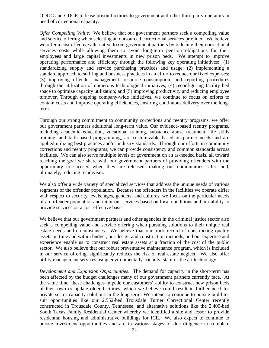ODOC and CDCR to lease prison facilities to government and other third-party operators in need of correctional capacity.

*Offer Compelling Value.* We believe that our government partners seek a compelling value and service offering when selecting an outsourced correctional services provider. We believe we offer a cost-effective alternative to our government partners by reducing their correctional services costs while allowing them to avoid long-term pension obligations for their employees and large capital investments in new prison beds. We attempt to improve operating performance and efficiency through the following key operating initiatives: (1) standardizing supply and service purchasing practices and usage; (2) implementing a standard approach to staffing and business practices in an effort to reduce our fixed expenses; (3) improving offender management, resource consumption, and reporting procedures through the utilization of numerous technological initiatives; (4) reconfiguring facility bed space to optimize capacity utilization; and (5) improving productivity and reducing employee turnover. Through ongoing company-wide initiatives, we continue to focus on efforts to contain costs and improve operating efficiencies, ensuring continuous delivery over the longterm.

Through our strong commitment to community corrections and reentry programs, we offer our government partners additional long-term value. Our evidence-based reentry programs, including academic education, vocational training, substance abuse treatment, life skills training, and faith-based programming, are customizable based on partner needs and are applied utilizing best practices and/or industry standards. Through our efforts in community corrections and reentry programs, we can provide consistency and common standards across facilities. We can also serve multiple levels of government on an as-needed basis, all toward reaching the goal we share with our government partners of providing offenders with the opportunity to succeed when they are released, making our communities safer, and, ultimately, reducing recidivism.

We also offer a wide variety of specialized services that address the unique needs of various segments of the offender population. Because the offenders in the facilities we operate differ with respect to security levels, ages, genders, and cultures, we focus on the particular needs of an offender population and tailor our services based on local conditions and our ability to provide services on a cost-effective basis.

We believe that our government partners and other agencies in the criminal justice sector also seek a compelling value and service offering when pursuing solutions to their unique real estate needs and circumstances. We believe that our track record of constructing quality assets on time and within budget, our design and construction methods, and our expertise and experience enable us to construct real estate assets at a fraction of the cost of the public sector. We also believe that our robust preventative maintenance program, which is included in our service offering, significantly reduces the risk of real estate neglect. We also offer utility management services using environmentally-friendly, state-of-the art technology.

*Development and Expansion Opportunitie*s. The demand for capacity in the short-term has been affected by the budget challenges many of our government partners currently face. At the same time, these challenges impede our customers' ability to construct new prison beds of their own or update older facilities, which we believe could result in further need for private sector capacity solutions in the long-term. We intend to continue to pursue build-tosuit opportunities like our 2,552-bed Trousdale Turner Correctional Center recently constructed in Trousdale County, Tennessee, and alternative solutions like the 2,400-bed South Texas Family Residential Center whereby we identified a site and lessor to provide residential housing and administrative buildings for ICE.We also expect to continue to pursue investment opportunities and are in various stages of due diligence to complete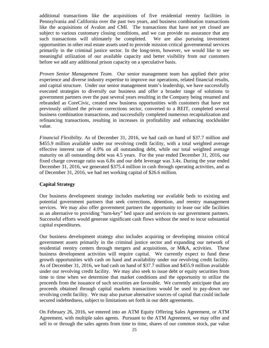additional transactions like the acquisitions of five residential reentry facilities in Pennsylvania and California over the past two years, and business combination transactions like the acquisitions of Avalon and CMI. The transactions that have not yet closed are subject to various customary closing conditions, and we can provide no assurance that any such transactions will ultimately be completed. We are also pursuing investment opportunities in other real estate assets used to provide mission critical governmental services primarily in the criminal justice sector. In the long-term, however, we would like to see meaningful utilization of our available capacity and better visibility from our customers before we add any additional prison capacity on a speculative basis.

*Proven Senior Management Team.* Our senior management team has applied their prior experience and diverse industry expertise to improve our operations, related financial results, and capital structure. Under our senior management team's leadership, we have successfully executed strategies to diversify our business and offer a broader range of solutions to government partners over the past several years resulting in the Company being renamed and rebranded as CoreCivic, created new business opportunities with customers that have not previously utilized the private corrections sector, converted to a REIT, completed several business combination transactions, and successfully completed numerous recapitalization and refinancing transactions, resulting in increases in profitability and enhancing stockholder value.

*Financial Flexibility*. As of December 31, 2016, we had cash on hand of \$37.7 million and \$455.9 million available under our revolving credit facility, with a total weighted average effective interest rate of 4.0% on all outstanding debt, while our total weighted average maturity on all outstanding debt was 4.5 years. For the year ended December 31, 2016, our fixed charge coverage ratio was 6.8x and our debt leverage was 3.4x. During the year ended December 31, 2016, we generated \$375.4 million in cash through operating activities, and as of December 31, 2016, we had net working capital of \$26.6 million.

#### **Capital Strategy**

Our business development strategy includes marketing our available beds to existing and potential government partners that seek corrections, detention, and reentry management services. We may also offer government partners the opportunity to lease our idle facilities as an alternative to providing "turn-key" bed space and services to our government partners. Successful efforts would generate significant cash flows without the need to incur substantial capital expenditures.

Our business development strategy also includes acquiring or developing mission critical government assets primarily in the criminal justice sector and expanding our network of residential reentry centers through mergers and acquisitions, or M&A, activities. These business development activities will require capital. We currently expect to fund these growth opportunities with cash on hand and availability under our revolving credit facility. As of December 31, 2016, we had cash on hand of \$37.7 million and \$455.9 million available under our revolving credit facility. We may also seek to issue debt or equity securities from time to time when we determine that market conditions and the opportunity to utilize the proceeds from the issuance of such securities are favorable. We currently anticipate that any proceeds obtained through capital markets transactions would be used to pay-down our revolving credit facility. We may also pursue alternative sources of capital that could include secured indebtedness, subject to limitations set forth in our debt agreements.

On February 26, 2016, we entered into an ATM Equity Offering Sales Agreement, or ATM Agreement, with multiple sales agents. Pursuant to the ATM Agreement, we may offer and sell to or through the sales agents from time to time, shares of our common stock, par value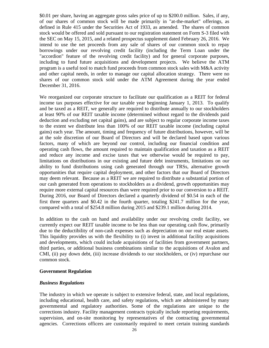\$0.01 per share, having an aggregate gross sales price of up to \$200.0 million. Sales, if any, of our shares of common stock will be made primarily in "at-the-market" offerings, as defined in Rule 415 under the Securities Act of 1933, as amended. The shares of common stock would be offered and sold pursuant to our registration statement on Form S-3 filed with the SEC on May 15, 2015, and a related prospectus supplement dated February 26, 2016. We intend to use the net proceeds from any sale of shares of our common stock to repay borrowings under our revolving credit facility (including the Term Loan under the "accordion" feature of the revolving credit facility) and for general corporate purposes, including to fund future acquisitions and development projects. We believe the ATM program is a useful tool to match fund proceeds from common stock sales with M&A activity and other capital needs, in order to manage our capital allocation strategy. There were no shares of our common stock sold under the ATM Agreement during the year ended December 31, 2016.

We reorganized our corporate structure to facilitate our qualification as a REIT for federal income tax purposes effective for our taxable year beginning January 1, 2013.To qualify and be taxed as a REIT, we generally are required to distribute annually to our stockholders at least 90% of our REIT taxable income (determined without regard to the dividends paid deduction and excluding net capital gains), and are subject to regular corporate income taxes to the extent we distribute less than 100% of our REIT taxable income (including capital gains) each year. The amount, timing and frequency of future distributions, however, will be at the sole discretion of our Board of Directors and will be declared based upon various factors, many of which are beyond our control, including our financial condition and operating cash flows, the amount required to maintain qualification and taxation as a REIT and reduce any income and excise taxes that we otherwise would be required to pay, limitations on distributions in our existing and future debt instruments, limitations on our ability to fund distributions using cash generated through our TRSs, alternative growth opportunities that require capital deployment, and other factors that our Board of Directors may deem relevant. Because as a REIT we are required to distribute a substantial portion of our cash generated from operations to stockholders as a dividend, growth opportunities may require more external capital resources than were required prior to our conversion to a REIT. During 2016, our Board of Directors declared a quarterly dividend of \$0.54 in each of the first three quarters and \$0.42 in the fourth quarter, totaling \$241.7 million for the year, compared with a total of \$254.8 million during 2015 and \$239.1 million during 2014.

In addition to the cash on hand and availability under our revolving credit facility, we currently expect our REIT taxable income to be less than our operating cash flow, primarily due to the deductibility of non-cash expenses such as depreciation on our real estate assets. This liquidity provides us with the flexibility to (i) invest in additional facility acquisitions and developments, which could include acquisitions of facilities from government partners, third parties, or additional business combinations similar to the acquisitions of Avalon and CMI, (ii) pay down debt, (iii) increase dividends to our stockholders, or (iv) repurchase our common stock.

#### **Government Regulation**

#### *Business Regulations*

The industry in which we operate is subject to extensive federal, state, and local regulations, including educational, health care, and safety regulations, which are administered by many governmental and regulatory authorities. Some of the regulations are unique to the corrections industry. Facility management contracts typically include reporting requirements, supervision, and on-site monitoring by representatives of the contracting governmental agencies. Corrections officers are customarily required to meet certain training standards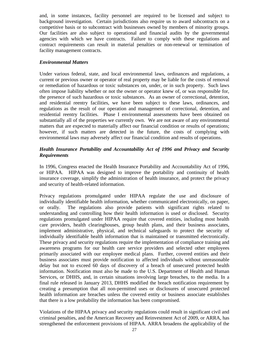and, in some instances, facility personnel are required to be licensed and subject to background investigation. Certain jurisdictions also require us to award subcontracts on a competitive basis or to subcontract with businesses owned by members of minority groups. Our facilities are also subject to operational and financial audits by the governmental agencies with which we have contracts. Failure to comply with these regulations and contract requirements can result in material penalties or non-renewal or termination of facility management contracts.

#### *Environmental Matters*

Under various federal, state, and local environmental laws, ordinances and regulations, a current or previous owner or operator of real property may be liable for the costs of removal or remediation of hazardous or toxic substances on, under, or in such property. Such laws often impose liability whether or not the owner or operator knew of, or was responsible for, the presence of such hazardous or toxic substances. As an owner of correctional, detention, and residential reentry facilities, we have been subject to these laws, ordinances, and regulations as the result of our operation and management of correctional, detention, and residential reentry facilities. Phase I environmental assessments have been obtained on substantially all of the properties we currently own. We are not aware of any environmental matters that are expected to materially affect our financial condition or results of operations; however, if such matters are detected in the future, the costs of complying with environmental laws may adversely affect our financial condition and results of operations.

### *Health Insurance Portability and Accountability Act of 1996 and Privacy and Security Requirements*

In 1996, Congress enacted the Health Insurance Portability and Accountability Act of 1996, or HIPAA. HIPAA was designed to improve the portability and continuity of health insurance coverage, simplify the administration of health insurance, and protect the privacy and security of health-related information.

Privacy regulations promulgated under HIPAA regulate the use and disclosure of individually identifiable health information, whether communicated electronically, on paper, or orally. The regulations also provide patients with significant rights related to understanding and controlling how their health information is used or disclosed. Security regulations promulgated under HIPAA require that covered entities, including most health care providers, health clearinghouses, group health plans, and their business associates, implement administrative, physical, and technical safeguards to protect the security of individually identifiable health information that is maintained or transmitted electronically. These privacy and security regulations require the implementation of compliance training and awareness programs for our health care service providers and selected other employees primarily associated with our employee medical plans. Further, covered entities and their business associates must provide notification to affected individuals without unreasonable delay but not to exceed 60 days of discovery of a breach of unsecured protected health information. Notification must also be made to the U.S. Department of Health and Human Services, or DHHS, and, in certain situations involving large breaches, to the media. In a final rule released in January 2013, DHHS modified the breach notification requirement by creating a presumption that all non-permitted uses or disclosures of unsecured protected health information are breaches unless the covered entity or business associate establishes that there is a low probability the information has been compromised.

Violations of the HIPAA privacy and security regulations could result in significant civil and criminal penalties, and the American Recovery and Reinvestment Act of 2009, or ARRA, has strengthened the enforcement provisions of HIPAA. ARRA broadens the applicability of the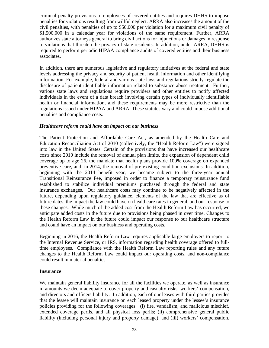criminal penalty provisions to employees of covered entities and requires DHHS to impose penalties for violations resulting from willful neglect. ARRA also increases the amount of the civil penalties, with penalties of up to \$50,000 per violation for a maximum civil penalty of \$1,500,000 in a calendar year for violations of the same requirement. Further, ARRA authorizes state attorneys general to bring civil actions for injunctions or damages in response to violations that threaten the privacy of state residents. In addition, under ARRA, DHHS is required to perform periodic HIPAA compliance audits of covered entities and their business associates.

In addition, there are numerous legislative and regulatory initiatives at the federal and state levels addressing the privacy and security of patient health information and other identifying information. For example, federal and various state laws and regulations strictly regulate the disclosure of patient identifiable information related to substance abuse treatment. Further, various state laws and regulations require providers and other entities to notify affected individuals in the event of a data breach involving certain types of individually identifiable health or financial information, and these requirements may be more restrictive than the regulations issued under HIPAA and ARRA. These statutes vary and could impose additional penalties and compliance costs.

#### *Healthcare reform could have an impact on our business*

The Patient Protection and Affordable Care Act, as amended by the Health Care and Education Reconciliation Act of 2010 (collectively, the "Health Reform Law") were signed into law in the United States. Certain of the provisions that have increased our healthcare costs since 2010 include the removal of annual plan limits, the expansion of dependent child coverage up to age 26, the mandate that health plans provide 100% coverage on expanded preventive care, and, in 2014, the removal of pre-existing condition exclusions. In addition, beginning with the 2014 benefit year, we became subject to the three-year annual Transitional Reinsurance Fee, imposed in order to finance a temporary reinsurance fund established to stabilize individual premiums purchased through the federal and state insurance exchanges. Our healthcare costs may continue to be negatively affected in the future, depending upon regulatory guidance, elements of the law that are effective as of future dates, the impact the law could have on healthcare rates in general, and our response to these changes. While much of the added cost from the Health Reform Law has occurred, we anticipate added costs in the future due to provisions being phased in over time. Changes to the Health Reform Law in the future could impact our response to our healthcare structure and could have an impact on our business and operating costs.

Beginning in 2016, the Health Reform Law requires applicable large employers to report to the Internal Revenue Service, or IRS, information regarding health coverage offered to fulltime employees. Compliance with the Health Reform Law reporting rules and any future changes to the Health Reform Law could impact our operating costs, and non-compliance could result in material penalties.

#### **Insurance**

We maintain general liability insurance for all the facilities we operate, as well as insurance in amounts we deem adequate to cover property and casualty risks, workers' compensation, and directors and officers liability. In addition, each of our leases with third parties provides that the lessee will maintain insurance on each leased property under the lessee's insurance policies providing for the following coverages: (i) fire, vandalism, and malicious mischief, extended coverage perils, and all physical loss perils; (ii) comprehensive general public liability (including personal injury and property damage); and (iii) workers' compensation.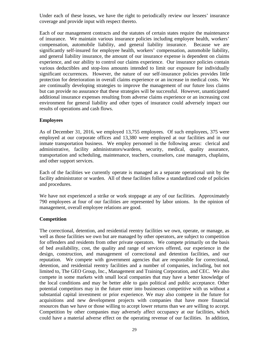Under each of these leases, we have the right to periodically review our lessees' insurance coverage and provide input with respect thereto.

Each of our management contracts and the statutes of certain states require the maintenance of insurance. We maintain various insurance policies including employee health, workers' compensation, automobile liability, and general liability insurance. Because we are significantly self-insured for employee health, workers' compensation, automobile liability, and general liability insurance, the amount of our insurance expense is dependent on claims experience, and our ability to control our claims experience. Our insurance policies contain various deductibles and stop-loss amounts intended to limit our exposure for individually significant occurrences. However, the nature of our self-insurance policies provides little protection for deterioration in overall claims experience or an increase in medical costs. We are continually developing strategies to improve the management of our future loss claims but can provide no assurance that these strategies will be successful. However, unanticipated additional insurance expenses resulting from adverse claims experience or an increasing cost environment for general liability and other types of insurance could adversely impact our results of operations and cash flows.

#### **Employees**

As of December 31, 2016, we employed 13,755 employees. Of such employees, 375 were employed at our corporate offices and 13,380 were employed at our facilities and in our inmate transportation business. We employ personnel in the following areas: clerical and administrative, facility administrators/wardens, security, medical, quality assurance, transportation and scheduling, maintenance, teachers, counselors, case managers, chaplains, and other support services.

Each of the facilities we currently operate is managed as a separate operational unit by the facility administrator or warden. All of these facilities follow a standardized code of policies and procedures.

We have not experienced a strike or work stoppage at any of our facilities. Approximately 790 employees at four of our facilities are represented by labor unions. In the opinion of management, overall employee relations are good.

#### **Competition**

The correctional, detention, and residential reentry facilities we own, operate, or manage, as well as those facilities we own but are managed by other operators, are subject to competition for offenders and residents from other private operators. We compete primarily on the basis of bed availability, cost, the quality and range of services offered, our experience in the design, construction, and management of correctional and detention facilities, and our reputation. We compete with government agencies that are responsible for correctional, detention, and residential reentry facilities and a number of companies, including, but not limited to, The GEO Group, Inc., Management and Training Corporation, and CEC. We also compete in some markets with small local companies that may have a better knowledge of the local conditions and may be better able to gain political and public acceptance. Other potential competitors may in the future enter into businesses competitive with us without a substantial capital investment or prior experience. We may also compete in the future for acquisitions and new development projects with companies that have more financial resources than we have or those willing to accept lower returns than we are willing to accept. Competition by other companies may adversely affect occupancy at our facilities, which could have a material adverse effect on the operating revenue of our facilities. In addition,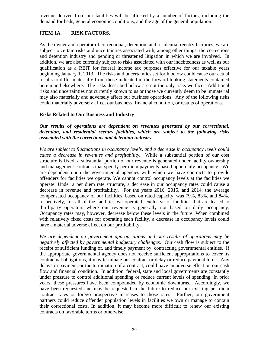revenue derived from our facilities will be affected by a number of factors, including the demand for beds, general economic conditions, and the age of the general population.

# **ITEM 1A. RISK FACTORS.**

As the owner and operator of correctional, detention, and residential reentry facilities, we are subject to certain risks and uncertainties associated with, among other things, the corrections and detention industry and pending or threatened litigation in which we are involved. In addition, we are also currently subject to risks associated with our indebtedness as well as our qualification as a REIT for federal income tax purposes effective for our taxable years beginning January 1, 2013. The risks and uncertainties set forth below could cause our actual results to differ materially from those indicated in the forward-looking statements contained herein and elsewhere. The risks described below are not the only risks we face. Additional risks and uncertainties not currently known to us or those we currently deem to be immaterial may also materially and adversely affect our business operations. Any of the following risks could materially adversely affect our business, financial condition, or results of operations.

#### **Risks Related to Our Business and Industry**

*Our results of operations are dependent on revenues generated by our correctional, detention, and residential reentry facilities, which are subject to the following risks associated with the corrections and detention industry.*

*We are subject to fluctuations in occupancy levels, and a decrease in occupancy levels could cause a decrease in revenues and profitability.* While a substantial portion of our cost structure is fixed, a substantial portion of our revenue is generated under facility ownership and management contracts that specify per diem payments based upon daily occupancy. We are dependent upon the governmental agencies with which we have contracts to provide offenders for facilities we operate. We cannot control occupancy levels at the facilities we operate. Under a per diem rate structure, a decrease in our occupancy rates could cause a decrease in revenue and profitability. For the years 2016, 2015, and 2014, the average compensated occupancy of our facilities, based on rated capacity, was 79%, 83%, and 84%, respectively, for all of the facilities we operated, exclusive of facilities that are leased to third-party operators where our revenue is generally not based on daily occupancy. Occupancy rates may, however, decrease below these levels in the future. When combined with relatively fixed costs for operating each facility, a decrease in occupancy levels could have a material adverse effect on our profitability.

*We are dependent on government appropriations and our results of operations may be negatively affected by governmental budgetary challenges.* Our cash flow is subject to the receipt of sufficient funding of, and timely payment by, contracting governmental entities. If the appropriate governmental agency does not receive sufficient appropriations to cover its contractual obligations, it may terminate our contract or delay or reduce payment to us. Any delays in payment, or the termination of a contract, could have an adverse effect on our cash flow and financial condition. In addition, federal, state and local governments are constantly under pressure to control additional spending or reduce current levels of spending. In prior years, these pressures have been compounded by economic downturns. Accordingly, we have been requested and may be requested in the future to reduce our existing per diem contract rates or forego prospective increases to those rates. Further, our government partners could reduce offender population levels in facilities we own or manage to contain their correctional costs. In addition, it may become more difficult to renew our existing contracts on favorable terms or otherwise.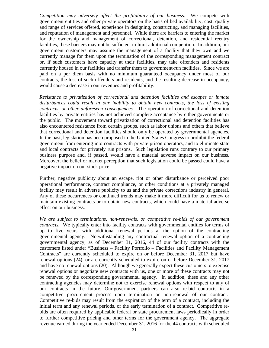*Competition may adversely affect the profitability of our business.* We compete with government entities and other private operators on the basis of bed availability, cost, quality and range of services offered, experience in designing, constructing, and managing facilities, and reputation of management and personnel. While there are barriers to entering the market for the ownership and management of correctional, detention, and residential reentry facilities, these barriers may not be sufficient to limit additional competition. In addition, our government customers may assume the management of a facility that they own and we currently manage for them upon the termination of the corresponding management contract or, if such customers have capacity at their facilities, may take offenders and residents currently housed in our facilities and transfer them to government-run facilities. Since we are paid on a per diem basis with no minimum guaranteed occupancy under most of our contracts, the loss of such offenders and residents, and the resulting decrease in occupancy, would cause a decrease in our revenues and profitability.

*Resistance to privatization of correctional and detention facilities and escapes or inmate disturbances could result in our inability to obtain new contracts, the loss of existing contracts, or other unforeseen consequences.* The operation of correctional and detention facilities by private entities has not achieved complete acceptance by either governments or the public. The movement toward privatization of correctional and detention facilities has also encountered resistance from certain groups, such as labor unions and others that believe that correctional and detention facilities should only be operated by governmental agencies. In the past, legislation has been proposed in the United States Congress to prohibit the federal government from entering into contracts with private prison operators, and to eliminate state and local contracts for privately run prisons. Such legislation runs contrary to our primary business purpose and, if passed, would have a material adverse impact on our business. Moreover, the belief or market perception that such legislation could be passed could have a negative impact on our stock price.

Further, negative publicity about an escape, riot or other disturbance or perceived poor operational performance, contract compliance, or other conditions at a privately managed facility may result in adverse publicity to us and the private corrections industry in general. Any of these occurrences or continued trends may make it more difficult for us to renew or maintain existing contracts or to obtain new contracts, which could have a material adverse effect on our business.

*We are subject to terminations, non-renewals, or competitive re-bids of our government contracts.* We typically enter into facility contracts with governmental entities for terms of up to five years, with additional renewal periods at the option of the contracting governmental agency. Notwithstanding any contractual renewal option of a contracting governmental agency, as of December 31, 2016, 44 of our facility contracts with the customers listed under "Business – Facility Portfolio – Facilities and Facility Management Contracts" are currently scheduled to expire on or before December 31, 2017 but have renewal options (24), or are currently scheduled to expire on or before December 31, 2017 and have no renewal options (20). Although we generally expect these customers to exercise renewal options or negotiate new contracts with us, one or more of these contracts may not be renewed by the corresponding governmental agency. In addition, these and any other contracting agencies may determine not to exercise renewal options with respect to any of our contracts in the future. Our government partners can also re-bid contracts in a competitive procurement process upon termination or non-renewal of our contract. Competitive re-bids may result from the expiration of the term of a contract, including the initial term and any renewal periods, or the early termination of a contract. Competitive rebids are often required by applicable federal or state procurement laws periodically in order to further competitive pricing and other terms for the government agency. The aggregate revenue earned during the year ended December 31, 2016 for the 44 contracts with scheduled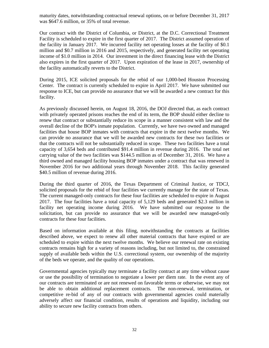maturity dates, notwithstanding contractual renewal options, on or before December 31, 2017 was \$647.6 million, or 35% of total revenue.

Our contract with the District of Columbia, or District, at the D.C. Correctional Treatment Facility is scheduled to expire in the first quarter of 2017. The District assumed operation of the facility in January 2017. We incurred facility net operating losses at the facility of \$0.1 million and \$0.7 million in 2016 and 2015, respectively, and generated facility net operating income of \$1.0 million in 2014. Our investment in the direct financing lease with the District also expires in the first quarter of 2017. Upon expiration of the lease in 2017, ownership of the facility automatically reverts to the District.

During 2015, ICE solicited proposals for the rebid of our 1,000-bed Houston Processing Center. The contract is currently scheduled to expire in April 2017. We have submitted our response to ICE, but can provide no assurance that we will be awarded a new contract for this facility.

As previously discussed herein, on August 18, 2016, the DOJ directed that, as each contract with privately operated prisons reaches the end of its term, the BOP should either decline to renew that contract or substantially reduce its scope in a manner consistent with law and the overall decline of the BOP's inmate population. Currently, we have two owned and managed facilities that house BOP inmates with contracts that expire in the next twelve months. We can provide no assurance that we will be awarded new contracts for these two facilities or that the contracts will not be substantially reduced in scope. These two facilities have a total capacity of 3,654 beds and contributed \$91.4 million in revenue during 2016. The total net carrying value of the two facilities was \$144.5 million as of December 31, 2016. We have a third owned and managed facility housing BOP inmates under a contract that was renewed in November 2016 for two additional years through November 2018. This facility generated \$40.5 million of revenue during 2016.

During the third quarter of 2016, the Texas Department of Criminal Justice, or TDCJ, solicited proposals for the rebid of four facilities we currently manage for the state of Texas. The current managed-only contracts for these four facilities are scheduled to expire in August 2017. The four facilities have a total capacity of 5,129 beds and generated \$2.3 million in facility net operating income during 2016. We have submitted our response to the solicitation, but can provide no assurance that we will be awarded new managed-only contracts for these four facilities.

Based on information available at this filing, notwithstanding the contracts at facilities described above, we expect to renew all other material contracts that have expired or are scheduled to expire within the next twelve months. We believe our renewal rate on existing contracts remains high for a variety of reasons including, but not limited to, the constrained supply of available beds within the U.S. correctional system, our ownership of the majority of the beds we operate, and the quality of our operations.

Governmental agencies typically may terminate a facility contract at any time without cause or use the possibility of termination to negotiate a lower per diem rate. In the event any of our contracts are terminated or are not renewed on favorable terms or otherwise, we may not be able to obtain additional replacement contracts. The non-renewal, termination, or competitive re-bid of any of our contracts with governmental agencies could materially adversely affect our financial condition, results of operations and liquidity, including our ability to secure new facility contracts from others.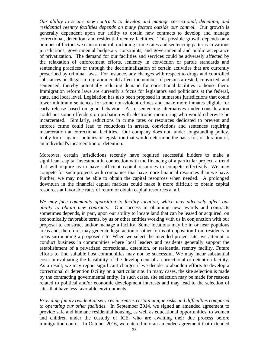*Our ability to secure new contracts to develop and manage correctional, detention, and residential reentry facilities depends on many factors outside our control.* Our growth is generally dependent upon our ability to obtain new contracts to develop and manage correctional, detention, and residential reentry facilities. This possible growth depends on a number of factors we cannot control, including crime rates and sentencing patterns in various jurisdictions, governmental budgetary constraints, and governmental and public acceptance of privatization. The demand for our facilities and services could be adversely affected by the relaxation of enforcement efforts, leniency in conviction or parole standards and sentencing practices or through the decriminalization of certain activities that are currently proscribed by criminal laws. For instance, any changes with respect to drugs and controlled substances or illegal immigration could affect the number of persons arrested, convicted, and sentenced, thereby potentially reducing demand for correctional facilities to house them. Immigration reform laws are currently a focus for legislators and politicians at the federal, state, and local level. Legislation has also been proposed in numerous jurisdictions that could lower minimum sentences for some non-violent crimes and make more inmates eligible for early release based on good behavior. Also, sentencing alternatives under consideration could put some offenders on probation with electronic monitoring who would otherwise be incarcerated. Similarly, reductions in crime rates or resources dedicated to prevent and enforce crime could lead to reductions in arrests, convictions and sentences requiring incarceration at correctional facilities. Our company does not, under longstanding policy, lobby for or against policies or legislation that would determine the basis for, or duration of, an individual's incarceration or detention.

Moreover, certain jurisdictions recently have required successful bidders to make a significant capital investment in connection with the financing of a particular project, a trend that will require us to have sufficient capital resources to compete effectively. We may compete for such projects with companies that have more financial resources than we have. Further, we may not be able to obtain the capital resources when needed. A prolonged downturn in the financial capital markets could make it more difficult to obtain capital resources at favorable rates of return or obtain capital resources at all.

*We may face community opposition to facility location, which may adversely affect our ability to obtain new contracts*. Our success in obtaining new awards and contracts sometimes depends, in part, upon our ability to locate land that can be leased or acquired, on economically favorable terms, by us or other entities working with us in conjunction with our proposal to construct and/or manage a facility. Some locations may be in or near populous areas and, therefore, may generate legal action or other forms of opposition from residents in areas surrounding a proposed site. When we select the intended project site, we attempt to conduct business in communities where local leaders and residents generally support the establishment of a privatized correctional, detention, or residential reentry facility. Future efforts to find suitable host communities may not be successful. We may incur substantial costs in evaluating the feasibility of the development of a correctional or detention facility. As a result, we may report significant charges if we decide to abandon efforts to develop a correctional or detention facility on a particular site. In many cases, the site selection is made by the contracting governmental entity. In such cases, site selection may be made for reasons related to political and/or economic development interests and may lead to the selection of sites that have less favorable environments.

*Providing family residential services increases certain unique risks and difficulties compared to operating our other facilities.* In September 2014, we signed an amended agreement to provide safe and humane residential housing, as well as educational opportunities, to women and children under the custody of ICE, who are awaiting their due process before immigration courts. In October 2016, we entered into an amended agreement that extended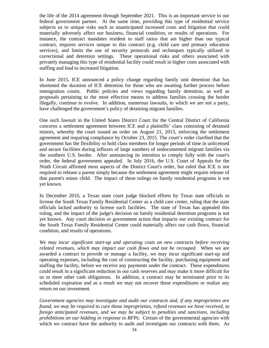the life of the 2014 agreement through September 2021. This is an important service to our federal government partner. At the same time, providing this type of residential service subjects us to unique risks such as unanticipated increased costs and litigation that could materially adversely affect our business, financial condition, or results of operations. For instance, the contract mandates resident to staff ratios that are higher than our typical contract, requires services unique to this contract (e.g. child care and primary education services), and limits the use of security protocols and techniques typically utilized in correctional and detention settings. These operational risks and others associated with privately managing this type of residential facility could result in higher costs associated with staffing and lead to increased litigation.

In June 2015, ICE announced a policy change regarding family unit detention that has shortened the duration of ICE detention for those who are awaiting further process before immigration courts. Public policies and views regarding family detention, as well as proposals pertaining to the most effective means to address families crossing the border illegally, continue to evolve. In addition, numerous lawsuits, to which we are not a party, have challenged the government's policy of detaining migrant families.

One such lawsuit in the United States District Court for the Central District of California concerns a settlement agreement between ICE and a plaintiffs' class consisting of detained minors, whereby the court issued an order on August 21, 2015, enforcing the settlement agreement and requiring compliance by October 23, 2015. The court's order clarified that the government has the flexibility to hold class members for longer periods of time in unlicensed and secure facilities during influxes of large numbers of undocumented migrant families via the southern U.S. border. After announcing its intention to comply fully with the court's order, the federal government appealed. In July 2016, the U.S. Court of Appeals for the Ninth Circuit affirmed most aspects of the District Court's order, but ruled that ICE is not required to release a parent simply because the settlement agreement might require release of that parent's minor child. The impact of these rulings on family residential programs is not yet known.

In December 2016, a Texas state court judge blocked efforts by Texas state officials to license the South Texas Family Residential Center as a child care center, ruling that the state officials lacked authority to license such facilities. The state of Texas has appealed this ruling, and the impact of the judge's decision on family residential detention programs is not yet known. Any court decision or government action that impacts our existing contract for the South Texas Family Residential Center could materially affect our cash flows, financial condition, and results of operations.

*We may incur significant start-up and operating costs on new contracts before receiving related revenues, which may impact our cash flows and not be recouped.* When we are awarded a contract to provide or manage a facility, we may incur significant start-up and operating expenses, including the cost of constructing the facility, purchasing equipment and staffing the facility, before we receive any payments under the contract. These expenditures could result in a significant reduction in our cash reserves and may make it more difficult for us to meet other cash obligations. In addition, a contract may be terminated prior to its scheduled expiration and as a result we may not recover these expenditures or realize any return on our investment.

*Government agencies may investigate and audit our contracts and, if any improprieties are found, we may be required to cure those improprieties, refund revenues we have received, to forego anticipated revenues, and we may be subject to penalties and sanctions, including prohibitions on our bidding in response to RFPs.* Certain of the governmental agencies with which we contract have the authority to audit and investigate our contracts with them. As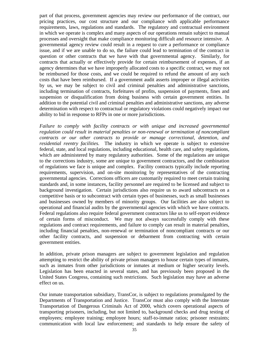part of that process, government agencies may review our performance of the contract, our pricing practices, our cost structure and our compliance with applicable performance requirements, laws, regulations and standards. The regulatory and contractual environment in which we operate is complex and many aspects of our operations remain subject to manual processes and oversight that make compliance monitoring difficult and resource intensive. A governmental agency review could result in a request to cure a performance or compliance issue, and if we are unable to do so, the failure could lead to termination of the contract in question or other contracts that we have with that governmental agency. Similarly, for contracts that actually or effectively provide for certain reimbursement of expenses, if an agency determines that we have improperly allocated costs to a specific contract, we may not be reimbursed for those costs, and we could be required to refund the amount of any such costs that have been reimbursed. If a government audit asserts improper or illegal activities by us, we may be subject to civil and criminal penalties and administrative sanctions, including termination of contracts, forfeitures of profits, suspension of payments, fines and suspension or disqualification from doing business with certain government entities. In addition to the potential civil and criminal penalties and administrative sanctions, any adverse determination with respect to contractual or regulatory violations could negatively impact our ability to bid in response to RFPs in one or more jurisdictions.

*Failure to comply with facility contracts or with unique and increased governmental regulation could result in material penalties or non-renewal or termination of noncompliant contracts or our other contracts to provide or manage correctional, detention, and residential reentry facilities.* The industry in which we operate is subject to extensive federal, state, and local regulations, including educational, health care, and safety regulations, which are administered by many regulatory authorities. Some of the regulations are unique to the corrections industry, some are unique to government contractors, and the combination of regulations we face is unique and complex. Facility contracts typically include reporting requirements, supervision, and on-site monitoring by representatives of the contracting governmental agencies. Corrections officers are customarily required to meet certain training standards and, in some instances, facility personnel are required to be licensed and subject to background investigation. Certain jurisdictions also require us to award subcontracts on a competitive basis or to subcontract with certain types of businesses, such as small businesses and businesses owned by members of minority groups. Our facilities are also subject to operational and financial audits by the governmental agencies with which we have contracts. Federal regulations also require federal government contractors like us to self-report evidence of certain forms of misconduct. We may not always successfully comply with these regulations and contract requirements, and failure to comply can result in material penalties, including financial penalties, non-renewal or termination of noncompliant contracts or our other facility contracts, and suspension or debarment from contracting with certain government entities.

In addition, private prison managers are subject to government legislation and regulation attempting to restrict the ability of private prison managers to house certain types of inmates, such as inmates from other jurisdictions or inmates at medium or higher security levels. Legislation has been enacted in several states, and has previously been proposed in the United States Congress, containing such restrictions. Such legislation may have an adverse effect on us.

Our inmate transportation subsidiary, TransCor, is subject to regulations promulgated by the Departments of Transportation and Justice. TransCor must also comply with the Interstate Transportation of Dangerous Criminals Act of 2000, which covers operational aspects of transporting prisoners, including, but not limited to, background checks and drug testing of employees; employee training; employee hours; staff-to-inmate ratios; prisoner restraints; communication with local law enforcement; and standards to help ensure the safety of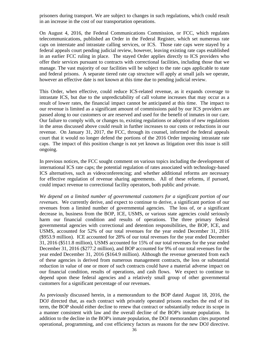prisoners during transport. We are subject to changes in such regulations, which could result in an increase in the cost of our transportation operations.

On August 4, 2016, the Federal Communications Commission, or FCC, which regulates telecommunications, published an Order in the Federal Register, which set numerous rate caps on interstate and intrastate calling services, or ICS. Those rate caps were stayed by a federal appeals court pending judicial review, however, leaving existing rate caps established in an earlier FCC ruling in place. The stayed Order applies directly to ICS providers who offer their services pursuant to contracts with correctional facilities, including those that we manage. The vast majority of our facilities will be subject to the rate caps applicable to state and federal prisons. A separate tiered rate cap structure will apply at small jails we operate, however an effective date is not known at this time due to pending judicial review.

This Order, when effective, could reduce ICS-related revenue, as it expands coverage to intrastate ICS, but due to the unpredictability of call volume increases that may occur as a result of lower rates, the financial impact cannot be anticipated at this time. The impact to our revenue is limited as a significant amount of commissions paid by our ICS providers are passed along to our customers or are reserved and used for the benefit of inmates in our care. Our failure to comply with, or changes to, existing regulations or adoption of new regulations in the areas discussed above could result in further increases to our costs or reductions in our revenue. On January 31, 2017, the FCC, through its counsel, informed the federal appeals court that it would no longer defend the portions of the 2016 Order imposing intrastate rate caps. The impact of this position change is not yet known as litigation over this issue is still ongoing.

In previous notices, the FCC sought comment on various topics including the development of international ICS rate caps; the potential regulation of rates associated with technology-based ICS alternatives, such as videoconferencing; and whether additional reforms are necessary for effective regulation of revenue sharing agreements. All of these reforms, if pursued, could impact revenue to correctional facility operators, both public and private.

*We depend on a limited number of governmental customers for a significant portion of our revenues.* We currently derive, and expect to continue to derive, a significant portion of our revenues from a limited number of governmental agencies. The loss of, or a significant decrease in, business from the BOP, ICE, USMS, or various state agencies could seriously harm our financial condition and results of operations. The three primary federal governmental agencies with correctional and detention responsibilities, the BOP, ICE, and USMS, accounted for 52% of our total revenues for the year ended December 31, 2016 (\$953.9 million). ICE accounted for 28% of our total revenues for the year ended December 31, 2016 (\$511.8 million), USMS accounted for 15% of our total revenues for the year ended December 31, 2016 (\$277.2 million), and BOP accounted for 9% of our total revenues for the year ended December 31, 2016 (\$164.9 million). Although the revenue generated from each of these agencies is derived from numerous management contracts, the loss or substantial reduction in value of one or more of such contracts could have a material adverse impact on our financial condition, results of operations, and cash flows. We expect to continue to depend upon these federal agencies and a relatively small group of other governmental customers for a significant percentage of our revenues.

As previously discussed herein, in a memorandum to the BOP dated August 18, 2016, the DOJ directed that, as each contract with privately operated prisons reaches the end of its term, the BOP should either decline to renew that contract or substantially reduce its scope in a manner consistent with law and the overall decline of the BOP's inmate population. In addition to the decline in the BOP's inmate population, the DOJ memorandum cites purported operational, programming, and cost efficiency factors as reasons for the new DOJ directive.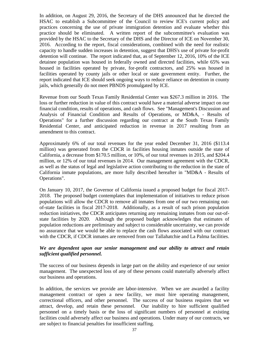In addition, on August 29, 2016, the Secretary of the DHS announced that he directed the HSAC to establish a Subcommittee of the Council to review ICE's current policy and practices concerning the use of private immigration detention and evaluate whether this practice should be eliminated. A written report of the subcommittee's evaluation was provided by the HSAC to the Secretary of the DHS and the Director of ICE on November 30, 2016. According to the report, fiscal considerations, combined with the need for realistic capacity to handle sudden increases in detention, suggest that DHS's use of private for-profit detention will continue. The report indicated that, as of September 12, 2016, 10% of the ICE detainee population was housed in federally owned and directed facilities, while 65% was housed in facilities operated by private, for-profit contractors, and 25% was housed in facilities operated by county jails or other local or state government entity. Further, the report indicated that ICE should seek ongoing ways to reduce reliance on detention in county jails, which generally do not meet PBNDS promulgated by ICE.

Revenue from our South Texas Family Residential Center was \$267.3 million in 2016. The loss or further reduction in value of this contract would have a material adverse impact on our financial condition, results of operations, and cash flows. See "Management's Discussion and Analysis of Financial Condition and Results of Operations, or MD&A, - Results of Operations" for a further discussion regarding our contract at the South Texas Family Residential Center, and anticipated reduction in revenue in 2017 resulting from an amendment to this contract.

Approximately 6% of our total revenues for the year ended December 31, 2016 (\$113.4 million) was generated from the CDCR in facilities housing inmates outside the state of California, a decrease from \$170.5 million, or 10%, of our total revenues in 2015, and \$204.4 million, or 12% of our total revenues in 2014. Our management agreement with the CDCR, as well as the status of legal and legislative action contributing to the reduction in the state of California inmate populations, are more fully described hereafter in "MD&A - Results of Operations".

On January 10, 2017, the Governor of California issued a proposed budget for fiscal 2017- 2018. The proposed budget contemplates that implementation of initiatives to reduce prison populations will allow the CDCR to remove all inmates from one of our two remaining outof-state facilities in fiscal 2017-2018. Additionally, as a result of such prison population reduction initiatives, the CDCR anticipates returning any remaining inmates from our out-ofstate facilities by 2020. Although the proposed budget acknowledges that estimates of population reductions are preliminary and subject to considerable uncertainty, we can provide no assurance that we would be able to replace the cash flows associated with our contract with the CDCR, if CDCR inmates are removed from our Tallahatchie and La Palma facilities.

## *We are dependent upon our senior management and our ability to attract and retain sufficient qualified personnel.*

The success of our business depends in large part on the ability and experience of our senior management. The unexpected loss of any of these persons could materially adversely affect our business and operations.

In addition, the services we provide are labor-intensive. When we are awarded a facility management contract or open a new facility, we must hire operating management, correctional officers, and other personnel. The success of our business requires that we attract, develop, and retain these personnel. Our inability to hire sufficient qualified personnel on a timely basis or the loss of significant numbers of personnel at existing facilities could adversely affect our business and operations. Under many of our contracts, we are subject to financial penalties for insufficient staffing.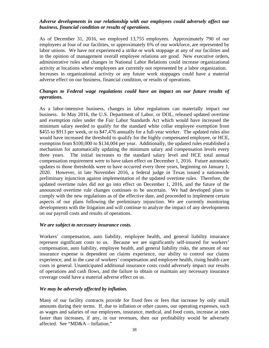### *Adverse developments in our relationship with our employees could adversely affect our business, financial condition or results of operations.*

As of December 31, 2016, we employed 13,755 employees. Approximately 790 of our employees at four of our facilities, or approximately 6% of our workforce, are represented by labor unions. We have not experienced a strike or work stoppage at any of our facilities and in the opinion of management overall employee relations are good. New executive orders, administrative rules and changes in National Labor Relations could increase organizational activity at locations where employees are currently not represented by a labor organization. Increases in organizational activity or any future work stoppages could have a material adverse effect on our business, financial condition, or results of operations.

# *Changes to Federal wage regulations could have an impact on our future results of operations.*

As a labor-intensive business, changes in labor regulations can materially impact our business. In May 2016, the U.S. Department of Labor, or DOL, released updated overtime and exemption rules under the Fair Labor Standards Act which would have increased the minimum salary needed to qualify for the standard white collar employee exemption from \$455 to \$913 per week, or to \$47,476 annually for a full-year worker. The updated rules also would have increased the threshold to qualify for the highly compensated employee, or HCE, exemption from \$100,000 to \$134,004 per year. Additionally, the updated rules established a mechanism for automatically updating the minimum salary and compensation levels every three years. The initial increases to the standard salary level and HCE total annual compensation requirement were to have taken effect on December 1, 2016. Future automatic updates to those thresholds were to have occurred every three years, beginning on January 1, 2020. However, in late November 2016, a federal judge in Texas issued a nationwide preliminary injunction against implementation of the updated overtime rules. Therefore, the updated overtime rules did not go into effect on December 1, 2016, and the future of the announced overtime rule changes continues to be uncertain. We had developed plans to comply with the new regulations as of the effective date, and proceeded to implement certain aspects of our plans following the preliminary injunction. We are currently monitoring developments with the litigation and will continue to analyze the impact of any developments on our payroll costs and results of operations.

## *We are subject to necessary insurance costs.*

Workers' compensation, auto liability, employee health, and general liability insurance represent significant costs to us. Because we are significantly self-insured for workers' compensation, auto liability, employee health, and general liability risks, the amount of our insurance expense is dependent on claims experience, our ability to control our claims experience, and in the case of workers' compensation and employee health, rising health care costs in general. Unanticipated additional insurance costs could adversely impact our results of operations and cash flows, and the failure to obtain or maintain any necessary insurance coverage could have a material adverse effect on us.

## *We may be adversely affected by inflation.*

Many of our facility contracts provide for fixed fees or fees that increase by only small amounts during their terms. If, due to inflation or other causes, our operating expenses, such as wages and salaries of our employees, insurance, medical, and food costs, increase at rates faster than increases, if any, in our revenues, then our profitability would be adversely affected. See "MD&A – Inflation."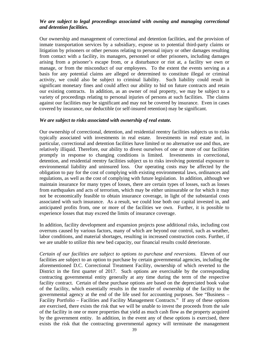### *We are subject to legal proceedings associated with owning and managing correctional and detention facilities.*

Our ownership and management of correctional and detention facilities, and the provision of inmate transportation services by a subsidiary, expose us to potential third-party claims or litigation by prisoners or other persons relating to personal injury or other damages resulting from contact with a facility, its managers, personnel or other prisoners, including damages arising from a prisoner's escape from, or a disturbance or riot at, a facility we own or manage, or from the misconduct of our employees. To the extent the events serving as a basis for any potential claims are alleged or determined to constitute illegal or criminal activity, we could also be subject to criminal liability. Such liability could result in significant monetary fines and could affect our ability to bid on future contracts and retain our existing contracts. In addition, as an owner of real property, we may be subject to a variety of proceedings relating to personal injuries of persons at such facilities. The claims against our facilities may be significant and may not be covered by insurance. Even in cases covered by insurance, our deductible (or self-insured retention) may be significant.

### *We are subject to risks associated with ownership of real estate.*

Our ownership of correctional, detention, and residential reentry facilities subjects us to risks typically associated with investments in real estate. Investments in real estate and, in particular, correctional and detention facilities have limited or no alternative use and thus, are relatively illiquid. Therefore, our ability to divest ourselves of one or more of our facilities promptly in response to changing conditions is limited. Investments in correctional, detention, and residential reentry facilities subject us to risks involving potential exposure to environmental liability and uninsured loss. Our operating costs may be affected by the obligation to pay for the cost of complying with existing environmental laws, ordinances and regulations, as well as the cost of complying with future legislation. In addition, although we maintain insurance for many types of losses, there are certain types of losses, such as losses from earthquakes and acts of terrorism, which may be either uninsurable or for which it may not be economically feasible to obtain insurance coverage, in light of the substantial costs associated with such insurance. As a result, we could lose both our capital invested in, and anticipated profits from, one or more of the facilities we own. Further, it is possible to experience losses that may exceed the limits of insurance coverage.

In addition, facility development and expansion projects pose additional risks, including cost overruns caused by various factors, many of which are beyond our control, such as weather, labor conditions, and material shortages, resulting in increased construction costs. Further, if we are unable to utilize this new bed capacity, our financial results could deteriorate.

*Certain of our facilities are subject to options to purchase and reversions.* Eleven of our facilities are subject to an option to purchase by certain governmental agencies, including the aforementioned D.C. Correctional Treatment Facility, ownership of which reverted to the District in the first quarter of 2017. Such options are exercisable by the corresponding contracting governmental entity generally at any time during the term of the respective facility contract. Certain of these purchase options are based on the depreciated book value of the facility, which essentially results in the transfer of ownership of the facility to the governmental agency at the end of the life used for accounting purposes. See "Business – Facility Portfolio – Facilities and Facility Management Contracts." If any of these options are exercised, there exists the risk that we will be unable to invest the proceeds from the sale of the facility in one or more properties that yield as much cash flow as the property acquired by the government entity. In addition, in the event any of these options is exercised, there exists the risk that the contracting governmental agency will terminate the management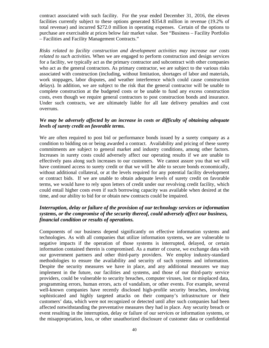contract associated with such facility. For the year ended December 31, 2016, the eleven facilities currently subject to these options generated \$354.8 million in revenue (19.2% of total revenue) and incurred \$272.0 million in operating expenses. Certain of the options to purchase are exercisable at prices below fair market value. See "Business – Facility Portfolio – Facilities and Facility Management Contracts."

*Risks related to facility construction and development activities may increase our costs related to such activities.* When we are engaged to perform construction and design services for a facility, we typically act as the primary contractor and subcontract with other companies who act as the general contractors. As primary contractor, we are subject to the various risks associated with construction (including, without limitation, shortages of labor and materials, work stoppages, labor disputes, and weather interference which could cause construction delays). In addition, we are subject to the risk that the general contractor will be unable to complete construction at the budgeted costs or be unable to fund any excess construction costs, even though we require general contractors to post construction bonds and insurance. Under such contracts, we are ultimately liable for all late delivery penalties and cost overruns.

## *We may be adversely affected by an increase in costs or difficulty of obtaining adequate levels of surety credit on favorable terms.*

We are often required to post bid or performance bonds issued by a surety company as a condition to bidding on or being awarded a contract. Availability and pricing of these surety commitments are subject to general market and industry conditions, among other factors. Increases in surety costs could adversely affect our operating results if we are unable to effectively pass along such increases to our customers. We cannot assure you that we will have continued access to surety credit or that we will be able to secure bonds economically, without additional collateral, or at the levels required for any potential facility development or contract bids. If we are unable to obtain adequate levels of surety credit on favorable terms, we would have to rely upon letters of credit under our revolving credit facility, which could entail higher costs even if such borrowing capacity was available when desired at the time, and our ability to bid for or obtain new contracts could be impaired.

# *Interruption, delay or failure of the provision of our technology services or information systems, or the compromise of the security thereof, could adversely affect our business, financial condition or results of operations.*

Components of our business depend significantly on effective information systems and technologies. As with all companies that utilize information systems, we are vulnerable to negative impacts if the operation of those systems is interrupted, delayed, or certain information contained therein is compromised. As a matter of course, we exchange data with our government partners and other third-party providers. We employ industry-standard methodologies to ensure the availability and security of such systems and information. Despite the security measures we have in place, and any additional measures we may implement in the future, our facilities and systems, and those of our third-party service providers, could be vulnerable to security breaches, computer viruses, lost or misplaced data, programming errors, human errors, acts of vandalism, or other events. For example, several well-known companies have recently disclosed high-profile security breaches, involving sophisticated and highly targeted attacks on their company's infrastructure or their customers' data, which were not recognized or detected until after such companies had been affected notwithstanding the preventative measures they had in place. Any security breach or event resulting in the interruption, delay or failure of our services or information systems, or the misappropriation, loss, or other unauthorized disclosure of customer data or confidential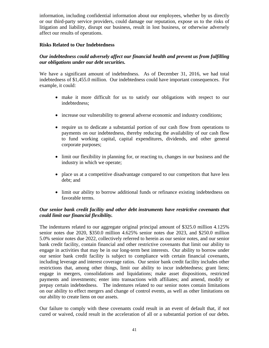information, including confidential information about our employees, whether by us directly or our third-party service providers, could damage our reputation, expose us to the risks of litigation and liability, disrupt our business, result in lost business, or otherwise adversely affect our results of operations.

### **Risks Related to Our Indebtedness**

# *Our indebtedness could adversely affect our financial health and prevent us from fulfilling our obligations under our debt securities.*

We have a significant amount of indebtedness. As of December 31, 2016, we had total indebtedness of \$1,455.0 million. Our indebtedness could have important consequences. For example, it could:

- make it more difficult for us to satisfy our obligations with respect to our indebtedness;
- increase our vulnerability to general adverse economic and industry conditions;
- require us to dedicate a substantial portion of our cash flow from operations to payments on our indebtedness, thereby reducing the availability of our cash flow to fund working capital, capital expenditures, dividends, and other general corporate purposes;
- limit our flexibility in planning for, or reacting to, changes in our business and the industry in which we operate;
- place us at a competitive disadvantage compared to our competitors that have less debt; and
- limit our ability to borrow additional funds or refinance existing indebtedness on favorable terms.

## *Our senior bank credit facility and other debt instruments have restrictive covenants that could limit our financial flexibility.*

The indentures related to our aggregate original principal amount of \$325.0 million 4.125% senior notes due 2020, \$350.0 million 4.625% senior notes due 2023, and \$250.0 million 5.0% senior notes due 2022, collectively referred to herein as our senior notes, and our senior bank credit facility, contain financial and other restrictive covenants that limit our ability to engage in activities that may be in our long-term best interests. Our ability to borrow under our senior bank credit facility is subject to compliance with certain financial covenants, including leverage and interest coverage ratios. Our senior bank credit facility includes other restrictions that, among other things, limit our ability to incur indebtedness; grant liens; engage in mergers, consolidations and liquidations; make asset dispositions, restricted payments and investments; enter into transactions with affiliates; and amend, modify or prepay certain indebtedness. The indentures related to our senior notes contain limitations on our ability to effect mergers and change of control events, as well as other limitations on our ability to create liens on our assets.

Our failure to comply with these covenants could result in an event of default that, if not cured or waived, could result in the acceleration of all or a substantial portion of our debts.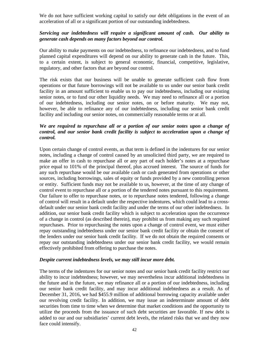We do not have sufficient working capital to satisfy our debt obligations in the event of an acceleration of all or a significant portion of our outstanding indebtedness.

### *Servicing our indebtedness will require a significant amount of cash. Our ability to generate cash depends on many factors beyond our control.*

Our ability to make payments on our indebtedness, to refinance our indebtedness, and to fund planned capital expenditures will depend on our ability to generate cash in the future. This, to a certain extent, is subject to general economic, financial, competitive, legislative, regulatory, and other factors that are beyond our control.

The risk exists that our business will be unable to generate sufficient cash flow from operations or that future borrowings will not be available to us under our senior bank credit facility in an amount sufficient to enable us to pay our indebtedness, including our existing senior notes, or to fund our other liquidity needs. We may need to refinance all or a portion of our indebtedness, including our senior notes, on or before maturity. We may not, however, be able to refinance any of our indebtedness, including our senior bank credit facility and including our senior notes, on commercially reasonable terms or at all.

## *We are required to repurchase all or a portion of our senior notes upon a change of control, and our senior bank credit facility is subject to acceleration upon a change of control.*

Upon certain change of control events, as that term is defined in the indentures for our senior notes, including a change of control caused by an unsolicited third party, we are required to make an offer in cash to repurchase all or any part of each holder's notes at a repurchase price equal to 101% of the principal thereof, plus accrued interest. The source of funds for any such repurchase would be our available cash or cash generated from operations or other sources, including borrowings, sales of equity or funds provided by a new controlling person or entity. Sufficient funds may not be available to us, however, at the time of any change of control event to repurchase all or a portion of the tendered notes pursuant to this requirement. Our failure to offer to repurchase notes, or to repurchase notes tendered, following a change of control will result in a default under the respective indentures, which could lead to a crossdefault under our senior bank credit facility and under the terms of our other indebtedness. In addition, our senior bank credit facility which is subject to acceleration upon the occurrence of a change in control (as described therein), may prohibit us from making any such required repurchases. Prior to repurchasing the notes upon a change of control event, we must either repay outstanding indebtedness under our senior bank credit facility or obtain the consent of the lenders under our senior bank credit facility. If we do not obtain the required consents or repay our outstanding indebtedness under our senior bank credit facility, we would remain effectively prohibited from offering to purchase the notes.

#### *Despite current indebtedness levels, we may still incur more debt.*

The terms of the indentures for our senior notes and our senior bank credit facility restrict our ability to incur indebtedness; however, we may nevertheless incur additional indebtedness in the future and in the future, we may refinance all or a portion of our indebtedness, including our senior bank credit facility, and may incur additional indebtedness as a result. As of December 31, 2016, we had \$455.9 million of additional borrowing capacity available under our revolving credit facility. In addition, we may issue an indeterminate amount of debt securities from time to time when we determine that market conditions and the opportunity to utilize the proceeds from the issuance of such debt securities are favorable. If new debt is added to our and our subsidiaries' current debt levels, the related risks that we and they now face could intensify.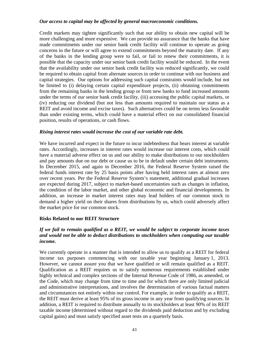#### *Our access to capital may be affected by general macroeconomic conditions.*

Credit markets may tighten significantly such that our ability to obtain new capital will be more challenging and more expensive. We can provide no assurance that the banks that have made commitments under our senior bank credit facility will continue to operate as going concerns in the future or will agree to extend commitments beyond the maturity date. If any of the banks in the lending group were to fail, or fail to renew their commitments, it is possible that the capacity under our senior bank credit facility would be reduced. In the event that the availability under our senior bank credit facility was reduced significantly, we could be required to obtain capital from alternate sources in order to continue with our business and capital strategies. Our options for addressing such capital constraints would include, but not be limited to (i) delaying certain capital expenditure projects, (ii) obtaining commitments from the remaining banks in the lending group or from new banks to fund increased amounts under the terms of our senior bank credit facility, (iii) accessing the public capital markets, or (iv) reducing our dividend (but not less than amounts required to maintain our status as a REIT and avoid income and excise taxes). Such alternatives could be on terms less favorable than under existing terms, which could have a material effect on our consolidated financial position, results of operations, or cash flows.

## *Rising interest rates would increase the cost of our variable rate debt.*

We have incurred and expect in the future to incur indebtedness that bears interest at variable rates. Accordingly, increases in interest rates would increase our interest costs, which could have a material adverse effect on us and our ability to make distributions to our stockholders and pay amounts due on our debt or cause us to be in default under certain debt instruments. In December 2015, and again in December 2016, the Federal Reserve System raised the federal funds interest rate by 25 basis points after having held interest rates at almost zero over recent years. Per the Federal Reserve System's statement, additional gradual increases are expected during 2017, subject to market-based uncertainties such as changes in inflation, the condition of the labor market, and other global economic and financial developments. In addition, an increase in market interest rates may lead holders of our common stock to demand a higher yield on their shares from distributions by us, which could adversely affect the market price for our common stock.

## **Risks Related to our REIT Structure**

## *If we fail to remain qualified as a REIT, we would be subject to corporate income taxes and would not be able to deduct distributions to stockholders when computing our taxable income.*

We currently operate in a manner that is intended to allow us to qualify as a REIT for federal income tax purposes commencing with our taxable year beginning January 1, 2013. However, we cannot assure you that we have qualified or will remain qualified as a REIT. Qualification as a REIT requires us to satisfy numerous requirements established under highly technical and complex sections of the Internal Revenue Code of 1986, as amended, or the Code, which may change from time to time and for which there are only limited judicial and administrative interpretations, and involves the determination of various factual matters and circumstances not entirely within our control. For example, in order to qualify as a REIT, the REIT must derive at least 95% of its gross income in any year from qualifying sources. In addition, a REIT is required to distribute annually to its stockholders at least 90% of its REIT taxable income (determined without regard to the dividends paid deduction and by excluding capital gains) and must satisfy specified asset tests on a quarterly basis.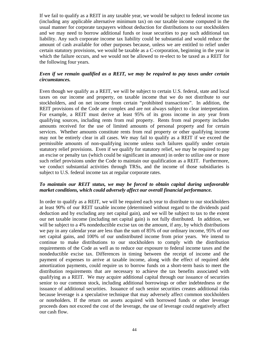If we fail to qualify as a REIT in any taxable year, we would be subject to federal income tax (including any applicable alternative minimum tax) on our taxable income computed in the usual manner for corporate taxpayers without deduction for distributions to our stockholders and we may need to borrow additional funds or issue securities to pay such additional tax liability. Any such corporate income tax liability could be substantial and would reduce the amount of cash available for other purposes because, unless we are entitled to relief under certain statutory provisions, we would be taxable as a C-corporation, beginning in the year in which the failure occurs, and we would not be allowed to re-elect to be taxed as a REIT for the following four years.

## *Even if we remain qualified as a REIT, we may be required to pay taxes under certain circumstances.*

Even though we qualify as a REIT, we will be subject to certain U.S. federal, state and local taxes on our income and property, on taxable income that we do not distribute to our stockholders, and on net income from certain "prohibited transactions". In addition, the REIT provisions of the Code are complex and are not always subject to clear interpretation. For example, a REIT must derive at least 95% of its gross income in any year from qualifying sources, including rents from real property. Rents from real property includes amounts received for the use of limited amounts of personal property and for certain services. Whether amounts constitute rents from real property or other qualifying income may not be entirely clear in all cases. We may fail to qualify as a REIT if we exceed the permissible amounts of non-qualifying income unless such failures qualify under certain statutory relief provisions. Even if we qualify for statutory relief, we may be required to pay an excise or penalty tax (which could be significant in amount) in order to utilize one or more such relief provisions under the Code to maintain our qualification as a REIT. Furthermore, we conduct substantial activities through TRSs, and the income of those subsidiaries is subject to U.S. federal income tax at regular corporate rates.

## *To maintain our REIT status, we may be forced to obtain capital during unfavorable market conditions, which could adversely affect our overall financial performance.*

In order to qualify as a REIT, we will be required each year to distribute to our stockholders at least 90% of our REIT taxable income (determined without regard to the dividends paid deduction and by excluding any net capital gain), and we will be subject to tax to the extent our net taxable income (including net capital gain) is not fully distributed. In addition, we will be subject to a 4% nondeductible excise tax on the amount, if any, by which distributions we pay in any calendar year are less than the sum of 85% of our ordinary income, 95% of our net capital gains, and 100% of our undistributed income from prior years. We intend to continue to make distributions to our stockholders to comply with the distribution requirements of the Code as well as to reduce our exposure to federal income taxes and the nondeductible excise tax. Differences in timing between the receipt of income and the payment of expenses to arrive at taxable income, along with the effect of required debt amortization payments, could require us to borrow funds on a short-term basis to meet the distribution requirements that are necessary to achieve the tax benefits associated with qualifying as a REIT. We may acquire additional capital through our issuance of securities senior to our common stock, including additional borrowings or other indebtedness or the issuance of additional securities. Issuance of such senior securities creates additional risks because leverage is a speculative technique that may adversely affect common stockholders or noteholders. If the return on assets acquired with borrowed funds or other leverage proceeds does not exceed the cost of the leverage, the use of leverage could negatively affect our cash flow.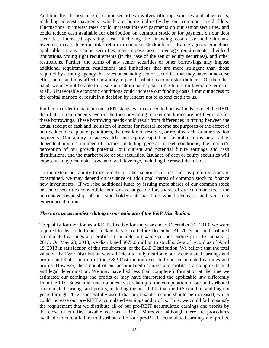Additionally, the issuance of senior securities involves offering expenses and other costs, including interest payments, which are borne indirectly by our common stockholders. Fluctuations in interest rates could increase interest payments on our senior securities, and could reduce cash available for distribution on common stock or for payment on our debt securities. Increased operating costs, including the financing cost associated with any leverage, may reduce our total return to common stockholders. Rating agency guidelines applicable to any senior securities may impose asset coverage requirements, dividend limitations, voting right requirements (in the case of the senior equity securities), and other restrictions. Further, the terms of any senior securities or other borrowings may impose additional requirements, restrictions and limitations that are more stringent than those required by a rating agency that rates outstanding senior securities that may have an adverse effect on us and may affect our ability to pay distributions to our stockholders. On the other hand, we may not be able to raise such additional capital in the future on favorable terms or at all. Unfavorable economic conditions could increase our funding costs, limit our access to the capital markets or result in a decision by lenders not to extend credit to us.

Further, in order to maintain our REIT status, we may need to borrow funds to meet the REIT distribution requirements even if the then-prevailing market conditions are not favorable for these borrowings. These borrowing needs could result from differences in timing between the actual receipt of cash and inclusion of income for federal income tax purposes or the effect of non-deductible capital expenditures, the creation of reserves, or required debt or amortization payments. Our ability to access debt and equity capital on favorable terms or at all is dependent upon a number of factors, including general market conditions, the market's perception of our growth potential, our current and potential future earnings and cash distributions, and the market price of our securities. Issuance of debt or equity securities will expose us to typical risks associated with leverage, including increased risk of loss.

To the extent our ability to issue debt or other senior securities such as preferred stock is constrained, we may depend on issuance of additional shares of common stock to finance new investments. If we raise additional funds by issuing more shares of our common stock or senior securities convertible into, or exchangeable for, shares of our common stock, the percentage ownership of our stockholders at that time would decrease, and you may experience dilution.

#### *There are uncertainties relating to our estimate of the E&P Distribution.*

To qualify for taxation as a REIT effective for the year ended December 31, 2013, we were required to distribute to our stockholders on or before December 31, 2013, our undistributed accumulated earnings and profits attributable to taxable periods ending prior to January 1, 2013. On May 20, 2013, we distributed \$675.0 million to stockholders of record as of April 19, 2013 in satisfaction of this requirement, or the E&P Distribution. We believe that the total value of the E&P Distribution was sufficient to fully distribute our accumulated earnings and profits and that a portion of the E&P Distribution exceeded our accumulated earnings and profits. However, the amount of our accumulated earnings and profits is a complex factual and legal determination. We may have had less than complete information at the time we estimated our earnings and profits or may have interpreted the applicable law differently from the IRS. Substantial uncertainties exist relating to the computation of our undistributed accumulated earnings and profits, including the possibility that the IRS could, in auditing tax years through 2012, successfully assert that our taxable income should be increased, which could increase our pre-REIT accumulated earnings and profits. Thus, we could fail to satisfy the requirement that we distribute all of our pre-REIT accumulated earnings and profits by the close of our first taxable year as a REIT. Moreover, although there are procedures available to cure a failure to distribute all of our pre-REIT accumulated earnings and profits,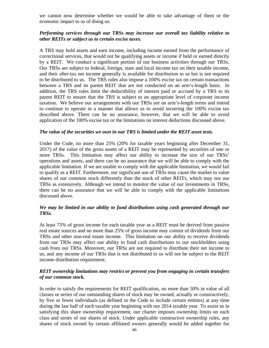we cannot now determine whether we would be able to take advantage of them or the economic impact to us of doing so.

## *Performing services through our TRSs may increase our overall tax liability relative to other REITs or subject us to certain excise taxes.*

A TRS may hold assets and earn income, including income earned from the performance of correctional services, that would not be qualifying assets or income if held or earned directly by a REIT. We conduct a significant portion of our business activities through our TRSs. Our TRSs are subject to federal, foreign, state and local income tax on their taxable income, and their after-tax net income generally is available for distribution to us but is not required to be distributed to us. The TRS rules also impose a 100% excise tax on certain transactions between a TRS and its parent REIT that are not conducted on an arm's-length basis. In addition, the TRS rules limit the deductibility of interest paid or accrued by a TRS to its parent REIT to ensure that the TRS is subject to an appropriate level of corporate income taxation. We believe our arrangements with our TRSs are on arm's-length terms and intend to continue to operate in a manner that allows us to avoid incurring the 100% excise tax described above. There can be no assurance, however, that we will be able to avoid application of the 100% excise tax or the limitations on interest deductions discussed above.

#### *The value of the securities we own in our TRS is limited under the REIT asset tests.*

Under the Code, no more than 25% (20% for taxable years beginning after December 31, 2017) of the value of the gross assets of a REIT may be represented by securities of one or more TRSs. This limitation may affect our ability to increase the size of our TRSs' operations and assets, and there can be no assurance that we will be able to comply with the applicable limitation. If we are unable to comply with the applicable limitation, we would fail to qualify as a REIT. Furthermore, our significant use of TRSs may cause the market to value shares of our common stock differently than the stock of other REITs, which may not use TRSs as extensively. Although we intend to monitor the value of our investments in TRSs, there can be no assurance that we will be able to comply with the applicable limitations discussed above.

## *We may be limited in our ability to fund distributions using cash generated through our TRSs.*

At least 75% of gross income for each taxable year as a REIT must be derived from passive real estate sources and no more than 25% of gross income may consist of dividends from our TRSs and other non-real estate income. This limitation on our ability to receive dividends from our TRSs may affect our ability to fund cash distributions to our stockholders using cash from our TRSs. Moreover, our TRSs are not required to distribute their net income to us, and any income of our TRSs that is not distributed to us will not be subject to the REIT income distribution requirement.

### *REIT ownership limitations may restrict or prevent you from engaging in certain transfers of our common stock.*

In order to satisfy the requirements for REIT qualification, no more than 50% in value of all classes or series of our outstanding shares of stock may be owned, actually or constructively, by five or fewer individuals (as defined in the Code to include certain entities) at any time during the last half of each taxable year beginning with our 2014 taxable year. To assist us in satisfying this share ownership requirement, our charter imposes ownership limits on each class and series of our shares of stock. Under applicable constructive ownership rules, any shares of stock owned by certain affiliated owners generally would be added together for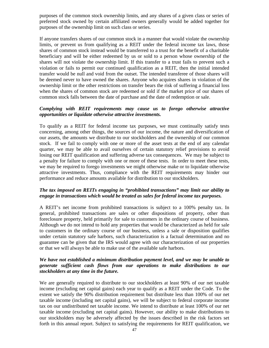purposes of the common stock ownership limits, and any shares of a given class or series of preferred stock owned by certain affiliated owners generally would be added together for purposes of the ownership limit on such class or series.

If anyone transfers shares of our common stock in a manner that would violate the ownership limits, or prevent us from qualifying as a REIT under the federal income tax laws, those shares of common stock instead would be transferred to a trust for the benefit of a charitable beneficiary and will be either redeemed by us or sold to a person whose ownership of the shares will not violate the ownership limit. If this transfer to a trust fails to prevent such a violation or fails to permit our continued qualification as a REIT, then the initial intended transfer would be null and void from the outset. The intended transferee of those shares will be deemed never to have owned the shares. Anyone who acquires shares in violation of the ownership limit or the other restrictions on transfer bears the risk of suffering a financial loss when the shares of common stock are redeemed or sold if the market price of our shares of common stock falls between the date of purchase and the date of redemption or sale.

## *Complying with REIT requirements may cause us to forego otherwise attractive opportunities or liquidate otherwise attractive investments.*

To qualify as a REIT for federal income tax purposes, we must continually satisfy tests concerning, among other things, the sources of our income, the nature and diversification of our assets, the amounts we distribute to our stockholders and the ownership of our common stock. If we fail to comply with one or more of the asset tests at the end of any calendar quarter, we may be able to avail ourselves of certain statutory relief provisions to avoid losing our REIT qualification and suffering adverse tax consequences. We may be subject to a penalty for failure to comply with one or more of these tests. In order to meet these tests, we may be required to forego investments we might otherwise make or to liquidate otherwise attractive investments. Thus, compliance with the REIT requirements may hinder our performance and reduce amounts available for distribution to our stockholders.

## *The tax imposed on REITs engaging in "prohibited transactions" may limit our ability to engage in transactions which would be treated as sales for federal income tax purposes.*

A REIT's net income from prohibited transactions is subject to a 100% penalty tax. In general, prohibited transactions are sales or other dispositions of property, other than foreclosure property, held primarily for sale to customers in the ordinary course of business. Although we do not intend to hold any properties that would be characterized as held for sale to customers in the ordinary course of our business, unless a sale or disposition qualifies under certain statutory safe harbors, such characterization is a factual determination and no guarantee can be given that the IRS would agree with our characterization of our properties or that we will always be able to make use of the available safe harbors.

## *We have not established a minimum distribution payment level, and we may be unable to generate sufficient cash flows from our operations to make distributions to our stockholders at any time in the future.*

We are generally required to distribute to our stockholders at least 90% of our net taxable income (excluding net capital gains) each year to qualify as a REIT under the Code. To the extent we satisfy the 90% distribution requirement but distribute less than 100% of our net taxable income (including net capital gains), we will be subject to federal corporate income tax on our undistributed net taxable income. We intend to distribute at least 100% of our net taxable income (excluding net capital gains). However, our ability to make distributions to our stockholders may be adversely affected by the issues described in the risk factors set forth in this annual report. Subject to satisfying the requirements for REIT qualification, we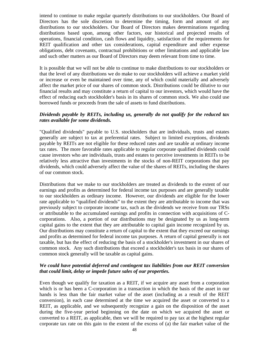intend to continue to make regular quarterly distributions to our stockholders. Our Board of Directors has the sole discretion to determine the timing, form and amount of any distributions to our stockholders. Our Board of Directors makes determinations regarding distributions based upon, among other factors, our historical and projected results of operations, financial condition, cash flows and liquidity, satisfaction of the requirements for REIT qualification and other tax considerations, capital expenditure and other expense obligations, debt covenants, contractual prohibitions or other limitations and applicable law and such other matters as our Board of Directors may deem relevant from time to time.

It is possible that we will not be able to continue to make distributions to our stockholders or that the level of any distributions we do make to our stockholders will achieve a market yield or increase or even be maintained over time, any of which could materially and adversely affect the market price of our shares of common stock. Distributions could be dilutive to our financial results and may constitute a return of capital to our investors, which would have the effect of reducing each stockholder's basis in its shares of common stock. We also could use borrowed funds or proceeds from the sale of assets to fund distributions.

### *Dividends payable by REITs, including us, generally do not qualify for the reduced tax rates available for some dividends.*

"Qualified dividends" payable to U.S. stockholders that are individuals, trusts and estates generally are subject to tax at preferential rates. Subject to limited exceptions, dividends payable by REITs are not eligible for these reduced rates and are taxable at ordinary income tax rates. The more favorable rates applicable to regular corporate qualified dividends could cause investors who are individuals, trusts and estates to perceive investments in REITs to be relatively less attractive than investments in the stocks of non-REIT corporations that pay dividends, which could adversely affect the value of the shares of REITs, including the shares of our common stock.

Distributions that we make to our stockholders are treated as dividends to the extent of our earnings and profits as determined for federal income tax purposes and are generally taxable to our stockholders as ordinary income. However, our dividends are eligible for the lower rate applicable to "qualified dividends" to the extent they are attributable to income that was previously subject to corporate income tax, such as the dividends we receive from our TRSs or attributable to the accumulated earnings and profits in connection with acquisitions of Ccorporations. Also, a portion of our distributions may be designated by us as long-term capital gains to the extent that they are attributable to capital gain income recognized by us. Our distributions may constitute a return of capital to the extent that they exceed our earnings and profits as determined for federal income tax purposes. A return of capital generally is not taxable, but has the effect of reducing the basis of a stockholder's investment in our shares of common stock. Any such distributions that exceed a stockholder's tax basis in our shares of common stock generally will be taxable as capital gains.

## *We could have potential deferred and contingent tax liabilities from our REIT conversion that could limit, delay or impede future sales of our properties.*

Even though we qualify for taxation as a REIT, if we acquire any asset from a corporation which is or has been a C-corporation in a transaction in which the basis of the asset in our hands is less than the fair market value of the asset (including as a result of the REIT conversion), in each case determined at the time we acquired the asset or converted to a REIT, as applicable, and we subsequently recognize a gain on the disposition of the asset during the five-year period beginning on the date on which we acquired the asset or converted to a REIT, as applicable, then we will be required to pay tax at the highest regular corporate tax rate on this gain to the extent of the excess of (a) the fair market value of the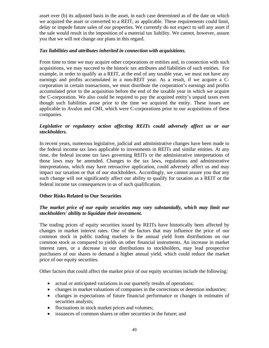asset over (b) its adjusted basis in the asset, in each case determined as of the date on which we acquired the asset or converted to a REIT, as applicable. These requirements could limit, delay or impede future sales of our properties. We currently do not expect to sell any asset if the sale would result in the imposition of a material tax liability. We cannot, however, assure you that we will not change our plans in this regard.

## *Tax liabilities and attributes inherited in connection with acquisitions.*

From time to time we may acquire other corporations or entities and, in connection with such acquisitions, we may succeed to the historic tax attributes and liabilities of such entities. For example, in order to qualify as a REIT, at the end of any taxable year, we must not have any earnings and profits accumulated in a non-REIT year. As a result, if we acquire a Ccorporation in certain transactions, we must distribute the corporation's earnings and profits accumulated prior to the acquisition before the end of the taxable year in which we acquire the C-corporation. We also could be required to pay the acquired entity's unpaid taxes even though such liabilities arose prior to the time we acquired the entity. These issues are applicable to Avalon and CMI, which were C-corporations prior to our acquisitions of these companies.

### *Legislative or regulatory action affecting REITs could adversely affect us or our stockholders.*

In recent years, numerous legislative, judicial and administrative changes have been made to the federal income tax laws applicable to investments in REITs and similar entities. At any time, the federal income tax laws governing REITs or the administrative interpretations of those laws may be amended. Changes to the tax laws, regulations and administrative interpretations, which may have retroactive application, could adversely affect us and may impact our taxation or that of our stockholders. Accordingly, we cannot assure you that any such change will not significantly affect our ability to qualify for taxation as a REIT or the federal income tax consequences to us of such qualification.

## **Other Risks Related to Our Securities**

### *The market price of our equity securities may vary substantially, which may limit our stockholders' ability to liquidate their investment.*

The trading prices of equity securities issued by REITs have historically been affected by changes in market interest rates. One of the factors that may influence the price of our common stock in public trading markets is the annual yield from distributions on our common stock as compared to yields on other financial instruments. An increase in market interest rates, or a decrease in our distributions to stockholders, may lead prospective purchasers of our shares to demand a higher annual yield, which could reduce the market price of our equity securities.

Other factors that could affect the market price of our equity securities include the following:

- actual or anticipated variations in our quarterly results of operations;
- changes in market valuations of companies in the corrections or detention industries;
- changes in expectations of future financial performance or changes in estimates of securities analysts;
- fluctuations in stock market prices and volumes;
- issuances of common shares or other securities in the future; and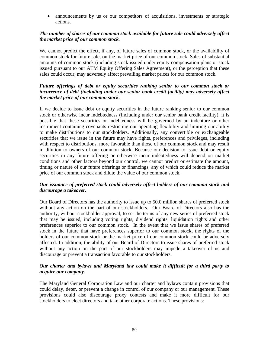• announcements by us or our competitors of acquisitions, investments or strategic actions.

## *The number of shares of our common stock available for future sale could adversely affect the market price of our common stock.*

We cannot predict the effect, if any, of future sales of common stock, or the availability of common stock for future sale, on the market price of our common stock. Sales of substantial amounts of common stock (including stock issued under equity compensation plans or stock issued pursuant to our ATM Equity Offering Sales Agreement), or the perception that these sales could occur, may adversely affect prevailing market prices for our common stock.

# *Future offerings of debt or equity securities ranking senior to our common stock or incurrence of debt (including under our senior bank credit facility) may adversely affect the market price of our common stock.*

If we decide to issue debt or equity securities in the future ranking senior to our common stock or otherwise incur indebtedness (including under our senior bank credit facility), it is possible that these securities or indebtedness will be governed by an indenture or other instrument containing covenants restricting our operating flexibility and limiting our ability to make distributions to our stockholders. Additionally, any convertible or exchangeable securities that we issue in the future may have rights, preferences and privileges, including with respect to distributions, more favorable than those of our common stock and may result in dilution to owners of our common stock. Because our decision to issue debt or equity securities in any future offering or otherwise incur indebtedness will depend on market conditions and other factors beyond our control, we cannot predict or estimate the amount, timing or nature of our future offerings or financings, any of which could reduce the market price of our common stock and dilute the value of our common stock.

# *Our issuance of preferred stock could adversely affect holders of our common stock and discourage a takeover.*

Our Board of Directors has the authority to issue up to 50.0 million shares of preferred stock without any action on the part of our stockholders. Our Board of Directors also has the authority, without stockholder approval, to set the terms of any new series of preferred stock that may be issued, including voting rights, dividend rights, liquidation rights and other preferences superior to our common stock. In the event that we issue shares of preferred stock in the future that have preferences superior to our common stock, the rights of the holders of our common stock or the market price of our common stock could be adversely affected. In addition, the ability of our Board of Directors to issue shares of preferred stock without any action on the part of our stockholders may impede a takeover of us and discourage or prevent a transaction favorable to our stockholders.

# *Our charter and bylaws and Maryland law could make it difficult for a third party to acquire our company.*

The Maryland General Corporation Law and our charter and bylaws contain provisions that could delay, deter, or prevent a change in control of our company or our management. These provisions could also discourage proxy contests and make it more difficult for our stockholders to elect directors and take other corporate actions. These provisions: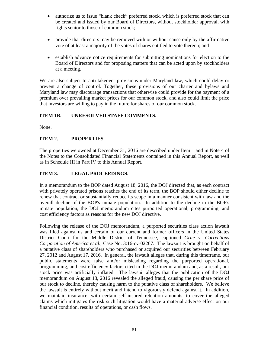- authorize us to issue "blank check" preferred stock, which is preferred stock that can be created and issued by our Board of Directors, without stockholder approval, with rights senior to those of common stock;
- provide that directors may be removed with or without cause only by the affirmative vote of at least a majority of the votes of shares entitled to vote thereon; and
- establish advance notice requirements for submitting nominations for election to the Board of Directors and for proposing matters that can be acted upon by stockholders at a meeting.

We are also subject to anti-takeover provisions under Maryland law, which could delay or prevent a change of control. Together, these provisions of our charter and bylaws and Maryland law may discourage transactions that otherwise could provide for the payment of a premium over prevailing market prices for our common stock, and also could limit the price that investors are willing to pay in the future for shares of our common stock.

# **ITEM 1B. UNRESOLVED STAFF COMMENTS.**

None.

# **ITEM 2. PROPERTIES.**

The properties we owned at December 31, 2016 are described under Item 1 and in Note 4 of the Notes to the Consolidated Financial Statements contained in this Annual Report, as well as in Schedule III in Part IV to this Annual Report.

# **ITEM 3. LEGAL PROCEEDINGS.**

In a memorandum to the BOP dated August 18, 2016, the DOJ directed that, as each contract with privately operated prisons reaches the end of its term, the BOP should either decline to renew that contract or substantially reduce its scope in a manner consistent with law and the overall decline of the BOP's inmate population. In addition to the decline in the BOP's inmate population, the DOJ memorandum cites purported operational, programming, and cost efficiency factors as reasons for the new DOJ directive.

Following the release of the DOJ memorandum, a purported securities class action lawsuit was filed against us and certain of our current and former officers in the United States District Court for the Middle District of Tennessee, captioned *Grae v. Corrections Corporation of America et al.*, Case No. 3:16-cv-02267. The lawsuit is brought on behalf of a putative class of shareholders who purchased or acquired our securities between February 27, 2012 and August 17, 2016. In general, the lawsuit alleges that, during this timeframe, our public statements were false and/or misleading regarding the purported operational, programming, and cost efficiency factors cited in the DOJ memorandum and, as a result, our stock price was artificially inflated. The lawsuit alleges that the publication of the DOJ memorandum on August 18, 2016 revealed the alleged fraud, causing the per share price of our stock to decline, thereby causing harm to the putative class of shareholders. We believe the lawsuit is entirely without merit and intend to vigorously defend against it. In addition, we maintain insurance, with certain self-insured retention amounts, to cover the alleged claims which mitigates the risk such litigation would have a material adverse effect on our financial condition, results of operations, or cash flows.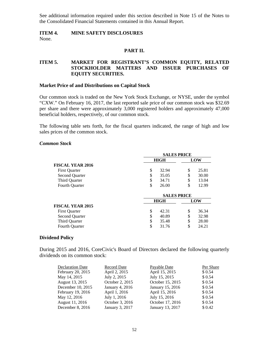See additional information required under this section described in Note 15 of the Notes to the Consolidated Financial Statements contained in this Annual Report.

# **ITEM 4. MINE SAFETY DISCLOSURES**

None.

#### **PART II.**

# **ITEM 5. MARKET FOR REGISTRANT'S COMMON EQUITY, RELATED STOCKHOLDER MATTERS AND ISSUER PURCHASES OF EQUITY SECURITIES.**

#### **Market Price of and Distributions on Capital Stock**

Our common stock is traded on the New York Stock Exchange, or NYSE, under the symbol "CXW." On February 16, 2017, the last reported sale price of our common stock was \$32.69 per share and there were approximately 3,000 registered holders and approximately 47,000 beneficial holders, respectively, of our common stock.

The following table sets forth, for the fiscal quarters indicated, the range of high and low sales prices of the common stock.

#### *Common Stock*

|                         | <b>SALES PRICE</b> |             |    |            |  |  |
|-------------------------|--------------------|-------------|----|------------|--|--|
|                         | <b>HIGH</b>        |             |    | <b>LOW</b> |  |  |
| <b>FISCAL YEAR 2016</b> |                    |             |    |            |  |  |
| <b>First Ouarter</b>    | \$                 | 32.94       | \$ | 25.81      |  |  |
| <b>Second Quarter</b>   | \$                 | 35.05       | \$ | 30.00      |  |  |
| Third Quarter           | \$                 | 34.71       | \$ | 13.04      |  |  |
| Fourth Quarter          | \$                 | 26.00       | \$ | 12.99      |  |  |
|                         | <b>SALES PRICE</b> |             |    |            |  |  |
|                         |                    |             |    |            |  |  |
|                         |                    | <b>HIGH</b> |    | <b>LOW</b> |  |  |
| <b>FISCAL YEAR 2015</b> |                    |             |    |            |  |  |
| <b>First Quarter</b>    | \$                 | 42.31       | \$ | 36.34      |  |  |
| <b>Second Quarter</b>   | \$                 | 40.89       | \$ | 32.98      |  |  |
| Third Quarter           | \$                 | 35.48       | \$ | 28.00      |  |  |

#### **Dividend Policy**

During 2015 and 2016, CoreCivic's Board of Directors declared the following quarterly dividends on its common stock:

| <b>Declaration Date</b> | <b>Record Date</b> | Payable Date     | Per Share |
|-------------------------|--------------------|------------------|-----------|
| February 20, 2015       | April 2, 2015      | April 15, 2015   | \$0.54    |
| May 14, 2015            | July 2, 2015       | July 15, 2015    | \$0.54    |
| August 13, 2015         | October 2, 2015    | October 15, 2015 | \$0.54    |
| December 10, 2015       | January 4, 2016    | January 15, 2016 | \$0.54    |
| February 19, 2016       | April 1, 2016      | April 15, 2016   | \$0.54    |
| May 12, 2016            | July 1, 2016       | July 15, 2016    | \$0.54    |
| August 11, 2016         | October 3, 2016    | October 17, 2016 | \$0.54    |
| December 8, 2016        | January 3, 2017    | January 13, 2017 | \$0.42    |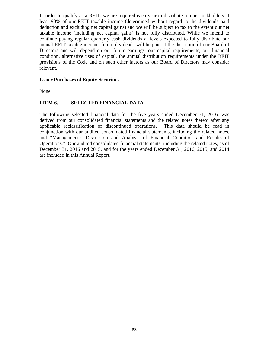In order to qualify as a REIT, we are required each year to distribute to our stockholders at least 90% of our REIT taxable income (determined without regard to the dividends paid deduction and excluding net capital gains) and we will be subject to tax to the extent our net taxable income (including net capital gains) is not fully distributed. While we intend to continue paying regular quarterly cash dividends at levels expected to fully distribute our annual REIT taxable income, future dividends will be paid at the discretion of our Board of Directors and will depend on our future earnings, our capital requirements, our financial condition, alternative uses of capital, the annual distribution requirements under the REIT provisions of the Code and on such other factors as our Board of Directors may consider relevant.

#### **Issuer Purchases of Equity Securities**

None.

### **ITEM 6. SELECTED FINANCIAL DATA.**

The following selected financial data for the five years ended December 31, 2016, was derived from our consolidated financial statements and the related notes thereto after any applicable reclassification of discontinued operations. This data should be read in conjunction with our audited consolidated financial statements, including the related notes, and "Management's Discussion and Analysis of Financial Condition and Results of Operations." Our audited consolidated financial statements, including the related notes, as of December 31, 2016 and 2015, and for the years ended December 31, 2016, 2015, and 2014 are included in this Annual Report.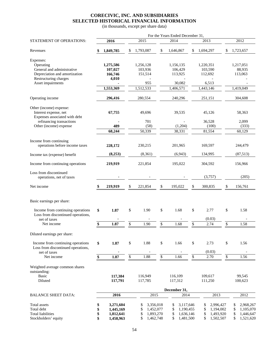# **CORECIVIC, INC. AND SUBSIDIARIES SELECTED HISTORICAL FINANCIAL INFORMATION**

(in thousands, except per share data)

|                                                                                                                                         |                |                                                       |                                                                          |    | For the Years Ended December 31,                                         |    |                                                                          |    |                                                                          |
|-----------------------------------------------------------------------------------------------------------------------------------------|----------------|-------------------------------------------------------|--------------------------------------------------------------------------|----|--------------------------------------------------------------------------|----|--------------------------------------------------------------------------|----|--------------------------------------------------------------------------|
| STATEMENT OF OPERATIONS:                                                                                                                |                | 2016                                                  | 2015                                                                     |    | 2014                                                                     |    | 2013                                                                     |    | 2012                                                                     |
| Revenues                                                                                                                                |                | 1,849,785                                             | \$<br>1,793,087                                                          | S  | 1,646,867                                                                | S  | 1,694,297                                                                | S  | 1,723,657                                                                |
| Expenses:<br>Operating<br>General and administrative<br>Depreciation and amortization<br>Restructuring charges<br>Asset impairments     |                | 1,275,586<br>107,027<br>166,746<br>4,010<br>1,553,369 | 1,256,128<br>103,936<br>151,514<br>955<br>1,512,533                      |    | 1,156,135<br>106,429<br>113,925<br>30,082<br>1,406,571                   |    | 1,220,351<br>103,590<br>112,692<br>6,513<br>1,443,146                    |    | 1,217,051<br>88,935<br>113,063<br>1,419,049                              |
| Operating income                                                                                                                        |                | 296,416                                               | 280,554                                                                  |    | 240,296                                                                  |    | 251,151                                                                  |    | 304,608                                                                  |
| Other (income) expense:<br>Interest expense, net<br>Expenses associated with debt<br>refinancing transactions<br>Other (income) expense |                | 67,755<br>489                                         | 49,696<br>701<br>(58)                                                    |    | 39,535<br>(1,204)                                                        |    | 45,126<br>36,528<br>(100)                                                |    | 58,363<br>2,099<br>(333)                                                 |
|                                                                                                                                         |                | 68,244                                                | 50,339                                                                   |    | 38,331                                                                   |    | 81,554                                                                   |    | 60.129                                                                   |
| Income from continuing<br>operations before income taxes                                                                                |                | 228,172                                               | 230,215                                                                  |    | 201,965                                                                  |    | 169,597                                                                  |    | 244,479                                                                  |
| Income tax (expense) benefit                                                                                                            |                | (8,253)                                               | (8,361)                                                                  |    | (6,943)                                                                  |    | 134,995                                                                  |    | (87, 513)                                                                |
| Income from continuing operations                                                                                                       |                | 219,919                                               | 221,854                                                                  |    | 195,022                                                                  |    | 304,592                                                                  |    | 156,966                                                                  |
| Loss from discontinued<br>operations, net of taxes                                                                                      |                |                                                       |                                                                          |    |                                                                          |    | (3,757)                                                                  |    | (205)                                                                    |
| Net income                                                                                                                              |                | 219,919                                               | \$<br>221,854                                                            | \$ | 195,022                                                                  | \$ | 300,835                                                                  | \$ | 156,761                                                                  |
| Basic earnings per share:                                                                                                               |                |                                                       |                                                                          |    |                                                                          |    |                                                                          |    |                                                                          |
| Income from continuing operations<br>Loss from discontinued operations,                                                                 | \$             | 1.87                                                  | \$<br>1.90                                                               | \$ | 1.68                                                                     | \$ | 2.77<br>(0.03)                                                           | \$ | 1.58                                                                     |
| net of taxes<br>Net income                                                                                                              | \$             | 1.87                                                  | \$<br>1.90                                                               | \$ | 1.68                                                                     | \$ | 2.74                                                                     | \$ | 1.58                                                                     |
| Diluted earnings per share:                                                                                                             |                |                                                       |                                                                          |    |                                                                          |    |                                                                          |    |                                                                          |
| Income from continuing operations<br>Loss from discontinued operations,<br>net of taxes                                                 | \$             | 1.87                                                  | \$<br>1.88                                                               | \$ | 1.66                                                                     | \$ | 2.73<br>(0.03)                                                           | \$ | 1.56                                                                     |
| Net income                                                                                                                              | \$             | 1.87                                                  | \$<br>1.88                                                               | \$ | 1.66                                                                     | \$ | 2.70                                                                     | \$ | 1.56                                                                     |
| Weighted average common shares<br>outstanding:<br>Basic<br>Diluted                                                                      |                | 117,384<br>117,791                                    | 116,949<br>117,785                                                       |    | 116,109<br>117,312                                                       |    | 109,617<br>111,250                                                       |    | 99,545<br>100,623                                                        |
| <b>BALANCE SHEET DATA:</b>                                                                                                              |                | 2016                                                  | 2015                                                                     |    | December 31,<br>2014                                                     |    | 2013                                                                     |    | 2012                                                                     |
| Total assets<br>Total debt<br><b>Total liabilities</b><br>Stockholders' equity                                                          | \$<br>\$<br>\$ | 3,271,604<br>1,445,169<br>1,812,641<br>1,458,963      | \$<br>3,356,018<br>\$<br>1,452,077<br>\$<br>1,893,270<br>\$<br>1,462,748 |    | 3,117,646<br>\$<br>\$<br>1,190,455<br>\$<br>1,636,146<br>\$<br>1,481,500 |    | 2,996,427<br>\$<br>1,194,002<br>\$<br>1,493,920<br>\$<br>\$<br>1,502,507 |    | 2,968,267<br>\$<br>1,105,070<br>\$<br>\$<br>1,446,647<br>\$<br>1,521,620 |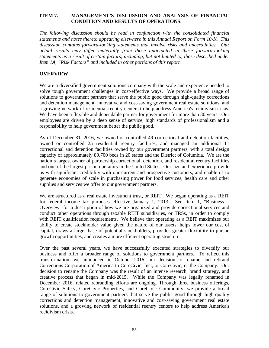### **ITEM 7. MANAGEMENT'S DISCUSSION AND ANALYSIS OF FINANCIAL CONDITION AND RESULTS OF OPERATIONS.**

*The following discussion should be read in conjunction with the consolidated financial statements and notes thereto appearing elsewhere in this Annual Report on Form 10-K. This discussion contains forward-looking statements that involve risks and uncertainties. Our actual results may differ materially from those anticipated in these forward-looking statements as a result of certain factors, including, but not limited to, those described under Item 1A, "Risk Factors" and included in other portions of this report.*

# **OVERVIEW**

We are a diversified government solutions company with the scale and experience needed to solve tough government challenges in cost-effective ways. We provide a broad range of solutions to government partners that serve the public good through high-quality corrections and detention management, innovative and cost-saving government real estate solutions, and a growing network of residential reentry centers to help address America's recidivism crisis. We have been a flexible and dependable partner for government for more than 30 years. Our employees are driven by a deep sense of service, high standards of professionalism and a responsibility to help government better the public good.

As of December 31, 2016, we owned or controlled 49 correctional and detention facilities, owned or controlled 25 residential reentry facilities, and managed an additional 11 correctional and detention facilities owned by our government partners, with a total design capacity of approximately 89,700 beds in 20 states and the District of Columbia. We are the nation's largest owner of partnership correctional, detention, and residential reentry facilities and one of the largest prison operators in the United States. Our size and experience provide us with significant credibility with our current and prospective customers, and enable us to generate economies of scale in purchasing power for food services, health care and other supplies and services we offer to our government partners.

We are structured as a real estate investment trust, or REIT. We began operating as a REIT for federal income tax purposes effective January 1, 2013. See Item 1, "Business – Overview" for a description of how we are organized and provide correctional services and conduct other operations through taxable REIT subsidiaries, or TRSs, in order to comply with REIT qualification requirements. We believe that operating as a REIT maximizes our ability to create stockholder value given the nature of our assets, helps lower our cost of capital, draws a larger base of potential stockholders, provides greater flexibility to pursue growth opportunities, and creates a more efficient operating structure.

Over the past several years, we have successfully executed strategies to diversify our business and offer a broader range of solutions to government partners. To reflect this transformation, we announced in October 2016, our decision to rename and rebrand Corrections Corporation of America to CoreCivic, Inc., or CoreCivic, or the Company. Our decision to rename the Company was the result of an intense research, brand strategy, and creative process that began in mid-2015. While the Company was legally renamed in December 2016, related rebranding efforts are ongoing. Through three business offerings, CoreCivic Safety, CoreCivic Properties, and CoreCivic Community, we provide a broad range of solutions to government partners that serve the public good through high-quality corrections and detention management, innovative and cost-saving government real estate solutions, and a growing network of residential reentry centers to help address America's recidivism crisis.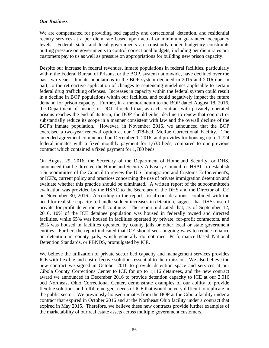## *Our Business*

We are compensated for providing bed capacity and correctional, detention, and residential reentry services at a per diem rate based upon actual or minimum guaranteed occupancy levels. Federal, state, and local governments are constantly under budgetary constraints putting pressure on governments to control correctional budgets, including per diem rates our customers pay to us as well as pressure on appropriations for building new prison capacity.

Despite our increase in federal revenues, inmate populations in federal facilities, particularly within the Federal Bureau of Prisons, or the BOP, system nationwide, have declined over the past two years. Inmate populations in the BOP system declined in 2015 and 2016 due, in part, to the retroactive application of changes to sentencing guidelines applicable to certain federal drug trafficking offenses. Increases in capacity within the federal system could result in a decline in BOP populations within our facilities, and could negatively impact the future demand for prison capacity. Further, in a memorandum to the BOP dated August 18, 2016, the Department of Justice, or DOJ, directed that, as each contract with privately operated prisons reaches the end of its term, the BOP should either decline to renew that contract or substantially reduce its scope in a manner consistent with law and the overall decline of the BOP's inmate population. However, in November 2016, we announced that the BOP exercised a two-year renewal option at our 1,978-bed, McRae Correctional Facility. The amended agreement commenced on December 1, 2016, and provides for housing up to 1,724 federal inmates with a fixed monthly payment for 1,633 beds, compared to our previous contract which contained a fixed payment for 1,780 beds.

On August 29, 2016, the Secretary of the Department of Homeland Security, or DHS, announced that he directed the Homeland Security Advisory Council, or HSAC, to establish a Subcommittee of the Council to review the U.S. Immigration and Customs Enforcement's, or ICE's, current policy and practices concerning the use of private immigration detention and evaluate whether this practice should be eliminated. A written report of the subcommittee's evaluation was provided by the HSAC to the Secretary of the DHS and the Director of ICE on November 30, 2016. According to the report, fiscal considerations, combined with the need for realistic capacity to handle sudden increases in detention, suggest that DHS's use of private for-profit detention will continue. The report indicated that, as of September 12, 2016, 10% of the ICE detainee population was housed in federally owned and directed facilities, while 65% was housed in facilities operated by private, for-profit contractors, and 25% was housed in facilities operated by county jails or other local or state government entities. Further, the report indicated that ICE should seek ongoing ways to reduce reliance on detention in county jails, which generally do not meet Performance-Based National Detention Standards, or PBNDS, promulgated by ICE.

We believe the utilization of private sector bed capacity and management services provides ICE with flexible and cost-effective solutions essential to their mission. We also believe the new contract we signed in October 2016 to provide detention space and services at our Cibola County Corrections Center to ICE for up to 1,116 detainees, and the new contract award we announced in December 2016 to provide detention capacity to ICE at our 2,016 bed Northeast Ohio Correctional Center, demonstrate examples of our ability to provide flexible solutions and fulfill emergent needs of ICE that would be very difficult to replicate in the public sector. We previously housed inmates from the BOP at the Cibola facility under a contract that expired in October 2016 and at the Northeast Ohio facility under a contract that expired in May 2015. Therefore, we believe these new contracts provide further examples of the marketability of our real estate assets across multiple government customers.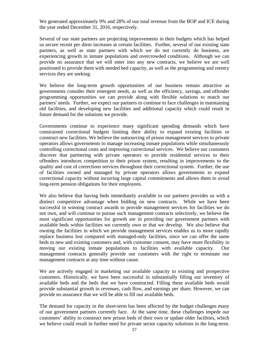We generated approximately 9% and 28% of our total revenue from the BOP and ICE during the year ended December 31, 2016, respectively.

Several of our state partners are projecting improvements in their budgets which has helped us secure recent per diem increases at certain facilities. Further, several of our existing state partners, as well as state partners with which we do not currently do business, are experiencing growth in inmate populations and overcrowded conditions. Although we can provide no assurance that we will enter into any new contracts, we believe we are well positioned to provide them with needed bed capacity, as well as the programming and reentry services they are seeking.

We believe the long-term growth opportunities of our business remain attractive as governments consider their emergent needs, as well as the efficiency, savings, and offender programming opportunities we can provide along with flexible solutions to match our partners' needs. Further, we expect our partners to continue to face challenges in maintaining old facilities, and developing new facilities and additional capacity which could result in future demand for the solutions we provide.

Governments continue to experience many significant spending demands which have constrained correctional budgets limiting their ability to expand existing facilities or construct new facilities. We believe the outsourcing of prison management services to private operators allows governments to manage increasing inmate populations while simultaneously controlling correctional costs and improving correctional services. We believe our customers discover that partnering with private operators to provide residential services to their offenders introduces competition to their prison system, resulting in improvements to the quality and cost of corrections services throughout their correctional system. Further, the use of facilities owned and managed by private operators allows governments to expand correctional capacity without incurring large capital commitments and allows them to avoid long-term pension obligations for their employees.

We also believe that having beds immediately available to our partners provides us with a distinct competitive advantage when bidding on new contracts. While we have been successful in winning contract awards to provide management services for facilities we do not own, and will continue to pursue such management contracts selectively, we believe the most significant opportunities for growth are in providing our government partners with available beds within facilities we currently own or that we develop. We also believe that owning the facilities in which we provide management services enables us to more rapidly replace business lost compared with managed-only facilities, since we can offer the same beds to new and existing customers and, with customer consent, may have more flexibility in moving our existing inmate populations to facilities with available capacity. Our management contracts generally provide our customers with the right to terminate our management contracts at any time without cause.

We are actively engaged in marketing our available capacity to existing and prospective customers. Historically, we have been successful in substantially filling our inventory of available beds and the beds that we have constructed. Filling these available beds would provide substantial growth in revenues, cash flow, and earnings per share. However, we can provide no assurance that we will be able to fill our available beds.

The demand for capacity in the short-term has been affected by the budget challenges many of our government partners currently face. At the same time, these challenges impede our customers' ability to construct new prison beds of their own or update older facilities, which we believe could result in further need for private sector capacity solutions in the long-term.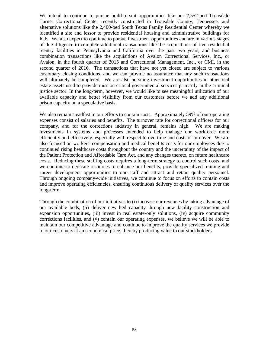We intend to continue to pursue build-to-suit opportunities like our 2,552-bed Trousdale Turner Correctional Center recently constructed in Trousdale County, Tennessee, and alternative solutions like the 2,400-bed South Texas Family Residential Center whereby we identified a site and lessor to provide residential housing and administrative buildings for ICE.We also expect to continue to pursue investment opportunities and are in various stages of due diligence to complete additional transactions like the acquisitions of five residential reentry facilities in Pennsylvania and California over the past two years, and business combination transactions like the acquisitions of Avalon Correctional Services, Inc., or Avalon, in the fourth quarter of 2015 and Correctional Management, Inc., or CMI, in the second quarter of 2016. The transactions that have not yet closed are subject to various customary closing conditions, and we can provide no assurance that any such transactions will ultimately be completed. We are also pursuing investment opportunities in other real estate assets used to provide mission critical governmental services primarily in the criminal justice sector. In the long-term, however, we would like to see meaningful utilization of our available capacity and better visibility from our customers before we add any additional prison capacity on a speculative basis.

We also remain steadfast in our efforts to contain costs. Approximately 59% of our operating expenses consist of salaries and benefits. The turnover rate for correctional officers for our company, and for the corrections industry in general, remains high. We are making investments in systems and processes intended to help manage our workforce more efficiently and effectively, especially with respect to overtime and costs of turnover. We are also focused on workers' compensation and medical benefits costs for our employees due to continued rising healthcare costs throughout the country and the uncertainty of the impact of the Patient Protection and Affordable Care Act, and any changes thereto, on future healthcare costs. Reducing these staffing costs requires a long-term strategy to control such costs, and we continue to dedicate resources to enhance our benefits, provide specialized training and career development opportunities to our staff and attract and retain quality personnel. Through ongoing company-wide initiatives, we continue to focus on efforts to contain costs and improve operating efficiencies, ensuring continuous delivery of quality services over the long-term.

Through the combination of our initiatives to (i) increase our revenues by taking advantage of our available beds, (ii) deliver new bed capacity through new facility construction and expansion opportunities, (iii) invest in real estate-only solutions, (iv) acquire community corrections facilities, and (v) contain our operating expenses, we believe we will be able to maintain our competitive advantage and continue to improve the quality services we provide to our customers at an economical price, thereby producing value to our stockholders.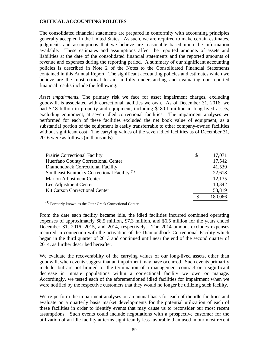# **CRITICAL ACCOUNTING POLICIES**

The consolidated financial statements are prepared in conformity with accounting principles generally accepted in the United States. As such, we are required to make certain estimates, judgments and assumptions that we believe are reasonable based upon the information available. These estimates and assumptions affect the reported amounts of assets and liabilities at the date of the consolidated financial statements and the reported amounts of revenue and expenses during the reporting period. A summary of our significant accounting policies is described in Note 2 of the Notes to the Consolidated Financial Statements contained in this Annual Report. The significant accounting policies and estimates which we believe are the most critical to aid in fully understanding and evaluating our reported financial results include the following:

*Asset impairments.* The primary risk we face for asset impairment charges, excluding goodwill, is associated with correctional facilities we own. As of December 31, 2016, we had \$2.8 billion in property and equipment, including \$180.1 million in long-lived assets, excluding equipment, at seven idled correctional facilities. The impairment analyses we performed for each of these facilities excluded the net book value of equipment, as a substantial portion of the equipment is easily transferrable to other company-owned facilities without significant cost. The carrying values of the seven idled facilities as of December 31, 2016 were as follows (in thousands):

| Prairie Correctional Facility                           | \$<br>17,071 |
|---------------------------------------------------------|--------------|
| Huerfano County Correctional Center                     | 17,542       |
| Diamondback Correctional Facility                       | 41,539       |
| Southeast Kentucky Correctional Facility <sup>(1)</sup> | 22,618       |
| Marion Adjustment Center                                | 12,135       |
| Lee Adjustment Center                                   | 10,342       |
| Kit Carson Correctional Center                          | 58,819       |
|                                                         | 180,066      |

(1) Formerly known as the Otter Creek Correctional Center.

From the date each facility became idle, the idled facilities incurred combined operating expenses of approximately \$8.5 million, \$7.3 million, and \$6.5 million for the years ended December 31, 2016, 2015, and 2014, respectively. The 2014 amount excludes expenses incurred in connection with the activation of the Diamondback Correctional Facility which began in the third quarter of 2013 and continued until near the end of the second quarter of 2014, as further described hereafter.

We evaluate the recoverability of the carrying values of our long-lived assets, other than goodwill, when events suggest that an impairment may have occurred. Such events primarily include, but are not limited to, the termination of a management contract or a significant decrease in inmate populations within a correctional facility we own or manage. Accordingly, we tested each of the aforementioned idled facilities for impairment when we were notified by the respective customers that they would no longer be utilizing such facility.

We re-perform the impairment analyses on an annual basis for each of the idle facilities and evaluate on a quarterly basis market developments for the potential utilization of each of these facilities in order to identify events that may cause us to reconsider our most recent assumptions. Such events could include negotiations with a prospective customer for the utilization of an idle facility at terms significantly less favorable than used in our most recent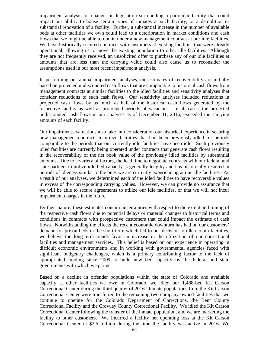impairment analysis, or changes in legislation surrounding a particular facility that could impact our ability to house certain types of inmates at such facility, or a demolition or substantial renovation of a facility. Further, a substantial increase in the number of available beds at other facilities we own could lead to a deterioration in market conditions and cash flows that we might be able to obtain under a new management contract at our idle facilities. We have historically secured contracts with customers at existing facilities that were already operational, allowing us to move the existing population to other idle facilities. Although they are not frequently received, an unsolicited offer to purchase any of our idle facilities at amounts that are less than the carrying value could also cause us to reconsider the assumptions used in our most recent impairment analysis.

In performing our annual impairment analyses, the estimates of recoverability are initially based on projected undiscounted cash flows that are comparable to historical cash flows from management contracts at similar facilities to the idled facilities and sensitivity analyses that consider reductions to such cash flows. Our sensitivity analyses included reductions in projected cash flows by as much as half of the historical cash flows generated by the respective facility as well as prolonged periods of vacancies. In all cases, the projected undiscounted cash flows in our analyses as of December 31, 2016, exceeded the carrying amounts of each facility.

Our impairment evaluations also take into consideration our historical experience in securing new management contracts to utilize facilities that had been previously idled for periods comparable to the periods that our currently idle facilities have been idle. Such previously idled facilities are currently being operated under contracts that generate cash flows resulting in the recoverability of the net book value of the previously idled facilities by substantial amounts. Due to a variety of factors, the lead time to negotiate contracts with our federal and state partners to utilize idle bed capacity is generally lengthy and has historically resulted in periods of idleness similar to the ones we are currently experiencing at our idle facilities. As a result of our analyses, we determined each of the idled facilities to have recoverable values in excess of the corresponding carrying values. However, we can provide no assurance that we will be able to secure agreements to utilize our idle facilities, or that we will not incur impairment charges in the future.

By their nature, these estimates contain uncertainties with respect to the extent and timing of the respective cash flows due to potential delays or material changes to historical terms and conditions in contracts with prospective customers that could impact the estimate of cash flows. Notwithstanding the effects the recent economic downturn has had on our customers' demand for prison beds in the short-term which led to our decision to idle certain facilities, we believe the long-term trends favor an increase in the utilization of our correctional facilities and management services. This belief is based on our experience in operating in difficult economic environments and in working with governmental agencies faced with significant budgetary challenges, which is a primary contributing factor to the lack of appropriated funding since 2009 to build new bed capacity by the federal and state governments with which we partner.

Based on a decline in offender populations within the state of Colorado and available capacity at other facilities we own in Colorado, we idled our 1,488-bed Kit Carson Correctional Center during the third quarter of 2016. Inmate populations from the Kit Carson Correctional Center were transferred to the remaining two company-owned facilities that we continue to operate for the Colorado Department of Corrections, the Bent County Correctional Facility and the Crowley County Correctional Facility. We idled the Kit Carson Correctional Center following the transfer of the inmate population, and we are marketing the facility to other customers. We incurred a facility net operating loss at the Kit Carson Correctional Center of \$2.5 million during the time the facility was active in 2016. We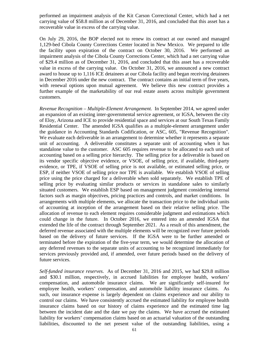performed an impairment analysis of the Kit Carson Correctional Center, which had a net carrying value of \$58.8 million as of December 31, 2016, and concluded that this asset has a recoverable value in excess of the carrying value.

On July 29, 2016, the BOP elected not to renew its contract at our owned and managed 1,129-bed Cibola County Corrections Center located in New Mexico. We prepared to idle the facility upon expiration of the contract on October 30, 2016. We performed an impairment analysis of the Cibola County Corrections Center, which had a net carrying value of \$29.4 million as of December 31, 2016, and concluded that this asset has a recoverable value in excess of the carrying value. On October 31, 2016, we announced a new contract award to house up to 1,116 ICE detainees at our Cibola facility and began receiving detainees in December 2016 under the new contract. The contract contains an initial term of five years, with renewal options upon mutual agreement. We believe this new contract provides a further example of the marketability of our real estate assets across multiple government customers.

*Revenue Recognition – Multiple-Element Arrangement.* In September 2014, we agreed under an expansion of an existing inter-governmental service agreement, or IGSA, between the city of Eloy, Arizona and ICE to provide residential space and services at our South Texas Family Residential Center. The amended IGSA qualifies as a multiple-element arrangement under the guidance in Accounting Standards Codification, or ASC, 605, "Revenue Recognition". We evaluate each deliverable in an arrangement to determine whether it represents a separate unit of accounting. A deliverable constitutes a separate unit of accounting when it has standalone value to the customer. ASC 605 requires revenue to be allocated to each unit of accounting based on a selling price hierarchy. The selling price for a deliverable is based on its vendor specific objective evidence, or VSOE, of selling price, if available, third-party evidence, or TPE, if VSOE of selling price is not available, or estimated selling price, or ESP, if neither VSOE of selling price nor TPE is available. We establish VSOE of selling price using the price charged for a deliverable when sold separately. We establish TPE of selling price by evaluating similar products or services in standalone sales to similarly situated customers. We establish ESP based on management judgment considering internal factors such as margin objectives, pricing practices and controls, and market conditions. In arrangements with multiple elements, we allocate the transaction price to the individual units of accounting at inception of the arrangement based on their relative selling price. The allocation of revenue to each element requires considerable judgment and estimations which could change in the future. In October 2016, we entered into an amended IGSA that extended the life of the contract through September 2021. As a result of this amendment, the deferred revenue associated with the multiple elements will be recognized over future periods based on the delivery of future services. If the IGSA were to be further amended or terminated before the expiration of the five-year term, we would determine the allocation of any deferred revenues to the separate units of accounting to be recognized immediately for services previously provided and, if amended, over future periods based on the delivery of future services.

*Self-funded insurance reserves*. As of December 31, 2016 and 2015, we had \$29.8 million and \$30.1 million, respectively, in accrued liabilities for employee health, workers' compensation, and automobile insurance claims. We are significantly self-insured for employee health, workers' compensation, and automobile liability insurance claims. As such, our insurance expense is largely dependent on claims experience and our ability to control our claims. We have consistently accrued the estimated liability for employee health insurance claims based on our history of claims experience and the estimated time lag between the incident date and the date we pay the claims. We have accrued the estimated liability for workers' compensation claims based on an actuarial valuation of the outstanding liabilities, discounted to the net present value of the outstanding liabilities, using a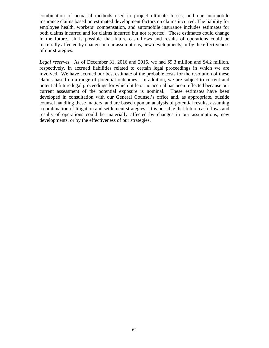combination of actuarial methods used to project ultimate losses, and our automobile insurance claims based on estimated development factors on claims incurred. The liability for employee health, workers' compensation, and automobile insurance includes estimates for both claims incurred and for claims incurred but not reported. These estimates could change in the future. It is possible that future cash flows and results of operations could be materially affected by changes in our assumptions, new developments, or by the effectiveness of our strategies.

*Legal reserves.* As of December 31, 2016 and 2015, we had \$9.3 million and \$4.2 million, respectively, in accrued liabilities related to certain legal proceedings in which we are involved. We have accrued our best estimate of the probable costs for the resolution of these claims based on a range of potential outcomes. In addition, we are subject to current and potential future legal proceedings for which little or no accrual has been reflected because our current assessment of the potential exposure is nominal. These estimates have been developed in consultation with our General Counsel's office and, as appropriate, outside counsel handling these matters, and are based upon an analysis of potential results, assuming a combination of litigation and settlement strategies. It is possible that future cash flows and results of operations could be materially affected by changes in our assumptions, new developments, or by the effectiveness of our strategies.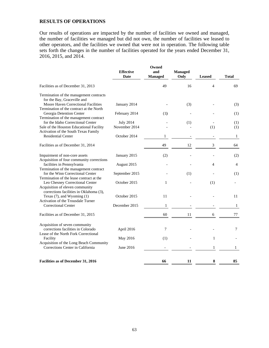## **RESULTS OF OPERATIONS**

Our results of operations are impacted by the number of facilities we owned and managed, the number of facilities we managed but did not own, the number of facilities we leased to other operators, and the facilities we owned that were not in operation. The following table sets forth the changes in the number of facilities operated for the years ended December 31, 2016, 2015, and 2014.

|                                                                                                                  | <b>Effective</b><br><b>Date</b> | Owned<br>and<br><b>Managed</b> | <b>Managed</b><br>Only | <b>Leased</b> | <b>Total</b>   |
|------------------------------------------------------------------------------------------------------------------|---------------------------------|--------------------------------|------------------------|---------------|----------------|
| Facilities as of December 31, 2013                                                                               |                                 | 49                             | 16                     | 4             | 69             |
| Termination of the management contracts<br>for the Bay, Graceville and<br>Moore Haven Correctional Facilities    | January 2014                    |                                | (3)                    |               | (3)            |
| Termination of the contract at the North                                                                         |                                 |                                |                        |               |                |
| Georgia Detention Center<br>Termination of the management contract                                               | February 2014                   | (1)                            |                        |               | (1)            |
| for the Idaho Correctional Center                                                                                | <b>July 2014</b>                |                                | (1)                    |               | (1)            |
| Sale of the Houston Educational Facility<br>Activation of the South Texas Family                                 | November 2014                   |                                |                        | (1)           | (1)            |
| <b>Residential Center</b>                                                                                        | October 2014                    | 1                              |                        |               | 1              |
| Facilities as of December 31, 2014                                                                               |                                 | 49                             | 12                     | 3             | 64             |
| Impairment of non-core assets                                                                                    | January 2015                    | (2)                            |                        |               | (2)            |
| Acquisition of four community corrections<br>facilities in Pennsylvania                                          | August 2015                     |                                |                        | 4             | $\overline{4}$ |
| Termination of the management contract<br>for the Winn Correctional Center                                       | September 2015                  |                                | (1)                    |               | (1)            |
| Termination of the lease contract at the<br>Leo Chesney Correctional Center<br>Acquisition of eleven community   | October 2015                    | 1                              |                        | (1)           |                |
| corrections facilities in Oklahoma (3),<br>Texas $(7)$ , and Wyoming $(1)$<br>Activation of the Trousdale Turner | October 2015                    | 11                             |                        |               | 11             |
| <b>Correctional Center</b>                                                                                       | December 2015                   | $\mathbf{1}$                   |                        |               | 1              |
| Facilities as of December 31, 2015                                                                               |                                 | 60                             | 11                     | 6             | 77             |
| Acquisition of seven community<br>corrections facilities in Colorado                                             | April 2016                      | 7                              |                        |               | 7              |
| Lease of the North Fork Correctional<br>Facility                                                                 | May 2016                        | (1)                            |                        | 1             |                |
| Acquisition of the Long Beach Community<br>Corrections Center in California                                      | June 2016                       |                                |                        | $\mathbf{1}$  | 1              |
|                                                                                                                  |                                 |                                |                        |               |                |
| Facilities as of December 31, 2016                                                                               |                                 | 66                             | 11                     | 8             | 85             |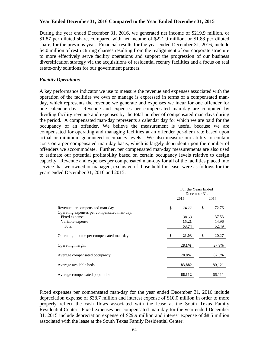### **Year Ended December 31, 2016 Compared to the Year Ended December 31, 2015**

During the year ended December 31, 2016, we generated net income of \$219.9 million, or \$1.87 per diluted share, compared with net income of \$221.9 million, or \$1.88 per diluted share, for the previous year. Financial results for the year ended December 31, 2016, include \$4.0 million of restructuring charges resulting from the realignment of our corporate structure to more effectively serve facility operations and support the progression of our business diversification strategy via the acquisitions of residential reentry facilities and a focus on real estate-only solutions for our government partners.

### *Facility Operations*

A key performance indicator we use to measure the revenue and expenses associated with the operation of the facilities we own or manage is expressed in terms of a compensated manday, which represents the revenue we generate and expenses we incur for one offender for one calendar day. Revenue and expenses per compensated man-day are computed by dividing facility revenue and expenses by the total number of compensated man-days during the period. A compensated man-day represents a calendar day for which we are paid for the occupancy of an offender. We believe the measurement is useful because we are compensated for operating and managing facilities at an offender per-diem rate based upon actual or minimum guaranteed occupancy levels. We also measure our ability to contain costs on a per-compensated man-day basis, which is largely dependent upon the number of offenders we accommodate. Further, per compensated man-day measurements are also used to estimate our potential profitability based on certain occupancy levels relative to design capacity. Revenue and expenses per compensated man-day for all of the facilities placed into service that we owned or managed, exclusive of those held for lease, were as follows for the years ended December 31, 2016 and 2015:

|                                                                                |      | For the Years Ended<br>December 31, |      |        |  |  |  |
|--------------------------------------------------------------------------------|------|-------------------------------------|------|--------|--|--|--|
|                                                                                | 2016 |                                     | 2015 |        |  |  |  |
| Revenue per compensated man-day<br>Operating expenses per compensated man-day: | \$   | 74.77                               | \$   | 72.76  |  |  |  |
| Fixed expense                                                                  |      | 38.53                               |      | 37.53  |  |  |  |
| Variable expense                                                               |      | 15.21                               |      | 14.96  |  |  |  |
| Total                                                                          |      | 53.74                               |      | 52.49  |  |  |  |
| Operating income per compensated man-day                                       |      | 21.03                               | S    | 20.27  |  |  |  |
| Operating margin                                                               |      | 28.1%                               |      | 27.9%  |  |  |  |
| Average compensated occupancy                                                  |      | 78.8%                               |      | 82.5%  |  |  |  |
| Average available beds                                                         |      | 83,882                              |      | 80,121 |  |  |  |
| Average compensated population                                                 |      | 66,112                              |      | 66,111 |  |  |  |

Fixed expenses per compensated man-day for the year ended December 31, 2016 include depreciation expense of \$38.7 million and interest expense of \$10.0 million in order to more properly reflect the cash flows associated with the lease at the South Texas Family Residential Center. Fixed expenses per compensated man-day for the year ended December 31, 2015 include depreciation expense of \$29.9 million and interest expense of \$8.5 million associated with the lease at the South Texas Family Residential Center.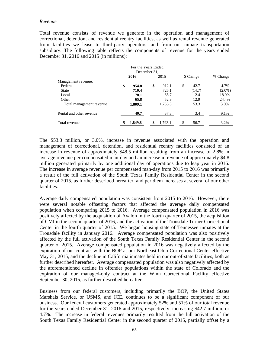#### *Revenue*

Total revenue consists of revenue we generate in the operation and management of correctional, detention, and residential reentry facilities, as well as rental revenue generated from facilities we lease to third-party operators, and from our inmate transportation subsidiary. The following table reflects the components of revenue for the years ended December 31, 2016 and 2015 (in millions):

|                          | For the Years Ended<br>December 31. |         |      |         |           |        |           |  |
|--------------------------|-------------------------------------|---------|------|---------|-----------|--------|-----------|--|
|                          | 2016                                |         | 2015 |         | \$ Change |        | % Change  |  |
| Management revenue:      |                                     |         |      |         |           |        |           |  |
| Federal                  | \$                                  | 954.8   | \$   | 912.1   | \$        | 42.7   | 4.7%      |  |
| <b>State</b>             |                                     | 710.4   |      | 725.1   |           | (14.7) | $(2.0\%)$ |  |
| Local                    |                                     | 78.1    |      | 65.7    |           | 12.4   | 18.9%     |  |
| Other                    |                                     | 65.8    |      | 52.9    |           | 12.9   | 24.4%     |  |
| Total management revenue |                                     | 1,809.1 |      | 1,755.8 |           | 53.3   | 3.0%      |  |
| Rental and other revenue |                                     | 40.7    |      | 37.3    |           | 3.4    | 9.1%      |  |
| Total revenue            |                                     | 1,849.8 |      | 1,793.1 |           | 56.7   | 3.2%      |  |

The \$53.3 million, or 3.0%, increase in revenue associated with the operation and management of correctional, detention, and residential reentry facilities consisted of an increase in revenue of approximately \$48.5 million resulting from an increase of 2.8% in average revenue per compensated man-day and an increase in revenue of approximately \$4.8 million generated primarily by one additional day of operations due to leap year in 2016. The increase in average revenue per compensated man-day from 2015 to 2016 was primarily a result of the full activation of the South Texas Family Residential Center in the second quarter of 2015, as further described hereafter, and per diem increases at several of our other facilities.

Average daily compensated population was consistent from 2015 to 2016. However, there were several notable offsetting factors that affected the average daily compensated population when comparing 2015 to 2016. Average compensated population in 2016 was positively affected by the acquisition of Avalon in the fourth quarter of 2015, the acquisition of CMI in the second quarter of 2016, and the activation of the Trousdale Turner Correctional Center in the fourth quarter of 2015. We began housing state of Tennessee inmates at the Trousdale facility in January 2016. Average compensated population was also positively affected by the full activation of the South Texas Family Residential Center in the second quarter of 2015. Average compensated population in 2016 was negatively affected by the expiration of our contract with the BOP at our Northeast Ohio Correctional Center effective May 31, 2015, and the decline in California inmates held in our out-of-state facilities, both as further described hereafter. Average compensated population was also negatively affected by the aforementioned decline in offender populations within the state of Colorado and the expiration of our managed-only contract at the Winn Correctional Facility effective September 30, 2015, as further described hereafter.

Business from our federal customers, including primarily the BOP, the United States Marshals Service, or USMS, and ICE, continues to be a significant component of our business. Our federal customers generated approximately 52% and 51% of our total revenue for the years ended December 31, 2016 and 2015, respectively, increasing \$42.7 million, or 4.7%. The increase in federal revenues primarily resulted from the full activation of the South Texas Family Residential Center in the second quarter of 2015, partially offset by a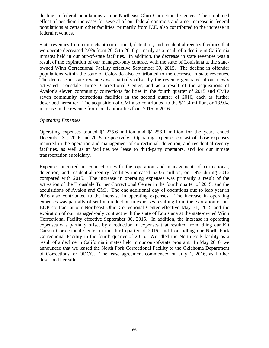decline in federal populations at our Northeast Ohio Correctional Center. The combined effect of per diem increases for several of our federal contracts and a net increase in federal populations at certain other facilities, primarily from ICE, also contributed to the increase in federal revenues.

State revenues from contracts at correctional, detention, and residential reentry facilities that we operate decreased 2.0% from 2015 to 2016 primarily as a result of a decline in California inmates held in our out-of-state facilities. In addition, the decrease in state revenues was a result of the expiration of our managed-only contract with the state of Louisiana at the stateowned Winn Correctional Facility effective September 30, 2015. The decline in offender populations within the state of Colorado also contributed to the decrease in state revenues. The decrease in state revenues was partially offset by the revenue generated at our newly activated Trousdale Turner Correctional Center, and as a result of the acquisitions of Avalon's eleven community corrections facilities in the fourth quarter of 2015 and CMI's seven community corrections facilities in the second quarter of 2016, each as further described hereafter. The acquisition of CMI also contributed to the \$12.4 million, or 18.9%, increase in the revenue from local authorities from 2015 to 2016.

### *Operating Expenses*

Operating expenses totaled \$1,275.6 million and \$1,256.1 million for the years ended December 31, 2016 and 2015, respectively. Operating expenses consist of those expenses incurred in the operation and management of correctional, detention, and residential reentry facilities, as well as at facilities we lease to third-party operators, and for our inmate transportation subsidiary.

Expenses incurred in connection with the operation and management of correctional, detention, and residential reentry facilities increased \$23.6 million, or 1.9% during 2016 compared with 2015. The increase in operating expenses was primarily a result of the activation of the Trousdale Turner Correctional Center in the fourth quarter of 2015, and the acquisitions of Avalon and CMI. The one additional day of operations due to leap year in 2016 also contributed to the increase in operating expenses. The increase in operating expenses was partially offset by a reduction in expenses resulting from the expiration of our BOP contract at our Northeast Ohio Correctional Center effective May 31, 2015 and the expiration of our managed-only contract with the state of Louisiana at the state-owned Winn Correctional Facility effective September 30, 2015. In addition, the increase in operating expenses was partially offset by a reduction in expenses that resulted from idling our Kit Carson Correctional Center in the third quarter of 2016, and from idling our North Fork Correctional Facility in the fourth quarter of 2015. We idled the North Fork facility as a result of a decline in California inmates held in our out-of-state program. In May 2016, we announced that we leased the North Fork Correctional Facility to the Oklahoma Department of Corrections, or ODOC. The lease agreement commenced on July 1, 2016, as further described hereafter.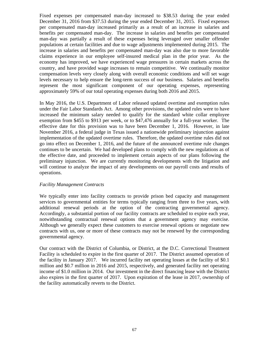Fixed expenses per compensated man-day increased to \$38.53 during the year ended December 31, 2016 from \$37.53 during the year ended December 31, 2015. Fixed expenses per compensated man-day increased primarily as a result of an increase in salaries and benefits per compensated man-day. The increase in salaries and benefits per compensated man-day was partially a result of these expenses being leveraged over smaller offender populations at certain facilities and due to wage adjustments implemented during 2015. The increase in salaries and benefits per compensated man-day was also due to more favorable claims experience in our employee self-insured medical plan in the prior year. As the economy has improved, we have experienced wage pressures in certain markets across the country, and have provided wage increases to remain competitive. We continually monitor compensation levels very closely along with overall economic conditions and will set wage levels necessary to help ensure the long-term success of our business. Salaries and benefits represent the most significant component of our operating expenses, representing approximately 59% of our total operating expenses during both 2016 and 2015.

In May 2016, the U.S. Department of Labor released updated overtime and exemption rules under the Fair Labor Standards Act. Among other provisions, the updated rules were to have increased the minimum salary needed to qualify for the standard white collar employee exemption from \$455 to \$913 per week, or to \$47,476 annually for a full-year worker. The effective date for this provision was to have been December 1, 2016. However, in late November 2016, a federal judge in Texas issued a nationwide preliminary injunction against implementation of the updated overtime rules. Therefore, the updated overtime rules did not go into effect on December 1, 2016, and the future of the announced overtime rule changes continues to be uncertain. We had developed plans to comply with the new regulations as of the effective date, and proceeded to implement certain aspects of our plans following the preliminary injunction. We are currently monitoring developments with the litigation and will continue to analyze the impact of any developments on our payroll costs and results of operations.

#### *Facility Management Contracts*

We typically enter into facility contracts to provide prison bed capacity and management services to governmental entities for terms typically ranging from three to five years, with additional renewal periods at the option of the contracting governmental agency. Accordingly, a substantial portion of our facility contracts are scheduled to expire each year, notwithstanding contractual renewal options that a government agency may exercise. Although we generally expect these customers to exercise renewal options or negotiate new contracts with us, one or more of these contracts may not be renewed by the corresponding governmental agency.

Our contract with the District of Columbia, or District, at the D.C. Correctional Treatment Facility is scheduled to expire in the first quarter of 2017. The District assumed operation of the facility in January 2017. We incurred facility net operating losses at the facility of \$0.1 million and \$0.7 million in 2016 and 2015, respectively, and generated facility net operating income of \$1.0 million in 2014. Our investment in the direct financing lease with the District also expires in the first quarter of 2017. Upon expiration of the lease in 2017, ownership of the facility automatically reverts to the District.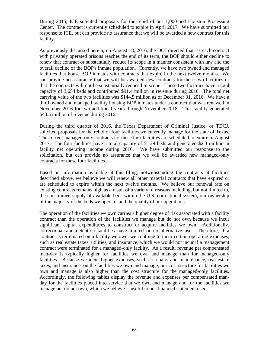During 2015, ICE solicited proposals for the rebid of our 1,000-bed Houston Processing Center. The contract is currently scheduled to expire in April 2017. We have submitted our response to ICE, but can provide no assurance that we will be awarded a new contract for this facility.

As previously discussed herein, on August 18, 2016, the DOJ directed that, as each contract with privately operated prisons reaches the end of its term, the BOP should either decline to renew that contract or substantially reduce its scope in a manner consistent with law and the overall decline of the BOP's inmate population. Currently, we have two owned and managed facilities that house BOP inmates with contracts that expire in the next twelve months. We can provide no assurance that we will be awarded new contracts for these two facilities or that the contracts will not be substantially reduced in scope. These two facilities have a total capacity of 3,654 beds and contributed \$91.4 million in revenue during 2016. The total net carrying value of the two facilities was \$144.5 million as of December 31, 2016. We have a third owned and managed facility housing BOP inmates under a contract that was renewed in November 2016 for two additional years through November 2018. This facility generated \$40.5 million of revenue during 2016.

During the third quarter of 2016, the Texas Department of Criminal Justice, or TDCJ, solicited proposals for the rebid of four facilities we currently manage for the state of Texas. The current managed-only contracts for these four facilities are scheduled to expire in August 2017. The four facilities have a total capacity of 5,129 beds and generated \$2.3 million in facility net operating income during 2016. We have submitted our response to the solicitation, but can provide no assurance that we will be awarded new managed-only contracts for these four facilities.

Based on information available at this filing, notwithstanding the contracts at facilities described above, we believe we will renew all other material contracts that have expired or are scheduled to expire within the next twelve months. We believe our renewal rate on existing contracts remains high as a result of a variety of reasons including, but not limited to, the constrained supply of available beds within the U.S. correctional system, our ownership of the majority of the beds we operate, and the quality of our operations.

The operation of the facilities we own carries a higher degree of risk associated with a facility contract than the operation of the facilities we manage but do not own because we incur significant capital expenditures to construct or acquire facilities we own. Additionally, correctional and detention facilities have limited or no alternative use. Therefore, if a contract is terminated on a facility we own, we continue to incur certain operating expenses, such as real estate taxes, utilities, and insurance, which we would not incur if a management contract were terminated for a managed-only facility. As a result, revenue per compensated man-day is typically higher for facilities we own and manage than for managed-only facilities. Because we incur higher expenses, such as repairs and maintenance, real estate taxes, and insurance, on the facilities we own and manage, our cost structure for facilities we own and manage is also higher than the cost structure for the managed-only facilities. Accordingly, the following tables display the revenue and expenses per compensated manday for the facilities placed into service that we own and manage and for the facilities we manage but do not own, which we believe is useful to our financial statement users: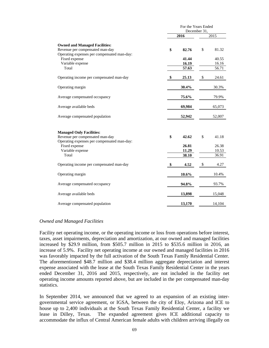|                                                                                                                                                                      | For the Years Ended |                                  |      |                                  |  |
|----------------------------------------------------------------------------------------------------------------------------------------------------------------------|---------------------|----------------------------------|------|----------------------------------|--|
|                                                                                                                                                                      |                     |                                  |      |                                  |  |
|                                                                                                                                                                      | 2016                |                                  | 2015 |                                  |  |
| <b>Owned and Managed Facilities:</b><br>Revenue per compensated man-day<br>Operating expenses per compensated man-day:<br>Fixed expense<br>Variable expense<br>Total | \$                  | 82.76<br>41.44<br>16.19<br>57.63 | \$   | 81.32<br>40.55<br>16.16<br>56.71 |  |
| Operating income per compensated man-day                                                                                                                             | \$                  | 25.13                            | \$   | 24.61                            |  |
| Operating margin                                                                                                                                                     |                     | $30.4\%$                         |      | 30.3%                            |  |
| Average compensated occupancy                                                                                                                                        |                     | 75.6%                            |      | 79.9%                            |  |
| Average available beds                                                                                                                                               |                     | 69,984                           |      | 65,073                           |  |
| Average compensated population                                                                                                                                       |                     | 52,942                           |      | 52,007                           |  |
| <b>Managed Only Facilities:</b><br>Revenue per compensated man-day<br>Operating expenses per compensated man-day:<br>Fixed expense<br>Variable expense<br>Total      | \$                  | 42.62<br>26.81<br>11.29<br>38.10 | \$   | 41.18<br>26.38<br>10.53<br>36.91 |  |
| Operating income per compensated man-day                                                                                                                             | \$                  | 4.52                             | \$   | 4.27                             |  |
| Operating margin                                                                                                                                                     |                     | $10.6\%$                         |      | 10.4%                            |  |
| Average compensated occupancy                                                                                                                                        |                     | 94.8%                            |      | 93.7%                            |  |
| Average available beds                                                                                                                                               |                     | 13,898                           |      | 15,048                           |  |
| Average compensated population                                                                                                                                       |                     | 13,170                           |      | 14,104                           |  |

#### *Owned and Managed Facilities*

Facility net operating income, or the operating income or loss from operations before interest, taxes, asset impairments, depreciation and amortization, at our owned and managed facilities increased by \$29.9 million, from \$505.7 million in 2015 to \$535.6 million in 2016, an increase of 5.9%. Facility net operating income at our owned and managed facilities in 2016 was favorably impacted by the full activation of the South Texas Family Residential Center. The aforementioned \$48.7 million and \$38.4 million aggregate depreciation and interest expense associated with the lease at the South Texas Family Residential Center in the years ended December 31, 2016 and 2015, respectively, are not included in the facility net operating income amounts reported above, but are included in the per compensated man-day statistics.

In September 2014, we announced that we agreed to an expansion of an existing intergovernmental service agreement, or IGSA, between the city of Eloy, Arizona and ICE to house up to 2,400 individuals at the South Texas Family Residential Center, a facility we lease in Dilley, Texas. The expanded agreement gives ICE additional capacity to accommodate the influx of Central American female adults with children arriving illegally on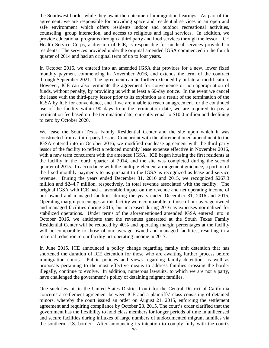the Southwest border while they await the outcome of immigration hearings. As part of the agreement, we are responsible for providing space and residential services in an open and safe environment which offers residents indoor and outdoor recreational activities, counseling, group interaction, and access to religious and legal services. In addition, we provide educational programs through a third party and food services through the lessor. ICE Health Service Corps, a division of ICE, is responsible for medical services provided to residents. The services provided under the original amended IGSA commenced in the fourth quarter of 2014 and had an original term of up to four years.

In October 2016, we entered into an amended IGSA that provides for a new, lower fixed monthly payment commencing in November 2016, and extends the term of the contract through September 2021. The agreement can be further extended by bi-lateral modification. However, ICE can also terminate the agreement for convenience or non-appropriation of funds, without penalty, by providing us with at least a 60-day notice. In the event we cancel the lease with the third-party lessor prior to its expiration as a result of the termination of the IGSA by ICE for convenience, and if we are unable to reach an agreement for the continued use of the facility within 90 days from the termination date, we are required to pay a termination fee based on the termination date, currently equal to \$10.0 million and declining to zero by October 2020.

We lease the South Texas Family Residential Center and the site upon which it was constructed from a third-party lessor. Concurrent with the aforementioned amendment to the IGSA entered into in October 2016, we modified our lease agreement with the third-party lessor of the facility to reflect a reduced monthly lease expense effective in November 2016, with a new term concurrent with the amended IGSA. ICE began housing the first residents at the facility in the fourth quarter of 2014, and the site was completed during the second quarter of 2015. In accordance with the multiple-element arrangement guidance, a portion of the fixed monthly payments to us pursuant to the IGSA is recognized as lease and service revenue. During the years ended December 31, 2016 and 2015, we recognized \$267.3 million and \$244.7 million, respectively, in total revenue associated with the facility. The original IGSA with ICE had a favorable impact on the revenue and net operating income of our owned and managed facilities during the years ended December 31, 2016 and 2015. Operating margin percentages at this facility were comparable to those of our average owned and managed facilities during 2015, but increased during 2016 as expenses normalized for stabilized operations. Under terms of the aforementioned amended IGSA entered into in October 2016, we anticipate that the revenues generated at the South Texas Family Residential Center will be reduced by 40% and operating margin percentages at the facility will be comparable to those of our average owned and managed facilities, resulting in a material reduction to our facility net operating income in 2017.

In June 2015, ICE announced a policy change regarding family unit detention that has shortened the duration of ICE detention for those who are awaiting further process before immigration courts. Public policies and views regarding family detention, as well as proposals pertaining to the most effective means to address families crossing the border illegally, continue to evolve. In addition, numerous lawsuits, to which we are not a party, have challenged the government's policy of detaining migrant families.

One such lawsuit in the United States District Court for the Central District of California concerns a settlement agreement between ICE and a plaintiffs' class consisting of detained minors, whereby the court issued an order on August 21, 2015, enforcing the settlement agreement and requiring compliance by October 23, 2015. The court's order clarified that the government has the flexibility to hold class members for longer periods of time in unlicensed and secure facilities during influxes of large numbers of undocumented migrant families via the southern U.S. border. After announcing its intention to comply fully with the court's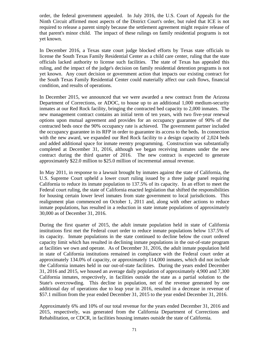order, the federal government appealed. In July 2016, the U.S. Court of Appeals for the Ninth Circuit affirmed most aspects of the District Court's order, but ruled that ICE is not required to release a parent simply because the settlement agreement might require release of that parent's minor child. The impact of these rulings on family residential programs is not yet known.

In December 2016, a Texas state court judge blocked efforts by Texas state officials to license the South Texas Family Residential Center as a child care center, ruling that the state officials lacked authority to license such facilities. The state of Texas has appealed this ruling, and the impact of the judge's decision on family residential detention programs is not yet known. Any court decision or government action that impacts our existing contract for the South Texas Family Residential Center could materially affect our cash flows, financial condition, and results of operations.

In December 2015, we announced that we were awarded a new contract from the Arizona Department of Corrections, or ADOC, to house up to an additional 1,000 medium-security inmates at our Red Rock facility, bringing the contracted bed capacity to 2,000 inmates. The new management contract contains an initial term of ten years, with two five-year renewal options upon mutual agreement and provides for an occupancy guarantee of 90% of the contracted beds once the 90% occupancy rate is achieved. The government partner included the occupancy guarantee in its RFP in order to guarantee its access to the beds**.** In connection with the new award, we expanded our Red Rock facility to a design capacity of 2,024 beds and added additional space for inmate reentry programming. Construction was substantially completed at December 31, 2016, although we began receiving inmates under the new contract during the third quarter of 2016. The new contract is expected to generate approximately \$22.0 million to \$25.0 million of incremental annual revenue.

In May 2011, in response to a lawsuit brought by inmates against the state of California, the U.S. Supreme Court upheld a lower court ruling issued by a three judge panel requiring California to reduce its inmate population to 137.5% of its capacity. In an effort to meet the Federal court ruling, the state of California enacted legislation that shifted the responsibilities for housing certain lower level inmates from state government to local jurisdictions. This realignment plan commenced on October 1, 2011 and, along with other actions to reduce inmate populations, has resulted in a reduction in state inmate populations of approximately 30,000 as of December 31, 2016.

During the first quarter of 2015, the adult inmate population held in state of California institutions first met the Federal court order to reduce inmate populations below 137.5% of its capacity. Inmate populations in the state continued to decline below the court ordered capacity limit which has resulted in declining inmate populations in the out-of-state program at facilities we own and operate. As of December 31, 2016, the adult inmate population held in state of California institutions remained in compliance with the Federal court order at approximately 134.0% of capacity, or approximately 114,000 inmates, which did not include the California inmates held in our out-of-state facilities. During the years ended December 31, 2016 and 2015, we housed an average daily population of approximately 4,900 and 7,300 California inmates, respectively, in facilities outside the state as a partial solution to the State's overcrowding. This decline in population, net of the revenue generated by one additional day of operations due to leap year in 2016, resulted in a decrease in revenue of \$57.1 million from the year ended December 31, 2015 to the year ended December 31, 2016.

Approximately 6% and 10% of our total revenue for the years ended December 31, 2016 and 2015, respectively, was generated from the California Department of Corrections and Rehabilitation, or CDCR, in facilities housing inmates outside the state of California.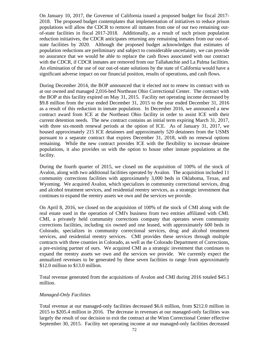On January 10, 2017, the Governor of California issued a proposed budget for fiscal 2017- 2018. The proposed budget contemplates that implementation of initiatives to reduce prison populations will allow the CDCR to remove all inmates from one of our two remaining outof-state facilities in fiscal 2017-2018. Additionally, as a result of such prison population reduction initiatives, the CDCR anticipates returning any remaining inmates from our out-ofstate facilities by 2020. Although the proposed budget acknowledges that estimates of population reductions are preliminary and subject to considerable uncertainty, we can provide no assurance that we would be able to replace the cash flows associated with our contract with the CDCR, if CDCR inmates are removed from our Tallahatchie and La Palma facilities. An elimination of the use of our out-of-state solutions by the state of California would have a significant adverse impact on our financial position, results of operations, and cash flows.

During December 2014, the BOP announced that it elected not to renew its contract with us at our owned and managed 2,016-bed Northeast Ohio Correctional Center. The contract with the BOP at this facility expired on May 31, 2015. Facility net operating income decreased by \$9.8 million from the year ended December 31, 2015 to the year ended December 31, 2016 as a result of this reduction in inmate population. In December 2016, we announced a new contract award from ICE at the Northeast Ohio facility in order to assist ICE with their current detention needs. The new contract contains an initial term expiring March 31, 2017, with three six-month renewal periods at the option of ICE. As of January 31, 2017, we housed approximately 215 ICE detainees and approximately 520 detainees from the USMS pursuant to a separate contract that expires December 31, 2018, with no renewal options remaining. While the new contract provides ICE with the flexibility to increase detainee populations, it also provides us with the option to house other inmate populations at the facility.

During the fourth quarter of 2015, we closed on the acquisition of 100% of the stock of Avalon, along with two additional facilities operated by Avalon. The acquisition included 11 community corrections facilities with approximately 3,000 beds in Oklahoma, Texas, and Wyoming. We acquired Avalon, which specializes in community correctional services, drug and alcohol treatment services, and residential reentry services, as a strategic investment that continues to expand the reentry assets we own and the services we provide.

On April 8, 2016, we closed on the acquisition of 100% of the stock of CMI along with the real estate used in the operation of CMI's business from two entities affiliated with CMI. CMI, a privately held community corrections company that operates seven community corrections facilities, including six owned and one leased, with approximately 600 beds in Colorado, specializes in community correctional services, drug and alcohol treatment services, and residential reentry services. CMI provides these services through multiple contracts with three counties in Colorado, as well as the Colorado Department of Corrections, a pre-existing partner of ours. We acquired CMI as a strategic investment that continues to expand the reentry assets we own and the services we provide. We currently expect the annualized revenues to be generated by these seven facilities to range from approximately \$12.0 million to \$13.0 million.

Total revenue generated from the acquisitions of Avalon and CMI during 2016 totaled \$45.1 million.

## *Managed-Only Facilities*

Total revenue at our managed-only facilities decreased \$6.6 million, from \$212.0 million in 2015 to \$205.4 million in 2016. The decrease in revenues at our managed-only facilities was largely the result of our decision to exit the contract at the Winn Correctional Center effective September 30, 2015. Facility net operating income at our managed-only facilities decreased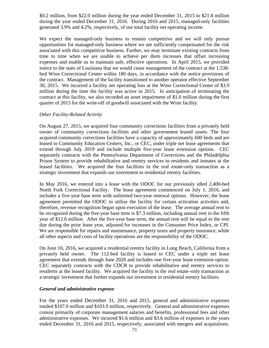\$0.2 million, from \$22.0 million during the year ended December 31, 2015 to \$21.8 million during the year ended December 31, 2016. During 2016 and 2015, managed-only facilities generated 3.9% and 4.2%, respectively, of our total facility net operating income.

We expect the managed-only business to remain competitive and we will only pursue opportunities for managed-only business where we are sufficiently compensated for the risk associated with this competitive business. Further, we may terminate existing contracts from time to time when we are unable to achieve per diem increases that offset increasing expenses and enable us to maintain safe, effective operations. In April 2015, we provided notice to the state of Louisiana that we would cease management of the contract at the 1,538 bed Winn Correctional Center within 180 days, in accordance with the notice provisions of the contract. Management of the facility transitioned to another operator effective September 30, 2015. We incurred a facility net operating loss at the Winn Correctional Center of \$3.9 million during the time the facility was active in 2015. In anticipation of terminating the contract at this facility, we also recorded an asset impairment of \$1.0 million during the first quarter of 2015 for the write-off of goodwill associated with the Winn facility.

#### *Other Facility-Related Activity*

On August 27, 2015, we acquired four community corrections facilities from a privately held owner of community corrections facilities and other government leased assets. The four acquired community corrections facilities have a capacity of approximately 600 beds and are leased to Community Education Centers, Inc., or CEC, under triple net lease agreements that extend through July 2019 and include multiple five-year lease extension options. CEC separately contracts with the Pennsylvania Department of Corrections and the Philadelphia Prison System to provide rehabilitative and reentry services to residents and inmates at the leased facilities. We acquired the four facilities in the real estate-only transaction as a strategic investment that expands our investment in residential reentry facilities.

In May 2016, we entered into a lease with the ODOC for our previously idled 2,400-bed North Fork Correctional Facility. The lease agreement commenced on July 1, 2016, and includes a five-year base term with unlimited two-year renewal options. However, the lease agreement permitted the ODOC to utilize the facility for certain activation activities and, therefore, revenue recognition began upon execution of the lease. The average annual rent to be recognized during the five-year base term is \$7.3 million, including annual rent in the fifth year of \$12.0 million. After the five-year base term, the annual rent will be equal to the rent due during the prior lease year, adjusted for increases in the Consumer Price Index, or CPI. We are responsible for repairs and maintenance, property taxes and property insurance, while all other aspects and costs of facility operations are the responsibility of the ODOC.

On June 10, 2016, we acquired a residential reentry facility in Long Beach, California from a privately held owner. The 112-bed facility is leased to CEC under a triple net lease agreement that extends through June 2020 and includes one five-year lease extension option. CEC separately contracts with the CDCR to provide rehabilitative and reentry services to residents at the leased facility. We acquired the facility in the real estate–only transaction as a strategic investment that further expands our investment in residential reentry facilities.

## *General and administrative expense*

For the years ended December 31, 2016 and 2015, general and administrative expenses totaled \$107.0 million and \$103.9 million, respectively. General and administrative expenses consist primarily of corporate management salaries and benefits, professional fees and other administrative expenses. We incurred \$1.6 million and \$3.6 million of expenses in the years ended December 31, 2016 and 2015, respectively, associated with mergers and acquisitions.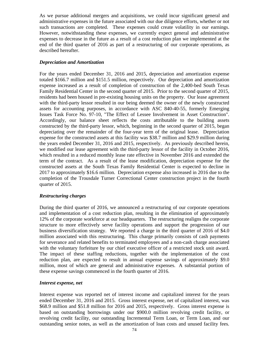As we pursue additional mergers and acquisitions, we could incur significant general and administrative expenses in the future associated with our due diligence efforts, whether or not such transactions are completed. These expenses could create volatility in our earnings. However, notwithstanding these expenses, we currently expect general and administrative expenses to decrease in the future as a result of a cost reduction plan we implemented at the end of the third quarter of 2016 as part of a restructuring of our corporate operations, as described hereafter.

#### *Depreciation and Amortization*

For the years ended December 31, 2016 and 2015, depreciation and amortization expense totaled \$166.7 million and \$151.5 million, respectively. Our depreciation and amortization expense increased as a result of completion of construction of the 2,400-bed South Texas Family Residential Center in the second quarter of 2015. Prior to the second quarter of 2015, residents had been housed in pre-existing housing units on the property. Our lease agreement with the third-party lessor resulted in our being deemed the owner of the newly constructed assets for accounting purposes, in accordance with ASC 840-40-55, formerly Emerging Issues Task Force No. 97-10, "The Effect of Lessee Involvement in Asset Construction". Accordingly, our balance sheet reflects the costs attributable to the building assets constructed by the third-party lessor, which, beginning in the second quarter of 2015, began depreciating over the remainder of the four-year term of the original lease. Depreciation expense for the constructed assets at this facility was \$38.7 million and \$29.9 million during the years ended December 31, 2016 and 2015, respectively. As previously described herein, we modified our lease agreement with the third-party lessor of the facility in October 2016, which resulted in a reduced monthly lease rate effective in November 2016 and extended the term of the contract. As a result of the lease modification, depreciation expense for the constructed assets at the South Texas Family Residential Center is expected to decline in 2017 to approximately \$16.6 million. Depreciation expense also increased in 2016 due to the completion of the Trousdale Turner Correctional Center construction project in the fourth quarter of 2015.

#### *Restructuring charges*

During the third quarter of 2016, we announced a restructuring of our corporate operations and implementation of a cost reduction plan, resulting in the elimination of approximately 12% of the corporate workforce at our headquarters. The restructuring realigns the corporate structure to more effectively serve facility operations and support the progression of our business diversification strategy. We reported a charge in the third quarter of 2016 of \$4.0 million associated with this restructuring. This charge primarily consists of cash payments for severance and related benefits to terminated employees and a non-cash charge associated with the voluntary forfeiture by our chief executive officer of a restricted stock unit award. The impact of these staffing reductions, together with the implementation of the cost reduction plan, are expected to result in annual expense savings of approximately \$9.0 million, most of which are general and administrative expenses. A substantial portion of these expense savings commenced in the fourth quarter of 2016.

#### *Interest expense, net*

Interest expense was reported net of interest income and capitalized interest for the years ended December 31, 2016 and 2015. Gross interest expense, net of capitalized interest, was \$68.9 million and \$51.8 million for 2016 and 2015, respectively. Gross interest expense is based on outstanding borrowings under our \$900.0 million revolving credit facility, or revolving credit facility, our outstanding Incremental Term Loan, or Term Loan, and our outstanding senior notes, as well as the amortization of loan costs and unused facility fees.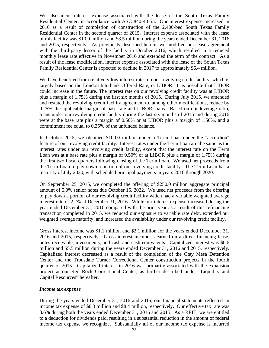We also incur interest expense associated with the lease of the South Texas Family Residential Center, in accordance with ASC 840-40-55. Our interest expense increased in 2016 as a result of completion of construction of the 2,400-bed South Texas Family Residential Center in the second quarter of 2015. Interest expense associated with the lease of this facility was \$10.0 million and \$8.5 million during the years ended December 31, 2016 and 2015, respectively. As previously described herein, we modified our lease agreement with the third-party lessor of the facility in October 2016, which resulted in a reduced monthly lease rate effective in November 2016 and extended the term of the contract. As a result of the lease modification, interest expense associated with the lease of the South Texas Family Residential Center is expected to decline in 2017 to approximately \$6.4 million.

We have benefited from relatively low interest rates on our revolving credit facility, which is largely based on the London Interbank Offered Rate, or LIBOR. It is possible that LIBOR could increase in the future. The interest rate on our revolving credit facility was at LIBOR plus a margin of 1.75% during the first six months of 2015. During July 2015, we amended and restated the revolving credit facility agreement to, among other modifications, reduce by 0.25% the applicable margin of base rate and LIBOR loans. Based on our leverage ratio, loans under our revolving credit facility during the last six months of 2015 and during 2016 were at the base rate plus a margin of 0.50% or at LIBOR plus a margin of 1.50%, and a commitment fee equal to 0.35% of the unfunded balance.

In October 2015, we obtained \$100.0 million under a Term Loan under the "accordion" feature of our revolving credit facility. Interest rates under the Term Loan are the same as the interest rates under our revolving credit facility, except that the interest rate on the Term Loan was at a base rate plus a margin of 0.50% or at LIBOR plus a margin of 1.75% during the first two fiscal quarters following closing of the Term Loan. We used net proceeds from the Term Loan to pay down a portion of our revolving credit facility. The Term Loan has a maturity of July 2020, with scheduled principal payments in years 2016 through 2020.

On September 25, 2015, we completed the offering of \$250.0 million aggregate principal amount of 5.0% senior notes due October 15, 2022. We used net proceeds from the offering to pay down a portion of our revolving credit facility which had a variable weighted average interest rate of 2.2% at December 31, 2016. While our interest expense increased during the year ended December 31, 2016 compared with the prior year as a result of this refinancing transaction completed in 2015, we reduced our exposure to variable rate debt, extended our weighted average maturity, and increased the availability under our revolving credit facility.

Gross interest income was \$1.1 million and \$2.1 million for the years ended December 31, 2016 and 2015, respectively. Gross interest income is earned on a direct financing lease, notes receivable, investments, and cash and cash equivalents. Capitalized interest was \$0.6 million and \$5.5 million during the years ended December 31, 2016 and 2015, respectively. Capitalized interest decreased as a result of the completion of the Otay Mesa Detention Center and the Trousdale Turner Correctional Center construction projects in the fourth quarter of 2015. Capitalized interest in 2016 was primarily associated with the expansion project at our Red Rock Correctional Center, as further described under "Liquidity and Capital Resources" hereafter.

#### *Income tax expense*

During the years ended December 31, 2016 and 2015, our financial statements reflected an income tax expense of \$8.3 million and \$8.4 million, respectively. Our effective tax rate was 3.6% during both the years ended December 31, 2016 and 2015. As a REIT, we are entitled to a deduction for dividends paid, resulting in a substantial reduction in the amount of federal income tax expense we recognize. Substantially all of our income tax expense is incurred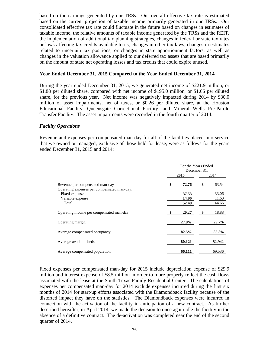based on the earnings generated by our TRSs. Our overall effective tax rate is estimated based on the current projection of taxable income primarily generated in our TRSs. Our consolidated effective tax rate could fluctuate in the future based on changes in estimates of taxable income, the relative amounts of taxable income generated by the TRSs and the REIT, the implementation of additional tax planning strategies, changes in federal or state tax rates or laws affecting tax credits available to us, changes in other tax laws, changes in estimates related to uncertain tax positions, or changes in state apportionment factors, as well as changes in the valuation allowance applied to our deferred tax assets that are based primarily on the amount of state net operating losses and tax credits that could expire unused.

#### **Year Ended December 31, 2015 Compared to the Year Ended December 31, 2014**

During the year ended December 31, 2015, we generated net income of \$221.9 million, or \$1.88 per diluted share, compared with net income of \$195.0 million, or \$1.66 per diluted share, for the previous year. Net income was negatively impacted during 2014 by \$30.0 million of asset impairments, net of taxes, or \$0.26 per diluted share, at the Houston Educational Facility, Queensgate Correctional Facility, and Mineral Wells Pre-Parole Transfer Facility. The asset impairments were recorded in the fourth quarter of 2014.

#### *Facility Operations*

Revenue and expenses per compensated man-day for all of the facilities placed into service that we owned or managed, exclusive of those held for lease, were as follows for the years ended December 31, 2015 and 2014:

|                                                                                | For the Years Ended<br>December 31. |    |        |  |  |  |
|--------------------------------------------------------------------------------|-------------------------------------|----|--------|--|--|--|
|                                                                                | 2015                                |    | 2014   |  |  |  |
| Revenue per compensated man-day<br>Operating expenses per compensated man-day: | \$<br>72.76                         | \$ | 63.54  |  |  |  |
| Fixed expense                                                                  | 37.53                               |    | 33.06  |  |  |  |
| Variable expense                                                               | 14.96                               |    | 11.60  |  |  |  |
| Total                                                                          | 52.49                               |    | 44.66  |  |  |  |
| Operating income per compensated man-day                                       | 20.27                               | -S | 18.88  |  |  |  |
| Operating margin                                                               | 27.9%                               |    | 29.7%  |  |  |  |
| Average compensated occupancy                                                  | 82.5%                               |    | 83.8%  |  |  |  |
| Average available beds                                                         | 80,121                              |    | 82,942 |  |  |  |
| Average compensated population                                                 | 66,111                              |    | 69,536 |  |  |  |

Fixed expenses per compensated man-day for 2015 include depreciation expense of \$29.9 million and interest expense of \$8.5 million in order to more properly reflect the cash flows associated with the lease at the South Texas Family Residential Center. The calculations of expenses per compensated man-day for 2014 exclude expenses incurred during the first six months of 2014 for start-up efforts associated with the Diamondback facility because of the distorted impact they have on the statistics. The Diamondback expenses were incurred in connection with the activation of the facility in anticipation of a new contract. As further described hereafter, in April 2014, we made the decision to once again idle the facility in the absence of a definitive contract. The de-activation was completed near the end of the second quarter of 2014.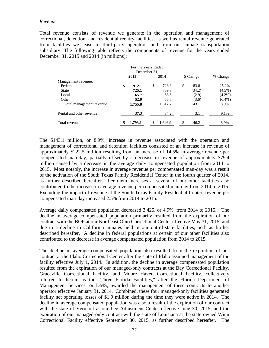#### *Revenue*

Total revenue consists of revenue we generate in the operation and management of correctional, detention, and residential reentry facilities, as well as rental revenue generated from facilities we lease to third-party operators, and from our inmate transportation subsidiary. The following table reflects the components of revenue for the years ended December 31, 2015 and 2014 (in millions):

|                          | For the Years Ended<br>December 31. |             |             |           |
|--------------------------|-------------------------------------|-------------|-------------|-----------|
|                          | 2015                                | 2014        | \$ Change   | % Change  |
| Management revenue:      |                                     |             |             |           |
| Federal                  | \$<br>912.1                         | \$<br>728.3 | \$<br>183.8 | 25.2%     |
| <b>State</b>             | 725.1                               | 759.3       | (34.2)      | $(4.5\%)$ |
| Local                    | 65.7                                | 68.6        | (2.9)       | $(4.2\%)$ |
| Other                    | 52.9                                | 56.5        | (3.6)       | $(6.4\%)$ |
| Total management revenue | 1,755.8                             | 1,612.7     | 143.1       | 8.9%      |
| Rental and other revenue | 37.3                                | 34.2        | 3.1         | 9.1%      |
| Total revenue            | 1,793.1                             | 1.646.9     | \$<br>146.2 | 8.9%      |

The \$143.1 million, or 8.9%, increase in revenue associated with the operation and management of correctional and detention facilities consisted of an increase in revenue of approximately \$222.5 million resulting from an increase of 14.5% in average revenue per compensated man-day, partially offset by a decrease in revenue of approximately \$79.4 million caused by a decrease in the average daily compensated population from 2014 to 2015. Most notably, the increase in average revenue per compensated man-day was a result of the activation of the South Texas Family Residential Center in the fourth quarter of 2014, as further described hereafter. Per diem increases at several of our other facilities also contributed to the increase in average revenue per compensated man-day from 2014 to 2015. Excluding the impact of revenue at the South Texas Family Residential Center, revenue per compensated man-day increased 2.5% from 2014 to 2015.

Average daily compensated population decreased 3,425, or 4.9%, from 2014 to 2015. The decline in average compensated population primarily resulted from the expiration of our contract with the BOP at our Northeast Ohio Correctional Center effective May 31, 2015, and due to a decline in California inmates held in our out-of-state facilities, both as further described hereafter. A decline in federal populations at certain of our other facilities also contributed to the decrease in average compensated population from 2014 to 2015.

The decline in average compensated population also resulted from the expiration of our contract at the Idaho Correctional Center after the state of Idaho assumed management of the facility effective July 1, 2014. In addition, the decline in average compensated population resulted from the expiration of our managed-only contracts at the Bay Correctional Facility, Graceville Correctional Facility, and Moore Haven Correctional Facility, collectively referred to herein as the "Three Florida Facilities," after the Florida Department of Management Services, or DMS, awarded the management of these contracts to another operator effective January 31, 2014. Combined, these four managed-only facilities generated facility net operating losses of \$1.9 million during the time they were active in 2014. The decline in average compensated population was also a result of the expiration of our contract with the state of Vermont at our Lee Adjustment Center effective June 30, 2015, and the expiration of our managed-only contract with the state of Louisiana at the state-owned Winn Correctional Facility effective September 30, 2015, as further described hereafter. The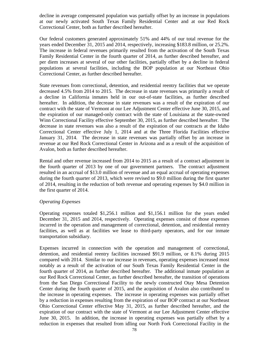decline in average compensated population was partially offset by an increase in populations at our newly activated South Texas Family Residential Center and at our Red Rock Correctional Center, both as further described hereafter.

Our federal customers generated approximately 51% and 44% of our total revenue for the years ended December 31, 2015 and 2014, respectively, increasing \$183.8 million, or 25.2%. The increase in federal revenues primarily resulted from the activation of the South Texas Family Residential Center in the fourth quarter of 2014, as further described hereafter, and per diem increases at several of our other facilities, partially offset by a decline in federal populations at several facilities, including the BOP population at our Northeast Ohio Correctional Center, as further described hereafter.

State revenues from correctional, detention, and residential reentry facilities that we operate decreased 4.5% from 2014 to 2015. The decrease in state revenues was primarily a result of a decline in California inmates held in our out-of-state facilities, as further described hereafter. In addition, the decrease in state revenues was a result of the expiration of our contract with the state of Vermont at our Lee Adjustment Center effective June 30, 2015, and the expiration of our managed-only contract with the state of Louisiana at the state-owned Winn Correctional Facility effective September 30, 2015, as further described hereafter. The decrease in state revenues was also a result of the expiration of our contracts at the Idaho Correctional Center effective July 1, 2014 and at the Three Florida Facilities effective January 31, 2014. The decrease in state revenues was partially offset by an increase in revenue at our Red Rock Correctional Center in Arizona and as a result of the acquisition of Avalon, both as further described hereafter.

Rental and other revenue increased from 2014 to 2015 as a result of a contract adjustment in the fourth quarter of 2013 by one of our government partners. The contract adjustment resulted in an accrual of \$13.0 million of revenue and an equal accrual of operating expenses during the fourth quarter of 2013, which were revised to \$9.0 million during the first quarter of 2014, resulting in the reduction of both revenue and operating expenses by \$4.0 million in the first quarter of 2014.

## *Operating Expenses*

Operating expenses totaled \$1,256.1 million and \$1,156.1 million for the years ended December 31, 2015 and 2014, respectively. Operating expenses consist of those expenses incurred in the operation and management of correctional, detention, and residential reentry facilities, as well as at facilities we lease to third-party operators, and for our inmate transportation subsidiary.

Expenses incurred in connection with the operation and management of correctional, detention, and residential reentry facilities increased \$91.9 million, or 8.1% during 2015 compared with 2014. Similar to our increase in revenues, operating expenses increased most notably as a result of the activation of our South Texas Family Residential Center in the fourth quarter of 2014, as further described hereafter. The additional inmate population at our Red Rock Correctional Center, as further described hereafter, the transition of operations from the San Diego Correctional Facility to the newly constructed Otay Mesa Detention Center during the fourth quarter of 2015, and the acquisition of Avalon also contributed to the increase in operating expenses. The increase in operating expenses was partially offset by a reduction in expenses resulting from the expiration of our BOP contract at our Northeast Ohio Correctional Center effective May 31, 2015, as further described hereafter, and the expiration of our contract with the state of Vermont at our Lee Adjustment Center effective June 30, 2015. In addition, the increase in operating expenses was partially offset by a reduction in expenses that resulted from idling our North Fork Correctional Facility in the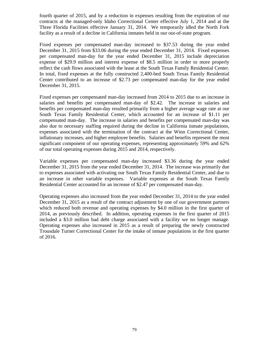fourth quarter of 2015, and by a reduction in expenses resulting from the expiration of our contracts at the managed-only Idaho Correctional Center effective July 1, 2014 and at the Three Florida Facilities effective January 31, 2014. We temporarily idled the North Fork facility as a result of a decline in California inmates held in our out-of-state program.

Fixed expenses per compensated man-day increased to \$37.53 during the year ended December 31, 2015 from \$33.06 during the year ended December 31, 2014. Fixed expenses per compensated man-day for the year ended December 31, 2015 include depreciation expense of \$29.9 million and interest expense of \$8.5 million in order to more properly reflect the cash flows associated with the lease at the South Texas Family Residential Center. In total, fixed expenses at the fully constructed 2,400-bed South Texas Family Residential Center contributed to an increase of \$2.73 per compensated man-day for the year ended December 31, 2015.

Fixed expenses per compensated man-day increased from 2014 to 2015 due to an increase in salaries and benefits per compensated man-day of \$2.42. The increase in salaries and benefits per compensated man-day resulted primarily from a higher average wage rate at our South Texas Family Residential Center, which accounted for an increase of \$1.11 per compensated man-day. The increase in salaries and benefits per compensated man-day was also due to necessary staffing required during the decline in California inmate populations, expenses associated with the termination of the contract at the Winn Correctional Center, inflationary increases, and higher employee benefits. Salaries and benefits represent the most significant component of our operating expenses, representing approximately 59% and 62% of our total operating expenses during 2015 and 2014, respectively.

Variable expenses per compensated man-day increased \$3.36 during the year ended December 31, 2015 from the year ended December 31, 2014. The increase was primarily due to expenses associated with activating our South Texas Family Residential Center, and due to an increase in other variable expenses. Variable expenses at the South Texas Family Residential Center accounted for an increase of \$2.47 per compensated man-day.

Operating expenses also increased from the year ended December 31, 2014 to the year ended December 31, 2015 as a result of the contract adjustment by one of our government partners which reduced both revenue and operating expenses by \$4.0 million in the first quarter of 2014, as previously described. In addition, operating expenses in the first quarter of 2015 included a \$3.0 million bad debt charge associated with a facility we no longer manage. Operating expenses also increased in 2015 as a result of preparing the newly constructed Trousdale Turner Correctional Center for the intake of inmate populations in the first quarter of 2016.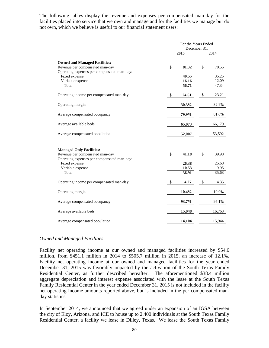The following tables display the revenue and expenses per compensated man-day for the facilities placed into service that we own and manage and for the facilities we manage but do not own, which we believe is useful to our financial statement users:

|                                                                                                                                                                      | For the Years Ended<br>December 31, |                                  |    |                                  |  |  |
|----------------------------------------------------------------------------------------------------------------------------------------------------------------------|-------------------------------------|----------------------------------|----|----------------------------------|--|--|
|                                                                                                                                                                      |                                     | 2015                             |    | 2014                             |  |  |
| <b>Owned and Managed Facilities:</b><br>Revenue per compensated man-day<br>Operating expenses per compensated man-day:<br>Fixed expense<br>Variable expense<br>Total | \$                                  | 81.32<br>40.55<br>16.16<br>56.71 | \$ | 70.55<br>35.25<br>12.09<br>47.34 |  |  |
| Operating income per compensated man-day                                                                                                                             | \$                                  | 24.61                            | \$ | 23.21                            |  |  |
| Operating margin                                                                                                                                                     |                                     | 30.3%                            |    | 32.9%                            |  |  |
| Average compensated occupancy                                                                                                                                        |                                     | 79.9%                            |    | 81.0%                            |  |  |
| Average available beds                                                                                                                                               |                                     | 65,073                           |    | 66,179                           |  |  |
| Average compensated population                                                                                                                                       |                                     | 52,007                           |    | 53,592                           |  |  |
| <b>Managed Only Facilities:</b><br>Revenue per compensated man-day<br>Operating expenses per compensated man-day:<br>Fixed expense<br>Variable expense<br>Total      | \$                                  | 41.18<br>26.38<br>10.53<br>36.91 | \$ | 39.98<br>25.68<br>9.95<br>35.63  |  |  |
| Operating income per compensated man-day                                                                                                                             | -\$                                 | 4.27                             | \$ | 4.35                             |  |  |
| Operating margin                                                                                                                                                     |                                     | 10.4%                            |    | 10.9%                            |  |  |
| Average compensated occupancy                                                                                                                                        |                                     | 93.7%                            |    | 95.1%                            |  |  |
| Average available beds                                                                                                                                               |                                     | 15,048                           |    | 16,763                           |  |  |
| Average compensated population                                                                                                                                       |                                     | 14,104                           |    | 15,944                           |  |  |

#### *Owned and Managed Facilities*

Facility net operating income at our owned and managed facilities increased by \$54.6 million, from \$451.1 million in 2014 to \$505.7 million in 2015, an increase of 12.1%. Facility net operating income at our owned and managed facilities for the year ended December 31, 2015 was favorably impacted by the activation of the South Texas Family Residential Center, as further described hereafter. The aforementioned \$38.4 million aggregate depreciation and interest expense associated with the lease at the South Texas Family Residential Center in the year ended December 31, 2015 is not included in the facility net operating income amounts reported above, but is included in the per compensated manday statistics.

In September 2014, we announced that we agreed under an expansion of an IGSA between the city of Eloy, Arizona, and ICE to house up to 2,400 individuals at the South Texas Family Residential Center, a facility we lease in Dilley, Texas. We lease the South Texas Family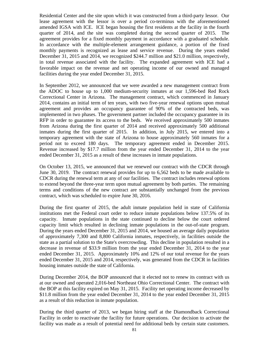Residential Center and the site upon which it was constructed from a third-party lessor. Our lease agreement with the lessor is over a period co-terminus with the aforementioned amended IGSA with ICE. ICE began housing the first residents at the facility in the fourth quarter of 2014, and the site was completed during the second quarter of 2015. The agreement provides for a fixed monthly payment in accordance with a graduated schedule. In accordance with the multiple-element arrangement guidance, a portion of the fixed monthly payments is recognized as lease and service revenue. During the years ended December 31, 2015 and 2014, we recognized \$244.7 million and \$21.0 million, respectively, in total revenue associated with the facility. The expanded agreement with ICE had a favorable impact on the revenue and net operating income of our owned and managed facilities during the year ended December 31, 2015.

In September 2012, we announced that we were awarded a new management contract from the ADOC to house up to 1,000 medium-security inmates at our 1,596-bed Red Rock Correctional Center in Arizona. The management contract, which commenced in January 2014, contains an initial term of ten years, with two five-year renewal options upon mutual agreement and provides an occupancy guarantee of 90% of the contracted beds, was implemented in two phases. The government partner included the occupancy guarantee in its RFP in order to guarantee its access to the beds. We received approximately 500 inmates from Arizona during the first quarter of 2014 and received approximately 500 additional inmates during the first quarter of 2015. In addition, in July 2015, we entered into a temporary agreement with the state of Arizona to house approximately 560 inmates for a period not to exceed 180 days. The temporary agreement ended in December 2015. Revenue increased by \$17.7 million from the year ended December 31, 2014 to the year ended December 31, 2015 as a result of these increases in inmate populations.

On October 13, 2015, we announced that we renewed our contract with the CDCR through June 30, 2019. The contract renewal provides for up to 6,562 beds to be made available to CDCR during the renewal term at any of our facilities. The contract includes renewal options to extend beyond the three-year term upon mutual agreement by both parties. The remaining terms and conditions of the new contract are substantially unchanged from the previous contract, which was scheduled to expire June 30, 2016.

During the first quarter of 2015, the adult inmate population held in state of California institutions met the Federal court order to reduce inmate populations below 137.5% of its capacity. Inmate populations in the state continued to decline below the court ordered capacity limit which resulted in declining inmate populations in the out-of-state program. During the years ended December 31, 2015 and 2014, we housed an average daily population of approximately 7,300 and 8,800 California inmates, respectively, in facilities outside the state as a partial solution to the State's overcrowding. This decline in population resulted in a decrease in revenue of \$33.9 million from the year ended December 31, 2014 to the year ended December 31, 2015. Approximately 10% and 12% of our total revenue for the years ended December 31, 2015 and 2014, respectively, was generated from the CDCR in facilities housing inmates outside the state of California.

During December 2014, the BOP announced that it elected not to renew its contract with us at our owned and operated 2,016-bed Northeast Ohio Correctional Center. The contract with the BOP at this facility expired on May 31, 2015. Facility net operating income decreased by \$11.8 million from the year ended December 31, 2014 to the year ended December 31, 2015 as a result of this reduction in inmate population.

During the third quarter of 2013, we began hiring staff at the Diamondback Correctional Facility in order to reactivate the facility for future operations. Our decision to activate the facility was made as a result of potential need for additional beds by certain state customers.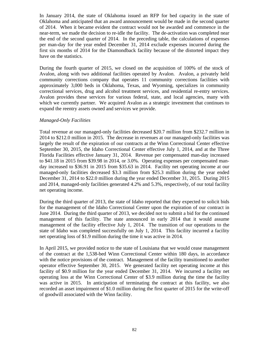In January 2014, the state of Oklahoma issued an RFP for bed capacity in the state of Oklahoma and anticipated that an award announcement would be made in the second quarter of 2014. When it became evident the contract would not be awarded and commence in the near-term, we made the decision to re-idle the facility. The de-activation was completed near the end of the second quarter of 2014. In the preceding table, the calculations of expenses per man-day for the year ended December 31, 2014 exclude expenses incurred during the first six months of 2014 for the Diamondback facility because of the distorted impact they have on the statistics.

During the fourth quarter of 2015, we closed on the acquisition of 100% of the stock of Avalon, along with two additional facilities operated by Avalon. Avalon, a privately held community corrections company that operates 11 community corrections facilities with approximately 3,000 beds in Oklahoma, Texas, and Wyoming, specializes in community correctional services, drug and alcohol treatment services, and residential re-entry services. Avalon provides these services for various federal, state, and local agencies, many with which we currently partner. We acquired Avalon as a strategic investment that continues to expand the reentry assets owned and services we provide.

#### *Managed-Only Facilities*

Total revenue at our managed-only facilities decreased \$20.7 million from \$232.7 million in 2014 to \$212.0 million in 2015. The decrease in revenues at our managed-only facilities was largely the result of the expiration of our contracts at the Winn Correctional Center effective September 30, 2015, the Idaho Correctional Center effective July 1, 2014, and at the Three Florida Facilities effective January 31, 2014. Revenue per compensated man-day increased to \$41.18 in 2015 from \$39.98 in 2014, or 3.0%. Operating expenses per compensated manday increased to \$36.91 in 2015 from \$35.63 in 2014. Facility net operating income at our managed-only facilities decreased \$3.3 million from \$25.3 million during the year ended December 31, 2014 to \$22.0 million during the year ended December 31, 2015. During 2015 and 2014, managed-only facilities generated 4.2% and 5.3%, respectively, of our total facility net operating income.

During the third quarter of 2013, the state of Idaho reported that they expected to solicit bids for the management of the Idaho Correctional Center upon the expiration of our contract in June 2014. During the third quarter of 2013, we decided not to submit a bid for the continued management of this facility. The state announced in early 2014 that it would assume management of the facility effective July 1, 2014. The transition of our operations to the state of Idaho was completed successfully on July 1, 2014. This facility incurred a facility net operating loss of \$1.9 million during the time it was active in 2014.

In April 2015, we provided notice to the state of Louisiana that we would cease management of the contract at the 1,538-bed Winn Correctional Center within 180 days, in accordance with the notice provisions of the contract. Management of the facility transitioned to another operator effective September 30, 2015. We generated facility net operating income at this facility of \$0.9 million for the year ended December 31, 2014. We incurred a facility net operating loss at the Winn Correctional Center of \$3.9 million during the time the facility was active in 2015. In anticipation of terminating the contract at this facility, we also recorded an asset impairment of \$1.0 million during the first quarter of 2015 for the write-off of goodwill associated with the Winn facility.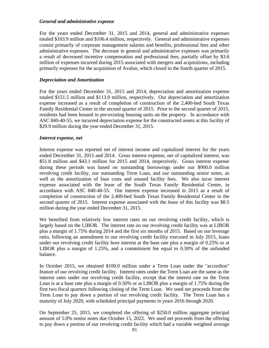#### *General and administrative expense*

For the years ended December 31, 2015 and 2014, general and administrative expenses totaled \$103.9 million and \$106.4 million, respectively. General and administrative expenses consist primarily of corporate management salaries and benefits, professional fees and other administrative expenses. The decrease in general and administrative expenses was primarily a result of decreased incentive compensation and professional fees, partially offset by \$3.6 million of expenses incurred during 2015 associated with mergers and acquisitions, including primarily expenses for the acquisition of Avalon, which closed in the fourth quarter of 2015.

## *Depreciation and Amortization*

For the years ended December 31, 2015 and 2014, depreciation and amortization expense totaled \$151.5 million and \$113.9 million, respectively. Our depreciation and amortization expense increased as a result of completion of construction of the 2,400-bed South Texas Family Residential Center in the second quarter of 2015. Prior to the second quarter of 2015, residents had been housed in pre-existing housing units on the property. In accordance with ASC 840-40-55, we incurred depreciation expense for the constructed assets at this facility of \$29.9 million during the year ended December 31, 2015.

#### *Interest expense, net*

Interest expense was reported net of interest income and capitalized interest for the years ended December 31, 2015 and 2014. Gross interest expense, net of capitalized interest, was \$51.8 million and \$43.1 million for 2015 and 2014, respectively. Gross interest expense during these periods was based on outstanding borrowings under our \$900.0 million revolving credit facility, our outstanding Term Loan, and our outstanding senior notes, as well as the amortization of loan costs and unused facility fees. We also incur interest expense associated with the lease of the South Texas Family Residential Center, in accordance with ASC 840-40-55. Our interest expense increased in 2015 as a result of completion of construction of the 2,400-bed South Texas Family Residential Center in the second quarter of 2015. Interest expense associated with the lease of this facility was \$8.5 million during the year ended December 31, 2015.

We benefited from relatively low interest rates on our revolving credit facility, which is largely based on the LIBOR. The interest rate on our revolving credit facility was at LIBOR plus a margin of 1.75% during 2014 and the first six months of 2015. Based on our leverage ratio, following an amendment to our revolving credit facility executed in July 2015, loans under our revolving credit facility bore interest at the base rate plus a margin of 0.25% or at LIBOR plus a margin of 1.25%, and a commitment fee equal to 0.30% of the unfunded balance.

In October 2015, we obtained \$100.0 million under a Term Loan under the "accordion" feature of our revolving credit facility. Interest rates under the Term Loan are the same as the interest rates under our revolving credit facility, except that the interest rate on the Term Loan is at a base rate plus a margin of 0.50% or at LIBOR plus a margin of 1.75% during the first two fiscal quarters following closing of the Term Loan. We used net proceeds from the Term Loan to pay down a portion of our revolving credit facility. The Term Loan has a maturity of July 2020, with scheduled principal payments in years 2016 through 2020.

On September 25, 2015, we completed the offering of \$250.0 million aggregate principal amount of 5.0% senior notes due October 15, 2022. We used net proceeds from the offering to pay down a portion of our revolving credit facility which had a variable weighted average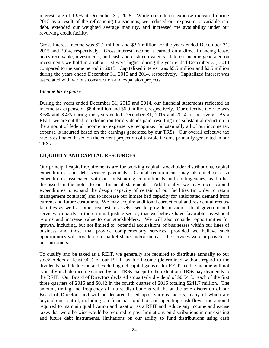interest rate of 1.9% at December 31, 2015. While our interest expense increased during 2015 as a result of the refinancing transactions, we reduced our exposure to variable rate debt, extended our weighted average maturity, and increased the availability under our revolving credit facility.

Gross interest income was \$2.1 million and \$3.6 million for the years ended December 31, 2015 and 2014, respectively. Gross interest income is earned on a direct financing lease, notes receivable, investments, and cash and cash equivalents. Interest income generated on investments we hold in a rabbi trust were higher during the year ended December 31, 2014 compared to the same period in 2015. Capitalized interest was \$5.5 million and \$2.5 million during the years ended December 31, 2015 and 2014, respectively. Capitalized interest was associated with various construction and expansion projects.

#### *Income tax expense*

During the years ended December 31, 2015 and 2014, our financial statements reflected an income tax expense of \$8.4 million and \$6.9 million, respectively. Our effective tax rate was 3.6% and 3.4% during the years ended December 31, 2015 and 2014, respectively. As a REIT, we are entitled to a deduction for dividends paid, resulting in a substantial reduction in the amount of federal income tax expense we recognize. Substantially all of our income tax expense is incurred based on the earnings generated by our TRSs. Our overall effective tax rate is estimated based on the current projection of taxable income primarily generated in our TRSs.

## **LIQUIDITY AND CAPITAL RESOURCES**

Our principal capital requirements are for working capital, stockholder distributions, capital expenditures, and debt service payments. Capital requirements may also include cash expenditures associated with our outstanding commitments and contingencies, as further discussed in the notes to our financial statements. Additionally, we may incur capital expenditures to expand the design capacity of certain of our facilities (in order to retain management contracts) and to increase our inmate bed capacity for anticipated demand from current and future customers. We may acquire additional correctional and residential reentry facilities as well as other real estate assets used to provide mission critical governmental services primarily in the criminal justice sector, that we believe have favorable investment returns and increase value to our stockholders. We will also consider opportunities for growth, including, but not limited to, potential acquisitions of businesses within our lines of business and those that provide complementary services, provided we believe such opportunities will broaden our market share and/or increase the services we can provide to our customers.

To qualify and be taxed as a REIT, we generally are required to distribute annually to our stockholders at least 90% of our REIT taxable income (determined without regard to the dividends paid deduction and excluding net capital gains). Our REIT taxable income will not typically include income earned by our TRSs except to the extent our TRSs pay dividends to the REIT. Our Board of Directors declared a quarterly dividend of \$0.54 for each of the first three quarters of 2016 and \$0.42 in the fourth quarter of 2016 totaling \$241.7 million. The amount, timing and frequency of future distributions will be at the sole discretion of our Board of Directors and will be declared based upon various factors, many of which are beyond our control, including our financial condition and operating cash flows, the amount required to maintain qualification and taxation as a REIT and reduce any income and excise taxes that we otherwise would be required to pay, limitations on distributions in our existing and future debt instruments, limitations on our ability to fund distributions using cash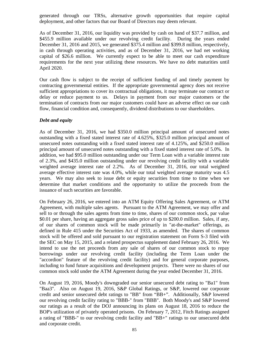generated through our TRSs, alternative growth opportunities that require capital deployment, and other factors that our Board of Directors may deem relevant.

As of December 31, 2016, our liquidity was provided by cash on hand of \$37.7 million, and \$455.9 million available under our revolving credit facility. During the years ended December 31, 2016 and 2015, we generated \$375.4 million and \$399.8 million, respectively, in cash through operating activities, and as of December 31, 2016, we had net working capital of \$26.6 million. We currently expect to be able to meet our cash expenditure requirements for the next year utilizing these resources. We have no debt maturities until April 2020.

Our cash flow is subject to the receipt of sufficient funding of and timely payment by contracting governmental entities. If the appropriate governmental agency does not receive sufficient appropriations to cover its contractual obligations, it may terminate our contract or delay or reduce payment to us. Delays in payment from our major customers or the termination of contracts from our major customers could have an adverse effect on our cash flow, financial condition and, consequently, dividend distributions to our shareholders.

## *Debt and equity*

As of December 31, 2016, we had \$350.0 million principal amount of unsecured notes outstanding with a fixed stated interest rate of 4.625%, \$325.0 million principal amount of unsecured notes outstanding with a fixed stated interest rate of 4.125%, and \$250.0 million principal amount of unsecured notes outstanding with a fixed stated interest rate of 5.0%. In addition, we had \$95.0 million outstanding under our Term Loan with a variable interest rate of 2.3%, and \$435.0 million outstanding under our revolving credit facility with a variable weighted average interest rate of 2.2%. As of December 31, 2016, our total weighted average effective interest rate was 4.0%, while our total weighted average maturity was 4.5 years. We may also seek to issue debt or equity securities from time to time when we determine that market conditions and the opportunity to utilize the proceeds from the issuance of such securities are favorable.

On February 26, 2016, we entered into an ATM Equity Offering Sales Agreement, or ATM Agreement, with multiple sales agents. Pursuant to the ATM Agreement, we may offer and sell to or through the sales agents from time to time, shares of our common stock, par value \$0.01 per share, having an aggregate gross sales price of up to \$200.0 million. Sales, if any, of our shares of common stock will be made primarily in "at-the-market" offerings, as defined in Rule 415 under the Securities Act of 1933, as amended. The shares of common stock will be offered and sold pursuant to our registration statement on Form S-3 filed with the SEC on May 15, 2015, and a related prospectus supplement dated February 26, 2016. We intend to use the net proceeds from any sale of shares of our common stock to repay borrowings under our revolving credit facility (including the Term Loan under the "accordion" feature of the revolving credit facility) and for general corporate purposes, including to fund future acquisitions and development projects. There were no shares of our common stock sold under the ATM Agreement during the year ended December 31, 2016.

On August 19, 2016, Moody's downgraded our senior unsecured debt rating to "Ba1" from "Baa3". Also on August 19, 2016, S&P Global Ratings, or S&P, lowered our corporate credit and senior unsecured debt ratings to "BB" from "BB+". Additionally, S&P lowered our revolving credit facility rating to "BBB-" from "BBB". Both Moody's and S&P lowered our ratings as a result of the DOJ announcing its plans on August 18, 2016 to reduce the BOP's utilization of privately operated prisons. On February 7, 2012, Fitch Ratings assigned a rating of "BBB-" to our revolving credit facility and "BB+" ratings to our unsecured debt and corporate credit.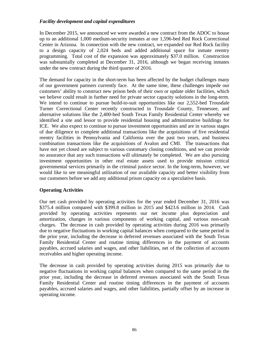## *Facility development and capital expenditures*

In December 2015, we announced we were awarded a new contract from the ADOC to house up to an additional 1,000 medium-security inmates at our 1,596-bed Red Rock Correctional Center in Arizona. In connection with the new contract, we expanded our Red Rock facility to a design capacity of 2,024 beds and added additional space for inmate reentry programming. Total cost of the expansion was approximately \$37.0 million. Construction was substantially completed at December 31, 2016, although we began receiving inmates under the new contract during the third quarter of 2016.

The demand for capacity in the short-term has been affected by the budget challenges many of our government partners currently face. At the same time, these challenges impede our customers' ability to construct new prison beds of their own or update older facilities, which we believe could result in further need for private sector capacity solutions in the long-term. We intend to continue to pursue build-to-suit opportunities like our 2,552-bed Trousdale Turner Correctional Center recently constructed in Trousdale County, Tennessee, and alternative solutions like the 2,400-bed South Texas Family Residential Center whereby we identified a site and lessor to provide residential housing and administrative buildings for ICE.We also expect to continue to pursue investment opportunities and are in various stages of due diligence to complete additional transactions like the acquisitions of five residential reentry facilities in Pennsylvania and California over the past two years, and business combination transactions like the acquisitions of Avalon and CMI. The transactions that have not yet closed are subject to various customary closing conditions, and we can provide no assurance that any such transactions will ultimately be completed. We are also pursuing investment opportunities in other real estate assets used to provide mission critical governmental services primarily in the criminal justice sector. In the long-term, however, we would like to see meaningful utilization of our available capacity and better visibility from our customers before we add any additional prison capacity on a speculative basis.

## **Operating Activities**

Our net cash provided by operating activities for the year ended December 31, 2016 was \$375.4 million compared with \$399.8 million in 2015 and \$423.6 million in 2014. Cash provided by operating activities represents our net income plus depreciation and amortization, changes in various components of working capital, and various non-cash charges. The decrease in cash provided by operating activities during 2016 was primarily due to negative fluctuations in working capital balances when compared to the same period in the prior year, including the decrease in deferred revenues associated with the South Texas Family Residential Center and routine timing differences in the payment of accounts payables, accrued salaries and wages, and other liabilities, net of the collection of accounts receivables and higher operating income.

The decrease in cash provided by operating activities during 2015 was primarily due to negative fluctuations in working capital balances when compared to the same period in the prior year, including the decrease in deferred revenues associated with the South Texas Family Residential Center and routine timing differences in the payment of accounts payables, accrued salaries and wages, and other liabilities, partially offset by an increase in operating income.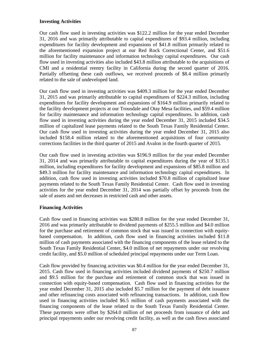## **Investing Activities**

Our cash flow used in investing activities was \$122.2 million for the year ended December 31, 2016 and was primarily attributable to capital expenditures of \$93.4 million, including expenditures for facility development and expansions of \$41.8 million primarily related to the aforementioned expansion project at our Red Rock Correctional Center, and \$51.6 million for facility maintenance and information technology capital expenditures. Our cash flow used in investing activities also included \$43.8 million attributable to the acquisitions of CMI and a residential reentry facility in California during the second quarter of 2016. Partially offsetting these cash outflows, we received proceeds of \$8.4 million primarily related to the sale of undeveloped land.

Our cash flow used in investing activities was \$409.3 million for the year ended December 31, 2015 and was primarily attributable to capital expenditures of \$224.3 million, including expenditures for facility development and expansions of \$164.9 million primarily related to the facility development projects at our Trousdale and Otay Mesa facilities, and \$59.4 million for facility maintenance and information technology capital expenditures. In addition, cash flow used in investing activities during the year ended December 31, 2015 included \$34.5 million of capitalized lease payments related to the South Texas Family Residential Center. Our cash flow used in investing activities during the year ended December 31, 2015 also included \$158.4 million related to the aforementioned acquisitions of four community corrections facilities in the third quarter of 2015 and Avalon in the fourth quarter of 2015.

Our cash flow used in investing activities was \$196.9 million for the year ended December 31, 2014 and was primarily attributable to capital expenditures during the year of \$135.1 million, including expenditures for facility development and expansions of \$85.8 million and \$49.3 million for facility maintenance and information technology capital expenditures. In addition, cash flow used in investing activities included \$70.8 million of capitalized lease payments related to the South Texas Family Residential Center. Cash flow used in investing activities for the year ended December 31, 2014 was partially offset by proceeds from the sale of assets and net decreases in restricted cash and other assets.

## **Financing Activities**

Cash flow used in financing activities was \$280.8 million for the year ended December 31, 2016 and was primarily attributable to dividend payments of \$255.5 million and \$4.0 million for the purchase and retirement of common stock that was issued in connection with equitybased compensation. In addition, cash flow used in financing activities included \$11.8 million of cash payments associated with the financing components of the lease related to the South Texas Family Residential Center, \$4.0 million of net repayments under our revolving credit facility, and \$5.0 million of scheduled principal repayments under our Term Loan.

Cash flow provided by financing activities was \$0.4 million for the year ended December 31, 2015. Cash flow used in financing activities included dividend payments of \$250.7 million and \$9.5 million for the purchase and retirement of common stock that was issued in connection with equity-based compensation. Cash flow used in financing activities for the year ended December 31, 2015 also included \$5.7 million for the payment of debt issuance and other refinancing costs associated with refinancing transactions. In addition, cash flow used in financing activities included \$6.5 million of cash payments associated with the financing components of the lease related to the South Texas Family Residential Center. These payments were offset by \$264.0 million of net proceeds from issuance of debt and principal repayments under our revolving credit facility, as well as the cash flows associated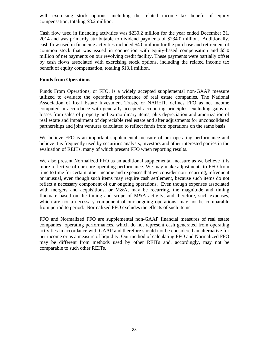with exercising stock options, including the related income tax benefit of equity compensation, totaling \$8.2 million.

Cash flow used in financing activities was \$230.2 million for the year ended December 31, 2014 and was primarily attributable to dividend payments of \$234.0 million. Additionally, cash flow used in financing activities included \$4.0 million for the purchase and retirement of common stock that was issued in connection with equity-based compensation and \$5.0 million of net payments on our revolving credit facility. These payments were partially offset by cash flows associated with exercising stock options, including the related income tax benefit of equity compensation, totaling \$13.1 million.

## **Funds from Operations**

Funds From Operations, or FFO, is a widely accepted supplemental non-GAAP measure utilized to evaluate the operating performance of real estate companies. The National Association of Real Estate Investment Trusts, or NAREIT, defines FFO as net income computed in accordance with generally accepted accounting principles, excluding gains or losses from sales of property and extraordinary items, plus depreciation and amortization of real estate and impairment of depreciable real estate and after adjustments for unconsolidated partnerships and joint ventures calculated to reflect funds from operations on the same basis.

We believe FFO is an important supplemental measure of our operating performance and believe it is frequently used by securities analysts, investors and other interested parties in the evaluation of REITs, many of which present FFO when reporting results.

We also present Normalized FFO as an additional supplemental measure as we believe it is more reflective of our core operating performance. We may make adjustments to FFO from time to time for certain other income and expenses that we consider non-recurring, infrequent or unusual, even though such items may require cash settlement, because such items do not reflect a necessary component of our ongoing operations. Even though expenses associated with mergers and acquisitions, or M&A, may be recurring, the magnitude and timing fluctuate based on the timing and scope of M&A activity, and therefore, such expenses, which are not a necessary component of our ongoing operations, may not be comparable from period to period. Normalized FFO excludes the effects of such items.

FFO and Normalized FFO are supplemental non-GAAP financial measures of real estate companies' operating performances, which do not represent cash generated from operating activities in accordance with GAAP and therefore should not be considered an alternative for net income or as a measure of liquidity. Our method of calculating FFO and Normalized FFO may be different from methods used by other REITs and, accordingly, may not be comparable to such other REITs.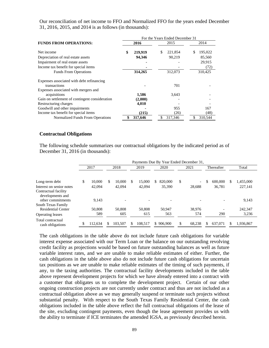Our reconciliation of net income to FFO and Normalized FFO for the years ended December 31, 2016, 2015, and 2014 is as follows (in thousands):

|                                                | For the Years Ended December 31 |               |              |  |  |  |  |  |  |
|------------------------------------------------|---------------------------------|---------------|--------------|--|--|--|--|--|--|
| <b>FUNDS FROM OPERATIONS:</b>                  | 2016                            | 2015          | 2014         |  |  |  |  |  |  |
| Net income                                     | \$<br>219,919                   | \$<br>221,854 | 195,022<br>S |  |  |  |  |  |  |
| Depreciation of real estate assets             | 94,346                          | 90,219        | 85,560       |  |  |  |  |  |  |
| Impairment of real estate assets               |                                 |               | 29,915       |  |  |  |  |  |  |
| Income tax benefit for special items           |                                 |               | (72)         |  |  |  |  |  |  |
| <b>Funds From Operations</b>                   | 314,265                         | 312,073       | 310,425      |  |  |  |  |  |  |
| Expenses associated with debt refinancing      |                                 |               |              |  |  |  |  |  |  |
| transactions                                   |                                 | 701           |              |  |  |  |  |  |  |
| Expenses associated with mergers and           |                                 |               |              |  |  |  |  |  |  |
| acquisitions                                   | 1,586                           | 3,643         |              |  |  |  |  |  |  |
| Gain on settlement of contingent consideration | (2,000)                         |               |              |  |  |  |  |  |  |
| Restructuring charges                          | 4,010                           |               |              |  |  |  |  |  |  |
| Goodwill and other impairments                 |                                 | 955           | 167          |  |  |  |  |  |  |
| Income tax benefit for special items           | (215)                           | (26)          | (48)         |  |  |  |  |  |  |
| Normalized Funds From Operations               | 317,646                         | 317,346       | 310,544      |  |  |  |  |  |  |

#### **Contractual Obligations**

The following schedule summarizes our contractual obligations by the indicated period as of December 31, 2016 (in thousands):

|                                                                      | Payments Due By Year Ended December 31, |         |     |         |    |         |   |           |    |                          |    |            |    |           |  |
|----------------------------------------------------------------------|-----------------------------------------|---------|-----|---------|----|---------|---|-----------|----|--------------------------|----|------------|----|-----------|--|
|                                                                      |                                         | 2017    |     | 2018    |    | 2019    |   | 2020      |    | 2021                     |    | Thereafter |    | Total     |  |
| Long-term debt                                                       | \$                                      | 10.000  | \$. | 10,000  | \$ | 15,000  | S | 820,000   | \$ | $\overline{\phantom{a}}$ | \$ | 600,000    | \$ | 1,455,000 |  |
| Interest on senior notes<br>Contractual facility<br>developments and |                                         | 42,094  |     | 42,094  |    | 42,094  |   | 35,390    |    | 28.688                   |    | 36.781     |    | 227,141   |  |
| other commitments<br>South Texas Family                              |                                         | 9,143   |     |         |    |         |   |           |    |                          |    |            |    | 9,143     |  |
| <b>Residential Center</b>                                            |                                         | 50,808  |     | 50,808  |    | 50.808  |   | 50.947    |    | 38.976                   |    |            |    | 242,347   |  |
| <b>Operating leases</b>                                              |                                         | 589     |     | 605     |    | 615     |   | 563       |    | 574                      |    | 290        |    | 3,236     |  |
| Total contractual<br>cash obligations                                |                                         | 112.634 |     | 103.507 |    | 108.517 |   | \$906,900 | \$ | 68,238                   |    | 637,071    |    | 1.936.867 |  |

The cash obligations in the table above do not include future cash obligations for variable interest expense associated with our Term Loan or the balance on our outstanding revolving credit facility as projections would be based on future outstanding balances as well as future variable interest rates, and we are unable to make reliable estimates of either. Further, the cash obligations in the table above also do not include future cash obligations for uncertain tax positions as we are unable to make reliable estimates of the timing of such payments, if any, to the taxing authorities. The contractual facility developments included in the table above represent development projects for which we have already entered into a contract with a customer that obligates us to complete the development project. Certain of our other ongoing construction projects are not currently under contract and thus are not included as a contractual obligation above as we may generally suspend or terminate such projects without substantial penalty. With respect to the South Texas Family Residential Center, the cash obligations included in the table above reflect the full contractual obligations of the lease of the site, excluding contingent payments, even though the lease agreement provides us with the ability to terminate if ICE terminates the amended IGSA, as previously described herein.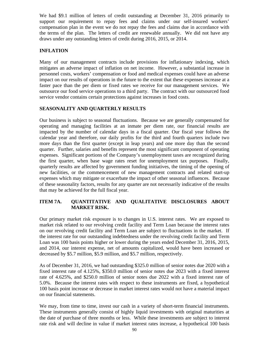We had \$9.1 million of letters of credit outstanding at December 31, 2016 primarily to support our requirement to repay fees and claims under our self-insured workers' compensation plan in the event we do not repay the fees and claims due in accordance with the terms of the plan. The letters of credit are renewable annually. We did not have any draws under any outstanding letters of credit during 2016, 2015, or 2014.

# **INFLATION**

Many of our management contracts include provisions for inflationary indexing, which mitigates an adverse impact of inflation on net income. However, a substantial increase in personnel costs, workers' compensation or food and medical expenses could have an adverse impact on our results of operations in the future to the extent that these expenses increase at a faster pace than the per diem or fixed rates we receive for our management services. We outsource our food service operations to a third party. The contract with our outsourced food service vendor contains certain protections against increases in food costs.

# **SEASONALITY AND QUARTERLY RESULTS**

Our business is subject to seasonal fluctuations. Because we are generally compensated for operating and managing facilities at an inmate per diem rate, our financial results are impacted by the number of calendar days in a fiscal quarter. Our fiscal year follows the calendar year and therefore, our daily profits for the third and fourth quarters include two more days than the first quarter (except in leap years) and one more day than the second quarter. Further, salaries and benefits represent the most significant component of operating expenses. Significant portions of the Company's unemployment taxes are recognized during the first quarter, when base wage rates reset for unemployment tax purposes. Finally, quarterly results are affected by government funding initiatives, the timing of the opening of new facilities, or the commencement of new management contracts and related start-up expenses which may mitigate or exacerbate the impact of other seasonal influences. Because of these seasonality factors, results for any quarter are not necessarily indicative of the results that may be achieved for the full fiscal year.

# **ITEM 7A. QUANTITATIVE AND QUALITATIVE DISCLOSURES ABOUT MARKET RISK.**

Our primary market risk exposure is to changes in U.S. interest rates. We are exposed to market risk related to our revolving credit facility and Term Loan because the interest rates on our revolving credit facility and Term Loan are subject to fluctuations in the market. If the interest rate for our outstanding indebtedness under the revolving credit facility and Term Loan was 100 basis points higher or lower during the years ended December 31, 2016, 2015, and 2014, our interest expense, net of amounts capitalized, would have been increased or decreased by \$5.7 million, \$5.9 million, and \$5.7 million, respectively.

As of December 31, 2016, we had outstanding \$325.0 million of senior notes due 2020 with a fixed interest rate of 4.125%, \$350.0 million of senior notes due 2023 with a fixed interest rate of 4.625%, and \$250.0 million of senior notes due 2022 with a fixed interest rate of 5.0%. Because the interest rates with respect to these instruments are fixed, a hypothetical 100 basis point increase or decrease in market interest rates would not have a material impact on our financial statements.

We may, from time to time, invest our cash in a variety of short-term financial instruments. These instruments generally consist of highly liquid investments with original maturities at the date of purchase of three months or less. While these investments are subject to interest rate risk and will decline in value if market interest rates increase, a hypothetical 100 basis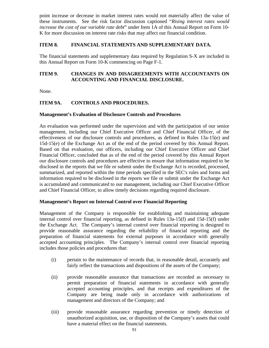point increase or decrease in market interest rates would not materially affect the value of these instruments. See the risk factor discussion captioned "*Rising interest rates would increase the cost of our variable rate debt*" under Item 1A of this Annual Report on Form 10- K for more discussion on interest rate risks that may affect our financial condition.

## **ITEM 8. FINANCIAL STATEMENTS AND SUPPLEMENTARY DATA.**

The financial statements and supplementary data required by Regulation S-X are included in this Annual Report on Form 10-K commencing on Page F-1.

## **ITEM 9. CHANGES IN AND DISAGREEMENTS WITH ACCOUNTANTS ON ACCOUNTING AND FINANCIAL DISCLOSURE.**

None.

## **ITEM 9A. CONTROLS AND PROCEDURES.**

#### **Management's Evaluation of Disclosure Controls and Procedures**

An evaluation was performed under the supervision and with the participation of our senior management, including our Chief Executive Officer and Chief Financial Officer, of the effectiveness of our disclosure controls and procedures, as defined in Rules 13a-15(e) and 15d-15(e) of the Exchange Act as of the end of the period covered by this Annual Report. Based on that evaluation, our officers, including our Chief Executive Officer and Chief Financial Officer, concluded that as of the end of the period covered by this Annual Report our disclosure controls and procedures are effective to ensure that information required to be disclosed in the reports that we file or submit under the Exchange Act is recorded, processed, summarized, and reported within the time periods specified in the SEC's rules and forms and information required to be disclosed in the reports we file or submit under the Exchange Act is accumulated and communicated to our management, including our Chief Executive Officer and Chief Financial Officer, to allow timely decisions regarding required disclosure.

#### **Management's Report on Internal Control over Financial Reporting**

Management of the Company is responsible for establishing and maintaining adequate internal control over financial reporting, as defined in Rules 13a-15(f) and 15d-15(f) under the Exchange Act. The Company's internal control over financial reporting is designed to provide reasonable assurance regarding the reliability of financial reporting and the preparation of financial statements for external purposes in accordance with generally accepted accounting principles. The Company's internal control over financial reporting includes those policies and procedures that:

- (i) pertain to the maintenance of records that, in reasonable detail, accurately and fairly reflect the transactions and dispositions of the assets of the Company;
- (ii) provide reasonable assurance that transactions are recorded as necessary to permit preparation of financial statements in accordance with generally accepted accounting principles, and that receipts and expenditures of the Company are being made only in accordance with authorizations of management and directors of the Company; and
- (iii) provide reasonable assurance regarding prevention or timely detection of unauthorized acquisition, use, or disposition of the Company's assets that could have a material effect on the financial statements.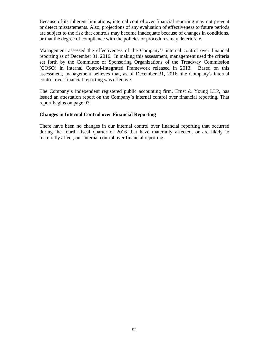Because of its inherent limitations, internal control over financial reporting may not prevent or detect misstatements. Also, projections of any evaluation of effectiveness to future periods are subject to the risk that controls may become inadequate because of changes in conditions, or that the degree of compliance with the policies or procedures may deteriorate.

Management assessed the effectiveness of the Company's internal control over financial reporting as of December 31, 2016. In making this assessment, management used the criteria set forth by the Committee of Sponsoring Organizations of the Treadway Commission (COSO) in Internal Control-Integrated Framework released in 2013. Based on this assessment, management believes that, as of December 31, 2016, the Company's internal control over financial reporting was effective.

The Company's independent registered public accounting firm, Ernst & Young LLP, has issued an attestation report on the Company's internal control over financial reporting. That report begins on page 93.

## **Changes in Internal Control over Financial Reporting**

There have been no changes in our internal control over financial reporting that occurred during the fourth fiscal quarter of 2016 that have materially affected, or are likely to materially affect, our internal control over financial reporting.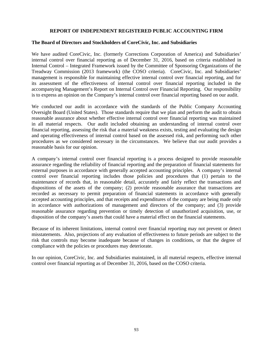#### **REPORT OF INDEPENDENT REGISTERED PUBLIC ACCOUNTING FIRM**

#### **The Board of Directors and Stockholders of CoreCivic, Inc. and Subsidiaries**

We have audited CoreCivic, Inc. (formerly Corrections Corporation of America) and Subsidiaries' internal control over financial reporting as of December 31, 2016, based on criteria established in Internal Control – Integrated Framework issued by the Committee of Sponsoring Organizations of the Treadway Commission (2013 framework) (the COSO criteria). CoreCivic, Inc. and Subsidiaries' management is responsible for maintaining effective internal control over financial reporting, and for its assessment of the effectiveness of internal control over financial reporting included in the accompanying Management's Report on Internal Control over Financial Reporting. Our responsibility is to express an opinion on the Company's internal control over financial reporting based on our audit.

We conducted our audit in accordance with the standards of the Public Company Accounting Oversight Board (United States). Those standards require that we plan and perform the audit to obtain reasonable assurance about whether effective internal control over financial reporting was maintained in all material respects. Our audit included obtaining an understanding of internal control over financial reporting, assessing the risk that a material weakness exists, testing and evaluating the design and operating effectiveness of internal control based on the assessed risk, and performing such other procedures as we considered necessary in the circumstances. We believe that our audit provides a reasonable basis for our opinion.

A company's internal control over financial reporting is a process designed to provide reasonable assurance regarding the reliability of financial reporting and the preparation of financial statements for external purposes in accordance with generally accepted accounting principles. A company's internal control over financial reporting includes those policies and procedures that (1) pertain to the maintenance of records that, in reasonable detail, accurately and fairly reflect the transactions and dispositions of the assets of the company; (2) provide reasonable assurance that transactions are recorded as necessary to permit preparation of financial statements in accordance with generally accepted accounting principles, and that receipts and expenditures of the company are being made only in accordance with authorizations of management and directors of the company; and (3) provide reasonable assurance regarding prevention or timely detection of unauthorized acquisition, use, or disposition of the company's assets that could have a material effect on the financial statements.

Because of its inherent limitations, internal control over financial reporting may not prevent or detect misstatements. Also, projections of any evaluation of effectiveness to future periods are subject to the risk that controls may become inadequate because of changes in conditions, or that the degree of compliance with the policies or procedures may deteriorate.

In our opinion, CoreCivic, Inc. and Subsidiaries maintained, in all material respects, effective internal control over financial reporting as of December 31, 2016, based on the COSO criteria.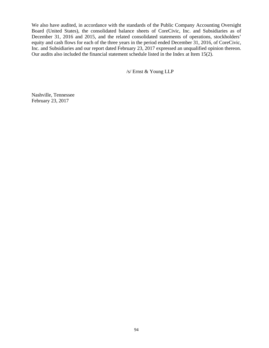We also have audited, in accordance with the standards of the Public Company Accounting Oversight Board (United States), the consolidated balance sheets of CoreCivic, Inc. and Subsidiaries as of December 31, 2016 and 2015, and the related consolidated statements of operations, stockholders' equity and cash flows for each of the three years in the period ended December 31, 2016, of CoreCivic, Inc. and Subsidiaries and our report dated February 23, 2017 expressed an unqualified opinion thereon. Our audits also included the financial statement schedule listed in the Index at Item 15(2).

/s/ Ernst & Young LLP

Nashville, Tennessee February 23, 2017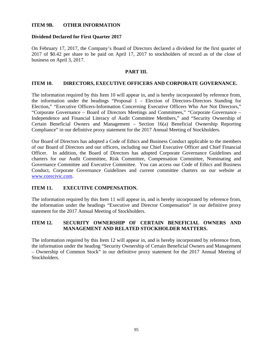## **ITEM 9B. OTHER INFORMATION**

#### **Dividend Declared for First Quarter 2017**

On February 17, 2017, the Company's Board of Directors declared a dividend for the first quarter of 2017 of \$0.42 per share to be paid on April 17, 2017 to stockholders of record as of the close of business on April 3, 2017.

#### **PART III.**

## **ITEM 10. DIRECTORS, EXECUTIVE OFFICERS AND CORPORATE GOVERNANCE.**

The information required by this Item 10 will appear in, and is hereby incorporated by reference from, the information under the headings "Proposal 1 – Election of Directors-Directors Standing for Election," "Executive Officers-Information Concerning Executive Officers Who Are Not Directors," "Corporate Governance – Board of Directors Meetings and Committees," "Corporate Governance – Independence and Financial Literacy of Audit Committee Members," and "Security Ownership of Certain Beneficial Owners and Management – Section 16(a) Beneficial Ownership Reporting Compliance" in our definitive proxy statement for the 2017 Annual Meeting of Stockholders.

Our Board of Directors has adopted a Code of Ethics and Business Conduct applicable to the members of our Board of Directors and our officers, including our Chief Executive Officer and Chief Financial Officer. In addition, the Board of Directors has adopted Corporate Governance Guidelines and charters for our Audit Committee, Risk Committee, Compensation Committee, Nominating and Governance Committee and Executive Committee. You can access our Code of Ethics and Business Conduct, Corporate Governance Guidelines and current committee charters on our website at www.corecivic.com.

## **ITEM 11. EXECUTIVE COMPENSATION.**

The information required by this Item 11 will appear in, and is hereby incorporated by reference from, the information under the headings "Executive and Director Compensation" in our definitive proxy statement for the 2017 Annual Meeting of Stockholders.

# **ITEM 12. SECURITY OWNERSHIP OF CERTAIN BENEFICIAL OWNERS AND MANAGEMENT AND RELATED STOCKHOLDER MATTERS.**

The information required by this Item 12 will appear in, and is hereby incorporated by reference from, the information under the heading "Security Ownership of Certain Beneficial Owners and Management – Ownership of Common Stock" in our definitive proxy statement for the 2017 Annual Meeting of Stockholders.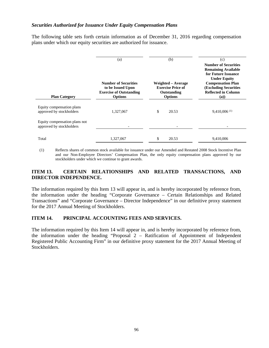#### *Securities Authorized for Issuance Under Equity Compensation Plans*

The following table sets forth certain information as of December 31, 2016 regarding compensation plans under which our equity securities are authorized for issuance.

| <b>Plan Category</b>                                      | (a)<br><b>Number of Securities</b><br>to be Issued Upon<br><b>Exercise of Outstanding</b><br><b>Options</b> | (b)<br>Weighted – Average<br><b>Exercise Price of</b><br>Outstanding<br><b>Options</b> | (c)<br><b>Number of Securities</b><br><b>Remaining Available</b><br>for Future Issuance<br><b>Under Equity</b><br><b>Compensation Plan</b><br><b>(Excluding Securities)</b><br><b>Reflected in Column</b><br>(a)) |
|-----------------------------------------------------------|-------------------------------------------------------------------------------------------------------------|----------------------------------------------------------------------------------------|-------------------------------------------------------------------------------------------------------------------------------------------------------------------------------------------------------------------|
| Equity compensation plans<br>approved by stockholders     | 1,327,067                                                                                                   | \$<br>20.53                                                                            | $9,410,006$ <sup>(1)</sup>                                                                                                                                                                                        |
| Equity compensation plans not<br>approved by stockholders |                                                                                                             |                                                                                        |                                                                                                                                                                                                                   |
| Total                                                     | 1,327,067                                                                                                   | \$<br>20.53                                                                            | 9,410,006                                                                                                                                                                                                         |

(1) Reflects shares of common stock available for issuance under our Amended and Restated 2008 Stock Incentive Plan and our Non-Employee Directors' Compensation Plan, the only equity compensation plans approved by our stockholders under which we continue to grant awards.

# **ITEM 13. CERTAIN RELATIONSHIPS AND RELATED TRANSACTIONS, AND DIRECTOR INDEPENDENCE.**

The information required by this Item 13 will appear in, and is hereby incorporated by reference from, the information under the heading "Corporate Governance – Certain Relationships and Related Transactions" and "Corporate Governance – Director Independence" in our definitive proxy statement for the 2017 Annual Meeting of Stockholders.

## **ITEM 14. PRINCIPAL ACCOUNTING FEES AND SERVICES.**

The information required by this Item 14 will appear in, and is hereby incorporated by reference from, the information under the heading "Proposal 2 – Ratification of Appointment of Independent Registered Public Accounting Firm" in our definitive proxy statement for the 2017 Annual Meeting of Stockholders.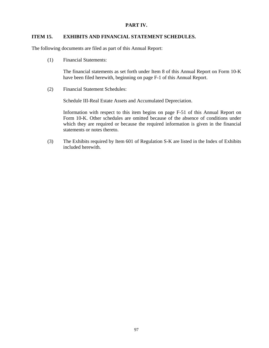## **PART IV.**

## **ITEM 15. EXHIBITS AND FINANCIAL STATEMENT SCHEDULES.**

The following documents are filed as part of this Annual Report:

(1) Financial Statements:

The financial statements as set forth under Item 8 of this Annual Report on Form 10-K have been filed herewith, beginning on page F-1 of this Annual Report.

(2) Financial Statement Schedules:

Schedule III-Real Estate Assets and Accumulated Depreciation.

Information with respect to this item begins on page F-51 of this Annual Report on Form 10-K. Other schedules are omitted because of the absence of conditions under which they are required or because the required information is given in the financial statements or notes thereto.

(3) The Exhibits required by Item 601 of Regulation S-K are listed in the Index of Exhibits included herewith.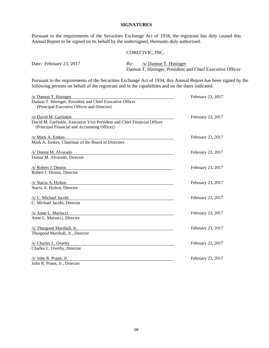#### **SIGNATURES**

Pursuant to the requirements of the Securities Exchange Act of 1934, the registrant has duly caused this Annual Report to be signed on its behalf by the undersigned, thereunto duly authorized.

#### CORECIVIC, INC.

| Date: February 23, 2017 | $/s$ Damon T. Hininger                                   |
|-------------------------|----------------------------------------------------------|
|                         | Damon T. Hininger, President and Chief Executive Officer |

Pursuant to the requirements of the Securities Exchange Act of 1934, this Annual Report has been signed by the following persons on behalf of the registrant and in the capabilities and on the dates indicated.

| /s/ Damon T. Hininger                                                    | February 23, 2017 |
|--------------------------------------------------------------------------|-------------------|
| Damon T. Hininger, President and Chief Executive Officer                 |                   |
| (Principal Executive Officer and Director)                               |                   |
|                                                                          |                   |
| /s/ David M. Garfinkle                                                   | February 23, 2017 |
| David M. Garfinkle, Executive Vice President and Chief Financial Officer |                   |
| (Principal Financial and Accounting Officer)                             |                   |
| /s/ Mark A. Emkes                                                        | February 23, 2017 |
| Mark A. Emkes, Chairman of the Board of Directors                        |                   |
|                                                                          |                   |
| /s/ Donna M. Alvarado                                                    | February 23, 2017 |
| Donna M. Alvarado, Director                                              |                   |
|                                                                          |                   |
| /s/ Robert J. Dennis                                                     | February 23, 2017 |
| Robert J. Dennis, Director                                               |                   |
| /s/ Stacia A. Hylton                                                     | February 23, 2017 |
| Stacia A. Hylton, Director                                               |                   |
|                                                                          |                   |
| /s/ C. Michael Jacobi                                                    | February 23, 2017 |
| C. Michael Jacobi, Director                                              |                   |
| /s/ Anne L. Mariucci                                                     | February 23, 2017 |
| Anne L. Mariucci, Director                                               |                   |
|                                                                          |                   |
| /s/ Thurgood Marshall, Jr.                                               | February 23, 2017 |
| Thurgood Marshall, Jr., Director                                         |                   |
| /s/ Charles L. Overby                                                    | February 23, 2017 |
| Charles L. Overby, Director                                              |                   |
|                                                                          |                   |
| /s/ John R. Prann, Jr.                                                   | February 23, 2017 |
| John R. Prann, Jr., Director                                             |                   |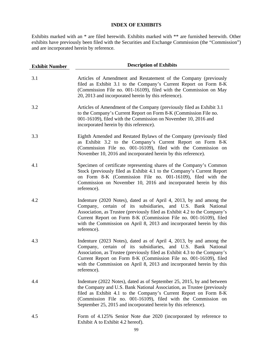# **INDEX OF EXHIBITS**

Exhibits marked with an \* are filed herewith. Exhibits marked with \*\* are furnished herewith. Other exhibits have previously been filed with the Securities and Exchange Commission (the "Commission") and are incorporated herein by reference.

| <b>Exhibit Number</b> | <b>Description of Exhibits</b>                                                                                                                                                                                                                                                                                                                                               |
|-----------------------|------------------------------------------------------------------------------------------------------------------------------------------------------------------------------------------------------------------------------------------------------------------------------------------------------------------------------------------------------------------------------|
| 3.1                   | Articles of Amendment and Restatement of the Company (previously<br>filed as Exhibit 3.1 to the Company's Current Report on Form 8-K<br>(Commission File no. 001-16109), filed with the Commission on May<br>20, 2013 and incorporated herein by this reference).                                                                                                            |
| 3.2                   | Articles of Amendment of the Company (previously filed as Exhibit 3.1<br>to the Company's Current Report on Form 8-K (Commission File no.<br>001-16109), filed with the Commission on November 10, 2016 and<br>incorporated herein by this reference).                                                                                                                       |
| 3.3                   | Eighth Amended and Restated Bylaws of the Company (previously filed<br>as Exhibit 3.2 to the Company's Current Report on Form 8-K<br>(Commission File no. 001-16109), filed with the Commission on<br>November 10, 2016 and incorporated herein by this reference).                                                                                                          |
| 4.1                   | Specimen of certificate representing shares of the Company's Common<br>Stock (previously filed as Exhibit 4.1 to the Company's Current Report<br>on Form 8-K (Commission File no. 001-16109), filed with the<br>Commission on November 10, 2016 and incorporated herein by this<br>reference).                                                                               |
| 4.2                   | Indenture (2020 Notes), dated as of April 4, 2013, by and among the<br>Company, certain of its subsidiaries, and U.S. Bank National<br>Association, as Trustee (previously filed as Exhibit 4.2 to the Company's<br>Current Report on Form 8-K (Commission File no. 001-16109), filed<br>with the Commission on April 8, 2013 and incorporated herein by this<br>reference). |
| 4.3                   | Indenture (2023 Notes), dated as of April 4, 2013, by and among the<br>Company, certain of its subsidiaries, and U.S. Bank National<br>Association, as Trustee (previously filed as Exhibit 4.3 to the Company's<br>Current Report on Form 8-K (Commission File no. 001-16109), filed<br>with the Commission on April 8, 2013 and incorporated herein by this<br>reference). |
| 4.4                   | Indenture (2022 Notes), dated as of September 25, 2015, by and between<br>the Company and U.S. Bank National Association, as Trustee (previously<br>filed as Exhibit 4.1 to the Company's Current Report on Form 8-K<br>(Commission File no. 001-16109), filed with the Commission on<br>September 25, 2015 and incorporated herein by this reference).                      |
| 4.5                   | Form of 4.125% Senior Note due 2020 (incorporated by reference to<br>Exhibit A to Exhibit 4.2 hereof).                                                                                                                                                                                                                                                                       |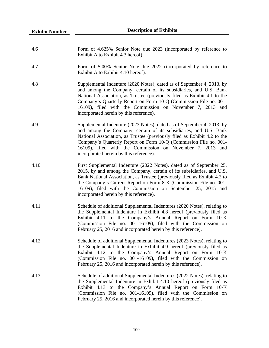| 4.6  | Form of 4.625% Senior Note due 2023 (incorporated by reference to<br>Exhibit A to Exhibit 4.3 hereof).                                                                                                                                                                                                                                                                                                     |
|------|------------------------------------------------------------------------------------------------------------------------------------------------------------------------------------------------------------------------------------------------------------------------------------------------------------------------------------------------------------------------------------------------------------|
| 4.7  | Form of 5.00% Senior Note due 2022 (incorporated by reference to<br>Exhibit A to Exhibit 4.10 hereof).                                                                                                                                                                                                                                                                                                     |
| 4.8  | Supplemental Indenture (2020 Notes), dated as of September 4, 2013, by<br>and among the Company, certain of its subsidiaries, and U.S. Bank<br>National Association, as Trustee (previously filed as Exhibit 4.1 to the<br>Company's Quarterly Report on Form 10-Q (Commission File no. 001-<br>16109), filed with the Commission on November 7, 2013 and<br>incorporated herein by this reference).       |
| 4.9  | Supplemental Indenture (2023 Notes), dated as of September 4, 2013, by<br>and among the Company, certain of its subsidiaries, and U.S. Bank<br>National Association, as Trustee (previously filed as Exhibit 4.2 to the<br>Company's Quarterly Report on Form 10-Q (Commission File no. 001-<br>16109), filed with the Commission on November 7, 2013 and<br>incorporated herein by this reference).       |
| 4.10 | First Supplemental Indenture (2022 Notes), dated as of September 25,<br>2015, by and among the Company, certain of its subsidiaries, and U.S.<br>Bank National Association, as Trustee (previously filed as Exhibit 4.2 to<br>the Company's Current Report on Form 8-K (Commission File no. 001-<br>16109), filed with the Commission on September 25, 2015 and<br>incorporated herein by this reference). |
| 4.11 | Schedule of additional Supplemental Indentures (2020 Notes), relating to<br>the Supplemental Indenture in Exhibit 4.8 hereof (previously filed as<br>Exhibit 4.11 to the Company's Annual Report on Form 10-K<br>(Commission File no. 001-16109), filed with the Commission on<br>February 25, 2016 and incorporated herein by this reference).                                                            |
| 4.12 | Schedule of additional Supplemental Indentures (2023 Notes), relating to<br>the Supplemental Indenture in Exhibit 4.9 hereof (previously filed as<br>Exhibit 4.12 to the Company's Annual Report on Form 10-K<br>(Commission File no. 001-16109), filed with the Commission on<br>February 25, 2016 and incorporated herein by this reference).                                                            |
| 4.13 | Schedule of additional Supplemental Indentures (2022 Notes), relating to<br>the Supplemental Indenture in Exhibit 4.10 hereof (previously filed as<br>Exhibit 4.13 to the Company's Annual Report on Form 10-K<br>(Commission File no. 001-16109), filed with the Commission on<br>February 25, 2016 and incorporated herein by this reference).                                                           |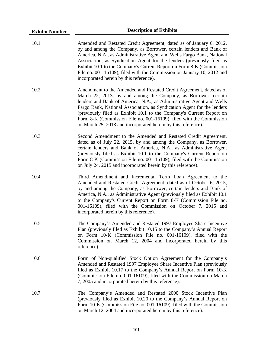| 10.1 | Amended and Restated Credit Agreement, dated as of January 6, 2012,<br>by and among the Company, as Borrower, certain lenders and Bank of |
|------|-------------------------------------------------------------------------------------------------------------------------------------------|
|      | America, N.A., as Administrative Agent and Wells Fargo Bank, National                                                                     |
|      | Association, as Syndication Agent for the lenders (previously filed as                                                                    |
|      | Exhibit 10.1 to the Company's Current Report on Form 8-K (Commission                                                                      |
|      | File no. 001-16109), filed with the Commission on January 10, 2012 and                                                                    |
|      | incorporated herein by this reference).                                                                                                   |
|      |                                                                                                                                           |

- 10.2 Amendment to the Amended and Restated Credit Agreement, dated as of March 22, 2013, by and among the Company, as Borrower, certain lenders and Bank of America, N.A., as Administrative Agent and Wells Fargo Bank, National Association, as Syndication Agent for the lenders (previously filed as Exhibit 10.1 to the Company's Current Report on Form 8-K (Commission File no. 001-16109), filed with the Commission on March 25, 2013 and incorporated herein by this reference).
- 10.3 Second Amendment to the Amended and Restated Credit Agreement, dated as of July 22, 2015, by and among the Company, as Borrower, certain lenders and Bank of America, N.A., as Administrative Agent (previously filed as Exhibit 10.1 to the Company's Current Report on Form 8-K (Commission File no. 001-16109), filed with the Commission on July 24, 2015 and incorporated herein by this reference).
- 10.4 Third Amendment and Incremental Term Loan Agreement to the Amended and Restated Credit Agreement, dated as of October 6, 2015, by and among the Company, as Borrower, certain lenders and Bank of America, N.A., as Administrative Agent (previously filed as Exhibit 10.1 to the Company's Current Report on Form 8-K (Commission File no. 001-16109), filed with the Commission on October 7, 2015 and incorporated herein by this reference).
- 10.5 The Company's Amended and Restated 1997 Employee Share Incentive Plan (previously filed as Exhibit 10.15 to the Company's Annual Report on Form 10-K (Commission File no. 001-16109), filed with the Commission on March 12, 2004 and incorporated herein by this reference).
- 10.6 Form of Non-qualified Stock Option Agreement for the Company's Amended and Restated 1997 Employee Share Incentive Plan (previously filed as Exhibit 10.17 to the Company's Annual Report on Form 10-K (Commission File no. 001-16109), filed with the Commission on March 7, 2005 and incorporated herein by this reference).
- 10.7 The Company's Amended and Restated 2000 Stock Incentive Plan (previously filed as Exhibit 10.20 to the Company's Annual Report on Form 10-K (Commission File no. 001-16109), filed with the Commission on March 12, 2004 and incorporated herein by this reference).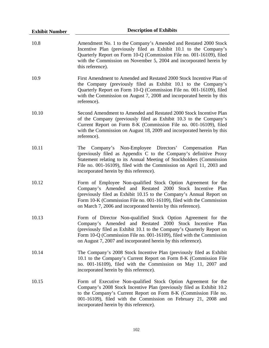| <b>Exhibit Number</b> | <b>Description of Exhibits</b>                                                                                                                                                                                                                                                                                                               |  |  |  |  |  |  |  |
|-----------------------|----------------------------------------------------------------------------------------------------------------------------------------------------------------------------------------------------------------------------------------------------------------------------------------------------------------------------------------------|--|--|--|--|--|--|--|
| 10.8                  | Amendment No. 1 to the Company's Amended and Restated 2000 Stock<br>Incentive Plan (previously filed as Exhibit 10.1 to the Company's<br>Quarterly Report on Form 10-Q (Commission File no. 001-16109), filed<br>with the Commission on November 5, 2004 and incorporated herein by<br>this reference).                                      |  |  |  |  |  |  |  |
| 10.9                  | First Amendment to Amended and Restated 2000 Stock Incentive Plan of<br>the Company (previously filed as Exhibit 10.1 to the Company's<br>Quarterly Report on Form 10-Q (Commission File no. 001-16109), filed<br>with the Commission on August 7, 2008 and incorporated herein by this<br>reference).                                       |  |  |  |  |  |  |  |
| 10.10                 | Second Amendment to Amended and Restated 2000 Stock Incentive Plan<br>of the Company (previously filed as Exhibit 10.3 to the Company's<br>Current Report on Form 8-K (Commission File no. 001-16109), filed<br>with the Commission on August 18, 2009 and incorporated herein by this<br>reference).                                        |  |  |  |  |  |  |  |
| 10.11                 | Company's Non-Employee Directors' Compensation<br>Plan<br>The<br>(previously filed as Appendix C to the Company's definitive Proxy<br>Statement relating to its Annual Meeting of Stockholders (Commission<br>File no. 001-16109), filed with the Commission on April 11, 2003 and<br>incorporated herein by this reference).                |  |  |  |  |  |  |  |
| 10.12                 | Form of Employee Non-qualified Stock Option Agreement for the<br>Company's Amended and Restated 2000 Stock Incentive Plan<br>(previously filed as Exhibit 10.15 to the Company's Annual Report on<br>Form 10-K (Commission File no. 001-16109), filed with the Commission<br>on March 7, 2006 and incorporated herein by this reference).    |  |  |  |  |  |  |  |
| 10.13                 | Form of Director Non-qualified Stock Option Agreement for the<br>Company's Amended and Restated 2000 Stock Incentive Plan<br>(previously filed as Exhibit 10.1 to the Company's Quarterly Report on<br>Form 10-Q (Commission File no. 001-16109), filed with the Commission<br>on August 7, 2007 and incorporated herein by this reference). |  |  |  |  |  |  |  |
| 10.14                 | The Company's 2008 Stock Incentive Plan (previously filed as Exhibit<br>10.1 to the Company's Current Report on Form 8-K (Commission File<br>no. 001-16109), filed with the Commission on May 11, 2007 and<br>incorporated herein by this reference).                                                                                        |  |  |  |  |  |  |  |
| 10.15                 | Form of Executive Non-qualified Stock Option Agreement for the<br>Company's 2008 Stock Incentive Plan (previously filed as Exhibit 10.2<br>to the Company's Current Report on Form 8-K (Commission File no.<br>001-16109), filed with the Commission on February 21, 2008 and<br>incorporated herein by this reference).                     |  |  |  |  |  |  |  |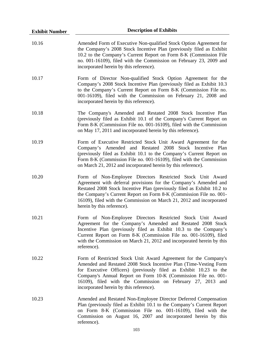| <b>Exhibit Number</b> | <b>Description of Exhibits</b>                                                                                                                                                                                                                                                                                                                                                        |
|-----------------------|---------------------------------------------------------------------------------------------------------------------------------------------------------------------------------------------------------------------------------------------------------------------------------------------------------------------------------------------------------------------------------------|
| 10.16                 | Amended Form of Executive Non-qualified Stock Option Agreement for<br>the Company's 2008 Stock Incentive Plan (previously filed as Exhibit<br>10.2 to the Company's Current Report on Form 8-K (Commission File<br>no. 001-16109), filed with the Commission on February 23, 2009 and<br>incorporated herein by this reference).                                                      |
| 10.17                 | Form of Director Non-qualified Stock Option Agreement for the<br>Company's 2008 Stock Incentive Plan (previously filed as Exhibit 10.3)<br>to the Company's Current Report on Form 8-K (Commission File no.<br>001-16109), filed with the Commission on February 21, 2008 and<br>incorporated herein by this reference).                                                              |
| 10.18                 | The Company's Amended and Restated 2008 Stock Incentive Plan<br>(previously filed as Exhibit 10.1 of the Company's Current Report on<br>Form 8-K (Commission File no. 001-16109), filed with the Commission<br>on May 17, 2011 and incorporated herein by this reference).                                                                                                            |
| 10.19                 | Form of Executive Restricted Stock Unit Award Agreement for the<br>Company's Amended and Restated 2008 Stock Incentive Plan<br>(previously filed as Exhibit 10.1 to the Company's Current Report on<br>Form 8-K (Commission File no. 001-16109), filed with the Commission<br>on March 21, 2012 and incorporated herein by this reference).                                           |
| 10.20                 | Form of Non-Employee Directors Restricted Stock Unit Award<br>Agreement with deferral provisions for the Company's Amended and<br>Restated 2008 Stock Incentive Plan (previously filed as Exhibit 10.2 to<br>the Company's Current Report on Form 8-K (Commission File no. 001-<br>16109), filed with the Commission on March 21, 2012 and incorporated<br>herein by this reference). |
| 10.21                 | Form of Non-Employee Directors Restricted Stock Unit Award<br>Agreement for the Company's Amended and Restated 2008 Stock<br>Incentive Plan (previously filed as Exhibit 10.3 to the Company's<br>Current Report on Form 8-K (Commission File no. 001-16109), filed<br>with the Commission on March 21, 2012 and incorporated herein by this<br>reference).                           |
| 10.22                 | Form of Restricted Stock Unit Award Agreement for the Company's<br>Amended and Restated 2008 Stock Incentive Plan (Time-Vesting Form<br>for Executive Officers) (previously filed as Exhibit 10.23 to the<br>Company's Annual Report on Form 10-K (Commission File no. 001-<br>16109), filed with the Commission on February 27, 2013 and<br>incorporated herein by this reference).  |
| 10.23                 | Amended and Restated Non-Employee Director Deferred Compensation<br>Plan (previously filed as Exhibit 10.1 to the Company's Current Report<br>on Form 8-K (Commission File no. 001-16109), filed with the<br>Commission on August 16, 2007 and incorporated herein by this<br>reference).                                                                                             |
|                       | 103                                                                                                                                                                                                                                                                                                                                                                                   |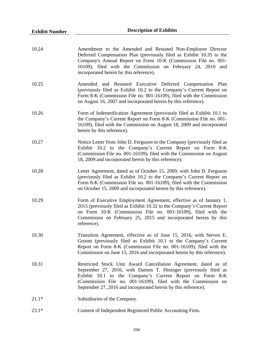| 10.24   | Amendment to the Amended and Restated Non-Employee Director<br>Deferred Compensation Plan (previously filed as Exhibit 10.35 to the<br>Company's Annual Report on Form 10-K (Commission File no. 001-<br>16109), filed with the Commission on February 24, 2010 and<br>incorporated herein by this reference).                    |
|---------|-----------------------------------------------------------------------------------------------------------------------------------------------------------------------------------------------------------------------------------------------------------------------------------------------------------------------------------|
| 10.25   | Amended and Restated Executive Deferred Compensation Plan<br>(previously filed as Exhibit 10.2 to the Company's Current Report on<br>Form 8-K (Commission File no. 001-16109), filed with the Commission<br>on August 16, 2007 and incorporated herein by this reference).                                                        |
| 10.26   | Form of Indemnification Agreement (previously filed as Exhibit 10.1 to<br>the Company's Current Report on Form 8-K (Commission File no. 001-<br>16109), filed with the Commission on August 18, 2009 and incorporated<br>herein by this reference).                                                                               |
| 10.27   | Notice Letter from John D. Ferguson to the Company (previously filed as<br>Exhibit 10.2 to the Company's Current Report on Form 8-K<br>(Commission File no. 001-16109), filed with the Commission on August<br>18, 2009 and incorporated herein by this reference).                                                               |
| 10.28   | Letter Agreement, dated as of October 15, 2009, with John D. Ferguson<br>(previously filed as Exhibit 10.2 to the Company's Current Report on<br>Form 8-K (Commission File no. 001-16109), filed with the Commission<br>on October 15, 2009 and incorporated herein by this reference).                                           |
| 10.29   | Form of Executive Employment Agreement, effective as of January 1,<br>2015 (previously filed as Exhibit 10.32 to the Company's Current Report<br>on Form 10-K (Commission File no. 001-16109), filed with the<br>Commission on February 25, 2015 and incorporated herein by this<br>reference).                                   |
| 10.30   | Transition Agreement, effective as of June 15, 2016, with Steven E.<br>Groom (previously filed as Exhibit 10.1 to the Company's Current<br>Report on Form 8-K (Commission File no. 001-16109), filed with the<br>Commission on June 15, 2016 and incorporated herein by this reference).                                          |
| 10.31   | Restricted Stock Unit Award Cancellation Agreement, dated as of<br>September 27, 2016, with Damon T. Hininger (previously filed as<br>Exhibit 10.1 to the Company's Current Report on Form 8-K<br>(Commission File no. 001-16109), filed with the Commission on<br>September 27, 2016 and incorporated herein by this reference). |
| $21.1*$ | Subsidiaries of the Company.                                                                                                                                                                                                                                                                                                      |
| $23.1*$ | Consent of Independent Registered Public Accounting Firm.                                                                                                                                                                                                                                                                         |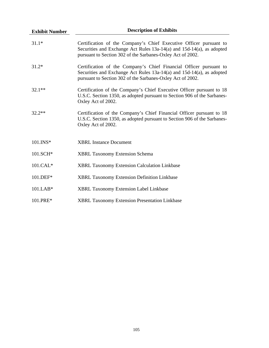| <b>Exhibit Number</b> | <b>Description of Exhibits</b>                                                                                                                                                                            |
|-----------------------|-----------------------------------------------------------------------------------------------------------------------------------------------------------------------------------------------------------|
| $31.1*$               | Certification of the Company's Chief Executive Officer pursuant to<br>Securities and Exchange Act Rules 13a-14(a) and 15d-14(a), as adopted<br>pursuant to Section 302 of the Sarbanes-Oxley Act of 2002. |
| $31.2*$               | Certification of the Company's Chief Financial Officer pursuant to<br>Securities and Exchange Act Rules 13a-14(a) and 15d-14(a), as adopted<br>pursuant to Section 302 of the Sarbanes-Oxley Act of 2002. |
| $32.1**$              | Certification of the Company's Chief Executive Officer pursuant to 18<br>U.S.C. Section 1350, as adopted pursuant to Section 906 of the Sarbanes-<br>Oxley Act of 2002.                                   |
| $32.2**$              | Certification of the Company's Chief Financial Officer pursuant to 18<br>U.S.C. Section 1350, as adopted pursuant to Section 906 of the Sarbanes-<br>Oxley Act of 2002.                                   |
| 101.INS*              | <b>XBRL Instance Document</b>                                                                                                                                                                             |
| 101.SCH*              | <b>XBRL Taxonomy Extension Schema</b>                                                                                                                                                                     |
| $101.CAL*$            | XBRL Taxonomy Extension Calculation Linkbase                                                                                                                                                              |
| 101.DEF*              | XBRL Taxonomy Extension Definition Linkbase                                                                                                                                                               |
| $101.LAB*$            | <b>XBRL Taxonomy Extension Label Linkbase</b>                                                                                                                                                             |
| 101.PRE*              | <b>XBRL Taxonomy Extension Presentation Linkbase</b>                                                                                                                                                      |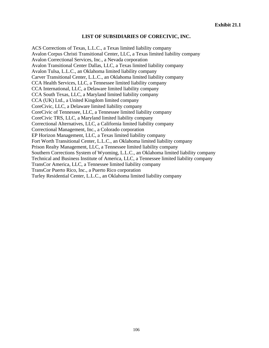#### **LIST OF SUBSIDIARIES OF CORECIVIC, INC.**

ACS Corrections of Texas, L.L.C., a Texas limited liability company Avalon Corpus Christi Transitional Center, LLC, a Texas limited liability company Avalon Correctional Services, Inc., a Nevada corporation Avalon Transitional Center Dallas, LLC, a Texas limited liability company Avalon Tulsa, L.L.C., an Oklahoma limited liability company Carver Transitional Center, L.L.C., an Oklahoma limited liability company CCA Health Services, LLC, a Tennessee limited liability company CCA International, LLC, a Delaware limited liability company CCA South Texas, LLC, a Maryland limited liability company CCA (UK) Ltd., a United Kingdom limited company CoreCivic, LLC, a Delaware limited liability company CoreCivic of Tennessee, LLC, a Tennessee limited liability company CoreCivic TRS, LLC, a Maryland limited liability company Correctional Alternatives, LLC, a California limited liability company Correctional Management, Inc., a Colorado corporation EP Horizon Management, LLC, a Texas limited liability company Fort Worth Transitional Center, L.L.C., an Oklahoma limited liability company Prison Realty Management, LLC, a Tennessee limited liability company Southern Corrections System of Wyoming, L.L.C., an Oklahoma limited liability company Technical and Business Institute of America, LLC, a Tennessee limited liability company TransCor America, LLC, a Tennessee limited liability company TransCor Puerto Rico, Inc., a Puerto Rico corporation Turley Residential Center, L.L.C., an Oklahoma limited liability company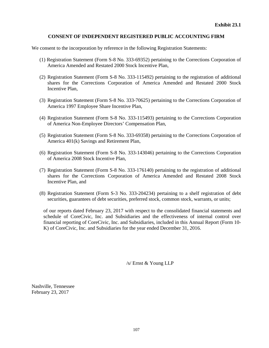#### **CONSENT OF INDEPENDENT REGISTERED PUBLIC ACCOUNTING FIRM**

We consent to the incorporation by reference in the following Registration Statements:

- (1) Registration Statement (Form S-8 No. 333-69352) pertaining to the Corrections Corporation of America Amended and Restated 2000 Stock Incentive Plan,
- (2) Registration Statement (Form S-8 No. 333-115492) pertaining to the registration of additional shares for the Corrections Corporation of America Amended and Restated 2000 Stock Incentive Plan,
- (3) Registration Statement (Form S-8 No. 333-70625) pertaining to the Corrections Corporation of America 1997 Employee Share Incentive Plan,
- (4) Registration Statement (Form S-8 No. 333-115493) pertaining to the Corrections Corporation of America Non-Employee Directors' Compensation Plan,
- (5) Registration Statement (Form S-8 No. 333-69358) pertaining to the Corrections Corporation of America 401(k) Savings and Retirement Plan,
- (6) Registration Statement (Form S-8 No. 333-143046) pertaining to the Corrections Corporation of America 2008 Stock Incentive Plan,
- (7) Registration Statement (Form S-8 No. 333-176140) pertaining to the registration of additional shares for the Corrections Corporation of America Amended and Restated 2008 Stock Incentive Plan, and
- (8) Registration Statement (Form S-3 No. 333-204234) pertaining to a shelf registration of debt securities, guarantees of debt securities, preferred stock, common stock, warrants, or units;

of our reports dated February 23, 2017 with respect to the consolidated financial statements and schedule of CoreCivic, Inc. and Subsidiaries and the effectiveness of internal control over financial reporting of CoreCivic, Inc. and Subsidiaries, included in this Annual Report (Form 10- K) of CoreCivic, Inc. and Subsidiaries for the year ended December 31, 2016.

/s/ Ernst & Young LLP

Nashville, Tennessee February 23, 2017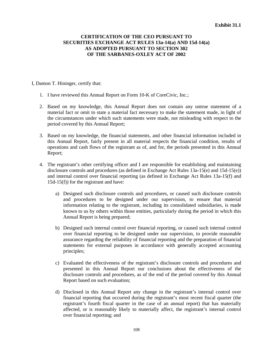# **CERTIFICATION OF THE CEO PURSUANT TO SECURITIES EXCHANGE ACT RULES 13a-14(a) AND 15d-14(a) AS ADOPTED PURSUANT TO SECTION 302 OF THE SARBANES-OXLEY ACT OF 2002**

I, Damon T. Hininger, certify that:

- 1. I have reviewed this Annual Report on Form 10-K of CoreCivic, Inc.;
- 2. Based on my knowledge, this Annual Report does not contain any untrue statement of a material fact or omit to state a material fact necessary to make the statement made, in light of the circumstances under which such statements were made, not misleading with respect to the period covered by this Annual Report;
- 3. Based on my knowledge, the financial statements, and other financial information included in this Annual Report, fairly present in all material respects the financial condition, results of operations and cash flows of the registrant as of, and for, the periods presented in this Annual Report;
- 4. The registrant's other certifying officer and I are responsible for establishing and maintaining disclosure controls and procedures (as defined in Exchange Act Rules 13a-15(e) and 15d-15(e)) and internal control over financial reporting (as defined in Exchange Act Rules 13a-15(f) and 15d-15(f)) for the registrant and have:
	- a) Designed such disclosure controls and procedures, or caused such disclosure controls and procedures to be designed under our supervision, to ensure that material information relating to the registrant, including its consolidated subsidiaries, is made known to us by others within those entities, particularly during the period in which this Annual Report is being prepared;
	- b) Designed such internal control over financial reporting, or caused such internal control over financial reporting to be designed under our supervision, to provide reasonable assurance regarding the reliability of financial reporting and the preparation of financial statements for external purposes in accordance with generally accepted accounting principles;
	- c) Evaluated the effectiveness of the registrant's disclosure controls and procedures and presented in this Annual Report our conclusions about the effectiveness of the disclosure controls and procedures, as of the end of the period covered by this Annual Report based on such evaluation;
	- d) Disclosed in this Annual Report any change in the registrant's internal control over financial reporting that occurred during the registrant's most recent fiscal quarter (the registrant's fourth fiscal quarter in the case of an annual report) that has materially affected, or is reasonably likely to materially affect, the registrant's internal control over financial reporting; and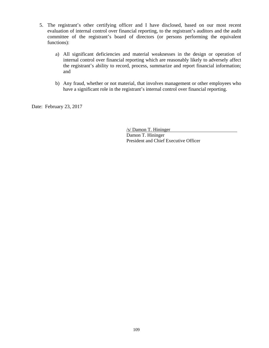- 5. The registrant's other certifying officer and I have disclosed, based on our most recent evaluation of internal control over financial reporting, to the registrant's auditors and the audit committee of the registrant's board of directors (or persons performing the equivalent functions):
	- a) All significant deficiencies and material weaknesses in the design or operation of internal control over financial reporting which are reasonably likely to adversely affect the registrant's ability to record, process, summarize and report financial information; and
	- b) Any fraud, whether or not material, that involves management or other employees who have a significant role in the registrant's internal control over financial reporting.

Date: February 23, 2017

 /s/ Damon T. Hininger Damon T. Hininger President and Chief Executive Officer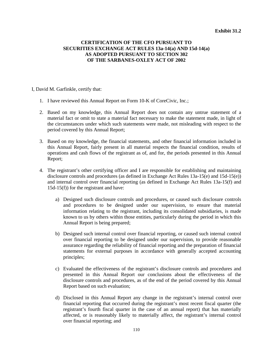# **CERTIFICATION OF THE CFO PURSUANT TO SECURITIES EXCHANGE ACT RULES 13a-14(a) AND 15d-14(a) AS ADOPTED PURSUANT TO SECTION 302 OF THE SARBANES-OXLEY ACT OF 2002**

I, David M. Garfinkle, certify that:

- 1. I have reviewed this Annual Report on Form 10-K of CoreCivic, Inc.;
- 2. Based on my knowledge, this Annual Report does not contain any untrue statement of a material fact or omit to state a material fact necessary to make the statement made, in light of the circumstances under which such statements were made, not misleading with respect to the period covered by this Annual Report;
- 3. Based on my knowledge, the financial statements, and other financial information included in this Annual Report, fairly present in all material respects the financial condition, results of operations and cash flows of the registrant as of, and for, the periods presented in this Annual Report;
- 4. The registrant's other certifying officer and I are responsible for establishing and maintaining disclosure controls and procedures (as defined in Exchange Act Rules 13a-15(e) and 15d-15(e)) and internal control over financial reporting (as defined in Exchange Act Rules 13a-15(f) and 15d-15(f)) for the registrant and have:
	- a) Designed such disclosure controls and procedures, or caused such disclosure controls and procedures to be designed under our supervision, to ensure that material information relating to the registrant, including its consolidated subsidiaries, is made known to us by others within those entities, particularly during the period in which this Annual Report is being prepared;
	- b) Designed such internal control over financial reporting, or caused such internal control over financial reporting to be designed under our supervision, to provide reasonable assurance regarding the reliability of financial reporting and the preparation of financial statements for external purposes in accordance with generally accepted accounting principles;
	- c) Evaluated the effectiveness of the registrant's disclosure controls and procedures and presented in this Annual Report our conclusions about the effectiveness of the disclosure controls and procedures, as of the end of the period covered by this Annual Report based on such evaluation;
	- d) Disclosed in this Annual Report any change in the registrant's internal control over financial reporting that occurred during the registrant's most recent fiscal quarter (the registrant's fourth fiscal quarter in the case of an annual report) that has materially affected, or is reasonably likely to materially affect, the registrant's internal control over financial reporting; and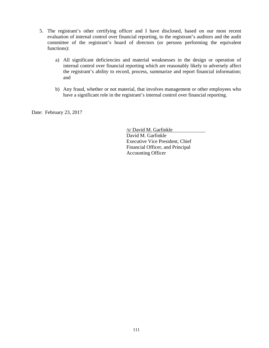- 5. The registrant's other certifying officer and I have disclosed, based on our most recent evaluation of internal control over financial reporting, to the registrant's auditors and the audit committee of the registrant's board of directors (or persons performing the equivalent functions):
	- a) All significant deficiencies and material weaknesses in the design or operation of internal control over financial reporting which are reasonably likely to adversely affect the registrant's ability to record, process, summarize and report financial information; and
	- b) Any fraud, whether or not material, that involves management or other employees who have a significant role in the registrant's internal control over financial reporting.

Date: February 23, 2017

 /s/ David M. Garfinkle David M. Garfinkle Executive Vice President, Chief Financial Officer, and Principal Accounting Officer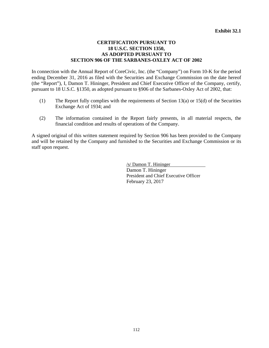#### **CERTIFICATION PURSUANT TO 18 U.S.C. SECTION 1350, AS ADOPTED PURSUANT TO SECTION 906 OF THE SARBANES-OXLEY ACT OF 2002**

In connection with the Annual Report of CoreCivic, Inc. (the "Company") on Form 10-K for the period ending December 31, 2016 as filed with the Securities and Exchange Commission on the date hereof (the "Report"), I, Damon T. Hininger, President and Chief Executive Officer of the Company, certify, pursuant to 18 U.S.C. §1350, as adopted pursuant to §906 of the Sarbanes-Oxley Act of 2002, that:

- (1) The Report fully complies with the requirements of Section 13(a) or 15(d) of the Securities Exchange Act of 1934; and
- (2) The information contained in the Report fairly presents, in all material respects, the financial condition and results of operations of the Company.

A signed original of this written statement required by Section 906 has been provided to the Company and will be retained by the Company and furnished to the Securities and Exchange Commission or its staff upon request.

> /s/ Damon T. Hininger Damon T. Hininger President and Chief Executive Officer February 23, 2017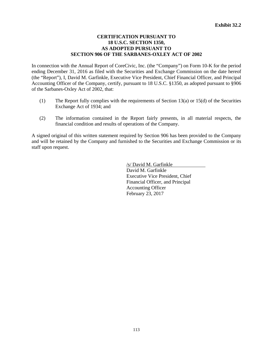#### **CERTIFICATION PURSUANT TO 18 U.S.C. SECTION 1350, AS ADOPTED PURSUANT TO SECTION 906 OF THE SARBANES-OXLEY ACT OF 2002**

In connection with the Annual Report of CoreCivic, Inc. (the "Company") on Form 10-K for the period ending December 31, 2016 as filed with the Securities and Exchange Commission on the date hereof (the "Report"), I, David M. Garfinkle, Executive Vice President, Chief Financial Officer, and Principal Accounting Officer of the Company, certify, pursuant to 18 U.S.C. §1350, as adopted pursuant to §906 of the Sarbanes-Oxley Act of 2002, that:

- (1) The Report fully complies with the requirements of Section 13(a) or 15(d) of the Securities Exchange Act of 1934; and
- (2) The information contained in the Report fairly presents, in all material respects, the financial condition and results of operations of the Company.

A signed original of this written statement required by Section 906 has been provided to the Company and will be retained by the Company and furnished to the Securities and Exchange Commission or its staff upon request.

> /s/ David M. Garfinkle David M. Garfinkle Executive Vice President, Chief Financial Officer, and Principal Accounting Officer February 23, 2017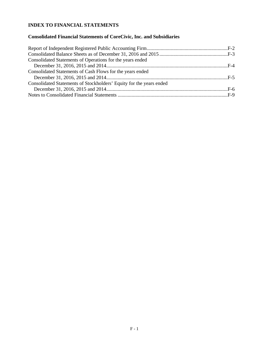# **INDEX TO FINANCIAL STATEMENTS**

# **Consolidated Financial Statements of CoreCivic, Inc. and Subsidiaries**

| Consolidated Statements of Operations for the years ended           |  |
|---------------------------------------------------------------------|--|
|                                                                     |  |
| Consolidated Statements of Cash Flows for the years ended           |  |
|                                                                     |  |
| Consolidated Statements of Stockholders' Equity for the years ended |  |
|                                                                     |  |
|                                                                     |  |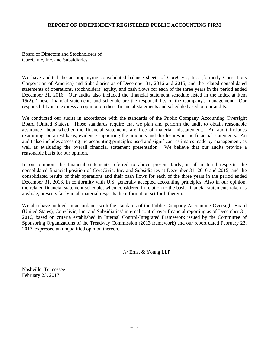# **REPORT OF INDEPENDENT REGISTERED PUBLIC ACCOUNTING FIRM**

Board of Directors and Stockholders of CoreCivic, Inc. and Subsidiaries

We have audited the accompanying consolidated balance sheets of CoreCivic, Inc. (formerly Corrections Corporation of America) and Subsidiaries as of December 31, 2016 and 2015, and the related consolidated statements of operations, stockholders' equity, and cash flows for each of the three years in the period ended December 31, 2016. Our audits also included the financial statement schedule listed in the Index at Item 15(2). These financial statements and schedule are the responsibility of the Company's management. Our responsibility is to express an opinion on these financial statements and schedule based on our audits.

We conducted our audits in accordance with the standards of the Public Company Accounting Oversight Board (United States). Those standards require that we plan and perform the audit to obtain reasonable assurance about whether the financial statements are free of material misstatement. An audit includes examining, on a test basis, evidence supporting the amounts and disclosures in the financial statements. An audit also includes assessing the accounting principles used and significant estimates made by management, as well as evaluating the overall financial statement presentation. We believe that our audits provide a reasonable basis for our opinion.

In our opinion, the financial statements referred to above present fairly, in all material respects, the consolidated financial position of CoreCivic, Inc. and Subsidiaries at December 31, 2016 and 2015, and the consolidated results of their operations and their cash flows for each of the three years in the period ended December 31, 2016, in conformity with U.S. generally accepted accounting principles. Also in our opinion, the related financial statement schedule, when considered in relation to the basic financial statements taken as a whole, presents fairly in all material respects the information set forth therein.

We also have audited, in accordance with the standards of the Public Company Accounting Oversight Board (United States), CoreCivic, Inc. and Subsidiaries' internal control over financial reporting as of December 31, 2016, based on criteria established in Internal Control-Integrated Framework issued by the Committee of Sponsoring Organizations of the Treadway Commission (2013 framework) and our report dated February 23, 2017, expressed an unqualified opinion thereon.

/s/ Ernst & Young LLP

Nashville, Tennessee February 23, 2017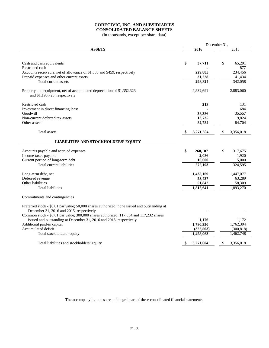#### **CORECIVIC, INC. AND SUBSIDIARIES CONSOLIDATED BALANCE SHEETS**

(in thousands, except per share data)

|                                                                                                                                                                                                                                    | December 31, |            |    |            |  |  |  |
|------------------------------------------------------------------------------------------------------------------------------------------------------------------------------------------------------------------------------------|--------------|------------|----|------------|--|--|--|
| <b>ASSETS</b>                                                                                                                                                                                                                      |              | 2016       |    | 2015       |  |  |  |
|                                                                                                                                                                                                                                    |              |            |    |            |  |  |  |
| Cash and cash equivalents                                                                                                                                                                                                          | \$           | 37,711     | \$ | 65,291     |  |  |  |
| Restricted cash                                                                                                                                                                                                                    |              |            |    | 877        |  |  |  |
| Accounts receivable, net of allowance of \$1,580 and \$459, respectively                                                                                                                                                           |              | 229,885    |    | 234,456    |  |  |  |
| Prepaid expenses and other current assets                                                                                                                                                                                          |              | 31,228     |    | 41,434     |  |  |  |
| Total current assets                                                                                                                                                                                                               |              | 298,824    |    | 342,058    |  |  |  |
| Property and equipment, net of accumulated depreciation of \$1,352,323<br>and \$1,193,723, respectively                                                                                                                            |              | 2,837,657  |    | 2,883,060  |  |  |  |
| Restricted cash                                                                                                                                                                                                                    |              | 218        |    | 131        |  |  |  |
| Investment in direct financing lease                                                                                                                                                                                               |              |            |    | 684        |  |  |  |
| Goodwill                                                                                                                                                                                                                           |              | 38,386     |    | 35,557     |  |  |  |
| Non-current deferred tax assets                                                                                                                                                                                                    |              | 13,735     |    | 9,824      |  |  |  |
| Other assets                                                                                                                                                                                                                       |              | 82,784     |    | 84,704     |  |  |  |
| Total assets                                                                                                                                                                                                                       | \$           | 3,271,604  | \$ | 3,356,018  |  |  |  |
| <b>LIABILITIES AND STOCKHOLDERS' EQUITY</b>                                                                                                                                                                                        |              |            |    |            |  |  |  |
| Accounts payable and accrued expenses                                                                                                                                                                                              | \$           | 260,107    | \$ | 317,675    |  |  |  |
| Income taxes payable                                                                                                                                                                                                               |              | 2,086      |    | 1,920      |  |  |  |
| Current portion of long-term debt                                                                                                                                                                                                  |              | 10,000     |    | 5,000      |  |  |  |
| Total current liabilities                                                                                                                                                                                                          |              | 272,193    |    | 324,595    |  |  |  |
| Long-term debt, net                                                                                                                                                                                                                |              | 1,435,169  |    | 1,447,077  |  |  |  |
| Deferred revenue                                                                                                                                                                                                                   |              | 53,437     |    | 63,289     |  |  |  |
| Other liabilities                                                                                                                                                                                                                  |              | 51,842     |    | 58,309     |  |  |  |
| <b>Total liabilities</b>                                                                                                                                                                                                           |              | 1,812,641  |    | 1,893,270  |  |  |  |
| Commitments and contingencies                                                                                                                                                                                                      |              |            |    |            |  |  |  |
| Preferred stock - \$0.01 par value; 50,000 shares authorized; none issued and outstanding at<br>December 31, 2016 and 2015, respectively<br>Common stock - \$0.01 par value; 300,000 shares authorized; 117,554 and 117,232 shares |              |            |    |            |  |  |  |
| issued and outstanding at December 31, 2016 and 2015, respectively                                                                                                                                                                 |              | 1,176      |    | 1,172      |  |  |  |
| Additional paid-in capital                                                                                                                                                                                                         |              | 1,780,350  |    | 1,762,394  |  |  |  |
| Accumulated deficit                                                                                                                                                                                                                |              | (322, 563) |    | (300, 818) |  |  |  |
| Total stockholders' equity                                                                                                                                                                                                         |              | 1,458,963  |    | 1,462,748  |  |  |  |
| Total liabilities and stockholders' equity                                                                                                                                                                                         | \$           | 3,271,604  | \$ | 3.356.018  |  |  |  |
|                                                                                                                                                                                                                                    |              |            |    |            |  |  |  |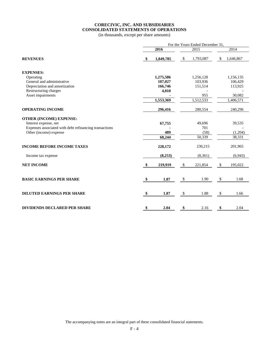#### **CORECIVIC, INC. AND SUBSIDIARIES CONSOLIDATED STATEMENTS OF OPERATIONS**

(in thousands, except per share amounts)

|                                                         | For the Years Ended December 31, |                     |                     |  |  |  |  |  |
|---------------------------------------------------------|----------------------------------|---------------------|---------------------|--|--|--|--|--|
|                                                         | 2016                             | 2015                | 2014                |  |  |  |  |  |
| <b>REVENUES</b>                                         | 1,849,785<br>-\$                 | 1,793,087<br>\$     | \$<br>1,646,867     |  |  |  |  |  |
| <b>EXPENSES:</b>                                        |                                  |                     |                     |  |  |  |  |  |
| Operating                                               | 1,275,586                        | 1,256,128           | 1,156,135           |  |  |  |  |  |
| General and administrative                              | 107,027                          | 103.936             | 106,429             |  |  |  |  |  |
| Depreciation and amortization                           | 166,746                          | 151,514             | 113,925             |  |  |  |  |  |
| Restructuring charges                                   | 4,010                            |                     |                     |  |  |  |  |  |
| Asset impairments                                       | 1,553,369                        | 955<br>1,512,533    | 30,082<br>1,406,571 |  |  |  |  |  |
| <b>OPERATING INCOME</b>                                 | 296,416                          | 280,554             | 240,296             |  |  |  |  |  |
|                                                         |                                  |                     |                     |  |  |  |  |  |
| <b>OTHER (INCOME) EXPENSE:</b><br>Interest expense, net | 67,755                           | 49,696              | 39,535              |  |  |  |  |  |
| Expenses associated with debt refinancing transactions  |                                  | 701                 |                     |  |  |  |  |  |
| Other (income) expense                                  | 489                              | (58)                | (1,204)             |  |  |  |  |  |
|                                                         | 68,244                           | $\overline{50,339}$ | 38,331              |  |  |  |  |  |
| <b>INCOME BEFORE INCOME TAXES</b>                       | 228,172                          | 230,215             | 201,965             |  |  |  |  |  |
| Income tax expense                                      | (8,253)                          | (8,361)             | (6,943)             |  |  |  |  |  |
| <b>NET INCOME</b>                                       | 219,919<br>- \$                  | $\$\,$<br>221,854   | \$<br>195,022       |  |  |  |  |  |
| <b>BASIC EARNINGS PER SHARE</b>                         | 1.87<br>-\$                      | \$<br>1.90          | \$<br>1.68          |  |  |  |  |  |
|                                                         |                                  |                     |                     |  |  |  |  |  |
| <b>DILUTED EARNINGS PER SHARE</b>                       | 1.87<br>-\$                      | \$<br>1.88          | \$<br>1.66          |  |  |  |  |  |
| <b>DIVIDENDS DECLARED PER SHARE</b>                     | \$<br>2.04                       | \$<br>2.16          | 2.04<br>\$          |  |  |  |  |  |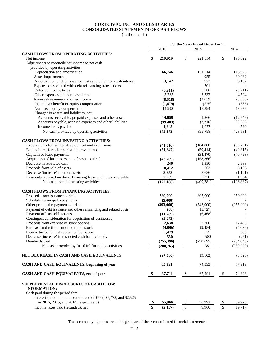# **CORECIVIC, INC. AND SUBSIDIARIES CONSOLIDATED STATEMENTS OF CASH FLOWS**

(in thousands)

|                                                                                                                                                                         |                | For the Years Ended December 31,    |                                     |  |
|-------------------------------------------------------------------------------------------------------------------------------------------------------------------------|----------------|-------------------------------------|-------------------------------------|--|
|                                                                                                                                                                         | 2016           | 2015                                | 2014                                |  |
| <b>CASH FLOWS FROM OPERATING ACTIVITIES:</b>                                                                                                                            |                |                                     |                                     |  |
| Net income                                                                                                                                                              | \$<br>219,919  | \$<br>221,854                       | \$<br>195,022                       |  |
| Adjustments to reconcile net income to net cash                                                                                                                         |                |                                     |                                     |  |
| provided by operating activities:                                                                                                                                       |                |                                     |                                     |  |
| Depreciation and amortization                                                                                                                                           | 166,746        | 151,514                             | 113,925                             |  |
| Asset impairments                                                                                                                                                       |                | 955                                 | 30,082                              |  |
| Amortization of debt issuance costs and other non-cash interest                                                                                                         | 3,147          | 2,973                               | 3,102                               |  |
| Expenses associated with debt refinancing transactions                                                                                                                  |                | 701                                 |                                     |  |
| Deferred income taxes                                                                                                                                                   | (3,911)        | 5,706                               | (3,211)                             |  |
| Other expenses and non-cash items                                                                                                                                       | 5,265          | 3,732                               | 4,594                               |  |
| Non-cash revenue and other income                                                                                                                                       | (8,518)        | (2,639)                             | (3,880)                             |  |
| Income tax benefit of equity compensation                                                                                                                               | (1, 479)       | (525)                               | (665)                               |  |
| Non-cash equity compensation                                                                                                                                            | 17,903         | 15,394                              | 13,975                              |  |
| Changes in assets and liabilities, net:                                                                                                                                 |                |                                     |                                     |  |
| Accounts receivable, prepaid expenses and other assets                                                                                                                  | 14,059         | 1,266                               | (12, 549)                           |  |
| Accounts payable, accrued expenses and other liabilities                                                                                                                | (39, 403)      | (2,210)                             | 82,396                              |  |
| Income taxes payable                                                                                                                                                    | 1,645          | 1,077                               | 790                                 |  |
| Net cash provided by operating activities                                                                                                                               | 375,373        | 399,798                             | 423,581                             |  |
|                                                                                                                                                                         |                |                                     |                                     |  |
| <b>CASH FLOWS FROM INVESTING ACTIVITIES:</b>                                                                                                                            |                |                                     |                                     |  |
| Expenditures for facility development and expansions                                                                                                                    | (41, 816)      | (164, 880)                          | (85,791)                            |  |
| Expenditures for other capital improvements                                                                                                                             |                |                                     | (49,315)                            |  |
|                                                                                                                                                                         | (51, 647)      | (59, 414)                           |                                     |  |
| Capitalized lease payments                                                                                                                                              |                | (34, 470)                           | (70, 793)                           |  |
| Acquisition of businesses, net of cash acquired                                                                                                                         | (43,769)       | (158, 366)                          |                                     |  |
| Decrease in restricted cash                                                                                                                                             | 240            | 1,350                               | 2,983                               |  |
| Proceeds from sale of assets                                                                                                                                            | 8,412          | 563                                 | 5,136                               |  |
| Decrease (increase) in other assets                                                                                                                                     | 3,853          | 3,686                               | (1,101)                             |  |
| Payments received on direct financing lease and notes receivable                                                                                                        | 2,539          | 2,250                               | 1,994                               |  |
| Net cash used in investing activities                                                                                                                                   | (122, 188)     | (409, 281)                          | (196, 887)                          |  |
| CASH FLOWS FROM FINANCING ACTIVITIES:                                                                                                                                   |                |                                     |                                     |  |
| Proceeds from issuance of debt                                                                                                                                          |                |                                     |                                     |  |
|                                                                                                                                                                         | 389,000        | 807,000                             | 250,000                             |  |
| Scheduled principal repayments                                                                                                                                          | (5,000)        |                                     |                                     |  |
| Other principal repayments of debt                                                                                                                                      | (393,000)      | (543,000)                           | (255,000)                           |  |
| Payment of debt issuance and other refinancing and related costs                                                                                                        | (68)           | (5, 727)                            |                                     |  |
| Payment of lease obligations                                                                                                                                            | (11,789)       | (6, 468)                            |                                     |  |
| Contingent consideration for acquisition of businesses                                                                                                                  | (5,073)        |                                     |                                     |  |
| Proceeds from exercise of stock options                                                                                                                                 | 2,638          | 7,700                               | 12,450                              |  |
| Purchase and retirement of common stock                                                                                                                                 | (4,006)        | (9, 454)                            | (4,036)                             |  |
| Income tax benefit of equity compensation                                                                                                                               | 1,479          | 525                                 | 665                                 |  |
| Decrease (increase) in restricted cash for dividends                                                                                                                    | 550            | 500                                 | (251)                               |  |
| Dividends paid                                                                                                                                                          | (255, 496)     | (250, 695)                          | (234, 048)                          |  |
| Net cash provided by (used in) financing activities                                                                                                                     | (280, 765)     | 381                                 | (230, 220)                          |  |
| NET DECREASE IN CASH AND CASH EQUIVALENTS                                                                                                                               | (27,580)       | (9,102)                             | (3,526)                             |  |
| CASH AND CASH EQUIVALENTS, beginning of year                                                                                                                            | 65,291         | 74,393                              | 77,919                              |  |
| CASH AND CASH EQUIVALENTS, end of year                                                                                                                                  | 37,711<br>- \$ | $\boldsymbol{\mathsf{S}}$<br>65,291 | $\boldsymbol{\mathsf{S}}$<br>74,393 |  |
| SUPPLEMENTAL DISCLOSURES OF CASH FLOW<br><b>INFORMATION:</b><br>Cash paid during the period for:<br>Interest (net of amounts capitalized of \$552, \$5,478, and \$2,525 |                |                                     |                                     |  |
| in 2016, 2015, and 2014, respectively)                                                                                                                                  | 55,966         | \$<br>36,992                        | \$<br>39,928                        |  |
| Income taxes paid (refunded), net                                                                                                                                       | (2, 137)       | $\overline{\mathcal{S}}$<br>9,966   | $\overline{\mathcal{S}}$<br>19,717  |  |
|                                                                                                                                                                         |                |                                     |                                     |  |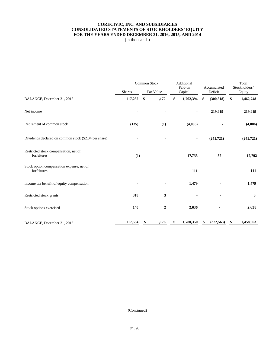#### **CORECIVIC, INC. AND SUBSIDIARIES CONSOLIDATED STATEMENTS OF STOCKHOLDERS' EQUITY FOR THE YEARS ENDED DECEMBER 31, 2016, 2015, AND 2014**

(in thousands)

|                                                          | <b>Shares</b> | Par Value |       |    |           |    |            |                 |  |  |  |  |  |  |  |  |  |  |  |  |  |  |  |  |  |  |  | Common Stock |  |  |  |  |  |  |  |  |  |  |  |  |  |  |  |  |  |  |  |  |  |  |  |  |  |  |  |  |  |  |  |  |  |  |  |  | Additional<br>Paid-In<br>Capital |  |  |  | Accumulated<br>Deficit | Total<br>Stockholders'<br>Equity |
|----------------------------------------------------------|---------------|-----------|-------|----|-----------|----|------------|-----------------|--|--|--|--|--|--|--|--|--|--|--|--|--|--|--|--|--|--|--|--------------|--|--|--|--|--|--|--|--|--|--|--|--|--|--|--|--|--|--|--|--|--|--|--|--|--|--|--|--|--|--|--|--|--|--|--|--|----------------------------------|--|--|--|------------------------|----------------------------------|
| BALANCE, December 31, 2015                               | 117,232       | \$        | 1,172 | \$ | 1,762,394 | \$ | (300, 818) | \$<br>1,462,748 |  |  |  |  |  |  |  |  |  |  |  |  |  |  |  |  |  |  |  |              |  |  |  |  |  |  |  |  |  |  |  |  |  |  |  |  |  |  |  |  |  |  |  |  |  |  |  |  |  |  |  |  |  |  |  |  |                                  |  |  |  |                        |                                  |
| Net income                                               |               |           |       |    |           |    | 219,919    | 219,919         |  |  |  |  |  |  |  |  |  |  |  |  |  |  |  |  |  |  |  |              |  |  |  |  |  |  |  |  |  |  |  |  |  |  |  |  |  |  |  |  |  |  |  |  |  |  |  |  |  |  |  |  |  |  |  |  |                                  |  |  |  |                        |                                  |
| Retirement of common stock                               | (135)         |           | (1)   |    | (4,005)   |    |            | (4,006)         |  |  |  |  |  |  |  |  |  |  |  |  |  |  |  |  |  |  |  |              |  |  |  |  |  |  |  |  |  |  |  |  |  |  |  |  |  |  |  |  |  |  |  |  |  |  |  |  |  |  |  |  |  |  |  |  |                                  |  |  |  |                        |                                  |
| Dividends declared on common stock (\$2.04 per share)    |               |           |       |    |           |    | (241, 721) | (241, 721)      |  |  |  |  |  |  |  |  |  |  |  |  |  |  |  |  |  |  |  |              |  |  |  |  |  |  |  |  |  |  |  |  |  |  |  |  |  |  |  |  |  |  |  |  |  |  |  |  |  |  |  |  |  |  |  |  |                                  |  |  |  |                        |                                  |
| Restricted stock compensation, net of<br>forfeitures     | (1)           |           |       |    | 17,735    |    | 57         | 17,792          |  |  |  |  |  |  |  |  |  |  |  |  |  |  |  |  |  |  |  |              |  |  |  |  |  |  |  |  |  |  |  |  |  |  |  |  |  |  |  |  |  |  |  |  |  |  |  |  |  |  |  |  |  |  |  |  |                                  |  |  |  |                        |                                  |
| Stock option compensation expense, net of<br>forfeitures |               |           |       |    | 111       |    |            | 111             |  |  |  |  |  |  |  |  |  |  |  |  |  |  |  |  |  |  |  |              |  |  |  |  |  |  |  |  |  |  |  |  |  |  |  |  |  |  |  |  |  |  |  |  |  |  |  |  |  |  |  |  |  |  |  |  |                                  |  |  |  |                        |                                  |
| Income tax benefit of equity compensation                |               |           |       |    | 1,479     |    |            | 1,479           |  |  |  |  |  |  |  |  |  |  |  |  |  |  |  |  |  |  |  |              |  |  |  |  |  |  |  |  |  |  |  |  |  |  |  |  |  |  |  |  |  |  |  |  |  |  |  |  |  |  |  |  |  |  |  |  |                                  |  |  |  |                        |                                  |
| Restricted stock grants                                  | 318           |           | 3     |    |           |    |            | $\mathbf{3}$    |  |  |  |  |  |  |  |  |  |  |  |  |  |  |  |  |  |  |  |              |  |  |  |  |  |  |  |  |  |  |  |  |  |  |  |  |  |  |  |  |  |  |  |  |  |  |  |  |  |  |  |  |  |  |  |  |                                  |  |  |  |                        |                                  |
| Stock options exercised                                  | 140           |           | 2     |    | 2,636     |    |            | 2,638           |  |  |  |  |  |  |  |  |  |  |  |  |  |  |  |  |  |  |  |              |  |  |  |  |  |  |  |  |  |  |  |  |  |  |  |  |  |  |  |  |  |  |  |  |  |  |  |  |  |  |  |  |  |  |  |  |                                  |  |  |  |                        |                                  |
| BALANCE, December 31, 2016                               | 117,554       | \$        | 1,176 | \$ | 1,780,350 | \$ | (322, 563) | \$<br>1,458,963 |  |  |  |  |  |  |  |  |  |  |  |  |  |  |  |  |  |  |  |              |  |  |  |  |  |  |  |  |  |  |  |  |  |  |  |  |  |  |  |  |  |  |  |  |  |  |  |  |  |  |  |  |  |  |  |  |                                  |  |  |  |                        |                                  |

(Continued)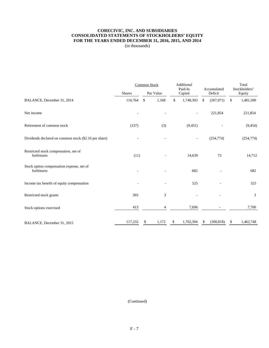#### **CORECIVIC, INC. AND SUBSIDIARIES CONSOLIDATED STATEMENTS OF STOCKHOLDERS' EQUITY FOR THE YEARS ENDED DECEMBER 31, 2016, 2015, AND 2014**

(in thousands)

|                                                          | <b>Common Stock</b><br>Par Value<br><b>Shares</b> |    |       |              | Additional<br>Paid-In<br>Capital | Accumulated<br>Deficit |            | Total<br>Stockholders'<br>Equity |            |
|----------------------------------------------------------|---------------------------------------------------|----|-------|--------------|----------------------------------|------------------------|------------|----------------------------------|------------|
| BALANCE, December 31, 2014                               | 116,764                                           | \$ | 1,168 | $\mathbb{S}$ | 1,748,303                        | \$                     | (267, 971) | \$                               | 1,481,500  |
| Net income                                               |                                                   |    |       |              |                                  |                        | 221,854    |                                  | 221,854    |
| Retirement of common stock                               | (237)                                             |    | (3)   |              | (9, 451)                         |                        |            |                                  | (9, 454)   |
| Dividends declared on common stock (\$2.16 per share)    |                                                   |    |       |              | $\overline{\phantom{a}}$         |                        | (254, 774) |                                  | (254, 774) |
| Restricted stock compensation, net of<br>forfeitures     | (11)                                              |    |       |              | 14,639                           |                        | 73         |                                  | 14,712     |
| Stock option compensation expense, net of<br>forfeitures |                                                   |    |       |              | 682                              |                        |            |                                  | 682        |
| Income tax benefit of equity compensation                |                                                   |    |       |              | 525                              |                        |            |                                  | 525        |
| Restricted stock grants                                  | 303                                               |    | 3     |              |                                  |                        |            |                                  | 3          |
| Stock options exercised                                  | 413                                               |    | 4     |              | 7,696                            |                        |            |                                  | 7,700      |
| BALANCE, December 31, 2015                               | 117,232                                           | \$ | 1,172 | \$           | 1,762,394                        | \$                     | (300, 818) | \$                               | 1,462,748  |

(Continued)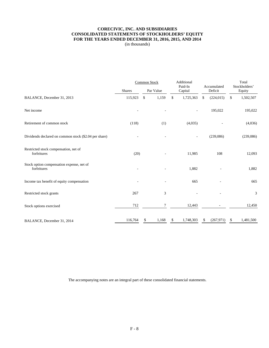#### **CORECIVIC, INC. AND SUBSIDIARIES CONSOLIDATED STATEMENTS OF STOCKHOLDERS' EQUITY FOR THE YEARS ENDED DECEMBER 31, 2016, 2015, AND 2014**

(in thousands)

|                                                          | <b>Common Stock</b><br>Additional<br>Paid-In<br>Capital<br>Par Value<br><b>Shares</b> |    |       | Accumulated<br>Deficit |           | Total<br>Stockholders'<br>Equity |            |                 |
|----------------------------------------------------------|---------------------------------------------------------------------------------------|----|-------|------------------------|-----------|----------------------------------|------------|-----------------|
| BALANCE, December 31, 2013                               | 115,923                                                                               | \$ | 1,159 | \$                     | 1,725,363 | \$                               | (224, 015) | \$<br>1,502,507 |
| Net income                                               |                                                                                       |    |       |                        |           |                                  | 195,022    | 195,022         |
| Retirement of common stock                               | (118)                                                                                 |    | (1)   |                        | (4,035)   |                                  |            | (4,036)         |
| Dividends declared on common stock (\$2.04 per share)    |                                                                                       |    |       |                        |           |                                  | (239,086)  | (239,086)       |
| Restricted stock compensation, net of<br>forfeitures     | (20)                                                                                  |    |       |                        | 11,985    |                                  | 108        | 12,093          |
| Stock option compensation expense, net of<br>forfeitures |                                                                                       |    |       |                        | 1,882     |                                  |            | 1,882           |
| Income tax benefit of equity compensation                |                                                                                       |    |       |                        | 665       |                                  |            | 665             |
| Restricted stock grants                                  | 267                                                                                   |    | 3     |                        |           |                                  |            | $\mathfrak{Z}$  |
| Stock options exercised                                  | 712                                                                                   |    | 7     |                        | 12,443    |                                  |            | 12,450          |
| BALANCE, December 31, 2014                               | 116,764                                                                               | \$ | 1,168 | \$                     | 1,748,303 | \$                               | (267, 971) | \$<br>1,481,500 |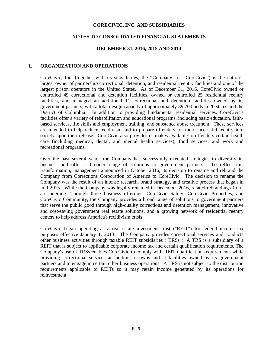#### **CORECIVIC, INC. AND SUBSIDIARIES**

#### **NOTES TO CONSOLIDATED FINANCIAL STATEMENTS**

#### **DECEMBER 31, 2016, 2015 AND 2014**

#### **1. ORGANIZATION AND OPERATIONS**

CoreCivic, Inc. (together with its subsidiaries, the "Company" or "CoreCivic") is the nation's largest owner of partnership correctional, detention, and residential reentry facilities and one of the largest prison operators in the United States. As of December 31, 2016, CoreCivic owned or controlled 49 correctional and detention facilities, owned or controlled 25 residential reentry facilities, and managed an additional 11 correctional and detention facilities owned by its government partners, with a total design capacity of approximately 89,700 beds in 20 states and the District of Columbia. In addition to providing fundamental residential services, CoreCivic's facilities offer a variety of rehabilitation and educational programs, including basic education, faithbased services, life skills and employment training, and substance abuse treatment. These services are intended to help reduce recidivism and to prepare offenders for their successful reentry into society upon their release. CoreCivic also provides or makes available to offenders certain health care (including medical, dental, and mental health services), food services, and work and recreational programs.

Over the past several years, the Company has successfully executed strategies to diversify its business and offer a broader range of solutions to government partners. To reflect this transformation, management announced in October 2016, its decision to rename and rebrand the Company from Corrections Corporation of America to CoreCivic. The decision to rename the Company was the result of an intense research, brand strategy, and creative process that began in mid-2015. While the Company was legally renamed in December 2016, related rebranding efforts are ongoing. Through three business offerings, CoreCivic Safety, CoreCivic Properties, and CoreCivic Community, the Company provides a broad range of solutions to government partners that serve the public good through high-quality corrections and detention management, innovative and cost-saving government real estate solutions, and a growing network of residential reentry centers to help address America's recidivism crisis.

CoreCivic began operating as a real estate investment trust ("REIT") for federal income tax purposes effective January 1, 2013. The Company provides correctional services and conducts other business activities through taxable REIT subsidiaries ("TRSs"). A TRS is a subsidiary of a REIT that is subject to applicable corporate income tax and certain qualification requirements. The Company's use of TRSs enables CoreCivic to comply with REIT qualification requirements while providing correctional services at facilities it owns and at facilities owned by its government partners and to engage in certain other business operations. A TRS is not subject to the distribution requirements applicable to REITs so it may retain income generated by its operations for reinvestment.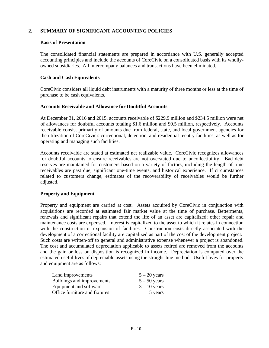# **2. SUMMARY OF SIGNIFICANT ACCOUNTING POLICIES**

#### **Basis of Presentation**

The consolidated financial statements are prepared in accordance with U.S. generally accepted accounting principles and include the accounts of CoreCivic on a consolidated basis with its whollyowned subsidiaries. All intercompany balances and transactions have been eliminated.

### **Cash and Cash Equivalents**

CoreCivic considers all liquid debt instruments with a maturity of three months or less at the time of purchase to be cash equivalents.

#### **Accounts Receivable and Allowance for Doubtful Accounts**

At December 31, 2016 and 2015, accounts receivable of \$229.9 million and \$234.5 million were net of allowances for doubtful accounts totaling \$1.6 million and \$0.5 million, respectively. Accounts receivable consist primarily of amounts due from federal, state, and local government agencies for the utilization of CoreCivic's correctional, detention, and residential reentry facilities, as well as for operating and managing such facilities.

Accounts receivable are stated at estimated net realizable value. CoreCivic recognizes allowances for doubtful accounts to ensure receivables are not overstated due to uncollectibility. Bad debt reserves are maintained for customers based on a variety of factors, including the length of time receivables are past due, significant one-time events, and historical experience. If circumstances related to customers change, estimates of the recoverability of receivables would be further adjusted.

# **Property and Equipment**

Property and equipment are carried at cost. Assets acquired by CoreCivic in conjunction with acquisitions are recorded at estimated fair market value at the time of purchase. Betterments, renewals and significant repairs that extend the life of an asset are capitalized; other repair and maintenance costs are expensed. Interest is capitalized to the asset to which it relates in connection with the construction or expansion of facilities. Construction costs directly associated with the development of a correctional facility are capitalized as part of the cost of the development project. Such costs are written-off to general and administrative expense whenever a project is abandoned. The cost and accumulated depreciation applicable to assets retired are removed from the accounts and the gain or loss on disposition is recognized in income. Depreciation is computed over the estimated useful lives of depreciable assets using the straight-line method. Useful lives for property and equipment are as follows:

| Land improvements             | $5 - 20$ years |
|-------------------------------|----------------|
| Buildings and improvements    | $5 - 50$ years |
| Equipment and software        | $3 - 10$ years |
| Office furniture and fixtures | 5 years        |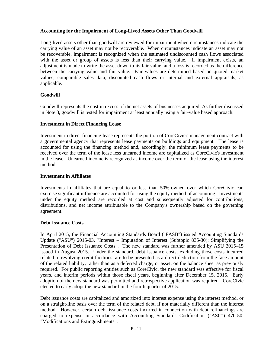# **Accounting for the Impairment of Long-Lived Assets Other Than Goodwill**

Long-lived assets other than goodwill are reviewed for impairment when circumstances indicate the carrying value of an asset may not be recoverable. When circumstances indicate an asset may not be recoverable, impairment is recognized when the estimated undiscounted cash flows associated with the asset or group of assets is less than their carrying value. If impairment exists, an adjustment is made to write the asset down to its fair value, and a loss is recorded as the difference between the carrying value and fair value. Fair values are determined based on quoted market values, comparable sales data, discounted cash flows or internal and external appraisals, as applicable.

# **Goodwill**

Goodwill represents the cost in excess of the net assets of businesses acquired. As further discussed in Note 3, goodwill is tested for impairment at least annually using a fair-value based approach.

# **Investment in Direct Financing Lease**

Investment in direct financing lease represents the portion of CoreCivic's management contract with a governmental agency that represents lease payments on buildings and equipment. The lease is accounted for using the financing method and, accordingly, the minimum lease payments to be received over the term of the lease less unearned income are capitalized as CoreCivic's investment in the lease. Unearned income is recognized as income over the term of the lease using the interest method.

# **Investment in Affiliates**

Investments in affiliates that are equal to or less than 50%-owned over which CoreCivic can exercise significant influence are accounted for using the equity method of accounting. Investments under the equity method are recorded at cost and subsequently adjusted for contributions, distributions, and net income attributable to the Company's ownership based on the governing agreement.

# **Debt Issuance Costs**

In April 2015, the Financial Accounting Standards Board ("FASB") issued Accounting Standards Update ("ASU") 2015-03, "Interest – Imputation of Interest (Subtopic 835-30): Simplifying the Presentation of Debt Issuance Costs". The new standard was further amended by ASU 2015–15 issued in August 2015. Under the standard, debt issuance costs, excluding those costs incurred related to revolving credit facilities, are to be presented as a direct deduction from the face amount of the related liability, rather than as a deferred charge, or asset, on the balance sheet as previously required. For public reporting entities such as CoreCivic, the new standard was effective for fiscal years, and interim periods within those fiscal years, beginning after December 15, 2015. Early adoption of the new standard was permitted and retrospective application was required. CoreCivic elected to early adopt the new standard in the fourth quarter of 2015.

Debt issuance costs are capitalized and amortized into interest expense using the interest method, or on a straight-line basis over the term of the related debt, if not materially different than the interest method. However, certain debt issuance costs incurred in connection with debt refinancings are charged to expense in accordance with Accounting Standards Codification ("ASC") 470-50, "Modifications and Extinguishments".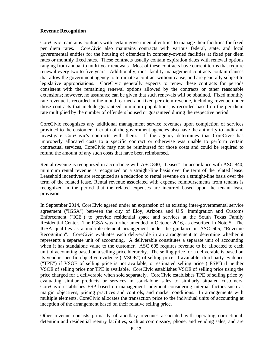#### **Revenue Recognition**

CoreCivic maintains contracts with certain governmental entities to manage their facilities for fixed per diem rates. CoreCivic also maintains contracts with various federal, state, and local governmental entities for the housing of offenders in company-owned facilities at fixed per diem rates or monthly fixed rates. These contracts usually contain expiration dates with renewal options ranging from annual to multi-year renewals. Most of these contracts have current terms that require renewal every two to five years. Additionally, most facility management contracts contain clauses that allow the government agency to terminate a contract without cause, and are generally subject to legislative appropriations. CoreCivic generally expects to renew these contracts for periods consistent with the remaining renewal options allowed by the contracts or other reasonable extensions; however, no assurance can be given that such renewals will be obtained. Fixed monthly rate revenue is recorded in the month earned and fixed per diem revenue, including revenue under those contracts that include guaranteed minimum populations, is recorded based on the per diem rate multiplied by the number of offenders housed or guaranteed during the respective period.

CoreCivic recognizes any additional management service revenues upon completion of services provided to the customer. Certain of the government agencies also have the authority to audit and investigate CoreCivic's contracts with them. If the agency determines that CoreCivic has improperly allocated costs to a specific contract or otherwise was unable to perform certain contractual services, CoreCivic may not be reimbursed for those costs and could be required to refund the amount of any such costs that have been reimbursed.

Rental revenue is recognized in accordance with ASC 840, "Leases". In accordance with ASC 840, minimum rental revenue is recognized on a straight-line basis over the term of the related lease. Leasehold incentives are recognized as a reduction to rental revenue on a straight-line basis over the term of the related lease. Rental revenue associated with expense reimbursements from tenants is recognized in the period that the related expenses are incurred based upon the tenant lease provision.

In September 2014, CoreCivic agreed under an expansion of an existing inter-governmental service agreement ("IGSA") between the city of Eloy, Arizona and U.S. Immigration and Customs Enforcement ("ICE") to provide residential space and services at the South Texas Family Residential Center. The IGSA was further amended in October 2016, as described in Note 5. The IGSA qualifies as a multiple-element arrangement under the guidance in ASC 605, "Revenue Recognition". CoreCivic evaluates each deliverable in an arrangement to determine whether it represents a separate unit of accounting. A deliverable constitutes a separate unit of accounting when it has standalone value to the customer. ASC 605 requires revenue to be allocated to each unit of accounting based on a selling price hierarchy. The selling price for a deliverable is based on its vendor specific objective evidence ("VSOE") of selling price, if available, third-party evidence ("TPE") if VSOE of selling price is not available, or estimated selling price ("ESP") if neither VSOE of selling price nor TPE is available. CoreCivic establishes VSOE of selling price using the price charged for a deliverable when sold separately. CoreCivic establishes TPE of selling price by evaluating similar products or services in standalone sales to similarly situated customers. CoreCivic establishes ESP based on management judgment considering internal factors such as margin objectives, pricing practices and controls, and market conditions. In arrangements with multiple elements, CoreCivic allocates the transaction price to the individual units of accounting at inception of the arrangement based on their relative selling price.

Other revenue consists primarily of ancillary revenues associated with operating correctional, detention and residential reentry facilities, such as commissary, phone, and vending sales, and are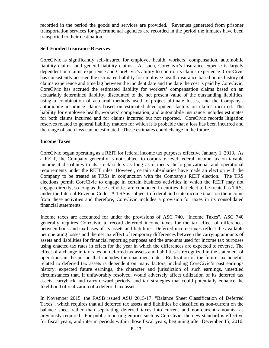recorded in the period the goods and services are provided. Revenues generated from prisoner transportation services for governmental agencies are recorded in the period the inmates have been transported to their destination.

# **Self-Funded Insurance Reserves**

CoreCivic is significantly self-insured for employee health, workers' compensation, automobile liability claims, and general liability claims. As such, CoreCivic's insurance expense is largely dependent on claims experience and CoreCivic's ability to control its claims experience. CoreCivic has consistently accrued the estimated liability for employee health insurance based on its history of claims experience and time lag between the incident date and the date the cost is paid by CoreCivic. CoreCivic has accrued the estimated liability for workers' compensation claims based on an actuarially determined liability, discounted to the net present value of the outstanding liabilities, using a combination of actuarial methods used to project ultimate losses, and the Company's automobile insurance claims based on estimated development factors on claims incurred. The liability for employee health, workers' compensation, and automobile insurance includes estimates for both claims incurred and for claims incurred but not reported. CoreCivic records litigation reserves related to general liability matters for which it is probable that a loss has been incurred and the range of such loss can be estimated. These estimates could change in the future.

#### **Income Taxes**

CoreCivic began operating as a REIT for federal income tax purposes effective January 1, 2013. As a REIT, the Company generally is not subject to corporate level federal income tax on taxable income it distributes to its stockholders as long as it meets the organizational and operational requirements under the REIT rules. However, certain subsidiaries have made an election with the Company to be treated as TRSs in conjunction with the Company's REIT election. The TRS elections permit CoreCivic to engage in certain business activities in which the REIT may not engage directly, so long as these activities are conducted in entities that elect to be treated as TRSs under the Internal Revenue Code. A TRS is subject to federal and state income taxes on the income from these activities and therefore, CoreCivic includes a provision for taxes in its consolidated financial statements.

Income taxes are accounted for under the provisions of ASC 740, "Income Taxes". ASC 740 generally requires CoreCivic to record deferred income taxes for the tax effect of differences between book and tax bases of its assets and liabilities. Deferred income taxes reflect the available net operating losses and the net tax effect of temporary differences between the carrying amounts of assets and liabilities for financial reporting purposes and the amounts used for income tax purposes using enacted tax rates in effect for the year in which the differences are expected to reverse. The effect of a change in tax rates on deferred tax assets and liabilities is recognized in the statement of operations in the period that includes the enactment date. Realization of the future tax benefits related to deferred tax assets is dependent on many factors, including CoreCivic's past earnings history, expected future earnings, the character and jurisdiction of such earnings, unsettled circumstances that, if unfavorably resolved, would adversely affect utilization of its deferred tax assets, carryback and carryforward periods, and tax strategies that could potentially enhance the likelihood of realization of a deferred tax asset.

In November 2015, the FASB issued ASU 2015-17, "Balance Sheet Classification of Deferred Taxes", which requires that all deferred tax assets and liabilities be classified as non-current on the balance sheet rather than separating deferred taxes into current and non-current amounts, as previously required. For public reporting entities such as CoreCivic, the new standard is effective for fiscal years, and interim periods within those fiscal years, beginning after December 15, 2016.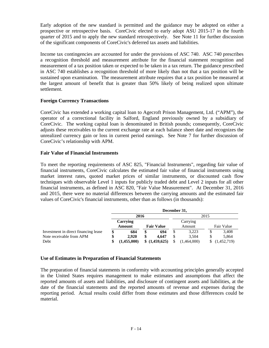Early adoption of the new standard is permitted and the guidance may be adopted on either a prospective or retrospective basis. CoreCivic elected to early adopt ASU 2015-17 in the fourth quarter of 2015 and to apply the new standard retrospectively. See Note 11 for further discussion of the significant components of CoreCivic's deferred tax assets and liabilities.

Income tax contingencies are accounted for under the provisions of ASC 740. ASC 740 prescribes a recognition threshold and measurement attribute for the financial statement recognition and measurement of a tax position taken or expected to be taken in a tax return. The guidance prescribed in ASC 740 establishes a recognition threshold of more likely than not that a tax position will be sustained upon examination. The measurement attribute requires that a tax position be measured at the largest amount of benefit that is greater than 50% likely of being realized upon ultimate settlement.

#### **Foreign Currency Transactions**

CoreCivic has extended a working capital loan to Agecroft Prison Management, Ltd. ("APM"), the operator of a correctional facility in Salford, England previously owned by a subsidiary of CoreCivic. The working capital loan is denominated in British pounds; consequently, CoreCivic adjusts these receivables to the current exchange rate at each balance sheet date and recognizes the unrealized currency gain or loss in current period earnings. See Note 7 for further discussion of CoreCivic's relationship with APM.

#### **Fair Value of Financial Instruments**

To meet the reporting requirements of ASC 825, "Financial Instruments", regarding fair value of financial instruments, CoreCivic calculates the estimated fair value of financial instruments using market interest rates, quoted market prices of similar instruments, or discounted cash flow techniques with observable Level 1 inputs for publicly traded debt and Level 2 inputs for all other financial instruments, as defined in ASC 820, "Fair Value Measurement". At December 31, 2016 and 2015, there were no material differences between the carrying amounts and the estimated fair values of CoreCivic's financial instruments, other than as follows (in thousands):

|                                      | December 31, |                             |    |               |    |             |            |             |  |
|--------------------------------------|--------------|-----------------------------|----|---------------|----|-------------|------------|-------------|--|
|                                      | 2016         |                             |    |               |    | 2015        |            |             |  |
|                                      |              | Carrying                    |    |               |    | Carrying    |            |             |  |
|                                      |              | <b>Fair Value</b><br>Amount |    |               |    | Amount      | Fair Value |             |  |
| Investment in direct financing lease |              | 684                         |    | 694           | \$ | 3.223       |            | 3.408       |  |
| Note receivable from APM             |              | 2.920                       | \$ | 4.647         |    | 3.504       | \$         | 5.864       |  |
| Debt                                 |              | (1,455,000)                 |    | \$(1,459,625) |    | (1,464,000) |            | (1,452,719) |  |

#### **Use of Estimates in Preparation of Financial Statements**

The preparation of financial statements in conformity with accounting principles generally accepted in the United States requires management to make estimates and assumptions that affect the reported amounts of assets and liabilities, and disclosure of contingent assets and liabilities, at the date of the financial statements and the reported amounts of revenue and expenses during the reporting period. Actual results could differ from those estimates and those differences could be material.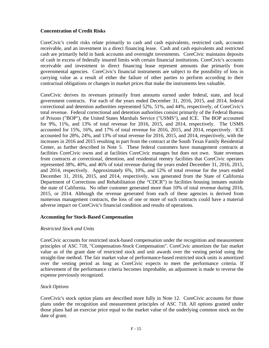# **Concentration of Credit Risks**

CoreCivic's credit risks relate primarily to cash and cash equivalents, restricted cash, accounts receivable, and an investment in a direct financing lease. Cash and cash equivalents and restricted cash are primarily held in bank accounts and overnight investments. CoreCivic maintains deposits of cash in excess of federally insured limits with certain financial institutions. CoreCivic's accounts receivable and investment in direct financing lease represent amounts due primarily from governmental agencies. CoreCivic's financial instruments are subject to the possibility of loss in carrying value as a result of either the failure of other parties to perform according to their contractual obligations or changes in market prices that make the instruments less valuable.

CoreCivic derives its revenues primarily from amounts earned under federal, state, and local government contracts. For each of the years ended December 31, 2016, 2015, and 2014, federal correctional and detention authorities represented 52%, 51%, and 44%, respectively, of CoreCivic's total revenue. Federal correctional and detention authorities consist primarily of the Federal Bureau of Prisons ("BOP"), the United States Marshals Service ("USMS"), and ICE. The BOP accounted for 9%, 11%, and 13% of total revenue for 2016, 2015, and 2014, respectively. The USMS accounted for 15%, 16%, and 17% of total revenue for 2016, 2015, and 2014, respectively. ICE accounted for 28%, 24%, and 13% of total revenue for 2016, 2015, and 2014, respectively, with the increases in 2016 and 2015 resulting in part from the contract at the South Texas Family Residential Center, as further described in Note 5. These federal customers have management contracts at facilities CoreCivic owns and at facilities CoreCivic manages but does not own. State revenues from contracts at correctional, detention, and residential reentry facilities that CoreCivic operates represented 38%, 40%, and 46% of total revenue during the years ended December 31, 2016, 2015, and 2014, respectively. Approximately 6%, 10%, and 12% of total revenue for the years ended December 31, 2016, 2015, and 2014, respectively, was generated from the State of California Department of Corrections and Rehabilitation (the "CDCR") in facilities housing inmates outside the state of California. No other customer generated more than 10% of total revenue during 2016, 2015, or 2014. Although the revenue generated from each of these agencies is derived from numerous management contracts, the loss of one or more of such contracts could have a material adverse impact on CoreCivic's financial condition and results of operations.

# **Accounting for Stock-Based Compensation**

#### *Restricted Stock and Units*

CoreCivic accounts for restricted stock-based compensation under the recognition and measurement principles of ASC 718, "Compensation-Stock Compensation". CoreCivic amortizes the fair market value as of the grant date of restricted stock and unit awards over the vesting period using the straight-line method. The fair market value of performance-based restricted stock units is amortized over the vesting period as long as CoreCivic expects to meet the performance criteria. If achievement of the performance criteria becomes improbable, an adjustment is made to reverse the expense previously recognized.

#### *Stock Options*

CoreCivic's stock option plans are described more fully in Note 12. CoreCivic accounts for those plans under the recognition and measurement principles of ASC 718. All options granted under those plans had an exercise price equal to the market value of the underlying common stock on the date of grant.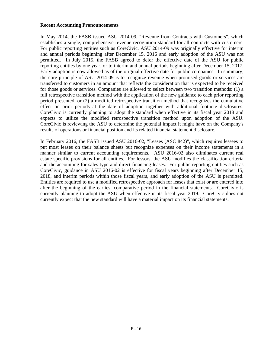#### **Recent Accounting Pronouncements**

In May 2014, the FASB issued ASU 2014-09, "Revenue from Contracts with Customers", which establishes a single, comprehensive revenue recognition standard for all contracts with customers. For public reporting entities such as CoreCivic, ASU 2014-09 was originally effective for interim and annual periods beginning after December 15, 2016 and early adoption of the ASU was not permitted. In July 2015, the FASB agreed to defer the effective date of the ASU for public reporting entities by one year, or to interim and annual periods beginning after December 15, 2017. Early adoption is now allowed as of the original effective date for public companies. In summary, the core principle of ASU 2014-09 is to recognize revenue when promised goods or services are transferred to customers in an amount that reflects the consideration that is expected to be received for those goods or services. Companies are allowed to select between two transition methods: (1) a full retrospective transition method with the application of the new guidance to each prior reporting period presented, or (2) a modified retrospective transition method that recognizes the cumulative effect on prior periods at the date of adoption together with additional footnote disclosures. CoreCivic is currently planning to adopt the standard when effective in its fiscal year 2018 and expects to utilize the modified retrospective transition method upon adoption of the ASU. CoreCivic is reviewing the ASU to determine the potential impact it might have on the Company's results of operations or financial position and its related financial statement disclosure.

In February 2016, the FASB issued ASU 2016-02, "Leases (ASC 842)", which requires lessees to put most leases on their balance sheets but recognize expenses on their income statements in a manner similar to current accounting requirements. ASU 2016-02 also eliminates current real estate-specific provisions for all entities. For lessors, the ASU modifies the classification criteria and the accounting for sales-type and direct financing leases. For public reporting entities such as CoreCivic, guidance in ASU 2016-02 is effective for fiscal years beginning after December 15, 2018, and interim periods within those fiscal years, and early adoption of the ASU is permitted. Entities are required to use a modified retrospective approach for leases that exist or are entered into after the beginning of the earliest comparative period in the financial statements. CoreCivic is currently planning to adopt the ASU when effective in its fiscal year 2019. CoreCivic does not currently expect that the new standard will have a material impact on its financial statements.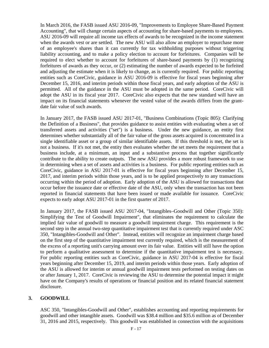In March 2016, the FASB issued ASU 2016-09, "Improvements to Employee Share-Based Payment Accounting", that will change certain aspects of accounting for share-based payments to employees. ASU 2016-09 will require all income tax effects of awards to be recognized in the income statement when the awards vest or are settled. The new ASU will also allow an employer to repurchase more of an employee's shares than it can currently for tax withholding purposes without triggering liability accounting, and to make a policy election to account for forfeitures. Companies will be required to elect whether to account for forfeitures of share-based payments by (1) recognizing forfeitures of awards as they occur, or (2) estimating the number of awards expected to be forfeited and adjusting the estimate when it is likely to change, as is currently required. For public reporting entities such as CoreCivic, guidance in ASU 2016-09 is effective for fiscal years beginning after December 15, 2016, and interim periods within those fiscal years, and early adoption of the ASU is permitted. All of the guidance in the ASU must be adopted in the same period. CoreCivic will adopt the ASU in its fiscal year 2017. CoreCivic also expects that the new standard will have an impact on its financial statements whenever the vested value of the awards differs from the grantdate fair value of such awards.

In January 2017, the FASB issued ASU 2017-01, "Business Combinations (Topic 805): Clarifying the Definition of a Business", that provides guidance to assist entities with evaluating when a set of transferred assets and activities ("set") is a business. Under the new guidance, an entity first determines whether substantially all of the fair value of the gross assets acquired is concentrated in a single identifiable asset or a group of similar identifiable assets. If this threshold is met, the set is not a business. If it's not met, the entity then evaluates whether the set meets the requirement that a business include, at a minimum, an input and a substantive process that together significantly contribute to the ability to create outputs. The new ASU provides a more robust framework to use in determining when a set of assets and activities is a business. For public reporting entities such as CoreCivic, guidance in ASU 2017-01 is effective for fiscal years beginning after December 15, 2017, and interim periods within those years, and is to be applied prospectively to any transactions occurring within the period of adoption. Early adoption of the ASU is allowed for transactions that occur before the issuance date or effective date of the ASU, only when the transaction has not been reported in financial statements that have been issued or made available for issuance. CoreCivic expects to early adopt ASU 2017-01 in the first quarter of 2017.

In January 2017, the FASB issued ASU 2017-04, "Intangibles–Goodwill and Other (Topic 350): Simplifying the Test of Goodwill Impairment", that eliminates the requirement to calculate the implied fair value of goodwill to measure a goodwill impairment charge. This requirement is the second step in the annual two-step quantitative impairment test that is currently required under ASC 350, "Intangibles-Goodwill and Other". Instead, entities will recognize an impairment charge based on the first step of the quantitative impairment test currently required, which is the measurement of the excess of a reporting unit's carrying amount over its fair value. Entities will still have the option to perform a qualitative assessment to determine if the quantitative impairment test is necessary. For public reporting entities such as CoreCivic, guidance in ASU 2017-04 is effective for fiscal years beginning after December 15, 2019, and interim periods within those years. Early adoption of the ASU is allowed for interim or annual goodwill impairment tests performed on testing dates on or after January 1, 2017. CoreCivic is reviewing the ASU to determine the potential impact it might have on the Company's results of operations or financial position and its related financial statement disclosure.

# **3. GOODWILL**

ASC 350, "Intangibles-Goodwill and Other", establishes accounting and reporting requirements for goodwill and other intangible assets. Goodwill was \$38.4 million and \$35.6 million as of December 31, 2016 and 2015, respectively. This goodwill was established in connection with the acquisitions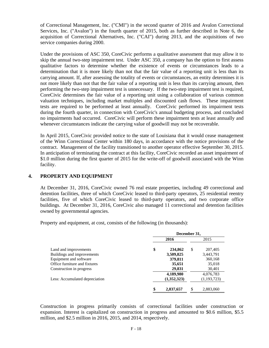of Correctional Management, Inc. ("CMI") in the second quarter of 2016 and Avalon Correctional Services, Inc. ("Avalon") in the fourth quarter of 2015, both as further described in Note 6, the acquisition of Correctional Alternatives, Inc. ("CAI") during 2013, and the acquisitions of two service companies during 2000.

Under the provisions of ASC 350, CoreCivic performs a qualitative assessment that may allow it to skip the annual two-step impairment test. Under ASC 350, a company has the option to first assess qualitative factors to determine whether the existence of events or circumstances leads to a determination that it is more likely than not that the fair value of a reporting unit is less than its carrying amount. If, after assessing the totality of events or circumstances, an entity determines it is not more likely than not that the fair value of a reporting unit is less than its carrying amount, then performing the two-step impairment test is unnecessary. If the two-step impairment test is required, CoreCivic determines the fair value of a reporting unit using a collaboration of various common valuation techniques, including market multiples and discounted cash flows. These impairment tests are required to be performed at least annually. CoreCivic performed its impairment tests during the fourth quarter, in connection with CoreCivic's annual budgeting process, and concluded no impairments had occurred. CoreCivic will perform these impairment tests at least annually and whenever circumstances indicate the carrying value of goodwill may not be recoverable.

In April 2015, CoreCivic provided notice to the state of Louisiana that it would cease management of the Winn Correctional Center within 180 days, in accordance with the notice provisions of the contract. Management of the facility transitioned to another operator effective September 30, 2015. In anticipation of terminating the contract at this facility, CoreCivic recorded an asset impairment of \$1.0 million during the first quarter of 2015 for the write-off of goodwill associated with the Winn facility.

# **4. PROPERTY AND EQUIPMENT**

At December 31, 2016, CoreCivic owned 76 real estate properties, including 49 correctional and detention facilities, three of which CoreCivic leased to third-party operators, 25 residential reentry facilities, five of which CoreCivic leased to third-party operators, and two corporate office buildings. At December 31, 2016, CoreCivic also managed 11 correctional and detention facilities owned by governmental agencies.

Property and equipment, at cost, consists of the following (in thousands):

| December 31,    |    |             |  |  |  |  |
|-----------------|----|-------------|--|--|--|--|
| 2016            |    | 2015        |  |  |  |  |
| 234,862         | \$ | 207,405     |  |  |  |  |
| 3,509,825       |    | 3,443,791   |  |  |  |  |
| 379,811         |    | 360,168     |  |  |  |  |
| 35,651          |    | 35,018      |  |  |  |  |
| 29,831          |    | 30,401      |  |  |  |  |
| 4,189,980       |    | 4,076,783   |  |  |  |  |
| (1,352,323)     |    | (1,193,723) |  |  |  |  |
| \$<br>2,837,657 | \$ | 2,883,060   |  |  |  |  |
| \$              |    |             |  |  |  |  |

Construction in progress primarily consists of correctional facilities under construction or expansion. Interest is capitalized on construction in progress and amounted to \$0.6 million, \$5.5 million, and \$2.5 million in 2016, 2015, and 2014, respectively.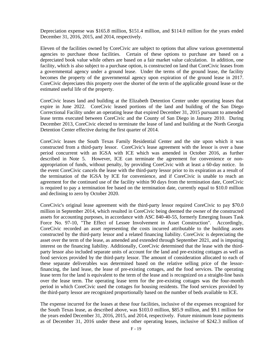Depreciation expense was \$165.8 million, \$151.4 million, and \$114.0 million for the years ended December 31, 2016, 2015, and 2014, respectively.

Eleven of the facilities owned by CoreCivic are subject to options that allow various governmental agencies to purchase those facilities. Certain of these options to purchase are based on a depreciated book value while others are based on a fair market value calculation. In addition, one facility, which is also subject to a purchase option, is constructed on land that CoreCivic leases from a governmental agency under a ground lease. Under the terms of the ground lease, the facility becomes the property of the governmental agency upon expiration of the ground lease in 2017. CoreCivic depreciates this property over the shorter of the term of the applicable ground lease or the estimated useful life of the property.

CoreCivic leases land and building at the Elizabeth Detention Center under operating leases that expire in June 2022. CoreCivic leased portions of the land and building of the San Diego Correctional Facility under an operating lease that expired December 31, 2015 pursuant to amended lease terms executed between CoreCivic and the County of San Diego in January 2010. During December 2013, CoreCivic elected to terminate the lease of land and building at the North Georgia Detention Center effective during the first quarter of 2014.

CoreCivic leases the South Texas Family Residential Center and the site upon which it was constructed from a third-party lessor. CoreCivic's lease agreement with the lessor is over a base period concurrent with an IGSA with ICE which was amended in October 2016, as further described in Note 5. However, ICE can terminate the agreement for convenience or nonappropriation of funds, without penalty, by providing CoreCivic with at least a 60-day notice. In the event CoreCivic cancels the lease with the third-party lessor prior to its expiration as a result of the termination of the IGSA by ICE for convenience, and if CoreCivic is unable to reach an agreement for the continued use of the facility within 90 days from the termination date, CoreCivic is required to pay a termination fee based on the termination date, currently equal to \$10.0 million and declining to zero by October 2020.

CoreCivic's original lease agreement with the third-party lessor required CoreCivic to pay \$70.0 million in September 2014, which resulted in CoreCivic being deemed the owner of the constructed assets for accounting purposes, in accordance with ASC 840-40-55, formerly Emerging Issues Task Force No. 97-10, "The Effect of Lessee Involvement in Asset Construction". Accordingly, CoreCivic recorded an asset representing the costs incurred attributable to the building assets constructed by the third-party lessor and a related financing liability. CoreCivic is depreciating the asset over the term of the lease, as amended and extended through September 2021, and is imputing interest on the financing liability. Additionally, CoreCivic determined that the lease with the thirdparty lessor also included separate units of account for the land and pre-existing cottages as well as food services provided by the third-party lessor. The amount of consideration allocated to each of these separate deliverables was determined based on the relative selling price of the lessorfinancing, the land lease, the lease of pre-existing cottages, and the food services. The operating lease term for the land is equivalent to the term of the lease and is recognized on a straight-line basis over the lease term. The operating lease term for the pre-existing cottages was the four-month period in which CoreCivic used the cottages for housing residents. The food services provided by the third-party lessor are recognized proportionally based on the number of beds available to ICE.

The expense incurred for the leases at these four facilities, inclusive of the expenses recognized for the South Texas lease, as described above, was \$103.0 million, \$85.9 million, and \$9.1 million for the years ended December 31, 2016, 2015, and 2014, respectively. Future minimum lease payments as of December 31, 2016 under these and other operating leases, inclusive of \$242.3 million of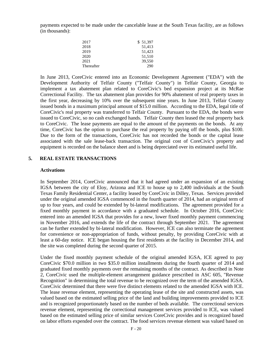payments expected to be made under the cancelable lease at the South Texas facility, are as follows (in thousands):

| 2017       | \$51,397 |
|------------|----------|
| 2018       | 51,413   |
| 2019       | 51,423   |
| 2020       | 51,510   |
| 2021       | 39,550   |
| Thereafter | 290      |

In June 2013, CoreCivic entered into an Economic Development Agreement ("EDA") with the Development Authority of Telfair County ("Telfair County") in Telfair County, Georgia to implement a tax abatement plan related to CoreCivic's bed expansion project at its McRae Correctional Facility. The tax abatement plan provides for 90% abatement of real property taxes in the first year, decreasing by 10% over the subsequent nine years. In June 2013, Telfair County issued bonds in a maximum principal amount of \$15.0 million. According to the EDA, legal title of CoreCivic's real property was transferred to Telfair County. Pursuant to the EDA, the bonds were issued to CoreCivic, so no cash exchanged hands. Telfair County then leased the real property back to CoreCivic. The lease payments are equal to the amount of the payments on the bonds. At any time, CoreCivic has the option to purchase the real property by paying off the bonds, plus \$100. Due to the form of the transactions, CoreCivic has not recorded the bonds or the capital lease associated with the sale lease-back transaction. The original cost of CoreCivic's property and equipment is recorded on the balance sheet and is being depreciated over its estimated useful life.

#### **5. REAL ESTATE TRANSACTIONS**

#### **Activations**

In September 2014, CoreCivic announced that it had agreed under an expansion of an existing IGSA between the city of Eloy, Arizona and ICE to house up to 2,400 individuals at the South Texas Family Residential Center, a facility leased by CoreCivic in Dilley, Texas. Services provided under the original amended IGSA commenced in the fourth quarter of 2014, had an original term of up to four years, and could be extended by bi-lateral modifications. The agreement provided for a fixed monthly payment in accordance with a graduated schedule. In October 2016, CoreCivic entered into an amended IGSA that provides for a new, lower fixed monthly payment commencing in November 2016, and extends the life of the contract through September 2021. The agreement can be further extended by bi-lateral modification.However, ICE can also terminate the agreement for convenience or non-appropriation of funds, without penalty, by providing CoreCivic with at least a 60-day notice. ICE began housing the first residents at the facility in December 2014, and the site was completed during the second quarter of 2015.

Under the fixed monthly payment schedule of the original amended IGSA, ICE agreed to pay CoreCivic \$70.0 million in two \$35.0 million installments during the fourth quarter of 2014 and graduated fixed monthly payments over the remaining months of the contract. As described in Note 2, CoreCivic used the multiple-element arrangement guidance prescribed in ASC 605, "Revenue Recognition" in determining the total revenue to be recognized over the term of the amended IGSA. CoreCivic determined that there were five distinct elements related to the amended IGSA with ICE. The lease revenue element, representing the operating lease of the site and constructed assets, was valued based on the estimated selling price of the land and building improvements provided to ICE and is recognized proportionately based on the number of beds available. The correctional services revenue element, representing the correctional management services provided to ICE, was valued based on the estimated selling price of similar services CoreCivic provides and is recognized based on labor efforts expended over the contract. The food services revenue element was valued based on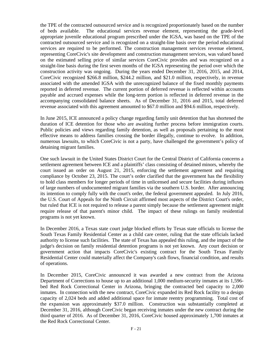the TPE of the contracted outsourced service and is recognized proportionately based on the number of beds available. The educational services revenue element, representing the grade-level appropriate juvenile educational program prescribed under the IGSA, was based on the TPE of the contracted outsourced service and is recognized on a straight-line basis over the period educational services are required to be performed. The construction management services revenue element, representing CoreCivic's site development and construction management services, was valued based on the estimated selling price of similar services CoreCivic provides and was recognized on a straight-line basis during the first seven months of the IGSA representing the period over which the construction activity was ongoing. During the years ended December 31, 2016, 2015, and 2014, CoreCivic recognized \$266.8 million, \$244.2 million, and \$21.0 million, respectively, in revenue associated with the amended IGSA with the unrecognized balance of the fixed monthly payments reported in deferred revenue. The current portion of deferred revenue is reflected within accounts payable and accrued expenses while the long-term portion is reflected in deferred revenue in the accompanying consolidated balance sheets. As of December 31, 2016 and 2015, total deferred revenue associated with this agreement amounted to \$67.0 million and \$94.6 million, respectively.

In June 2015, ICE announced a policy change regarding family unit detention that has shortened the duration of ICE detention for those who are awaiting further process before immigration courts. Public policies and views regarding family detention, as well as proposals pertaining to the most effective means to address families crossing the border illegally, continue to evolve. In addition, numerous lawsuits, to which CoreCivic is not a party, have challenged the government's policy of detaining migrant families.

One such lawsuit in the United States District Court for the Central District of California concerns a settlement agreement between ICE and a plaintiffs' class consisting of detained minors, whereby the court issued an order on August 21, 2015, enforcing the settlement agreement and requiring compliance by October 23, 2015. The court's order clarified that the government has the flexibility to hold class members for longer periods of time in unlicensed and secure facilities during influxes of large numbers of undocumented migrant families via the southern U.S. border. After announcing its intention to comply fully with the court's order, the federal government appealed. In July 2016, the U.S. Court of Appeals for the Ninth Circuit affirmed most aspects of the District Court's order, but ruled that ICE is not required to release a parent simply because the settlement agreement might require release of that parent's minor child. The impact of these rulings on family residential programs is not yet known.

In December 2016, a Texas state court judge blocked efforts by Texas state officials to license the South Texas Family Residential Center as a child care center, ruling that the state officials lacked authority to license such facilities. The state of Texas has appealed this ruling, and the impact of the judge's decision on family residential detention programs is not yet known. Any court decision or government action that impacts CoreCivic's existing contract for the South Texas Family Residential Center could materially affect the Company's cash flows, financial condition, and results of operations.

In December 2015, CoreCivic announced it was awarded a new contract from the Arizona Department of Corrections to house up to an additional 1,000 medium-security inmates at its 1,596 bed Red Rock Correctional Center in Arizona, bringing the contracted bed capacity to 2,000 inmates. In connection with the new contract, CoreCivic expanded its Red Rock facility to a design capacity of 2,024 beds and added additional space for inmate reentry programming. Total cost of the expansion was approximately \$37.0 million. Construction was substantially completed at December 31, 2016, although CoreCivic began receiving inmates under the new contract during the third quarter of 2016. As of December 31, 2016, CoreCivic housed approximately 1,700 inmates at the Red Rock Correctional Center.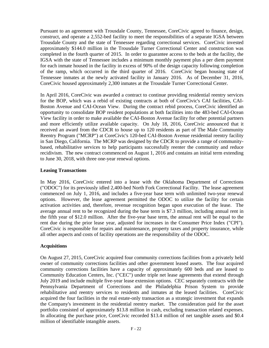Pursuant to an agreement with Trousdale County, Tennessee, CoreCivic agreed to finance, design, construct, and operate a 2,552-bed facility to meet the responsibilities of a separate IGSA between Trousdale County and the state of Tennessee regarding correctional services. CoreCivic invested approximately \$144.0 million in the Trousdale Turner Correctional Center and construction was completed in the fourth quarter of 2015. In order to guarantee access to the beds at the facility, the IGSA with the state of Tennessee includes a minimum monthly payment plus a per diem payment for each inmate housed in the facility in excess of 90% of the design capacity following completion of the ramp, which occurred in the third quarter of 2016. CoreCivic began housing state of Tennessee inmates at the newly activated facility in January 2016. As of December 31, 2016, CoreCivic housed approximately 2,300 inmates at the Trousdale Turner Correctional Center.

In April 2016, CoreCivic was awarded a contract to continue providing residential reentry services for the BOP, which was a rebid of existing contracts at both of CoreCivic's CAI facilities, CAI-Boston Avenue and CAI-Ocean View. During the contract rebid process, CoreCivic identified an opportunity to consolidate BOP resident populations at both facilities into the 483-bed CAI-Ocean View facility in order to make available the CAI-Boston Avenue facility for other potential partners and more efficiently utilize available capacity. On July 18, 2016, CoreCivic announced that it received an award from the CDCR to house up to 120 residents as part of The Male Community Reentry Program ("MCRP") at CoreCivic's 120-bed CAI-Boston Avenue residential reentry facility in San Diego, California. The MCRP was designed by the CDCR to provide a range of communitybased, rehabilitative services to help participants successfully reenter the community and reduce recidivism. The new contract commenced on August 1, 2016 and contains an initial term extending to June 30, 2018, with three one-year renewal options.

#### **Leasing Transactions**

In May 2016, CoreCivic entered into a lease with the Oklahoma Department of Corrections ("ODOC") for its previously idled 2,400-bed North Fork Correctional Facility. The lease agreement commenced on July 1, 2016, and includes a five-year base term with unlimited two-year renewal options. However, the lease agreement permitted the ODOC to utilize the facility for certain activation activities and, therefore, revenue recognition began upon execution of the lease. The average annual rent to be recognized during the base term is \$7.3 million, including annual rent in the fifth year of \$12.0 million. After the five-year base term, the annual rent will be equal to the rent due during the prior lease year, adjusted for increases in the Consumer Price Index ("CPI"). CoreCivic is responsible for repairs and maintenance, property taxes and property insurance, while all other aspects and costs of facility operations are the responsibility of the ODOC.

# **Acquisitions**

On August 27, 2015, CoreCivic acquired four community corrections facilities from a privately held owner of community corrections facilities and other government leased assets. The four acquired community corrections facilities have a capacity of approximately 600 beds and are leased to Community Education Centers, Inc. ("CEC") under triple net lease agreements that extend through July 2019 and include multiple five-year lease extension options. CEC separately contracts with the Pennsylvania Department of Corrections and the Philadelphia Prison System to provide rehabilitative and reentry services to residents and inmates at the leased facilities. CoreCivic acquired the four facilities in the real estate-only transaction as a strategic investment that expands the Company's investment in the residential reentry market. The consideration paid for the asset portfolio consisted of approximately \$13.8 million in cash, excluding transaction related expenses. In allocating the purchase price, CoreCivic recorded \$13.4 million of net tangible assets and \$0.4 million of identifiable intangible assets.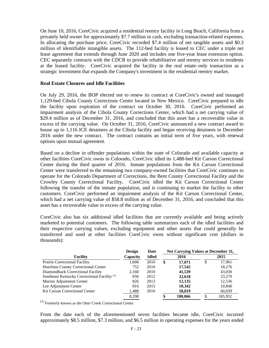On June 10, 2016, CoreCivic acquired a residential reentry facility in Long Beach, California from a privately held owner for approximately \$7.7 million in cash, excluding transaction-related expenses. In allocating the purchase price, CoreCivic recorded \$7.4 million of net tangible assets and \$0.3 million of identifiable intangible assets. The 112-bed facility is leased to CEC under a triple net lease agreement that extends through June 2020 and includes one five-year lease extension option. CEC separately contracts with the CDCR to provide rehabilitative and reentry services to residents at the leased facility. CoreCivic acquired the facility in the real estate–only transaction as a strategic investment that expands the Company's investment in the residential reentry market.

### **Real Estate Closures and Idle Facilities**

On July 29, 2016, the BOP elected not to renew its contract at CoreCivic's owned and managed 1,129-bed Cibola County Corrections Center located in New Mexico. CoreCivic prepared to idle the facility upon expiration of the contract on October 30, 2016. CoreCivic performed an impairment analysis of the Cibola County Corrections Center, which had a net carrying value of \$29.4 million as of December 31, 2016, and concluded that this asset has a recoverable value in excess of the carrying value. On October 31, 2016, CoreCivic announced a new contract award to house up to 1,116 ICE detainees at the Cibola facility and began receiving detainees in December 2016 under the new contract. The contract contains an initial term of five years, with renewal options upon mutual agreement.

Based on a decline in offender populations within the state of Colorado and available capacity at other facilities CoreCivic owns in Colorado, CoreCivic idled its 1,488-bed Kit Carson Correctional Center during the third quarter of 2016. Inmate populations from the Kit Carson Correctional Center were transferred to the remaining two company-owned facilities that CoreCivic continues to operate for the Colorado Department of Corrections, the Bent County Correctional Facility and the Crowley County Correctional Facility. CoreCivic idled the Kit Carson Correctional Center following the transfer of the inmate population, and is continuing to market the facility to other customers. CoreCivic performed an impairment analysis of the Kit Carson Correctional Center, which had a net carrying value of \$58.8 million as of December 31, 2016, and concluded that this asset has a recoverable value in excess of the carrying value.

CoreCivic also has six additional idled facilities that are currently available and being actively marketed to potential customers. The following table summarizes each of the idled facilities and their respective carrying values, excluding equipment and other assets that could generally be transferred and used at other facilities CoreCivic owns without significant cost (dollars in thousands):

|                                                         | <b>Design</b> | Date         | Net Carrying Values at December 31, |         |   |         |  |
|---------------------------------------------------------|---------------|--------------|-------------------------------------|---------|---|---------|--|
| <b>Facility</b>                                         | Capacity      | <b>Idled</b> |                                     | 2016    |   | 2015    |  |
| Prairie Correctional Facility                           | 1,600         | 2010         | S.                                  | 17,071  | S | 17.961  |  |
| Huerfano County Correctional Center                     | 752           | 2010         |                                     | 17,542  |   | 18,276  |  |
| Diamondback Correctional Facility                       | 2,160         | 2010         |                                     | 41,539  |   | 43,030  |  |
| Southeast Kentucky Correctional Facility <sup>(1)</sup> | 656           | 2012         |                                     | 22,618  |   | 23,270  |  |
| Marion Adjustment Center                                | 826           | 2013         |                                     | 12,135  |   | 12,536  |  |
| Lee Adjustment Center                                   | 816           | 2015         |                                     | 10,342  |   | 10,840  |  |
| Kit Carson Correctional Center                          | 1,488         | 2016         |                                     | 58,819  |   | 60,039  |  |
|                                                         | 8,298         |              |                                     | 180,066 |   | 185.952 |  |

(1) Formerly known as the Otter Creek Correctional Center.

From the date each of the aforementioned seven facilities became idle, CoreCivic incurred approximately \$8.5 million, \$7.3 million, and \$6.5 million in operating expenses for the years ended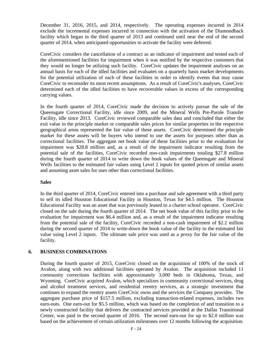December 31, 2016, 2015, and 2014, respectively. The operating expenses incurred in 2014 exclude the incremental expenses incurred in connection with the activation of the Diamondback facility which began in the third quarter of 2013 and continued until near the end of the second quarter of 2014, when anticipated opportunities to activate the facility were deferred.

CoreCivic considers the cancellation of a contract as an indicator of impairment and tested each of the aforementioned facilities for impairment when it was notified by the respective customers that they would no longer be utilizing such facility. CoreCivic updates the impairment analyses on an annual basis for each of the idled facilities and evaluates on a quarterly basis market developments for the potential utilization of each of these facilities in order to identify events that may cause CoreCivic to reconsider its most recent assumptions. As a result of CoreCivic's analyses, CoreCivic determined each of the idled facilities to have recoverable values in excess of the corresponding carrying values.

In the fourth quarter of 2014, CoreCivic made the decision to actively pursue the sale of the Queensgate Correctional Facility, idle since 2009, and the Mineral Wells Pre-Parole Transfer Facility, idle since 2013. CoreCivic reviewed comparable sales data and concluded that either the exit value in the principle market or comparable sales prices for similar properties in the respective geographical areas represented the fair value of these assets. CoreCivic determined the principle market for these assets will be buyers who intend to use the assets for purposes other than as correctional facilities. The aggregate net book value of these facilities prior to the evaluation for impairment was \$28.8 million and, as a result of the impairment indicator resulting from the potential sale of the facilities, CoreCivic recorded non-cash impairments totaling \$27.8 million during the fourth quarter of 2014 to write down the book values of the Queensgate and Mineral Wells facilities to the estimated fair values using Level 2 inputs for quoted prices of similar assets and assuming asset sales for uses other than correctional facilities.

#### **Sales**

In the third quarter of 2014, CoreCivic entered into a purchase and sale agreement with a third party to sell its idled Houston Educational Facility in Houston, Texas for \$4.5 million. The Houston Educational Facility was an asset that was previously leased to a charter school operator. CoreCivic closed on the sale during the fourth quarter of 2014. The net book value of this facility prior to the evaluation for impairment was \$6.4 million and, as a result of the impairment indicator resulting from the potential sale of the facility, CoreCivic recorded a non-cash impairment of \$2.2 million during the second quarter of 2014 to write-down the book value of the facility to the estimated fair value using Level 2 inputs. The ultimate sale price was used as a proxy for the fair value of the facility.

#### **6. BUSINESS COMBINATIONS**

During the fourth quarter of 2015, CoreCivic closed on the acquisition of 100% of the stock of Avalon, along with two additional facilities operated by Avalon. The acquisition included 11 community corrections facilities with approximately 3,000 beds in Oklahoma, Texas, and Wyoming. CoreCivic acquired Avalon, which specializes in community correctional services, drug and alcohol treatment services, and residential reentry services, as a strategic investment that continues to expand the reentry assets CoreCivic owns and the services the Company provides. The aggregate purchase price of \$157.5 million, excluding transaction-related expenses, includes two earn-outs. One earn-out for \$5.5 million, which was based on the completion of and transition to a newly constructed facility that delivers the contracted services provided at the Dallas Transitional Center, was paid in the second quarter of 2016. The second earn-out for up to \$2.0 million was based on the achievement of certain utilization milestones over 12 months following the acquisition.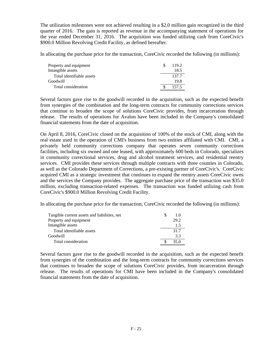The utilization milestones were not achieved resulting in a \$2.0 million gain recognized in the third quarter of 2016. The gain is reported as revenue in the accompanying statement of operations for the year ended December 31, 2016. The acquisition was funded utilizing cash from CoreCivic's \$900.0 Million Revolving Credit Facility, as defined hereafter.

In allocating the purchase price for the transaction, CoreCivic recorded the following (in millions):

| Property and equipment    | 119.2 |
|---------------------------|-------|
| Intangible assets         | 18.5  |
| Total identifiable assets | 137.7 |
| Goodwill                  | 19.8  |
| Total consideration       | 157.5 |

Several factors gave rise to the goodwill recorded in the acquisition, such as the expected benefit from synergies of the combination and the long-term contracts for community corrections services that continue to broaden the scope of solutions CoreCivic provides, from incarceration through release. The results of operations for Avalon have been included in the Company's consolidated financial statements from the date of acquisition.

On April 8, 2016, CoreCivic closed on the acquisition of 100% of the stock of CMI, along with the real estate used in the operation of CMI's business from two entities affiliated with CMI. CMI, a privately held community corrections company that operates seven community corrections facilities, including six owned and one leased, with approximately 600 beds in Colorado, specializes in community correctional services, drug and alcohol treatment services, and residential reentry services. CMI provides these services through multiple contracts with three counties in Colorado, as well as the Colorado Department of Corrections, a pre-existing partner of CoreCivic's. CoreCivic acquired CMI as a strategic investment that continues to expand the reentry assets CoreCivic owns and the services the Company provides. The aggregate purchase price of the transaction was \$35.0 million, excluding transaction-related expenses. The transaction was funded utilizing cash from CoreCivic's \$900.0 Million Revolving Credit Facility.

In allocating the purchase price for the transaction, CoreCivic recorded the following (in millions):

| Tangible current assets and liabilities, net | 1.O  |
|----------------------------------------------|------|
| Property and equipment                       | 29.2 |
| Intangible assets                            | 1.5  |
| Total identifiable assets                    | 317  |
| Goodwill                                     | 3.3  |
| Total consideration                          | 35 O |

Several factors gave rise to the goodwill recorded in the acquisition, such as the expected benefit from synergies of the combination and the long-term contracts for community corrections services that continues to broaden the scope of solutions CoreCivic provides, from incarceration through release. The results of operations for CMI have been included in the Company's consolidated financial statements from the date of acquisition.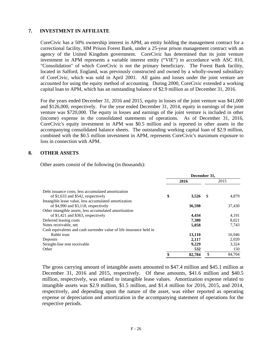# **7. INVESTMENT IN AFFILIATE**

CoreCivic has a 50% ownership interest in APM, an entity holding the management contract for a correctional facility, HM Prison Forest Bank, under a 25-year prison management contract with an agency of the United Kingdom government. CoreCivic has determined that its joint venture investment in APM represents a variable interest entity ("VIE") in accordance with ASC 810, "Consolidation" of which CoreCivic is not the primary beneficiary. The Forest Bank facility, located in Salford, England, was previously constructed and owned by a wholly-owned subsidiary of CoreCivic, which was sold in April 2001. All gains and losses under the joint venture are accounted for using the equity method of accounting. During 2000, CoreCivic extended a working capital loan to APM, which has an outstanding balance of \$2.9 million as of December 31, 2016.

 For the years ended December 31, 2016 and 2015, equity in losses of the joint venture was \$41,000 and \$126,000, respectively. For the year ended December 31, 2014, equity in earnings of the joint venture was \$720,000. The equity in losses and earnings of the joint venture is included in other (income) expense in the consolidated statements of operations. As of December 31, 2016, CoreCivic's equity investment in APM was \$0.5 million and is reported in other assets in the accompanying consolidated balance sheets.The outstanding working capital loan of \$2.9 million, combined with the \$0.5 million investment in APM, represents CoreCivic's maximum exposure to loss in connection with APM.

## **8. OTHER ASSETS**

Other assets consist of the following (in thousands):

|                                                                     | December 31, |        |               |        |
|---------------------------------------------------------------------|--------------|--------|---------------|--------|
|                                                                     | 2016         |        | 2015          |        |
| Debt issuance costs, less accumulated amortization                  |              |        |               |        |
| of \$1,633 and \$542, respectively                                  | \$           | 3,526  | <sup>\$</sup> | 4,879  |
| Intangible lease value, less accumulated amortization               |              |        |               |        |
| of $$4,990$ and $$3,118$ , respectively                             |              | 36,598 |               | 37,430 |
| Other intangible assets, less accumulated amortization              |              |        |               |        |
| of $$1,421$ and $$363$ , respectively                               |              | 4,434  |               | 4,191  |
| Deferred leasing costs                                              |              | 7,380  |               | 8,021  |
| Notes receivable, net                                               |              | 5,858  |               | 7,743  |
| Cash equivalents and cash surrender value of life insurance held in |              |        |               |        |
| Rabbi trust                                                         |              | 13,110 |               | 16,946 |
| Deposits                                                            |              | 2,117  |               | 2,020  |
| Straight-line rent receivable                                       |              | 9,229  |               | 3,324  |
| Other                                                               |              | 532    |               | 150    |
|                                                                     | \$           | 82,784 |               | 84,704 |

The gross carrying amount of intangible assets amounted to \$47.4 million and \$45.1 million at December 31, 2016 and 2015, respectively. Of these amounts, \$41.6 million and \$40.5 million, respectively, was related to intangible lease values. Amortization expense related to intangible assets was \$2.9 million, \$1.5 million, and \$1.4 million for 2016, 2015, and 2014, respectively, and depending upon the nature of the asset, was either reported as operating expense or depreciation and amortization in the accompanying statement of operations for the respective periods.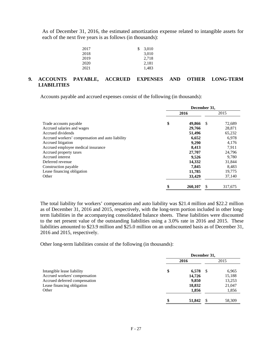As of December 31, 2016, the estimated amortization expense related to intangible assets for each of the next five years is as follows (in thousands):

| 2017 | S | 3,010 |
|------|---|-------|
| 2018 |   | 3,010 |
| 2019 |   | 2,718 |
| 2020 |   | 2,181 |
| 2021 |   | 1,483 |

# **9. ACCOUNTS PAYABLE, ACCRUED EXPENSES AND OTHER LONG-TERM LIABILITIES**

Accounts payable and accrued expenses consist of the following (in thousands):

|                                                                        | December 31, |                  |      |                  |
|------------------------------------------------------------------------|--------------|------------------|------|------------------|
|                                                                        | 2016         |                  | 2015 |                  |
| Trade accounts payable                                                 | \$           | 49,866           | -8   | 72,689           |
| Accrued salaries and wages<br>Accrued dividends                        |              | 29,766<br>51,496 |      | 28,871<br>65,232 |
| Accrued workers' compensation and auto liability<br>Accrued litigation |              | 6,652<br>9,290   |      | 6,978<br>4,176   |
| Accrued employee medical insurance<br>Accrued property taxes           |              | 8,413<br>27,707  |      | 7,911<br>24,796  |
| Accrued interest<br>Deferred revenue                                   |              | 9,526<br>14,332  |      | 9,780<br>31,844  |
| Construction payable                                                   |              | 7,845            |      | 8,483            |
| Lease financing obligation<br>Other                                    |              | 11,785<br>33,429 |      | 19,775<br>37,140 |
|                                                                        | \$           | 260,107          | S    | 317,675          |

The total liability for workers' compensation and auto liability was \$21.4 million and \$22.2 million as of December 31, 2016 and 2015, respectively, with the long-term portion included in other longterm liabilities in the accompanying consolidated balance sheets. These liabilities were discounted to the net present value of the outstanding liabilities using a 3.0% rate in 2016 and 2015. These liabilities amounted to \$23.9 million and \$25.0 million on an undiscounted basis as of December 31, 2016 and 2015, respectively.

Other long-term liabilities consist of the following (in thousands):

|                               | December 31, |        |      |        |
|-------------------------------|--------------|--------|------|--------|
|                               | 2016         |        | 2015 |        |
| Intangible lease liability    | \$           | 6,578  | S    | 6,965  |
| Accrued workers' compensation |              | 14,726 |      | 15,188 |
| Accrued deferred compensation |              | 9,850  |      | 13,253 |
| Lease financing obligation    |              | 18,832 |      | 21,047 |
| Other                         |              | 1,856  |      | 1,856  |
|                               | \$           | 51,842 |      | 58,309 |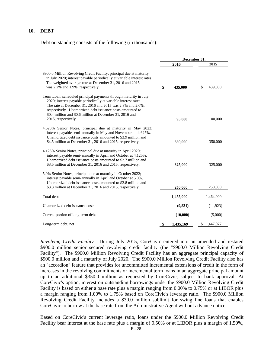#### **10. DEBT**

Debt outstanding consists of the following (in thousands):

|                                                                                                                                                                                                                                                                                                                                                  | December 31,    |                 |  |
|--------------------------------------------------------------------------------------------------------------------------------------------------------------------------------------------------------------------------------------------------------------------------------------------------------------------------------------------------|-----------------|-----------------|--|
|                                                                                                                                                                                                                                                                                                                                                  | 2016            | 2015            |  |
| \$900.0 Million Revolving Credit Facility, principal due at maturity<br>in July 2020; interest payable periodically at variable interest rates.<br>The weighted average rate at December 31, 2016 and 2015<br>was 2.2% and 1.9%, respectively.                                                                                                   | \$<br>435,000   | \$<br>439,000   |  |
| Term Loan, scheduled principal payments through maturity in July<br>2020; interest payable periodically at variable interest rates.<br>The rate at December 31, 2016 and 2015 was 2.3% and 2.0%,<br>respectively. Unamortized debt issuance costs amounted to<br>\$0.4 million and \$0.6 million at December 31, 2016 and<br>2015, respectively. | 95,000          | 100,000         |  |
| 4.625% Senior Notes, principal due at maturity in May 2023;<br>interest payable semi-annually in May and November at 4.625%.<br>Unamortized debt issuance costs amounted to \$3.9 million and<br>\$4.5 million at December 31, 2016 and 2015, respectively.                                                                                      | 350,000         | 350,000         |  |
| 4.125% Senior Notes, principal due at maturity in April 2020;<br>interest payable semi-annually in April and October at 4.125%.<br>Unamortized debt issuance costs amounted to \$2.7 million and<br>\$3.5 million at December 31, 2016 and 2015, respectively.                                                                                   | 325,000         | 325,000         |  |
| 5.0% Senior Notes, principal due at maturity in October 2022;<br>interest payable semi-annually in April and October at 5.0%.<br>Unamortized debt issuance costs amounted to \$2.8 million and<br>\$3.3 million at December 31, 2016 and 2015, respectively.                                                                                     | 250,000         | 250,000         |  |
| Total debt                                                                                                                                                                                                                                                                                                                                       | 1,455,000       | 1,464,000       |  |
| Unamortized debt issuance costs                                                                                                                                                                                                                                                                                                                  | (9, 831)        | (11, 923)       |  |
| Current portion of long-term debt                                                                                                                                                                                                                                                                                                                | (10,000)        | (5,000)         |  |
| Long-term debt, net                                                                                                                                                                                                                                                                                                                              | \$<br>1,435,169 | \$<br>1,447,077 |  |

*Revolving Credit Facility.* During July 2015, CoreCivic entered into an amended and restated \$900.0 million senior secured revolving credit facility (the "\$900.0 Million Revolving Credit Facility"). The \$900.0 Million Revolving Credit Facility has an aggregate principal capacity of \$900.0 million and a maturity of July 2020. The \$900.0 Million Revolving Credit Facility also has an "accordion" feature that provides for uncommitted incremental extensions of credit in the form of increases in the revolving commitments or incremental term loans in an aggregate principal amount up to an additional \$350.0 million as requested by CoreCivic, subject to bank approval. At CoreCivic's option, interest on outstanding borrowings under the \$900.0 Million Revolving Credit Facility is based on either a base rate plus a margin ranging from 0.00% to 0.75% or at LIBOR plus a margin ranging from 1.00% to 1.75% based on CoreCivic's leverage ratio. The \$900.0 Million Revolving Credit Facility includes a \$30.0 million sublimit for swing line loans that enables CoreCivic to borrow at the base rate from the Administrative Agent without advance notice.

Based on CoreCivic's current leverage ratio, loans under the \$900.0 Million Revolving Credit Facility bear interest at the base rate plus a margin of 0.50% or at LIBOR plus a margin of 1.50%,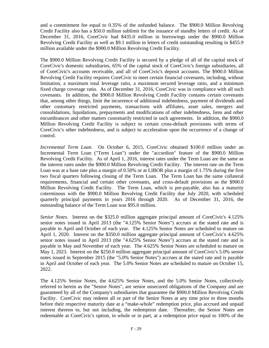and a commitment fee equal to 0.35% of the unfunded balance. The \$900.0 Million Revolving Credit Facility also has a \$50.0 million sublimit for the issuance of standby letters of credit. As of December 31, 2016, CoreCivic had \$435.0 million in borrowings under the \$900.0 Million Revolving Credit Facility as well as \$9.1 million in letters of credit outstanding resulting in \$455.9 million available under the \$900.0 Million Revolving Credit Facility.

The \$900.0 Million Revolving Credit Facility is secured by a pledge of all of the capital stock of CoreCivic's domestic subsidiaries, 65% of the capital stock of CoreCivic's foreign subsidiaries, all of CoreCivic's accounts receivable, and all of CoreCivic's deposit accounts. The \$900.0 Million Revolving Credit Facility requires CoreCivic to meet certain financial covenants, including, without limitation, a maximum total leverage ratio, a maximum secured leverage ratio, and a minimum fixed charge coverage ratio. As of December 31, 2016, CoreCivic was in compliance with all such covenants. In addition, the \$900.0 Million Revolving Credit Facility contains certain covenants that, among other things, limit the incurrence of additional indebtedness, payment of dividends and other customary restricted payments, transactions with affiliates, asset sales, mergers and consolidations, liquidations, prepayments and modifications of other indebtedness, liens and other encumbrances and other matters customarily restricted in such agreements. In addition, the \$900.0 Million Revolving Credit Facility is subject to certain cross-default provisions with terms of CoreCivic's other indebtedness, and is subject to acceleration upon the occurrence of a change of control.

*Incremental Term Loan.* On October 6, 2015, CoreCivic obtained \$100.0 million under an Incremental Term Loan ("Term Loan") under the "accordion" feature of the \$900.0 Million Revolving Credit Facility. As of April 1, 2016, interest rates under the Term Loan are the same as the interest rates under the \$900.0 Million Revolving Credit Facility. The interest rate on the Term Loan was at a base rate plus a margin of 0.50% or at LIBOR plus a margin of 1.75% during the first two fiscal quarters following closing of the Term Loan. The Term Loan has the same collateral requirements, financial and certain other covenants, and cross-default provisions as the \$900.0 Million Revolving Credit Facility. The Term Loan, which is pre-payable, also has a maturity coterminous with the \$900.0 Million Revolving Credit Facility due July 2020, with scheduled quarterly principal payments in years 2016 through 2020. As of December 31, 2016, the outstanding balance of the Term Loan was \$95.0 million.

*Senior Notes.* Interest on the \$325.0 million aggregate principal amount of CoreCivic's 4.125% senior notes issued in April 2013 (the "4.125% Senior Notes") accrues at the stated rate and is payable in April and October of each year. The 4.125% Senior Notes are scheduled to mature on April 1, 2020. Interest on the \$350.0 million aggregate principal amount of CoreCivic's 4.625% senior notes issued in April 2013 (the "4.625% Senior Notes") accrues at the stated rate and is payable in May and November of each year. The 4.625% Senior Notes are scheduled to mature on May 1, 2023. Interest on the \$250.0 million aggregate principal amount of CoreCivic's 5.0% senior notes issued in September 2015 (the "5.0% Senior Notes") accrues at the stated rate and is payable in April and October of each year. The 5.0% Senior Notes are scheduled to mature on October 15, 2022.

The 4.125% Senior Notes, the 4.625% Senior Notes, and the 5.0% Senior Notes, collectively referred to herein as the "Senior Notes", are senior unsecured obligations of the Company and are guaranteed by all of the Company's subsidiaries that guarantee the \$900.0 Million Revolving Credit Facility. CoreCivic may redeem all or part of the Senior Notes at any time prior to three months before their respective maturity date at a "make-whole" redemption price, plus accrued and unpaid interest thereon to, but not including, the redemption date. Thereafter, the Senior Notes are redeemable at CoreCivic's option, in whole or in part, at a redemption price equal to 100% of the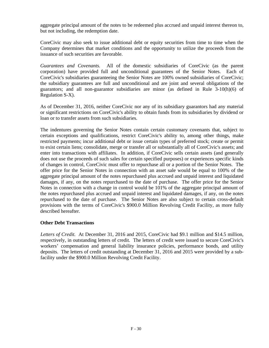aggregate principal amount of the notes to be redeemed plus accrued and unpaid interest thereon to, but not including, the redemption date.

CoreCivic may also seek to issue additional debt or equity securities from time to time when the Company determines that market conditions and the opportunity to utilize the proceeds from the issuance of such securities are favorable.

*Guarantees and Covenants.* All of the domestic subsidiaries of CoreCivic (as the parent corporation) have provided full and unconditional guarantees of the Senior Notes. Each of CoreCivic's subsidiaries guaranteeing the Senior Notes are 100% owned subsidiaries of CoreCivic; the subsidiary guarantees are full and unconditional and are joint and several obligations of the guarantors; and all non-guarantor subsidiaries are minor (as defined in Rule 3-10(h)(6) of Regulation S-X).

As of December 31, 2016, neither CoreCivic nor any of its subsidiary guarantors had any material or significant restrictions on CoreCivic's ability to obtain funds from its subsidiaries by dividend or loan or to transfer assets from such subsidiaries.

The indentures governing the Senior Notes contain certain customary covenants that, subject to certain exceptions and qualifications, restrict CoreCivic's ability to, among other things, make restricted payments; incur additional debt or issue certain types of preferred stock; create or permit to exist certain liens; consolidate, merge or transfer all or substantially all of CoreCivic's assets; and enter into transactions with affiliates. In addition, if CoreCivic sells certain assets (and generally does not use the proceeds of such sales for certain specified purposes) or experiences specific kinds of changes in control, CoreCivic must offer to repurchase all or a portion of the Senior Notes. The offer price for the Senior Notes in connection with an asset sale would be equal to 100% of the aggregate principal amount of the notes repurchased plus accrued and unpaid interest and liquidated damages, if any, on the notes repurchased to the date of purchase. The offer price for the Senior Notes in connection with a change in control would be 101% of the aggregate principal amount of the notes repurchased plus accrued and unpaid interest and liquidated damages, if any, on the notes repurchased to the date of purchase. The Senior Notes are also subject to certain cross-default provisions with the terms of CoreCivic's \$900.0 Million Revolving Credit Facility, as more fully described hereafter.

# **Other Debt Transactions**

*Letters of Credit.* At December 31, 2016 and 2015, CoreCivic had \$9.1 million and \$14.5 million, respectively, in outstanding letters of credit. The letters of credit were issued to secure CoreCivic's workers' compensation and general liability insurance policies, performance bonds, and utility deposits. The letters of credit outstanding at December 31, 2016 and 2015 were provided by a subfacility under the \$900.0 Million Revolving Credit Facility.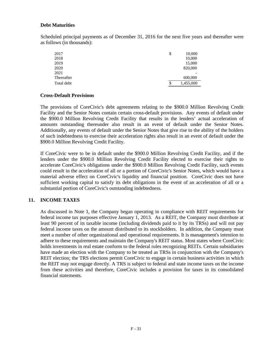# **Debt Maturities**

Scheduled principal payments as of December 31, 2016 for the next five years and thereafter were as follows (in thousands):

| 2017       | \$<br>10,000    |
|------------|-----------------|
| 2018       | 10,000          |
| 2019       | 15,000          |
| 2020       | 820,000         |
| 2021       |                 |
| Thereafter | 600,000         |
| Total debt | \$<br>1,455,000 |

### **Cross-Default Provisions**

 The provisions of CoreCivic's debt agreements relating to the \$900.0 Million Revolving Credit Facility and the Senior Notes contain certain cross-default provisions. Any events of default under the \$900.0 Million Revolving Credit Facility that results in the lenders' actual acceleration of amounts outstanding thereunder also result in an event of default under the Senior Notes. Additionally, any events of default under the Senior Notes that give rise to the ability of the holders of such indebtedness to exercise their acceleration rights also result in an event of default under the \$900.0 Million Revolving Credit Facility.

 If CoreCivic were to be in default under the \$900.0 Million Revolving Credit Facility, and if the lenders under the \$900.0 Million Revolving Credit Facility elected to exercise their rights to accelerate CoreCivic's obligations under the \$900.0 Million Revolving Credit Facility, such events could result in the acceleration of all or a portion of CoreCivic's Senior Notes, which would have a material adverse effect on CoreCivic's liquidity and financial position. CoreCivic does not have sufficient working capital to satisfy its debt obligations in the event of an acceleration of all or a substantial portion of CoreCivic's outstanding indebtedness.

# **11. INCOME TAXES**

As discussed in Note 1, the Company began operating in compliance with REIT requirements for federal income tax purposes effective January 1, 2013. As a REIT, the Company must distribute at least 90 percent of its taxable income (including dividends paid to it by its TRSs) and will not pay federal income taxes on the amount distributed to its stockholders. In addition, the Company must meet a number of other organizational and operational requirements. It is management's intention to adhere to these requirements and maintain the Company's REIT status. Most states where CoreCivic holds investments in real estate conform to the federal rules recognizing REITs. Certain subsidiaries have made an election with the Company to be treated as TRSs in conjunction with the Company's REIT election; the TRS elections permit CoreCivic to engage in certain business activities in which the REIT may not engage directly. A TRS is subject to federal and state income taxes on the income from these activities and therefore, CoreCivic includes a provision for taxes in its consolidated financial statements.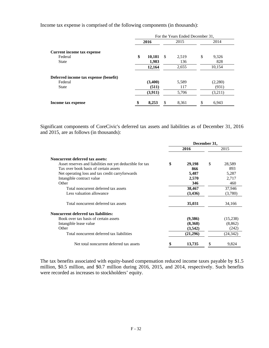Income tax expense is comprised of the following components (in thousands):

|                                       | For the Years Ended December 31, |         |      |       |    |         |
|---------------------------------------|----------------------------------|---------|------|-------|----|---------|
|                                       |                                  | 2016    |      | 2015  |    | 2014    |
| <b>Current income tax expense</b>     |                                  |         |      |       |    |         |
| Federal                               | \$                               | 10,181  | - \$ | 2,519 | \$ | 9,326   |
| <b>State</b>                          |                                  | 1,983   |      | 136   |    | 828     |
|                                       |                                  | 12,164  |      | 2,655 |    | 10,154  |
| Deferred income tax expense (benefit) |                                  |         |      |       |    |         |
| Federal                               |                                  | (3,400) |      | 5,589 |    | (2,280) |
| <b>State</b>                          |                                  | (511)   |      | 117   |    | (931)   |
|                                       |                                  | (3,911) |      | 5,706 |    | (3,211) |
| Income tax expense                    |                                  | 8,253   | -S   | 8,361 | £. | 6,943   |

Significant components of CoreCivic's deferred tax assets and liabilities as of December 31, 2016 and 2015, are as follows (in thousands):

|                                                           | December 31, |          |    |           |
|-----------------------------------------------------------|--------------|----------|----|-----------|
|                                                           | 2016         |          |    | 2015      |
| Noncurrent deferred tax assets:                           |              |          |    |           |
| Asset reserves and liabilities not yet deductible for tax | \$           | 29,198   | \$ | 28,589    |
| Tax over book basis of certain assets                     |              | 866      |    | 893       |
| Net operating loss and tax credit carryforwards           |              | 5,487    |    | 5,287     |
| Intangible contract value                                 |              | 2,570    |    | 2,717     |
| Other                                                     |              | 346      |    | 460       |
| Total noncurrent deferred tax assets                      |              | 38,467   |    | 37,946    |
| Less valuation allowance                                  |              | (3,436)  |    | (3,780)   |
| Total noncurrent deferred tax assets                      |              | 35,031   |    | 34,166    |
| <b>Noncurrent deferred tax liabilities:</b>               |              |          |    |           |
| Book over tax basis of certain assets                     |              | (9,386)  |    | (15,238)  |
| Intangible lease value                                    |              | (8,368)  |    | (8, 862)  |
| Other                                                     |              | (3,542)  |    | (242)     |
| Total noncurrent deferred tax liabilities                 |              | (21,296) |    | (24, 342) |
| Net total noncurrent deferred tax assets                  |              | 13,735   |    | 9,824     |

The tax benefits associated with equity-based compensation reduced income taxes payable by \$1.5 million, \$0.5 million, and \$0.7 million during 2016, 2015, and 2014, respectively. Such benefits were recorded as increases to stockholders' equity.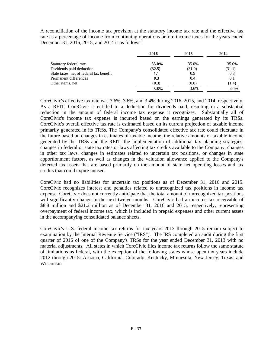A reconciliation of the income tax provision at the statutory income tax rate and the effective tax rate as a percentage of income from continuing operations before income taxes for the years ended December 31, 2016, 2015, and 2014 is as follows:

|                                         | 2016   | 2015   | 2014   |
|-----------------------------------------|--------|--------|--------|
| Statutory federal rate                  | 35.0%  | 35.0%  | 35.0%  |
| Dividends paid deduction                | (32.5) | (31.9) | (31.1) |
| State taxes, net of federal tax benefit | 1.1    | 0.9    | 0.8    |
| Permanent differences                   | 0.3    | 0.4    | 0.1    |
| Other items, net                        | (0.3)  | (0.8)  | (1.4)  |
|                                         | 3.6%   | 3.6%   | 3.4%   |

CoreCivic's effective tax rate was 3.6%, 3.6%, and 3.4% during 2016, 2015, and 2014, respectively. As a REIT, CoreCivic is entitled to a deduction for dividends paid, resulting in a substantial reduction in the amount of federal income tax expense it recognizes. Substantially all of CoreCivic's income tax expense is incurred based on the earnings generated by its TRSs. CoreCivic's overall effective tax rate is estimated based on its current projection of taxable income primarily generated in its TRSs. The Company's consolidated effective tax rate could fluctuate in the future based on changes in estimates of taxable income, the relative amounts of taxable income generated by the TRSs and the REIT, the implementation of additional tax planning strategies, changes in federal or state tax rates or laws affecting tax credits available to the Company, changes in other tax laws, changes in estimates related to uncertain tax positions, or changes in state apportionment factors, as well as changes in the valuation allowance applied to the Company's deferred tax assets that are based primarily on the amount of state net operating losses and tax credits that could expire unused.

CoreCivic had no liabilities for uncertain tax positions as of December 31, 2016 and 2015. CoreCivic recognizes interest and penalties related to unrecognized tax positions in income tax expense. CoreCivic does not currently anticipate that the total amount of unrecognized tax positions will significantly change in the next twelve months. CoreCivic had an income tax receivable of \$8.8 million and \$21.2 million as of December 31, 2016 and 2015, respectively, representing overpayment of federal income tax, which is included in prepaid expenses and other current assets in the accompanying consolidated balance sheets.

CoreCivic's U.S. federal income tax returns for tax years 2013 through 2015 remain subject to examination by the Internal Revenue Service ("IRS"). The IRS completed an audit during the first quarter of 2016 of one of the Company's TRSs for the year ended December 31, 2013 with no material adjustments. All states in which CoreCivic files income tax returns follow the same statute of limitations as federal, with the exception of the following states whose open tax years include 2012 through 2015: Arizona, California, Colorado, Kentucky, Minnesota, New Jersey, Texas, and Wisconsin.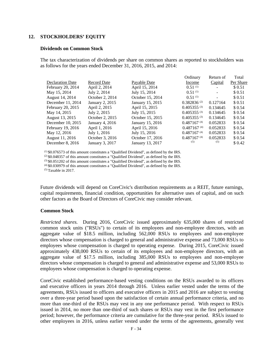## **12. STOCKHOLDERS' EQUITY**

#### **Dividends on Common Stock**

The tax characterization of dividends per share on common shares as reported to stockholders was as follows for the years ended December 31, 2016, 2015, and 2014:

 $\sim$   $\cdot$ 

|                    |                  | Ordinary                  | Return of                | Total     |
|--------------------|------------------|---------------------------|--------------------------|-----------|
| <b>Record Date</b> | Payable Date     | Income                    | Capital                  | Per Share |
| April 2, 2014      | April 15, 2014   | 0.51(1)                   | $\overline{\phantom{a}}$ | \$0.51    |
| July 2, 2014       | July 15, 2014    | 0.51(1)                   | $\blacksquare$           | \$0.51    |
| October 2, 2014    | October 15, 2014 | 0.51(1)                   | $\overline{\phantom{0}}$ | \$0.51    |
| January 2, 2015    | January 15, 2015 | $0.382836^{(2)}$          | 0.127164                 | \$0.51    |
| April 2, 2015      | April 15, 2015   | $0.405355^{(3)}$          | 0.134645                 | \$0.54    |
| July 2, 2015       | July 15, 2015    | $0.405355^{(3)}$          | 0.134645                 | \$0.54    |
| October 2, 2015    | October 15, 2015 | $0.405355^{(3)}$          | 0.134645                 | \$0.54    |
| January 4, 2016    | January 15, 2016 | $0.487167^{(4)}$          | 0.052833                 | \$0.54    |
| April 1, 2016      | April 15, 2016   | $0.487167$ <sup>(4)</sup> | 0.052833                 | \$0.54    |
| July 1, 2016       | July 15, 2016    | $0.487167$ <sup>(4)</sup> | 0.052833                 | \$0.54    |
| October 3, 2016    | October 17, 2016 | $0.487167^{(4)}$          | 0.052833                 | \$0.54    |
| January 3, 2017    | January 13, 2017 | $-(5)$                    | $-(5)$                   | \$0.42    |
|                    |                  |                           |                          |           |

 $(1)$  \$0.076573 of this amount constitutes a "Qualified Dividend", as defined by the IRS.

 $(2)$  \$0.048357 of this amount constitutes a "Qualified Dividend", as defined by the IRS.

 $(3)$  \$0.051202 of this amount constitutes a "Qualified Dividend", as defined by the IRS.

 $(4)$  \$0.030979 of this amount constitutes a "Qualified Dividend", as defined by the IRS.

 $(5)$  Taxable in 2017.

Future dividends will depend on CoreCivic's distribution requirements as a REIT, future earnings, capital requirements, financial condition, opportunities for alternative uses of capital, and on such other factors as the Board of Directors of CoreCivic may consider relevant.

#### **Common Stock**

*Restricted shares.* During 2016, CoreCivic issued approximately 635,000 shares of restricted common stock units ("RSUs") to certain of its employees and non-employee directors, with an aggregate value of \$18.5 million, including 562,000 RSUs to employees and non-employee directors whose compensation is charged to general and administrative expense and 73,000 RSUs to employees whose compensation is charged to operating expense. During 2015, CoreCivic issued approximately 438,000 RSUs to certain of its employees and non-employee directors, with an aggregate value of \$17.5 million, including 385,000 RSUs to employees and non-employee directors whose compensation is charged to general and administrative expense and 53,000 RSUs to employees whose compensation is charged to operating expense.

CoreCivic established performance-based vesting conditions on the RSUs awarded to its officers and executive officers in years 2014 through 2016. Unless earlier vested under the terms of the agreements, RSUs issued to officers and executive officers in 2015 and 2016 are subject to vesting over a three-year period based upon the satisfaction of certain annual performance criteria, and no more than one-third of the RSUs may vest in any one performance period. With respect to RSUs issued in 2014, no more than one-third of such shares or RSUs may vest in the first performance period; however, the performance criteria are cumulative for the three-year period. RSUs issued to other employees in 2016, unless earlier vested under the terms of the agreements, generally vest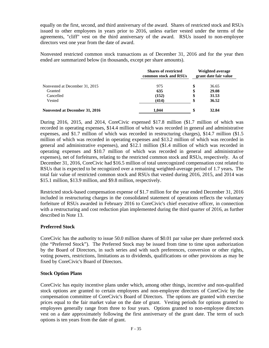equally on the first, second, and third anniversary of the award. Shares of restricted stock and RSUs issued to other employees in years prior to 2016, unless earlier vested under the terms of the agreements, "cliff" vest on the third anniversary of the award. RSUs issued to non-employee directors vest one year from the date of award.

Nonvested restricted common stock transactions as of December 31, 2016 and for the year then ended are summarized below (in thousands, except per share amounts).

|                                | <b>Shares of restricted</b><br>common stock and RSUs | Weighted average<br>grant date fair value |       |  |
|--------------------------------|------------------------------------------------------|-------------------------------------------|-------|--|
| Nonvested at December 31, 2015 | 975                                                  | \$                                        | 36.65 |  |
| Granted                        | 635                                                  | \$                                        | 29.08 |  |
| Cancelled                      | (152)                                                | \$                                        | 31.53 |  |
| Vested                         | (414)                                                | \$                                        | 36.52 |  |
| Nonvested at December 31, 2016 | 1.044                                                | \$                                        | 32.84 |  |

During 2016, 2015, and 2014, CoreCivic expensed \$17.8 million (\$1.7 million of which was recorded in operating expenses, \$14.4 million of which was recorded in general and administrative expenses, and \$1.7 million of which was recorded in restructuring charges), \$14.7 million (\$1.5 million of which was recorded in operating expenses and \$13.2 million of which was recorded in general and administrative expenses), and \$12.1 million (\$1.4 million of which was recorded in operating expenses and \$10.7 million of which was recorded in general and administrative expenses), net of forfeitures, relating to the restricted common stock and RSUs, respectively. As of December 31, 2016, CoreCivic had \$16.5 million of total unrecognized compensation cost related to RSUs that is expected to be recognized over a remaining weighted-average period of 1.7 years**.** The total fair value of restricted common stock and RSUs that vested during 2016, 2015, and 2014 was \$15.1 million, \$13.9 million, and \$9.8 million, respectively.

Restricted stock-based compensation expense of \$1.7 million for the year ended December 31, 2016 included in restructuring charges in the consolidated statement of operations reflects the voluntary forfeiture of RSUs awarded in February 2016 to CoreCivic's chief executive officer, in connection with a restructuring and cost reduction plan implemented during the third quarter of 2016, as further described in Note 13.

# **Preferred Stock**

CoreCivic has the authority to issue 50.0 million shares of \$0.01 par value per share preferred stock (the "Preferred Stock"). The Preferred Stock may be issued from time to time upon authorization by the Board of Directors, in such series and with such preferences, conversion or other rights, voting powers, restrictions, limitations as to dividends, qualifications or other provisions as may be fixed by CoreCivic's Board of Directors.

#### **Stock Option Plans**

CoreCivic has equity incentive plans under which, among other things, incentive and non-qualified stock options are granted to certain employees and non-employee directors of CoreCivic by the compensation committee of CoreCivic's Board of Directors. The options are granted with exercise prices equal to the fair market value on the date of grant. Vesting periods for options granted to employees generally range from three to four years. Options granted to non-employee directors vest on a date approximately following the first anniversary of the grant date. The term of such options is ten years from the date of grant.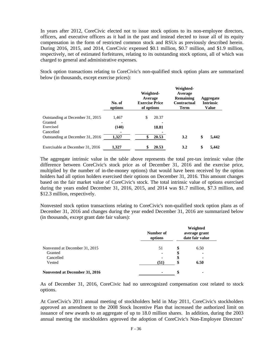In years after 2012, CoreCivic elected not to issue stock options to its non-employee directors, officers, and executive officers as it had in the past and instead elected to issue all of its equity compensation in the form of restricted common stock and RSUs as previously described herein. During 2016, 2015, and 2014, CoreCivic expensed \$0.1 million, \$0.7 million, and \$1.9 million, respectively, net of estimated forfeitures, relating to its outstanding stock options, all of which was charged to general and administrative expenses.

Stock option transactions relating to CoreCivic's non-qualified stock option plans are summarized below (in thousands, except exercise prices):

|                                  | No. of<br>options | Weighted-<br>Average<br><b>Exercise Price</b><br>of options | Weighted-<br>Average<br><b>Remaining</b><br>Contractual<br>Term | Aggregate<br><b>Intrinsic</b><br><b>Value</b> |  |
|----------------------------------|-------------------|-------------------------------------------------------------|-----------------------------------------------------------------|-----------------------------------------------|--|
|                                  |                   |                                                             |                                                                 |                                               |  |
| Outstanding at December 31, 2015 | 1,467             | \$<br>20.37                                                 |                                                                 |                                               |  |
| Granted                          |                   |                                                             |                                                                 |                                               |  |
| Exercised                        | (140)             | 18.81                                                       |                                                                 |                                               |  |
| Cancelled                        |                   |                                                             |                                                                 |                                               |  |
| Outstanding at December 31, 2016 | 1.327             | 20.53<br>\$                                                 | 3.2                                                             | \$<br>5,442                                   |  |
| Exercisable at December 31, 2016 | 1.327             | \$<br>20.53                                                 | 3.2                                                             | \$<br>5.442                                   |  |

The aggregate intrinsic value in the table above represents the total pre-tax intrinsic value (the difference between CoreCivic's stock price as of December 31, 2016 and the exercise price, multiplied by the number of in-the-money options) that would have been received by the option holders had all option holders exercised their options on December 31, 2016. This amount changes based on the fair market value of CoreCivic's stock. The total intrinsic value of options exercised during the years ended December 31, 2016, 2015, and 2014 was \$1.7 million, \$7.3 million, and \$12.3 million, respectively.

Nonvested stock option transactions relating to CoreCivic's non-qualified stock option plans as of December 31, 2016 and changes during the year ended December 31, 2016 are summarized below (in thousands, except grant date fair values):

|                                | Number of<br>options | Weighted<br>average grant<br>date fair value |                          |  |
|--------------------------------|----------------------|----------------------------------------------|--------------------------|--|
| Nonvested at December 31, 2015 | 51                   | \$                                           | 6.50                     |  |
| Granted                        |                      | \$                                           |                          |  |
| Cancelled                      | ۰                    | \$                                           | $\blacksquare$           |  |
| Vested                         | (51)                 | æ                                            | 6.50                     |  |
| Nonvested at December 31, 2016 |                      | \$                                           | $\overline{\phantom{0}}$ |  |

As of December 31, 2016, CoreCivic had no unrecognized compensation cost related to stock options.

At CoreCivic's 2011 annual meeting of stockholders held in May 2011, CoreCivic's stockholders approved an amendment to the 2008 Stock Incentive Plan that increased the authorized limit on issuance of new awards to an aggregate of up to 18.0 million shares. In addition, during the 2003 annual meeting the stockholders approved the adoption of CoreCivic's Non-Employee Directors'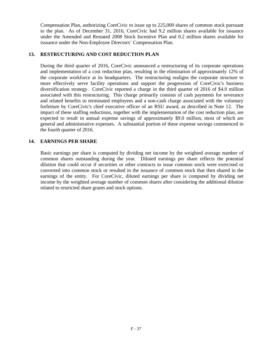Compensation Plan, authorizing CoreCivic to issue up to 225,000 shares of common stock pursuant to the plan. As of December 31, 2016, CoreCivic had 9.2 million shares available for issuance under the Amended and Restated 2008 Stock Incentive Plan and 0.2 million shares available for issuance under the Non-Employee Directors' Compensation Plan.

# **13. RESTRUCTURING AND COST REDUCTION PLAN**

During the third quarter of 2016, CoreCivic announced a restructuring of its corporate operations and implementation of a cost reduction plan, resulting in the elimination of approximately 12% of the corporate workforce at its headquarters. The restructuring realigns the corporate structure to more effectively serve facility operations and support the progression of CoreCivic's business diversification strategy. CoreCivic reported a charge in the third quarter of 2016 of \$4.0 million associated with this restructuring. This charge primarily consists of cash payments for severance and related benefits to terminated employees and a non-cash charge associated with the voluntary forfeiture by CoreCivic's chief executive officer of an RSU award, as described in Note 12. The impact of these staffing reductions, together with the implementation of the cost reduction plan, are expected to result in annual expense savings of approximately \$9.0 million, most of which are general and administrative expenses. A substantial portion of these expense savings commenced in the fourth quarter of 2016.

# **14. EARNINGS PER SHARE**

Basic earnings per share is computed by dividing net income by the weighted average number of common shares outstanding during the year. Diluted earnings per share reflects the potential dilution that could occur if securities or other contracts to issue common stock were exercised or converted into common stock or resulted in the issuance of common stock that then shared in the earnings of the entity. For CoreCivic, diluted earnings per share is computed by dividing net income by the weighted average number of common shares after considering the additional dilution related to restricted share grants and stock options.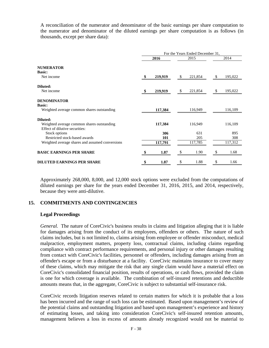A reconciliation of the numerator and denominator of the basic earnings per share computation to the numerator and denominator of the diluted earnings per share computation is as follows (in thousands, except per share data):

|                                                                                          | For the Years Ended December 31, |            |              |            |               |            |
|------------------------------------------------------------------------------------------|----------------------------------|------------|--------------|------------|---------------|------------|
|                                                                                          |                                  | 2016       | 2015         |            |               | 2014       |
| <b>NUMERATOR</b>                                                                         |                                  |            |              |            |               |            |
| <b>Basic:</b><br>Net income                                                              | -\$                              | 219,919    | $\mathbb{S}$ | 221,854    | <sup>\$</sup> | 195,022    |
| Diluted:<br>Net income                                                                   | -S                               | 219,919    | \$           | 221,854    | S             | 195,022    |
| <b>DENOMINATOR</b><br><b>Basic:</b>                                                      |                                  |            |              |            |               |            |
| Weighted average common shares outstanding                                               |                                  | 117,384    |              | 116,949    |               | 116,109    |
| Diluted:<br>Weighted average common shares outstanding<br>Effect of dilutive securities: |                                  | 117,384    |              | 116,949    |               | 116,109    |
| Stock options<br>Restricted stock-based awards                                           |                                  | 306<br>101 |              | 631<br>205 |               | 895<br>308 |
| Weighted average shares and assumed conversions                                          |                                  | 117,791    |              | 117,785    |               | 117,312    |
| <b>BASIC EARNINGS PER SHARE</b>                                                          | \$                               | 1.87       | \$           | 1.90       | \$            | 1.68       |
| <b>DILUTED EARNINGS PER SHARE</b>                                                        | \$                               | 1.87       | \$           | 1.88       | \$            | 1.66       |

Approximately 268,000, 8,000, and 12,000 stock options were excluded from the computations of diluted earnings per share for the years ended December 31, 2016, 2015, and 2014, respectively, because they were anti-dilutive.

# **15. COMMITMENTS AND CONTINGENCIES**

#### **Legal Proceedings**

*General.* The nature of CoreCivic's business results in claims and litigation alleging that it is liable for damages arising from the conduct of its employees, offenders or others. The nature of such claims includes, but is not limited to, claims arising from employee or offender misconduct, medical malpractice, employment matters, property loss, contractual claims, including claims regarding compliance with contract performance requirements, and personal injury or other damages resulting from contact with CoreCivic's facilities, personnel or offenders, including damages arising from an offender's escape or from a disturbance at a facility. CoreCivic maintains insurance to cover many of these claims, which may mitigate the risk that any single claim would have a material effect on CoreCivic's consolidated financial position, results of operations, or cash flows, provided the claim is one for which coverage is available. The combination of self-insured retentions and deductible amounts means that, in the aggregate, CoreCivic is subject to substantial self-insurance risk.

CoreCivic records litigation reserves related to certain matters for which it is probable that a loss has been incurred and the range of such loss can be estimated. Based upon management's review of the potential claims and outstanding litigation and based upon management's experience and history of estimating losses, and taking into consideration CoreCivic's self-insured retention amounts, management believes a loss in excess of amounts already recognized would not be material to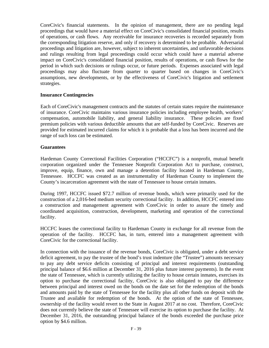CoreCivic's financial statements. In the opinion of management, there are no pending legal proceedings that would have a material effect on CoreCivic's consolidated financial position, results of operations, or cash flows. Any receivable for insurance recoveries is recorded separately from the corresponding litigation reserve, and only if recovery is determined to be probable. Adversarial proceedings and litigation are, however, subject to inherent uncertainties, and unfavorable decisions and rulings resulting from legal proceedings could occur which could have a material adverse impact on CoreCivic's consolidated financial position, results of operations, or cash flows for the period in which such decisions or rulings occur, or future periods. Expenses associated with legal proceedings may also fluctuate from quarter to quarter based on changes in CoreCivic's assumptions, new developments, or by the effectiveness of CoreCivic's litigation and settlement strategies.

### **Insurance Contingencies**

Each of CoreCivic's management contracts and the statutes of certain states require the maintenance of insurance. CoreCivic maintains various insurance policies including employee health, workers' compensation, automobile liability, and general liability insurance. These policies are fixed premium policies with various deductible amounts that are self-funded by CoreCivic. Reserves are provided for estimated incurred claims for which it is probable that a loss has been incurred and the range of such loss can be estimated.

### **Guarantees**

Hardeman County Correctional Facilities Corporation ("HCCFC") is a nonprofit, mutual benefit corporation organized under the Tennessee Nonprofit Corporation Act to purchase, construct, improve, equip, finance, own and manage a detention facility located in Hardeman County, Tennessee. HCCFC was created as an instrumentality of Hardeman County to implement the County's incarceration agreement with the state of Tennessee to house certain inmates.

During 1997, HCCFC issued \$72.7 million of revenue bonds, which were primarily used for the construction of a 2,016-bed medium security correctional facility. In addition, HCCFC entered into a construction and management agreement with CoreCivic in order to assure the timely and coordinated acquisition, construction, development, marketing and operation of the correctional facility.

HCCFC leases the correctional facility to Hardeman County in exchange for all revenue from the operation of the facility. HCCFC has, in turn, entered into a management agreement with CoreCivic for the correctional facility.

In connection with the issuance of the revenue bonds, CoreCivic is obligated, under a debt service deficit agreement, to pay the trustee of the bond's trust indenture (the "Trustee") amounts necessary to pay any debt service deficits consisting of principal and interest requirements (outstanding principal balance of \$6.6 million at December 31, 2016 plus future interest payments). In the event the state of Tennessee, which is currently utilizing the facility to house certain inmates, exercises its option to purchase the correctional facility, CoreCivic is also obligated to pay the difference between principal and interest owed on the bonds on the date set for the redemption of the bonds and amounts paid by the state of Tennessee for the facility plus all other funds on deposit with the Trustee and available for redemption of the bonds. At the option of the state of Tennessee, ownership of the facility would revert to the State in August 2017 at no cost. Therefore, CoreCivic does not currently believe the state of Tennessee will exercise its option to purchase the facility. At December 31, 2016, the outstanding principal balance of the bonds exceeded the purchase price option by \$4.6 million.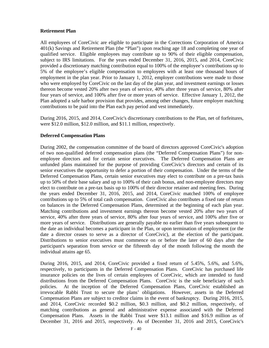# **Retirement Plan**

All employees of CoreCivic are eligible to participate in the Corrections Corporation of America 401(k) Savings and Retirement Plan (the "Plan") upon reaching age 18 and completing one year of qualified service. Eligible employees may contribute up to 90% of their eligible compensation, subject to IRS limitations. For the years ended December 31, 2016, 2015, and 2014, CoreCivic provided a discretionary matching contribution equal to 100% of the employee's contributions up to 5% of the employee's eligible compensation to employees with at least one thousand hours of employment in the plan year. Prior to January 1, 2012, employer contributions were made to those who were employed by CoreCivic on the last day of the plan year, and investment earnings or losses thereon become vested 20% after two years of service, 40% after three years of service, 80% after four years of service, and 100% after five or more years of service. Effective January 1, 2012, the Plan adopted a safe harbor provision that provides, among other changes, future employer matching contributions to be paid into the Plan each pay period and vest immediately.

During 2016, 2015, and 2014, CoreCivic's discretionary contributions to the Plan, net of forfeitures, were \$12.0 million, \$12.0 million, and \$11.1 million, respectively.

### **Deferred Compensation Plans**

During 2002, the compensation committee of the board of directors approved CoreCivic's adoption of two non-qualified deferred compensation plans (the "Deferred Compensation Plans") for nonemployee directors and for certain senior executives. The Deferred Compensation Plans are unfunded plans maintained for the purpose of providing CoreCivic's directors and certain of its senior executives the opportunity to defer a portion of their compensation. Under the terms of the Deferred Compensation Plans, certain senior executives may elect to contribute on a pre-tax basis up to 50% of their base salary and up to 100% of their cash bonus, and non-employee directors may elect to contribute on a pre-tax basis up to 100% of their director retainer and meeting fees. During the years ended December 31, 2016, 2015, and 2014, CoreCivic matched 100% of employee contributions up to 5% of total cash compensation. CoreCivic also contributes a fixed rate of return on balances in the Deferred Compensation Plans, determined at the beginning of each plan year. Matching contributions and investment earnings thereon become vested 20% after two years of service, 40% after three years of service, 80% after four years of service, and 100% after five or more years of service. Distributions are generally payable no earlier than five years subsequent to the date an individual becomes a participant in the Plan, or upon termination of employment (or the date a director ceases to serve as a director of CoreCivic), at the election of the participant. Distributions to senior executives must commence on or before the later of 60 days after the participant's separation from service or the fifteenth day of the month following the month the individual attains age 65.

During 2016, 2015, and 2014, CoreCivic provided a fixed return of 5.45%, 5.6%, and 5.6%, respectively, to participants in the Deferred Compensation Plans. CoreCivic has purchased life insurance policies on the lives of certain employees of CoreCivic, which are intended to fund distributions from the Deferred Compensation Plans. CoreCivic is the sole beneficiary of such policies. At the inception of the Deferred Compensation Plans, CoreCivic established an irrevocable Rabbi Trust to secure the plans' obligations. However, assets in the Deferred Compensation Plans are subject to creditor claims in the event of bankruptcy. During 2016, 2015, and 2014, CoreCivic recorded \$0.2 million, \$0.3 million, and \$0.2 million, respectively, of matching contributions as general and administrative expense associated with the Deferred Compensation Plans. Assets in the Rabbi Trust were \$13.1 million and \$16.9 million as of December 31, 2016 and 2015, respectively. As of December 31, 2016 and 2015, CoreCivic's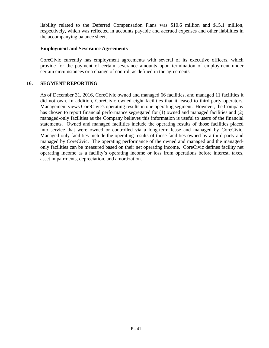liability related to the Deferred Compensation Plans was \$10.6 million and \$15.1 million, respectively, which was reflected in accounts payable and accrued expenses and other liabilities in the accompanying balance sheets.

## **Employment and Severance Agreements**

CoreCivic currently has employment agreements with several of its executive officers, which provide for the payment of certain severance amounts upon termination of employment under certain circumstances or a change of control, as defined in the agreements.

# **16. SEGMENT REPORTING**

As of December 31, 2016, CoreCivic owned and managed 66 facilities, and managed 11 facilities it did not own. In addition, CoreCivic owned eight facilities that it leased to third-party operators. Management views CoreCivic's operating results in one operating segment. However, the Company has chosen to report financial performance segregated for (1) owned and managed facilities and (2) managed-only facilities as the Company believes this information is useful to users of the financial statements. Owned and managed facilities include the operating results of those facilities placed into service that were owned or controlled via a long-term lease and managed by CoreCivic. Managed-only facilities include the operating results of those facilities owned by a third party and managed by CoreCivic. The operating performance of the owned and managed and the managedonly facilities can be measured based on their net operating income. CoreCivic defines facility net operating income as a facility's operating income or loss from operations before interest, taxes, asset impairments, depreciation, and amortization.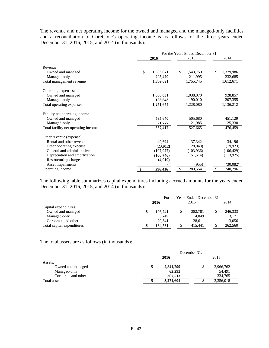The revenue and net operating income for the owned and managed and the managed-only facilities and a reconciliation to CoreCivic's operating income is as follows for the three years ended December 31, 2016, 2015, and 2014 (in thousands):

|                                                                    |                   | For the Years Ended December 31, |                   |  |  |
|--------------------------------------------------------------------|-------------------|----------------------------------|-------------------|--|--|
|                                                                    | 2016              | 2015                             | 2014              |  |  |
| Revenue:<br>Owned and managed                                      | \$<br>1,603,671   | \$<br>1,543,750                  | 1,379,986<br>\$   |  |  |
| Managed-only                                                       | 205,420           | 211,995                          | 232,685           |  |  |
| Total management revenue                                           | 1,809,091         | 1,755,745                        | 1,612,671         |  |  |
| Operating expenses:<br>Owned and managed                           | 1,068,031         | 1,038,070                        | 928,857           |  |  |
| Managed-only                                                       | 183,643           | 190,010                          | 207,355           |  |  |
| Total operating expenses                                           | 1,251,674         | 1,228,080                        | 1,136,212         |  |  |
| Facility net operating income<br>Owned and managed<br>Managed-only | 535,640<br>21,777 | 505,680<br>21,985                | 451,129<br>25,330 |  |  |
| Total facility net operating income                                | 557,417           | 527,665                          | 476,459           |  |  |
| Other revenue (expense):                                           |                   |                                  |                   |  |  |
| Rental and other revenue                                           | 40,694            | 37,342                           | 34,196            |  |  |
| Other operating expense                                            | (23,912)          | (28,048)                         | (19, 923)         |  |  |
| General and administrative                                         | (107, 027)        | (103,936)                        | (106, 429)        |  |  |
| Depreciation and amortization                                      | (166,746)         | (151, 514)                       | (113, 925)        |  |  |
| Restructuring charges                                              | (4,010)           |                                  |                   |  |  |
| Asset impairments                                                  |                   | (955)                            | (30,082)          |  |  |
| Operating income                                                   | 296,416           | \$<br>280,554                    | 240,296           |  |  |

The following table summarizes capital expenditures including accrued amounts for the years ended December 31, 2016, 2015, and 2014 (in thousands):

|                            | For the Years Ended December 31, |         |      |         |  |         |
|----------------------------|----------------------------------|---------|------|---------|--|---------|
|                            | 2016                             |         | 2015 |         |  | 2014    |
| Capital expenditures:      |                                  |         |      |         |  |         |
| Owned and managed          |                                  | 108.241 |      | 382,781 |  | 246,333 |
| Managed-only               |                                  | 5.749   |      | 4.049   |  | 3,171   |
| Corporate and other        |                                  | 20,541  |      | 28,611  |  | 13,056  |
| Total capital expenditures |                                  | 134.531 |      | 415.441 |  | 262,560 |

### The total assets are as follows (in thousands):

|                     | December 31. |           |  |           |  |
|---------------------|--------------|-----------|--|-----------|--|
|                     |              | 2016      |  | 2015      |  |
| Assets:             |              |           |  |           |  |
| Owned and managed   | \$           | 2,841,799 |  | 2,966,762 |  |
| Managed-only        |              | 62,292    |  | 54,491    |  |
| Corporate and other |              | 367,513   |  | 334,765   |  |
| Total assets        |              | 3,271,604 |  | 3,356,018 |  |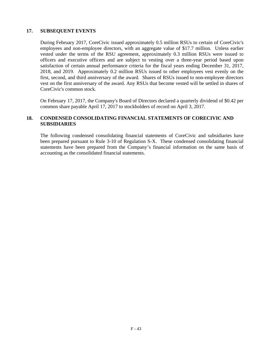## **17. SUBSEQUENT EVENTS**

 During February 2017, CoreCivic issued approximately 0.5 million RSUs to certain of CoreCivic's employees and non-employee directors, with an aggregate value of \$17.7 million. Unless earlier vested under the terms of the RSU agreement, approximately 0.3 million RSUs were issued to officers and executive officers and are subject to vesting over a three-year period based upon satisfaction of certain annual performance criteria for the fiscal years ending December 31, 2017, 2018, and 2019. Approximately 0.2 million RSUs issued to other employees vest evenly on the first, second, and third anniversary of the award. Shares of RSUs issued to non-employee directors vest on the first anniversary of the award. Any RSUs that become vested will be settled in shares of CoreCivic's common stock.

On February 17, 2017, the Company's Board of Directors declared a quarterly dividend of \$0.42 per common share payable April 17, 2017 to stockholders of record on April 3, 2017.

# **18. CONDENSED CONSOLIDATING FINANCIAL STATEMENTS OF CORECIVIC AND SUBSIDIARIES**

The following condensed consolidating financial statements of CoreCivic and subsidiaries have been prepared pursuant to Rule 3-10 of Regulation S-X. These condensed consolidating financial statements have been prepared from the Company's financial information on the same basis of accounting as the consolidated financial statements.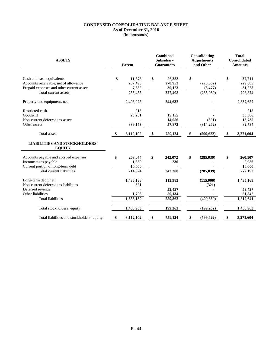#### **CONDENSED CONSOLIDATING BALANCE SHEET As of December 31, 2016**

| <b>ASSETS</b>                                                                                                   | Parent |                            | <b>Combined</b><br>Subsidiary<br><b>Guarantors</b> |                             | <b>Consolidating</b><br><b>Adjustments</b><br>and Other |                        | <b>Total</b><br><b>Consolidated</b><br><b>Amounts</b> |                             |
|-----------------------------------------------------------------------------------------------------------------|--------|----------------------------|----------------------------------------------------|-----------------------------|---------------------------------------------------------|------------------------|-------------------------------------------------------|-----------------------------|
| Cash and cash equivalents<br>Accounts receivable, net of allowance<br>Prepaid expenses and other current assets | \$     | 11,378<br>237,495<br>7,582 | \$                                                 | 26,333<br>270,952<br>30,123 | \$                                                      | (278, 562)<br>(6, 477) | \$                                                    | 37,711<br>229,885<br>31,228 |
| Total current assets                                                                                            |        | 256,455                    |                                                    | 327,408                     |                                                         | (285, 039)             |                                                       | 298,824                     |
| Property and equipment, net                                                                                     |        | 2,493,025                  |                                                    | 344,632                     |                                                         |                        |                                                       | 2,837,657                   |
| Restricted cash                                                                                                 |        | 218                        |                                                    |                             |                                                         |                        |                                                       | 218                         |
| Goodwill                                                                                                        |        | 23,231                     |                                                    | 15,155                      |                                                         |                        |                                                       | 38,386                      |
| Non-current deferred tax assets                                                                                 |        |                            |                                                    | 14,056                      |                                                         | (321)                  |                                                       | 13,735                      |
| Other assets                                                                                                    |        | 339,173                    |                                                    | 57,873                      |                                                         | (314, 262)             |                                                       | 82,784                      |
| <b>Total</b> assets                                                                                             | \$     | 3,112,102                  | \$                                                 | 759,124                     | $\boldsymbol{\$}$                                       | (599, 622)             | \$                                                    | 3,271,604                   |
| <b>LIABILITIES AND STOCKHOLDERS'</b><br><b>EQUITY</b>                                                           |        |                            |                                                    |                             |                                                         |                        |                                                       |                             |
| Accounts payable and accrued expenses                                                                           | \$     | 203,074                    | \$                                                 | 342,072                     | \$                                                      | (285, 039)             | \$                                                    | 260,107                     |
| Income taxes payable                                                                                            |        | 1,850                      |                                                    | 236                         |                                                         |                        |                                                       | 2,086                       |
| Current portion of long-term debt                                                                               |        | 10,000                     |                                                    |                             |                                                         |                        |                                                       | 10,000                      |
| Total current liabilities                                                                                       |        | 214,924                    |                                                    | 342,308                     |                                                         | (285, 039)             |                                                       | 272,193                     |
| Long-term debt, net                                                                                             |        | 1,436,186                  |                                                    | 113,983                     |                                                         | (115,000)              |                                                       | 1,435,169                   |
| Non-current deferred tax liabilities                                                                            |        | 321                        |                                                    |                             |                                                         | (321)                  |                                                       |                             |
| Deferred revenue                                                                                                |        |                            |                                                    | 53,437                      |                                                         |                        |                                                       | 53,437                      |
| Other liabilities                                                                                               |        | 1,708                      |                                                    | 50,134                      |                                                         |                        |                                                       | 51,842                      |
| <b>Total liabilities</b>                                                                                        |        | $\overline{1,}653,139$     |                                                    | 559,862                     |                                                         | (400, 360)             |                                                       | 1,812,641                   |
| Total stockholders' equity                                                                                      |        | 1,458,963                  |                                                    | 199,262                     |                                                         | (199, 262)             |                                                       | 1,458,963                   |
| Total liabilities and stockholders' equity                                                                      | \$     | 3,112,102                  | \$                                                 | 759,124                     | \$                                                      | (599, 622)             | \$                                                    | 3,271,604                   |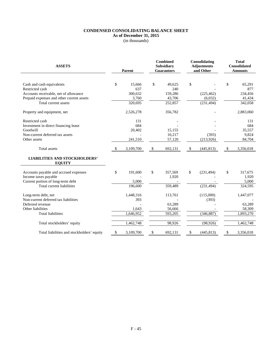# **CONDENSED CONSOLIDATING BALANCE SHEET As of December 31, 2015**

| <b>ASSETS</b>                                                                      |    | Parent           |    | <b>Combined</b><br><b>Subsidiary</b><br><b>Guarantors</b> |    | <b>Consolidating</b><br><b>Adjustments</b><br>and Other |    | <b>Total</b><br><b>Consolidated</b><br><b>Amounts</b> |  |
|------------------------------------------------------------------------------------|----|------------------|----|-----------------------------------------------------------|----|---------------------------------------------------------|----|-------------------------------------------------------|--|
| Cash and cash equivalents                                                          | \$ | 15,666           | \$ | 49,625                                                    | \$ |                                                         | \$ | 65,291                                                |  |
| Restricted cash                                                                    |    | 637              |    | 240                                                       |    |                                                         |    | 877                                                   |  |
| Accounts receivable, net of allowance<br>Prepaid expenses and other current assets |    | 300,632<br>3,760 |    | 159,286<br>43,706                                         |    | (225, 462)<br>(6,032)                                   |    | 234,456<br>41,434                                     |  |
| Total current assets                                                               |    | 320,695          |    | 252,857                                                   |    | (231, 494)                                              |    | 342,058                                               |  |
| Property and equipment, net                                                        |    | 2,526,278        |    | 356,782                                                   |    |                                                         |    | 2,883,060                                             |  |
| Restricted cash                                                                    |    | 131              |    |                                                           |    |                                                         |    | 131                                                   |  |
| Investment in direct financing lease                                               |    | 684              |    |                                                           |    |                                                         |    | 684                                                   |  |
| Goodwill                                                                           |    | 20,402           |    | 15,155                                                    |    |                                                         |    | 35,557                                                |  |
| Non-current deferred tax assets                                                    |    |                  |    | 10,217                                                    |    | (393)                                                   |    | 9,824                                                 |  |
| Other assets                                                                       |    | 241,510          |    | 57,120                                                    |    | (213, 926)                                              |    | 84,704                                                |  |
| Total assets                                                                       |    | 3,109,700        | \$ | 692,131                                                   | \$ | (445, 813)                                              | \$ | 3,356,018                                             |  |
| <b>LIABILITIES AND STOCKHOLDERS'</b><br><b>EQUITY</b>                              |    |                  |    |                                                           |    |                                                         |    |                                                       |  |
| Accounts payable and accrued expenses                                              | \$ | 191,600          | \$ | 357,569                                                   | \$ | (231, 494)                                              | \$ | 317,675                                               |  |
| Income taxes payable                                                               |    |                  |    | 1,920                                                     |    |                                                         |    | 1,920                                                 |  |
| Current portion of long-term debt                                                  |    | 5,000            |    |                                                           |    |                                                         |    | 5,000                                                 |  |
| Total current liabilities                                                          |    | 196,600          |    | 359,489                                                   |    | (231, 494)                                              |    | 324,595                                               |  |
| Long-term debt, net                                                                |    | 1,448,316        |    | 113,761                                                   |    | (115,000)                                               |    | 1,447,077                                             |  |
| Non-current deferred tax liabilities                                               |    | 393              |    |                                                           |    | (393)                                                   |    |                                                       |  |
| Deferred revenue                                                                   |    |                  |    | 63,289                                                    |    |                                                         |    | 63,289                                                |  |
| Other liabilities                                                                  |    | 1,643            |    | 56,666                                                    |    |                                                         |    | 58,309                                                |  |
| <b>Total liabilities</b>                                                           |    | 1,646,952        |    | 593,205                                                   |    | (346, 887)                                              |    | 1,893,270                                             |  |
| Total stockholders' equity                                                         |    | 1,462,748        |    | 98,926                                                    |    | (98, 926)                                               |    | 1,462,748                                             |  |
| Total liabilities and stockholders' equity                                         | \$ | 3,109,700        | \$ | 692,131                                                   | \$ | (445, 813)                                              | \$ | 3,356,018                                             |  |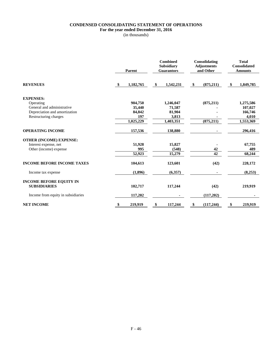#### **CONDENSED CONSOLIDATING STATEMENT OF OPERATIONS For the year ended December 31, 2016**

|                                    |               | Parent    |    | <b>Combined</b><br><b>Subsidiary</b><br><b>Guarantors</b> |    | Consolidating<br><b>Adjustments</b><br>and Other | <b>Total</b><br><b>Consolidated</b><br><b>Amounts</b> |           |
|------------------------------------|---------------|-----------|----|-----------------------------------------------------------|----|--------------------------------------------------|-------------------------------------------------------|-----------|
| <b>REVENUES</b>                    | $\mathbf{\$}$ | 1,182,765 | \$ | 1,542,231                                                 | \$ | (875,211)                                        | \$                                                    | 1,849,785 |
| <b>EXPENSES:</b>                   |               |           |    |                                                           |    |                                                  |                                                       |           |
| Operating                          |               | 904,750   |    | 1,246,047                                                 |    | (875, 211)                                       |                                                       | 1,275,586 |
| General and administrative         |               | 35,440    |    | 71,587                                                    |    |                                                  |                                                       | 107,027   |
| Depreciation and amortization      |               | 84,842    |    | 81,904                                                    |    |                                                  |                                                       | 166,746   |
| Restructuring charges              |               | 197       |    | 3,813                                                     |    |                                                  |                                                       | 4,010     |
|                                    |               | 1,025,229 |    | 1,403,351                                                 |    | (875, 211)                                       |                                                       | 1,553,369 |
| <b>OPERATING INCOME</b>            |               | 157,536   |    | 138,880                                                   |    |                                                  |                                                       | 296,416   |
| <b>OTHER (INCOME) EXPENSE:</b>     |               |           |    |                                                           |    |                                                  |                                                       |           |
| Interest expense, net              |               | 51,928    |    | 15,827                                                    |    |                                                  |                                                       | 67,755    |
| Other (income) expense             |               | 995       |    | (548)                                                     |    | 42                                               |                                                       | 489       |
|                                    |               | 52,923    |    | 15,279                                                    |    | 42                                               |                                                       | 68,244    |
| <b>INCOME BEFORE INCOME TAXES</b>  |               | 104,613   |    | 123,601                                                   |    | (42)                                             |                                                       | 228,172   |
| Income tax expense                 |               | (1,896)   |    | (6,357)                                                   |    |                                                  |                                                       | (8,253)   |
| <b>INCOME BEFORE EQUITY IN</b>     |               |           |    |                                                           |    |                                                  |                                                       |           |
| <b>SUBSIDIARIES</b>                |               | 102,717   |    | 117,244                                                   |    | (42)                                             |                                                       | 219,919   |
| Income from equity in subsidiaries |               | 117,202   |    |                                                           |    | (117,202)                                        |                                                       |           |
| <b>NET INCOME</b>                  | \$            | 219,919   | \$ | 117,244                                                   | \$ | (117, 244)                                       | -\$                                                   | 219,919   |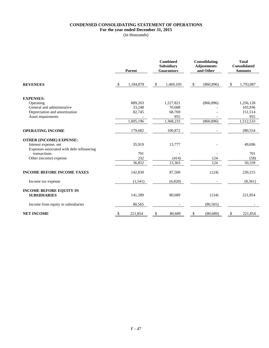#### **CONDENSED CONSOLIDATING STATEMENT OF OPERATIONS For the year ended December 31, 2015**

|                                           |     | Parent    |    | <b>Combined</b><br><b>Subsidiary</b><br><b>Guarantors</b> |    | Consolidating<br><b>Adjustments</b><br>and Other |    | <b>Total</b><br><b>Consolidated</b><br><b>Amounts</b> |
|-------------------------------------------|-----|-----------|----|-----------------------------------------------------------|----|--------------------------------------------------|----|-------------------------------------------------------|
| <b>REVENUES</b>                           | -\$ | 1,184,878 | \$ | 1,469,105                                                 | \$ | (860, 896)                                       | \$ | 1,793,087                                             |
| <b>EXPENSES:</b>                          |     |           |    |                                                           |    |                                                  |    |                                                       |
| Operating                                 |     | 889,203   |    | 1,227,821                                                 |    | (860, 896)                                       |    | 1,256,128                                             |
| General and administrative                |     | 33,248    |    | 70,688                                                    |    |                                                  |    | 103,936                                               |
| Depreciation and amortization             |     | 82,745    |    | 68,769                                                    |    |                                                  |    | 151,514                                               |
| Asset impairments                         |     |           |    | 955                                                       |    |                                                  |    | 955                                                   |
|                                           |     | 1,005,196 |    | 1,368,233                                                 |    | (860, 896)                                       |    | 1,512,533                                             |
| <b>OPERATING INCOME</b>                   |     | 179,682   |    | 100,872                                                   |    |                                                  |    | 280,554                                               |
| <b>OTHER (INCOME) EXPENSE:</b>            |     |           |    |                                                           |    |                                                  |    |                                                       |
| Interest expense, net                     |     | 35,919    |    | 13,777                                                    |    |                                                  |    | 49,696                                                |
| Expenses associated with debt refinancing |     |           |    |                                                           |    |                                                  |    |                                                       |
| transactions                              |     | 701       |    |                                                           |    |                                                  |    | 701                                                   |
| Other (income) expense                    |     | 232       |    | (414)                                                     |    | 124                                              |    | (58)                                                  |
|                                           |     | 36,852    |    | 13,363                                                    |    | 124                                              |    | 50,339                                                |
| <b>INCOME BEFORE INCOME TAXES</b>         |     | 142,830   |    | 87,509                                                    |    | (124)                                            |    | 230,215                                               |
| Income tax expense                        |     | (1, 541)  |    | (6,820)                                                   |    |                                                  |    | (8,361)                                               |
| <b>INCOME BEFORE EQUITY IN</b>            |     |           |    |                                                           |    |                                                  |    |                                                       |
| <b>SUBSIDIARIES</b>                       |     | 141,289   |    | 80,689                                                    |    | (124)                                            |    | 221,854                                               |
| Income from equity in subsidiaries        |     | 80,565    |    |                                                           |    | (80, 565)                                        |    |                                                       |
| <b>NET INCOME</b>                         | \$  | 221,854   | \$ | 80,689                                                    | \$ | (80, 689)                                        | \$ | 221,854                                               |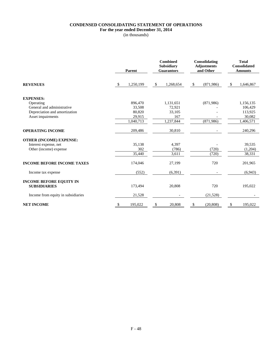#### **CONDENSED CONSOLIDATING STATEMENT OF OPERATIONS For the year ended December 31, 2014**

|                                    |    | Parent    |    | <b>Combined</b><br>Subsidiary<br><b>Guarantors</b> |                           | Consolidating<br><b>Adjustments</b><br>and Other | <b>Total</b><br><b>Consolidated</b><br><b>Amounts</b> |           |  |
|------------------------------------|----|-----------|----|----------------------------------------------------|---------------------------|--------------------------------------------------|-------------------------------------------------------|-----------|--|
| <b>REVENUES</b>                    | \$ | 1,250,199 | \$ | 1,268,654                                          | \$                        | (871,986)                                        | $\mathbf{\hat{S}}$                                    | 1,646,867 |  |
| <b>EXPENSES:</b>                   |    |           |    |                                                    |                           |                                                  |                                                       |           |  |
| Operating                          |    | 896,470   |    | 1,131,651                                          |                           | (871,986)                                        |                                                       | 1,156,135 |  |
| General and administrative         |    | 33,508    |    | 72,921                                             |                           |                                                  |                                                       | 106,429   |  |
| Depreciation and amortization      |    | 80,820    |    | 33,105                                             |                           |                                                  |                                                       | 113,925   |  |
| Asset impairments                  |    | 29,915    |    | 167                                                |                           |                                                  |                                                       | 30,082    |  |
|                                    |    | 1,040,713 |    | 1,237,844                                          |                           | (871,986)                                        |                                                       | 1,406,571 |  |
| <b>OPERATING INCOME</b>            |    | 209,486   |    | 30,810                                             |                           |                                                  |                                                       | 240,296   |  |
| <b>OTHER (INCOME) EXPENSE:</b>     |    |           |    |                                                    |                           |                                                  |                                                       |           |  |
| Interest expense, net              |    | 35,138    |    | 4,397                                              |                           |                                                  |                                                       | 39,535    |  |
| Other (income) expense             |    | 302       |    | (786)                                              |                           | (720)                                            |                                                       | (1,204)   |  |
|                                    |    | 35,440    |    | 3,611                                              |                           | (720)                                            |                                                       | 38,331    |  |
| <b>INCOME BEFORE INCOME TAXES</b>  |    | 174,046   |    | 27,199                                             |                           | 720                                              |                                                       | 201,965   |  |
| Income tax expense                 |    | (552)     |    | (6,391)                                            |                           |                                                  |                                                       | (6,943)   |  |
| <b>INCOME BEFORE EQUITY IN</b>     |    |           |    |                                                    |                           |                                                  |                                                       |           |  |
| <b>SUBSIDIARIES</b>                |    | 173,494   |    | 20,808                                             |                           | 720                                              |                                                       | 195,022   |  |
| Income from equity in subsidiaries |    | 21,528    |    |                                                    |                           | (21,528)                                         |                                                       |           |  |
| <b>NET INCOME</b>                  | \$ | 195,022   | \$ | 20,808                                             | $\boldsymbol{\mathsf{S}}$ | (20, 808)                                        | \$                                                    | 195,022   |  |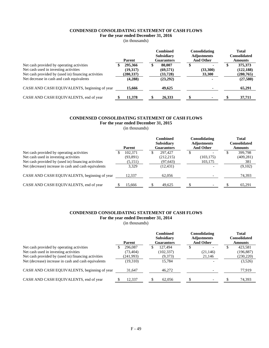### **CONDENSED CONSOLIDATING STATEMENT OF CASH FLOWS**

**For the year ended December 31, 2016**

(in thousands)

|                                                     | Parent     | <b>Combined</b><br><b>Subsidiary</b><br>Guarantors | <b>Consolidating</b><br><b>Adjustments</b><br><b>And Other</b> | <b>Total</b><br><b>Consolidated</b><br><b>Amounts</b> |
|-----------------------------------------------------|------------|----------------------------------------------------|----------------------------------------------------------------|-------------------------------------------------------|
| Net cash provided by operating activities           | 295,366    | 80,007                                             |                                                                | 375,373                                               |
| Net cash used in investing activities               | (19,317)   | (69, 571)                                          | (33,300)                                                       | (122, 188)                                            |
| Net cash provided by (used in) financing activities | (280, 337) | (33, 728)                                          | 33,300                                                         | (280,765)                                             |
| Net decrease in cash and cash equivalents           | (4,288)    | (23,292)                                           |                                                                | (27,580)                                              |
| CASH AND CASH EQUIVALENTS, beginning of year        | 15,666     | 49,625                                             |                                                                | 65,291                                                |
| CASH AND CASH EQUIVALENTS, end of year              | 11.378     | 26,333                                             |                                                                | 37,711                                                |

#### **CONDENSED CONSOLIDATING STATEMENT OF CASH FLOWS For the year ended December 31, 2015**

(in thousands)

|                                                                                                                                           | <b>Parent</b>                  |    | <b>Combined</b><br><b>Subsidiary</b><br><b>Guarantors</b> | <b>Consolidating</b><br><b>Adjustments</b><br><b>And Other</b> |                          |   | Total<br><b>Consolidated</b><br><b>Amounts</b> |
|-------------------------------------------------------------------------------------------------------------------------------------------|--------------------------------|----|-----------------------------------------------------------|----------------------------------------------------------------|--------------------------|---|------------------------------------------------|
| Net cash provided by operating activities<br>Net cash used in investing activities<br>Net cash provided by (used in) financing activities | 102.371<br>(93,891)<br>(5,151) | ٠D | 297,427<br>(212, 215)<br>(97, 643)                        |                                                                | (103, 175)<br>103,175    | ◡ | 399,798<br>(409, 281)<br>381                   |
| Net (decrease) increase in cash and cash equivalents<br>CASH AND CASH EQUIVALENTS, beginning of year                                      | 3,329<br>12,337                |    | (12, 431)<br>62,056                                       |                                                                |                          |   | (9,102)<br>74,393                              |
| CASH AND CASH EQUIVALENTS, end of year                                                                                                    | 15.666                         |    | 49.625                                                    |                                                                | $\overline{\phantom{0}}$ |   | 65.291                                         |

#### **CONDENSED CONSOLIDATING STATEMENT OF CASH FLOWS For the year ended December 31, 2014**

|                                                      | Parent    | <b>Combined</b><br><b>Subsidiary</b><br><b>Guarantors</b> | Consolidating<br><b>Adjustments</b><br><b>And Other</b> | Total<br><b>Consolidated</b><br><b>Amounts</b> |
|------------------------------------------------------|-----------|-----------------------------------------------------------|---------------------------------------------------------|------------------------------------------------|
| Net cash provided by operating activities            | 296,087   | 127.494                                                   |                                                         | 423.581                                        |
| Net cash used in investing activities                | (73, 404) | (102, 337)                                                | (21, 146)                                               | (196, 887)                                     |
| Net cash provided by (used in) financing activities  | (241,993) | (9,373)                                                   | 21,146                                                  | (230, 220)                                     |
| Net (decrease) increase in cash and cash equivalents | (19,310)  | 15,784                                                    |                                                         | (3,526)                                        |
| CASH AND CASH EQUIVALENTS, beginning of year         | 31,647    | 46.272                                                    |                                                         | 77,919                                         |
| CASH AND CASH EQUIVALENTS, end of year               | 12,337    | 62,056                                                    |                                                         | 74,393                                         |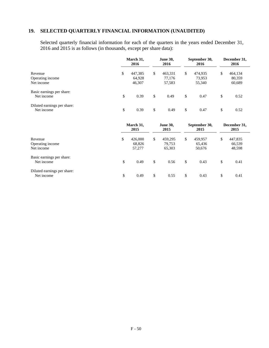# **19. SELECTED QUARTERLY FINANCIAL INFORMATION (UNAUDITED)**

Selected quarterly financial information for each of the quarters in the years ended December 31, 2016 and 2015 is as follows (in thousands, except per share data):

|                                           | March 31,<br>2016                 | <b>June 30,</b><br>2016           | September 30,<br>2016             | December 31,<br>2016              |
|-------------------------------------------|-----------------------------------|-----------------------------------|-----------------------------------|-----------------------------------|
| Revenue<br>Operating income<br>Net income | \$<br>447,385<br>64,928<br>46,307 | \$<br>463,331<br>77,176<br>57,583 | \$<br>474,935<br>73,953<br>55,340 | \$<br>464,134<br>80,359<br>60,689 |
| Basic earnings per share:<br>Net income   | \$<br>0.39                        | \$<br>0.49                        | \$<br>0.47                        | \$<br>0.52                        |
| Diluted earnings per share:<br>Net income | \$<br>0.39                        | \$<br>0.49                        | \$<br>0.47                        | \$<br>0.52                        |

|                                           |    | March 31,<br>2015           |    | <b>June 30,</b><br>2015     |    | September 30,<br>2015       |    | December 31,<br>2015        |  |
|-------------------------------------------|----|-----------------------------|----|-----------------------------|----|-----------------------------|----|-----------------------------|--|
| Revenue<br>Operating income<br>Net income | \$ | 426,000<br>68,826<br>57,277 | \$ | 459,295<br>79,753<br>65,303 | \$ | 459,957<br>65,436<br>50,676 | \$ | 447,835<br>66,539<br>48,598 |  |
| Basic earnings per share:<br>Net income   | \$ | 0.49                        | \$ | 0.56                        | \$ | 0.43                        | \$ | 0.41                        |  |
| Diluted earnings per share:<br>Net income | \$ | 0.49                        | \$ | 0.55                        | \$ | 0.43                        | \$ | 0.41                        |  |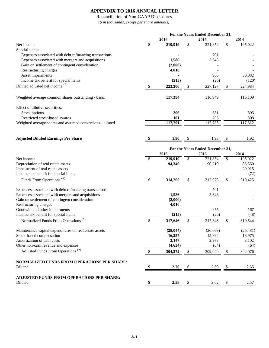# **APPENDIX TO 2016 ANNUAL LETTER**

### Reconciliation of Non-GAAP Disclosures

*(\$ in thousands, except per share amounts)*

|                                                               |               | For the Years Ended December 31,         |                         |           |  |
|---------------------------------------------------------------|---------------|------------------------------------------|-------------------------|-----------|--|
|                                                               | 2016          | 2015                                     |                         | 2014      |  |
| Net Income                                                    | \$<br>219,919 | \$<br>221,854                            | \$                      | 195,022   |  |
| Special items:                                                |               |                                          |                         |           |  |
| Expenses associated with debt refinancing transactions        |               | 701                                      |                         |           |  |
| Expenses associated with mergers and acquisitions             | 1,586         | 3,643                                    |                         |           |  |
| Gain on settlement of contingent consideration                | (2,000)       |                                          |                         |           |  |
| Restructuring charges                                         | 4,010         |                                          |                         |           |  |
| Asset impairments                                             |               | 955                                      |                         | 30,082    |  |
| Income tax benefit for special items                          | (215)         | (26)                                     |                         | (120)     |  |
| Diluted adjusted net income <sup>(A)</sup>                    | \$<br>223,300 | \$<br>227,127                            | \$                      | 224,984   |  |
| Weighted average common shares outstanding - basic            | 117,384       | 116,949                                  |                         | 116,109   |  |
| Effect of dilutive securities:                                |               |                                          |                         |           |  |
| Stock options                                                 | 306           | 631                                      |                         | 895       |  |
| Restricted stock-based awards                                 | 101           | 205                                      |                         | 308       |  |
| Weighted average shares and assumed conversions - diluted     | 117,791       | 117,785                                  |                         | 117,312   |  |
| <b>Adjusted Diluted Earnings Per Share</b>                    | <b>1.90</b>   | 1.93                                     | <sup>2</sup>            | 1.92      |  |
|                                                               | 2016          | For the Years Ended December 31,<br>2015 |                         | 2014      |  |
| Net income                                                    | \$<br>219,919 | \$<br>221,854                            | $\mathcal{S}$           | 195,022   |  |
| Depreciation of real estate assets                            | 94,346        | 90,219                                   |                         | 85,560    |  |
| Impairment of real estate assets                              |               |                                          |                         | 29,915    |  |
| Income tax benefit for special items                          |               |                                          |                         | (72)      |  |
| Funds From Operations <sup>(A)</sup>                          | \$<br>314,265 | \$<br>312,073                            | \$                      | 310,425   |  |
| Expenses associated with debt refinancing transactions        |               | 701                                      |                         |           |  |
| Expenses associated with mergers and acquisitions             | 1,586         | 3,643                                    |                         |           |  |
| Gain on settlement of contingent consideration                | (2,000)       |                                          |                         |           |  |
| Restructuring charges                                         | 4,010         |                                          |                         |           |  |
| Goodwill and other impairments                                |               | 955                                      |                         | 167       |  |
| Income tax benefit for special items                          | (215)         | (26)                                     |                         | (48)      |  |
| Normalized Funds From Operations <sup>(A)</sup>               | \$<br>317,646 | \$<br>317,346                            | \$                      | 310,544   |  |
| Maintenance capital expenditures on real estate assets        | (28, 044)     | (26, 609)                                |                         | (25, 481) |  |
| Stock-based compensation                                      | 16,257        | 15,394                                   |                         | 13,975    |  |
| Amortization of debt costs                                    | 3,147         | 2,973                                    |                         | 3,102     |  |
| Other non-cash revenue and expenses                           | (4, 634)      | (64)                                     |                         | (64)      |  |
| Adjusted Funds From Operations <sup>(A)</sup>                 | \$<br>304,372 | \$<br>309,040                            | $\sqrt[6]{\frac{1}{2}}$ | 302,076   |  |
| <b>NORMALIZED FUNDS FROM OPERATIONS PER SHARE:</b><br>Diluted |               |                                          |                         |           |  |
|                                                               | \$<br>2.70    | \$<br>2.69                               | -S                      | 2.65      |  |
| ADJUSTED FUNDS FROM OPERATIONS PER SHARE:<br>Diluted          | 2.58          | \$<br>2.62                               | $\sqrt{3}$              | 2.57      |  |
|                                                               |               |                                          |                         |           |  |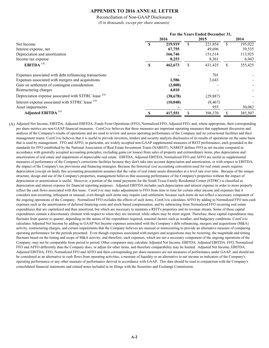# **APPENDIX TO 2016 ANNUAL LETTER**

#### Reconciliation of Non-GAAP Disclosures

*(\$ in thousands, except per share amounts)*

|                                                                 | For the Years Ended December 31, |           |    |           |    |         |  |  |
|-----------------------------------------------------------------|----------------------------------|-----------|----|-----------|----|---------|--|--|
|                                                                 |                                  | 2016      |    | 2015      |    | 2014    |  |  |
| Net Income                                                      | S                                | 219,919   | S. | 221,854   | S. | 195,022 |  |  |
| Interest expense, net                                           |                                  | 67,755    |    | 49,696    |    | 39,535  |  |  |
| Depreciation and amortization                                   |                                  | 166,746   |    | 151,514   |    | 113,925 |  |  |
| Income tax expense                                              |                                  | 8,253     |    | 8,361     |    | 6,943   |  |  |
| <b>EBITDA</b> <sup>(A)</sup>                                    | -S                               | 462,673   | \$ | 431.425   | \$ | 355,425 |  |  |
| Expenses associated with debt refinancing transactions          |                                  |           |    | 701       |    |         |  |  |
| Expenses associated with mergers and acquisitions               |                                  | 1,586     |    | 3,643     |    |         |  |  |
| Gain on settlement of contingent consideration                  |                                  | (2,000)   |    |           |    |         |  |  |
| Restructuring charges                                           |                                  | 4,010     |    |           |    |         |  |  |
| Depreciation expense associated with STFRC lease <sup>(A)</sup> |                                  | (38,678)  |    | (29, 887) |    |         |  |  |
| Interest expense associated with STFRC lease <sup>(A)</sup>     |                                  | (10, 040) |    | (8, 467)  |    |         |  |  |
| Asset impairments                                               |                                  |           |    | 955       |    | 30,082  |  |  |
| Adjusted EBITDA <sup>(A)</sup>                                  |                                  | 417,551   |    | 398,370   |    | 385,507 |  |  |

(A) Adjusted Net Income, EBITDA, Adjusted EBITDA, Funds From Operations (FFO), Normalized FFO, Adjusted FFO, and, where appropriate, their corresponding per share metrics are non-GAAP financial measures. CoreCivic believes that these measures are important operating measures that supplement discussion and analysis of the Company's results of operations and are used to review and assess operating performance of the Company and its correctional facilities and their management teams. CoreCivic believes that it is useful to provide investors, lenders and security analysts disclosures of its results of operations on the same basis that is used by management. FFO and AFFO, in particular, are widely accepted non-GAAP supplemental measures of REIT performance, each grounded in the standards for FFO established by the National Association of Real Estate Investment Trusts (NAREIT). NAREIT defines FFO as net income computed in accordance with generally accepted accounting principles, excluding gains (or losses) from sales of property and extraordinary items, plus depreciation and amortization of real estate and impairment of depreciable real estate. EBITDA, Adjusted EBITDA, Normalized FFO and AFFO are useful as supplemental measures of performance of the Company's corrections facilities because they don't take into account depreciation and amortization, or with respect to EBITDA, the impact of the Company's tax provisions and financing strategies. Because the historical cost accounting convention used for real estate assets requires depreciation (except on land), this accounting presentation assumes that the value of real estate assets diminishes at a level rate over time. Because of the unique structure, design and use of the Company's properties, management believes that assessing performance of the Company's properties without the impact of depreciation or amortization is useful. However, a portion of the rental payments for the South Texas Family Residential Center (STFRC) is classified as depreciation and interest expense for financial reporting purposes. Adjusted EBITDA includes such depreciation and interest expense in order to more properly reflect the cash flows associated with this lease. CoreCivic may make adjustments to FFO from time to time for certain other income and expenses that it considers non-recurring, infrequent or unusual, even though such items may require cash settlement, because such items do not reflect a necessary component of the ongoing operations of the Company. Normalized FFO excludes the effects of such items. CoreCivic calculates AFFO by adding to Normalized FFO non-cash expenses such as the amortization of deferred financing costs and stock-based compensation, and by subtracting from Normalized FFO recurring real estate expenditures that are capitalized and then amortized, but which are necessary to maintain a REIT's properties and its revenue stream. Some of these capital expenditures contain a discretionary element with respect to when they are incurred, while others may be more urgent. Therefore, these capital expenditures may fluctuate from quarter to quarter, depending on the nature of the expenditure required, seasonal factors such as weather, and budgetary conditions. CoreCivic calculates Adjusted Net Income by adding to GAAP Net Income expenses associated with the Company's debt refinancing, mergers and acquisitions (M&A) activity, restructuring charges, and certain impairments that the Company believes are unusual or nonrecurring to provide an alternative measure of comparing operating performance for the periods presented. Even though expenses associated with mergers and acquisitions may be recurring, the magnitude and timing fluctuate based on the timing and scope of M&A activity, and therefore, such expenses, which are not a necessary component of the ongoing operations of the Company, may not be comparable from period to period. Other companies may calculate Adjusted Net Income, EBITDA, Adjusted EBITDA, FFO, Normalized FFO and AFFO differently than the Company does, or adjust for other items, and therefore comparability may be limited. Adjusted Net Income, EBITDA, Adjusted EBITDA, FFO, Normalized FFO and AFFO and their corresponding per share measures are not measures of performance under GAAP, and should not be considered as an alternative to cash flows from operating activities, a measure of liquidity or an alternative to net income as indicators of the Company's operating performance or any other measure of performance derived in accordance with GAAP. This data should be read in conjunction with the Company's consolidated financial statements and related notes included in its filings with the Securities and Exchange Commission.